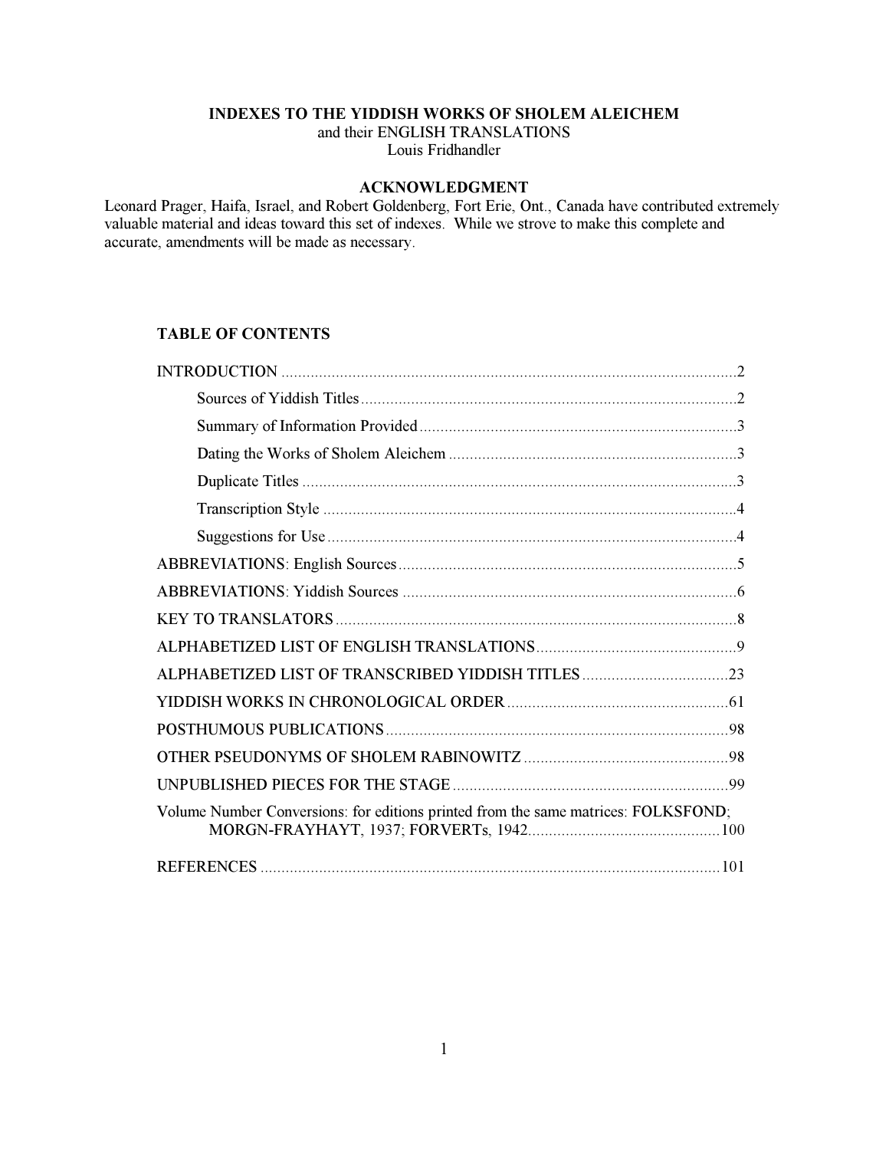# INDEXES TO THE YIDDISH WORKS OF SHOLEM ALEICHEM

and their ENGLISH TRANSLATIONS Louis Fridhandler

# ACKNOWLEDGMENT

Leonard Prager, Haifa, Israel, and Robert Goldenberg, Fort Erie, Ont., Canada have contributed extremely valuable material and ideas toward this set of indexes. While we strove to make this complete and accurate, amendments will be made as necessary.

# TABLE OF CONTENTS

| Volume Number Conversions: for editions printed from the same matrices: FOLKSFOND; |
|------------------------------------------------------------------------------------|
|                                                                                    |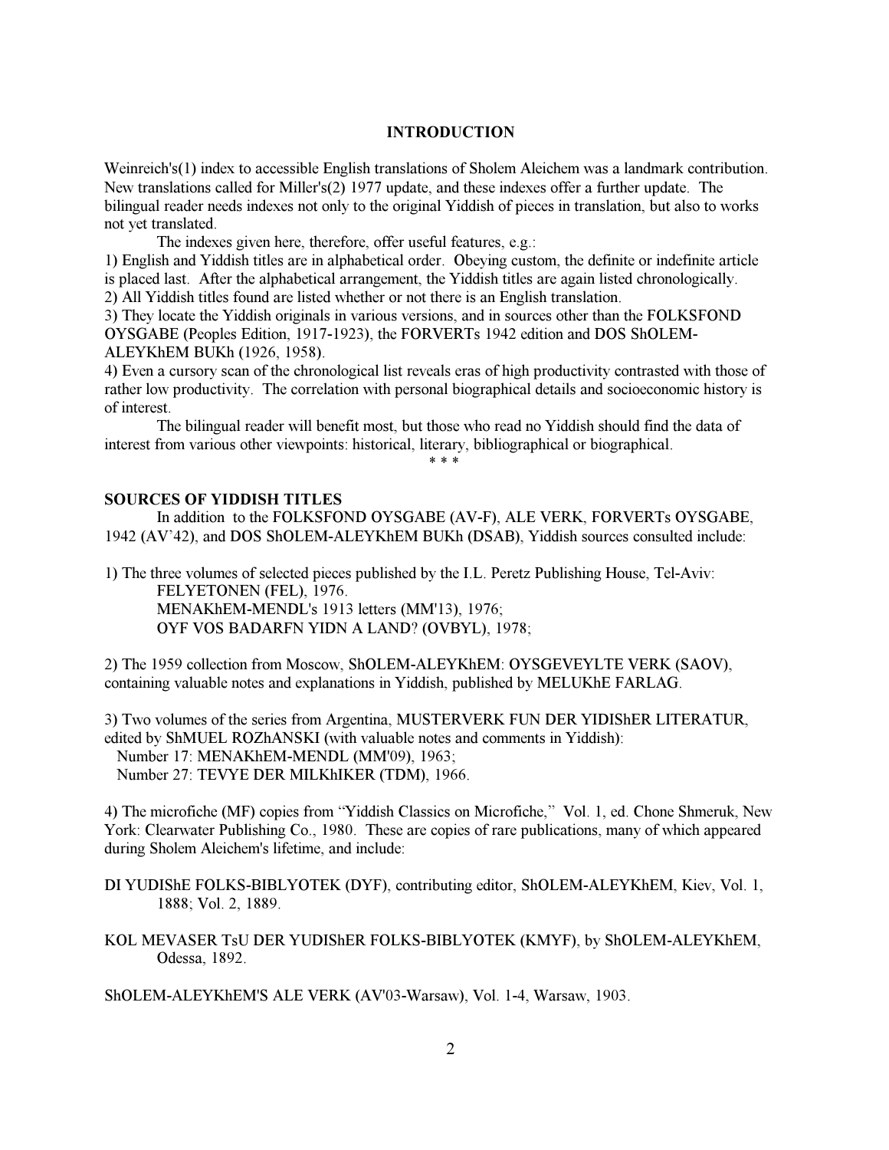### INTRODUCTION

<span id="page-1-0"></span>Weinreich's(1) index to accessible English translations of Sholem Aleichem was a landmark contribution. New translations called for Miller's(2) 1977 update, and these indexes offer a further update. The bilingual reader needs indexes not only to the original Yiddish of pieces in translation, but also to works not yet translated.

The indexes given here, therefore, offer useful features, e.g.:

1) English and Yiddish titles are in alphabetical order. Obeying custom, the definite or indefinite article is placed last. After the alphabetical arrangement, the Yiddish titles are again listed chronologically.

2) All Yiddish titles found are listed whether or not there is an English translation.

3) They locate the Yiddish originals in various versions, and in sources other than the FOLKSFOND OYSGABE (Peoples Edition, 1917-1923), the FORVERTs 1942 edition and DOS ShOLEM-ALEYKhEM BUKh (1926, 1958).

4) Even a cursory scan of the chronological list reveals eras of high productivity contrasted with those of rather low productivity. The correlation with personal biographical details and socioeconomic history is of interest.

 The bilingual reader will benefit most, but those who read no Yiddish should find the data of interest from various other viewpoints: historical, literary, bibliographical or biographical.

\* \* \*

### <span id="page-1-1"></span>SOURCES OF YIDDISH TITLES

 In addition to the FOLKSFOND OYSGABE (AV-F), ALE VERK, FORVERTs OYSGABE, 1942 (AV'42), and DOS ShOLEM-ALEYKhEM BUKh (DSAB), Yiddish sources consulted include:

1) The three volumes of selected pieces published by the I.L. Peretz Publishing House, Tel-Aviv:

 FELYETONEN (FEL), 1976. MENAKhEM-MENDL's 1913 letters (MM'13), 1976; OYF VOS BADARFN YIDN A LAND? (OVBYL), 1978;

2) The 1959 collection from Moscow, ShOLEM-ALEYKhEM: OYSGEVEYLTE VERK (SAOV), containing valuable notes and explanations in Yiddish, published by MELUKhE FARLAG.

3) Two volumes of the series from Argentina, MUSTERVERK FUN DER YIDIShER LITERATUR, edited by ShMUEL ROZhANSKI (with valuable notes and comments in Yiddish): Number 17: MENAKhEM-MENDL (MM'09), 1963; Number 27: TEVYE DER MILKhIKER (TDM), 1966.

4) The microfiche (MF) copies from "Yiddish Classics on Microfiche," Vol. 1, ed. Chone Shmeruk, New York: Clearwater Publishing Co., 1980. These are copies of rare publications, many of which appeared during Sholem Aleichem's lifetime, and include:

DI YUDIShE FOLKS-BIBLYOTEK (DYF), contributing editor, ShOLEM-ALEYKhEM, Kiev, Vol. 1, 1888; Vol. 2, 1889.

KOL MEVASER TsU DER YUDIShER FOLKS-BIBLYOTEK (KMYF), by ShOLEM-ALEYKhEM, Odessa, 1892.

ShOLEM-ALEYKhEM'S ALE VERK (AV'03-Warsaw), Vol. 1-4, Warsaw, 1903.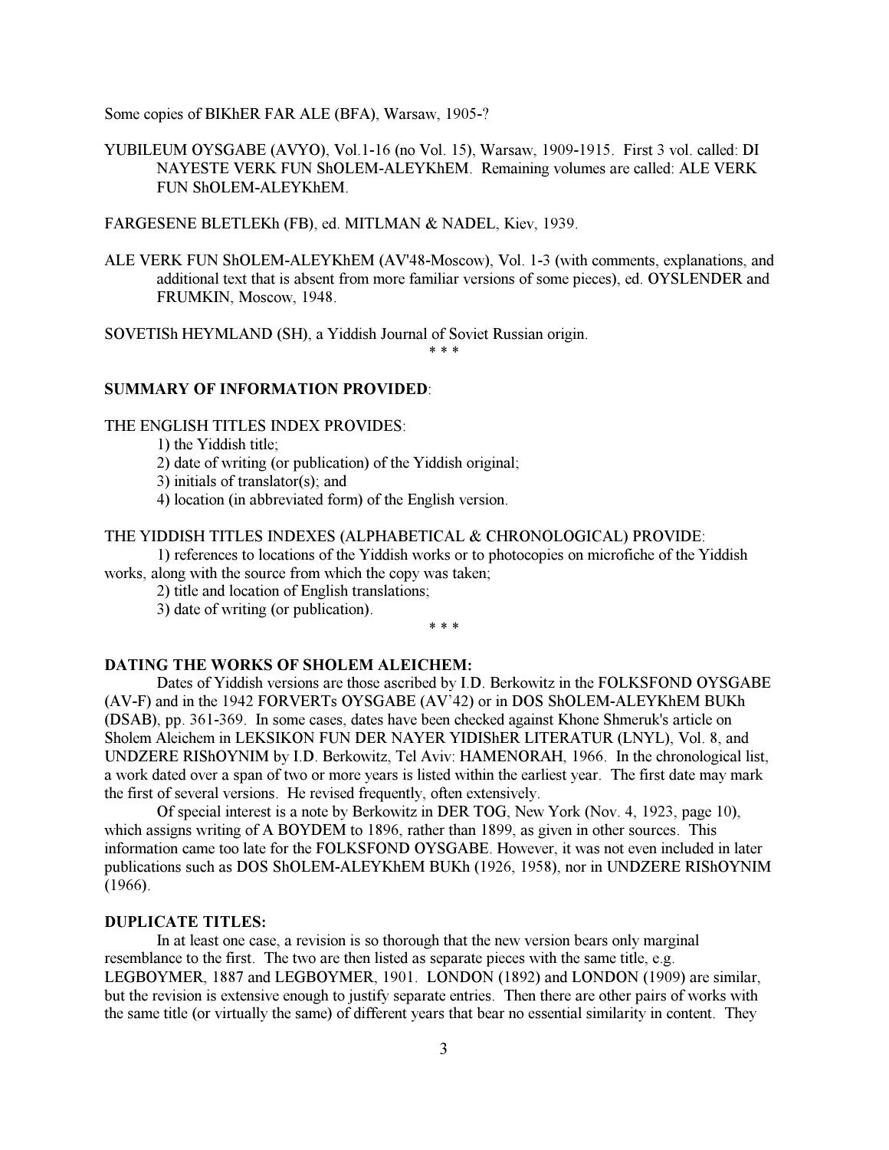Some copies of BIKhER FAR ALE (BFA), Warsaw, 1905-?

YUBILEUM OYSGABE (AVYO), Vol.1-16 (no Vol. 15), Warsaw, 1909-1915. First 3 vol. called: DI NAYESTE VERK FUN ShOLEM-ALEYKhEM. Remaining volumes are called: ALE VERK FUN ShOLEM-ALEYKhEM.

FARGESENE BLETLEKh (FB), ed. MITLMAN & NADEL, Kiev, 1939.

ALE VERK FUN ShOLEM-ALEYKhEM (AV'48-Moscow), Vol. 1-3 (with comments, explanations, and additional text that is absent from more familiar versions of some pieces), ed. OYSLENDER and FRUMKIN, Moscow, 1948.

SOVETISh HEYMLAND (SH), a Yiddish Journal of Soviet Russian origin.

\* \* \*

# <span id="page-2-0"></span>SUMMARY OF INFORMATION PROVIDED:

# THE ENGLISH TITLES INDEX PROVIDES:

1) the Yiddish title;

2) date of writing (or publication) of the Yiddish original;

3) initials of translator(s); and

4) location (in abbreviated form) of the English version.

### THE YIDDISH TITLES INDEXES (ALPHABETICAL & CHRONOLOGICAL) PROVIDE:

<span id="page-2-1"></span> 1) references to locations of the Yiddish works or to photocopies on microfiche of the Yiddish works, along with the source from which the copy was taken;

2) title and location of English translations;

3) date of writing (or publication).

#### \* \* \*

# DATING THE WORKS OF SHOLEM ALEICHEM:

 Dates of Yiddish versions are those ascribed by I.D. Berkowitz in the FOLKSFOND OYSGABE (AV-F) and in the 1942 FORVERTs OYSGABE (AV'42) or in DOS ShOLEM-ALEYKhEM BUKh (DSAB), pp. 361-369. In some cases, dates have been checked against Khone Shmeruk's article on Sholem Aleichem in LEKSIKON FUN DER NAYER YIDIShER LITERATUR (LNYL), Vol. 8, and UNDZERE RIShOYNIM by I.D. Berkowitz, Tel Aviv: HAMENORAH, 1966. In the chronological list, a work dated over a span of two or more years is listed within the earliest year. The first date may mark the first of several versions. He revised frequently, often extensively.

 Of special interest is a note by Berkowitz in DER TOG, New York (Nov. 4, 1923, page 10), which assigns writing of A BOYDEM to 1896, rather than 1899, as given in other sources. This information came too late for the FOLKSFOND OYSGABE. However, it was not even included in later publications such as DOS ShOLEM-ALEYKhEM BUKh (1926, 1958), nor in UNDZERE RIShOYNIM (1966).

### DUPLICATE TITLES:

 In at least one case, a revision is so thorough that the new version bears only marginal resemblance to the first. The two are then listed as separate pieces with the same title, e.g. LEGBOYMER, 1887 and LEGBOYMER, 1901. LONDON (1892) and LONDON (1909) are similar, but the revision is extensive enough to justify separate entries. Then there are other pairs of works with the same title (or virtually the same) of different years that bear no essential similarity in content. They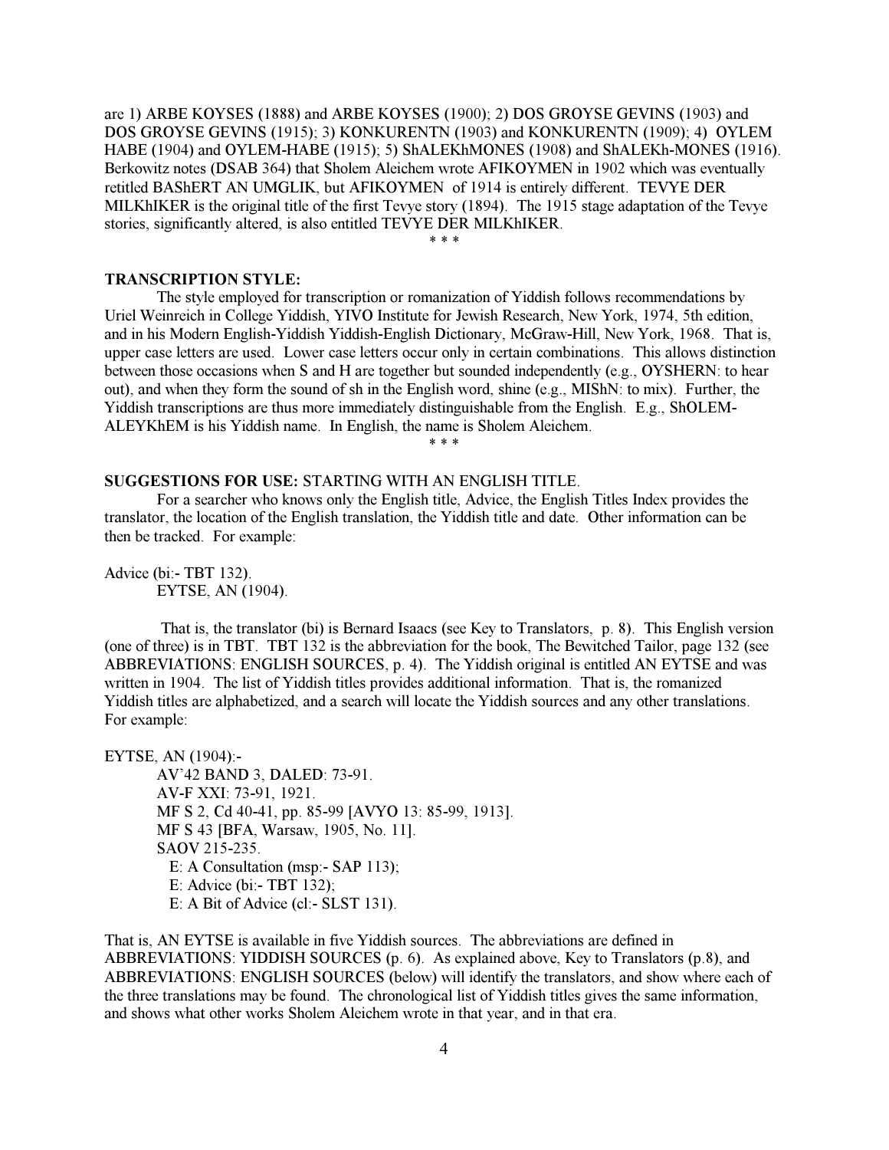are 1) ARBE KOYSES (1888) and ARBE KOYSES (1900); 2) DOS GROYSE GEVINS (1903) and DOS GROYSE GEVINS (1915); 3) KONKURENTN (1903) and KONKURENTN (1909); 4) OYLEM HABE (1904) and OYLEM-HABE (1915); 5) ShALEKhMONES (1908) and ShALEKh-MONES (1916). Berkowitz notes (DSAB 364) that Sholem Aleichem wrote AFIKOYMEN in 1902 which was eventually retitled BAShERT AN UMGLIK, but AFIKOYMEN of 1914 is entirely different. TEVYE DER MILKhIKER is the original title of the first Tevye story (1894). The 1915 stage adaptation of the Tevye stories, significantly altered, is also entitled TEVYE DER MILKhIKER.

<span id="page-3-0"></span> $* * *$ 

# TRANSCRIPTION STYLE:

 The style employed for transcription or romanization of Yiddish follows recommendations by Uriel Weinreich in College Yiddish, YIVO Institute for Jewish Research, New York, 1974, 5th edition, and in his Modern English-Yiddish Yiddish-English Dictionary, McGraw-Hill, New York, 1968. That is, upper case letters are used. Lower case letters occur only in certain combinations. This allows distinction between those occasions when S and H are together but sounded independently (e.g., OYSHERN: to hear out), and when they form the sound of sh in the English word, shine (e.g., MIShN: to mix). Further, the Yiddish transcriptions are thus more immediately distinguishable from the English. E.g., ShOLEM-ALEYKhEM is his Yiddish name. In English, the name is Sholem Aleichem.

\* \* \*

# <span id="page-3-1"></span>SUGGESTIONS FOR USE: STARTING WITH AN ENGLISH TITLE.

 For a searcher who knows only the English title, Advice, the English Titles Index provides the translator, the location of the English translation, the Yiddish title and date. Other information can be then be tracked. For example:

Advice (bi:- TBT 132). EYTSE, AN (1904).

 That is, the translator (bi) is Bernard Isaacs (see Key to Translators, p. 8). This English version (one of three) is in TBT. TBT 132 is the abbreviation for the book, The Bewitched Tailor, page 132 (see ABBREVIATIONS: ENGLISH SOURCES, p. 4). The Yiddish original is entitled AN EYTSE and was written in 1904. The list of Yiddish titles provides additional information. That is, the romanized Yiddish titles are alphabetized, and a search will locate the Yiddish sources and any other translations. For example:

EYTSE, AN (1904):-

 AV'42 BAND 3, DALED: 73-91. AV-F XXI: 73-91, 1921. MF S 2, Cd 40-41, pp. 85-99 [AVYO 13: 85-99, 1913]. MF S 43 [BFA, Warsaw, 1905, No. 11]. SAOV 215-235. E: A Consultation (msp:- SAP 113); E: Advice (bi:- TBT 132); E: A Bit of Advice (cl:- SLST 131).

That is, AN EYTSE is available in five Yiddish sources. The abbreviations are defined in ABBREVIATIONS: YIDDISH SOURCES (p. 6). As explained above, Key to Translators (p.8), and ABBREVIATIONS: ENGLISH SOURCES (below) will identify the translators, and show where each of the three translations may be found. The chronological list of Yiddish titles gives the same information, and shows what other works Sholem Aleichem wrote in that year, and in that era.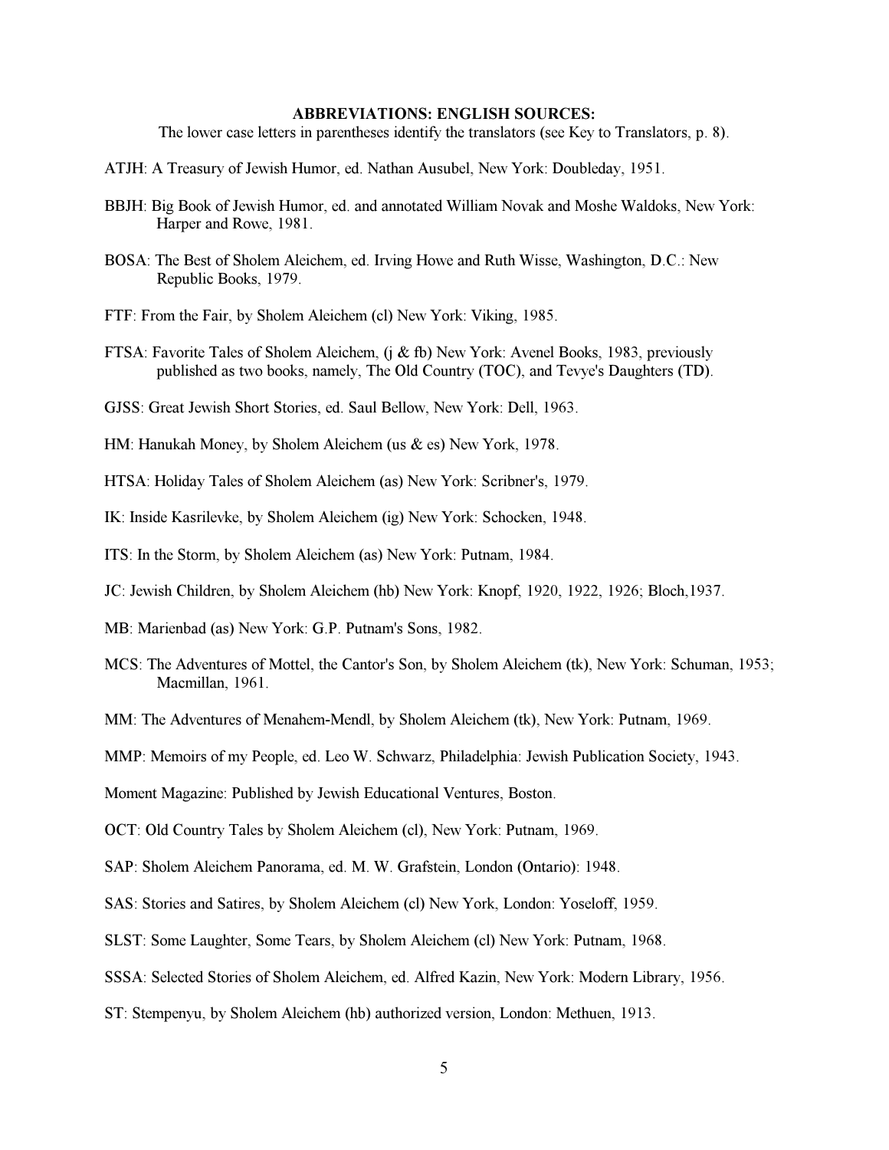# ABBREVIATIONS: ENGLISH SOURCES:

The lower case letters in parentheses identify the translators (see Key to Translators, p. 8).

- <span id="page-4-0"></span>ATJH: A Treasury of Jewish Humor, ed. Nathan Ausubel, New York: Doubleday, 1951.
- BBJH: Big Book of Jewish Humor, ed. and annotated William Novak and Moshe Waldoks, New York: Harper and Rowe, 1981.
- BOSA: The Best of Sholem Aleichem, ed. Irving Howe and Ruth Wisse, Washington, D.C.: New Republic Books, 1979.
- FTF: From the Fair, by Sholem Aleichem (cl) New York: Viking, 1985.
- FTSA: Favorite Tales of Sholem Aleichem, (j & fb) New York: Avenel Books, 1983, previously published as two books, namely, The Old Country (TOC), and Tevye's Daughters (TD).
- GJSS: Great Jewish Short Stories, ed. Saul Bellow, New York: Dell, 1963.
- HM: Hanukah Money, by Sholem Aleichem (us & es) New York, 1978.

HTSA: Holiday Tales of Sholem Aleichem (as) New York: Scribner's, 1979.

IK: Inside Kasrilevke, by Sholem Aleichem (ig) New York: Schocken, 1948.

ITS: In the Storm, by Sholem Aleichem (as) New York: Putnam, 1984.

- JC: Jewish Children, by Sholem Aleichem (hb) New York: Knopf, 1920, 1922, 1926; Bloch,1937.
- MB: Marienbad (as) New York: G.P. Putnam's Sons, 1982.
- MCS: The Adventures of Mottel, the Cantor's Son, by Sholem Aleichem (tk), New York: Schuman, 1953; Macmillan, 1961.

MM: The Adventures of Menahem-Mendl, by Sholem Aleichem (tk), New York: Putnam, 1969.

MMP: Memoirs of my People, ed. Leo W. Schwarz, Philadelphia: Jewish Publication Society, 1943.

Moment Magazine: Published by Jewish Educational Ventures, Boston.

OCT: Old Country Tales by Sholem Aleichem (cl), New York: Putnam, 1969.

SAP: Sholem Aleichem Panorama, ed. M. W. Grafstein, London (Ontario): 1948.

SAS: Stories and Satires, by Sholem Aleichem (cl) New York, London: Yoseloff, 1959.

SLST: Some Laughter, Some Tears, by Sholem Aleichem (cl) New York: Putnam, 1968.

SSSA: Selected Stories of Sholem Aleichem, ed. Alfred Kazin, New York: Modern Library, 1956.

ST: Stempenyu, by Sholem Aleichem (hb) authorized version, London: Methuen, 1913.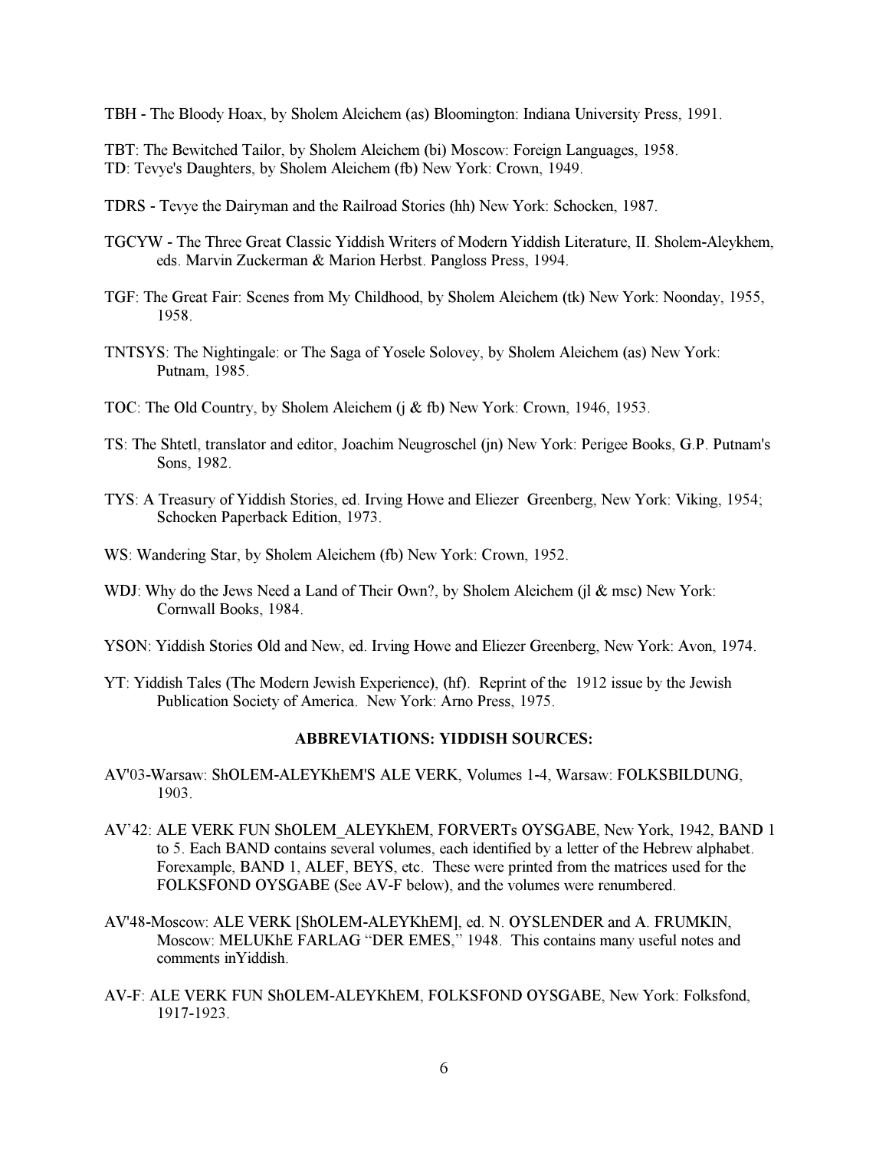TBH - The Bloody Hoax, by Sholem Aleichem (as) Bloomington: Indiana University Press, 1991.

TBT: The Bewitched Tailor, by Sholem Aleichem (bi) Moscow: Foreign Languages, 1958. TD: Tevye's Daughters, by Sholem Aleichem (fb) New York: Crown, 1949.

- TDRS Tevye the Dairyman and the Railroad Stories (hh) New York: Schocken, 1987.
- TGCYW The Three Great Classic Yiddish Writers of Modern Yiddish Literature, II. Sholem-Aleykhem, eds. Marvin Zuckerman & Marion Herbst. Pangloss Press, 1994.
- TGF: The Great Fair: Scenes from My Childhood, by Sholem Aleichem (tk) New York: Noonday, 1955, 1958.
- TNTSYS: The Nightingale: or The Saga of Yosele Solovey, by Sholem Aleichem (as) New York: Putnam, 1985.
- TOC: The Old Country, by Sholem Aleichem (j & fb) New York: Crown, 1946, 1953.
- TS: The Shtetl, translator and editor, Joachim Neugroschel (jn) New York: Perigee Books, G.P. Putnam's Sons, 1982.
- TYS: A Treasury of Yiddish Stories, ed. Irving Howe and Eliezer Greenberg, New York: Viking, 1954; Schocken Paperback Edition, 1973.
- <span id="page-5-0"></span>WS: Wandering Star, by Sholem Aleichem (fb) New York: Crown, 1952.
- WDJ: Why do the Jews Need a Land of Their Own?, by Sholem Aleichem (jl & msc) New York: Cornwall Books, 1984.
- YSON: Yiddish Stories Old and New, ed. Irving Howe and Eliezer Greenberg, New York: Avon, 1974.
- YT: Yiddish Tales (The Modern Jewish Experience), (hf). Reprint of the 1912 issue by the Jewish Publication Society of America. New York: Arno Press, 1975.

# ABBREVIATIONS: YIDDISH SOURCES:

- AV'03-Warsaw: ShOLEM-ALEYKhEM'S ALE VERK, Volumes 1-4, Warsaw: FOLKSBILDUNG, 1903.
- AV'42: ALE VERK FUN ShOLEM\_ALEYKhEM, FORVERTs OYSGABE, New York, 1942, BAND 1 to 5. Each BAND contains several volumes, each identified by a letter of the Hebrew alphabet. Forexample, BAND 1, ALEF, BEYS, etc. These were printed from the matrices used for the FOLKSFOND OYSGABE (See AV-F below), and the volumes were renumbered.
- AV'48-Moscow: ALE VERK [ShOLEM-ALEYKhEM], ed. N. OYSLENDER and A. FRUMKIN, Moscow: MELUKhE FARLAG "DER EMES," 1948. This contains many useful notes and comments inYiddish.
- AV-F: ALE VERK FUN ShOLEM-ALEYKhEM, FOLKSFOND OYSGABE, New York: Folksfond, 1917-1923.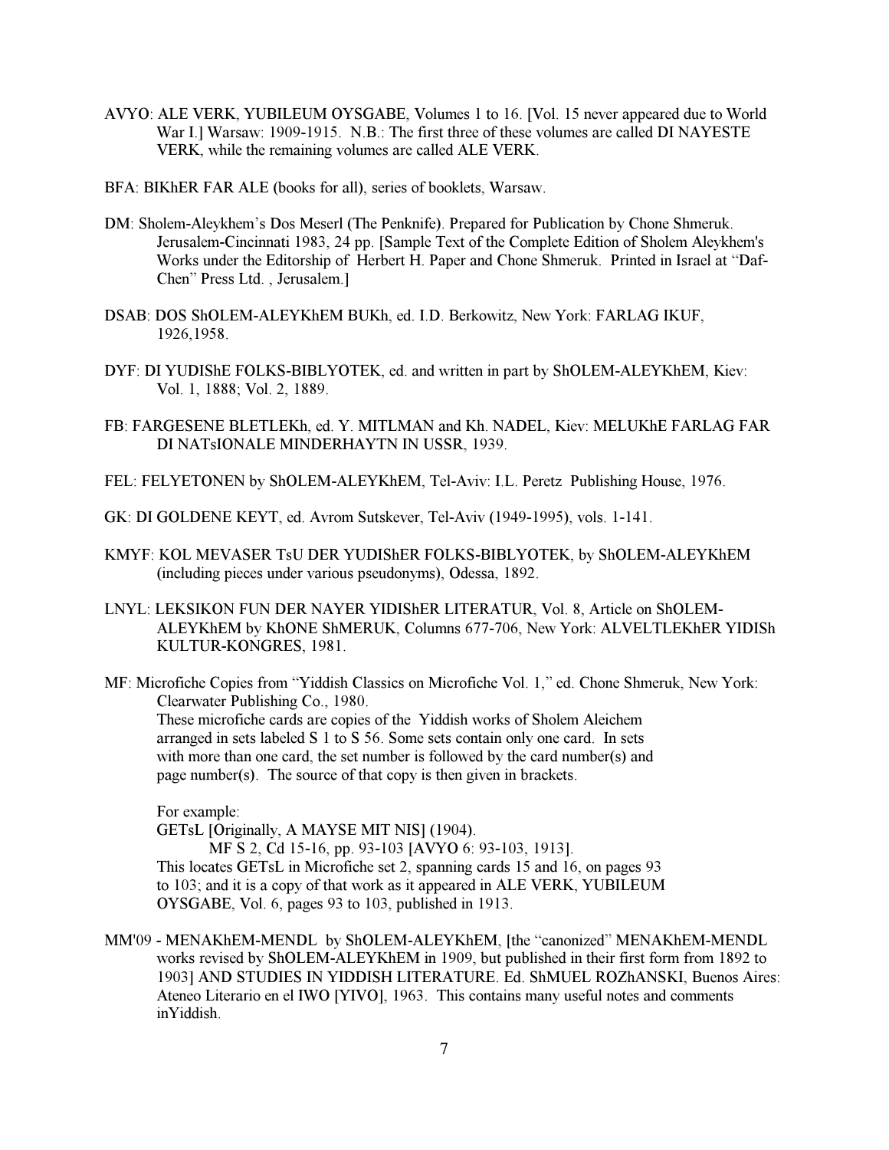- AVYO: ALE VERK, YUBILEUM OYSGABE, Volumes 1 to 16. [Vol. 15 never appeared due to World War I.] Warsaw: 1909-1915. N.B.: The first three of these volumes are called DI NAYESTE VERK, while the remaining volumes are called ALE VERK.
- BFA: BIKhER FAR ALE (books for all), series of booklets, Warsaw.
- DM: Sholem-Aleykhem's Dos Meserl (The Penknife). Prepared for Publication by Chone Shmeruk. Jerusalem-Cincinnati 1983, 24 pp. [Sample Text of the Complete Edition of Sholem Aleykhem's Works under the Editorship of Herbert H. Paper and Chone Shmeruk. Printed in Israel at "Daf-Chen" Press Ltd. , Jerusalem.]
- DSAB: DOS ShOLEM-ALEYKhEM BUKh, ed. I.D. Berkowitz, New York: FARLAG IKUF, 1926,1958.
- DYF: DI YUDIShE FOLKS-BIBLYOTEK, ed. and written in part by ShOLEM-ALEYKhEM, Kiev: Vol. 1, 1888; Vol. 2, 1889.
- FB: FARGESENE BLETLEKh, ed. Y. MITLMAN and Kh. NADEL, Kiev: MELUKhE FARLAG FAR DI NATsIONALE MINDERHAYTN IN USSR, 1939.
- FEL: FELYETONEN by ShOLEM-ALEYKhEM, Tel-Aviv: I.L. Peretz Publishing House, 1976.
- GK: DI GOLDENE KEYT, ed. Avrom Sutskever, Tel-Aviv (1949-1995), vols. 1-141.
- KMYF: KOL MEVASER TsU DER YUDIShER FOLKS-BIBLYOTEK, by ShOLEM-ALEYKhEM (including pieces under various pseudonyms), Odessa, 1892.
- LNYL: LEKSIKON FUN DER NAYER YIDIShER LITERATUR, Vol. 8, Article on ShOLEM-ALEYKhEM by KhONE ShMERUK, Columns 677-706, New York: ALVELTLEKhER YIDISh KULTUR-KONGRES, 1981.
- MF: Microfiche Copies from "Yiddish Classics on Microfiche Vol. 1," ed. Chone Shmeruk, New York: Clearwater Publishing Co., 1980.

These microfiche cards are copies of the Yiddish works of Sholem Aleichem arranged in sets labeled S 1 to S 56. Some sets contain only one card. In sets with more than one card, the set number is followed by the card number(s) and page number(s). The source of that copy is then given in brackets.

For example:

GETsL [Originally, A MAYSE MIT NIS] (1904).

 MF S 2, Cd 15-16, pp. 93-103 [AVYO 6: 93-103, 1913]. This locates GETsL in Microfiche set 2, spanning cards 15 and 16, on pages 93 to 103; and it is a copy of that work as it appeared in ALE VERK, YUBILEUM OYSGABE, Vol. 6, pages 93 to 103, published in 1913.

MM'09 - MENAKhEM-MENDL by ShOLEM-ALEYKhEM, [the "canonized" MENAKhEM-MENDL works revised by ShOLEM-ALEYKhEM in 1909, but published in their first form from 1892 to 1903] AND STUDIES IN YIDDISH LITERATURE. Ed. ShMUEL ROZhANSKI, Buenos Aires: Ateneo Literario en el IWO [YIVO], 1963. This contains many useful notes and comments inYiddish.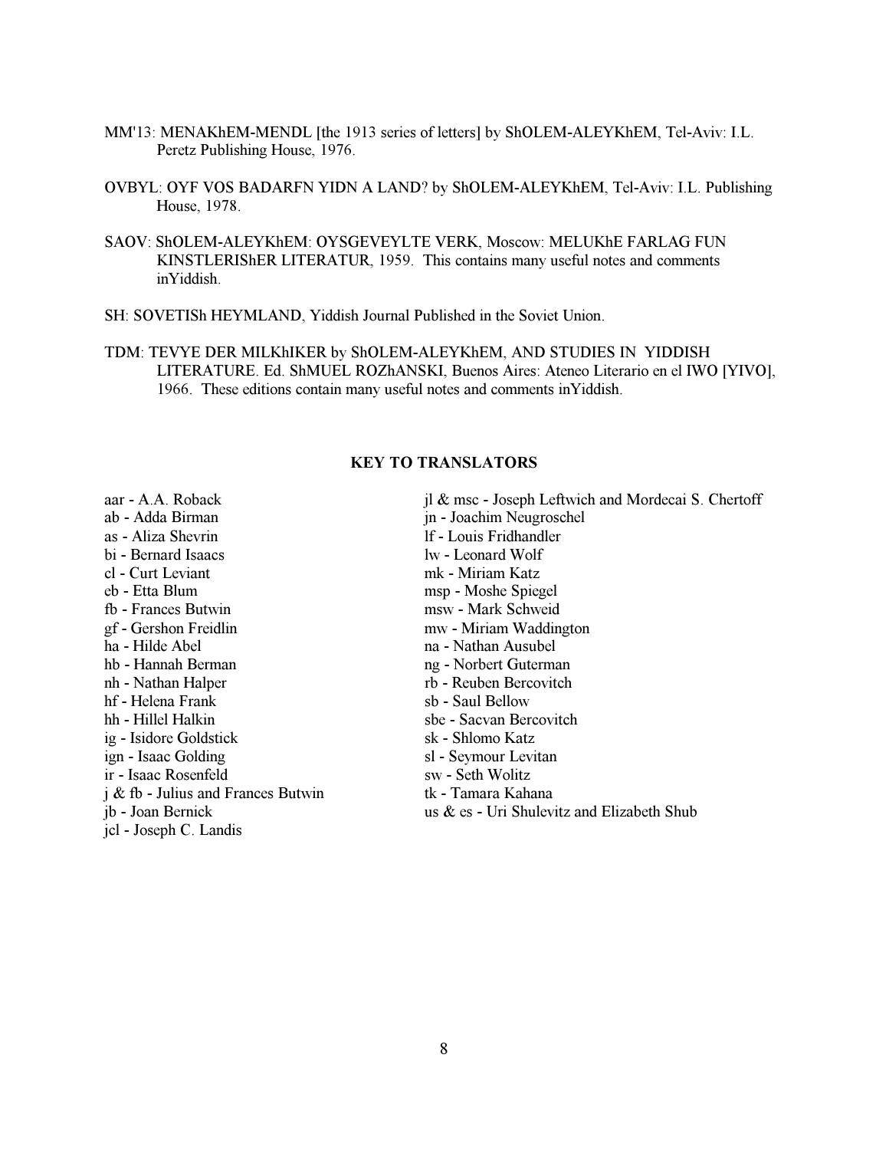- MM'13: MENAKhEM-MENDL [the 1913 series of letters] by ShOLEM-ALEYKhEM, Tel-Aviv: I.L. Peretz Publishing House, 1976.
- OVBYL: OYF VOS BADARFN YIDN A LAND? by ShOLEM-ALEYKhEM, Tel-Aviv: I.L. Publishing House, 1978.
- SAOV: ShOLEM-ALEYKhEM: OYSGEVEYLTE VERK, Moscow: MELUKhE FARLAG FUN KINSTLERIShER LITERATUR, 1959. This contains many useful notes and comments inYiddish.
- SH: SOVETISh HEYMLAND, Yiddish Journal Published in the Soviet Union.
- TDM: TEVYE DER MILKhIKER by ShOLEM-ALEYKhEM, AND STUDIES IN YIDDISH LITERATURE. Ed. ShMUEL ROZhANSKI, Buenos Aires: Ateneo Literario en el IWO [YIVO], 1966. These editions contain many useful notes and comments inYiddish.

# KEY TO TRANSLATORS

<span id="page-7-0"></span>aar - A.A. Roback ab - Adda Birman as - Aliza Shevrin bi - Bernard Isaacs cl - Curt Leviant eb - Etta Blum fb - Frances Butwin gf - Gershon Freidlin ha - Hilde Abel hb - Hannah Berman nh - Nathan Halper hf - Helena Frank hh - Hillel Halkin ig - Isidore Goldstick ign - Isaac Golding ir - Isaac Rosenfeld j & fb - Julius and Frances Butwin jb - Joan Bernick jcl - Joseph C. Landis jl & msc - Joseph Leftwich and Mordecai S. Chertoff jn - Joachim Neugroschel lf - Louis Fridhandler lw - Leonard Wolf mk - Miriam Katz msp - Moshe Spiegel msw - Mark Schweid mw - Miriam Waddington na - Nathan Ausubel ng - Norbert Guterman rb - Reuben Bercovitch sb - Saul Bellow sbe - Sacvan Bercovitch sk - Shlomo Katz sl - Seymour Levitan sw - Seth Wolitz tk - Tamara Kahana us & es - Uri Shulevitz and Elizabeth Shub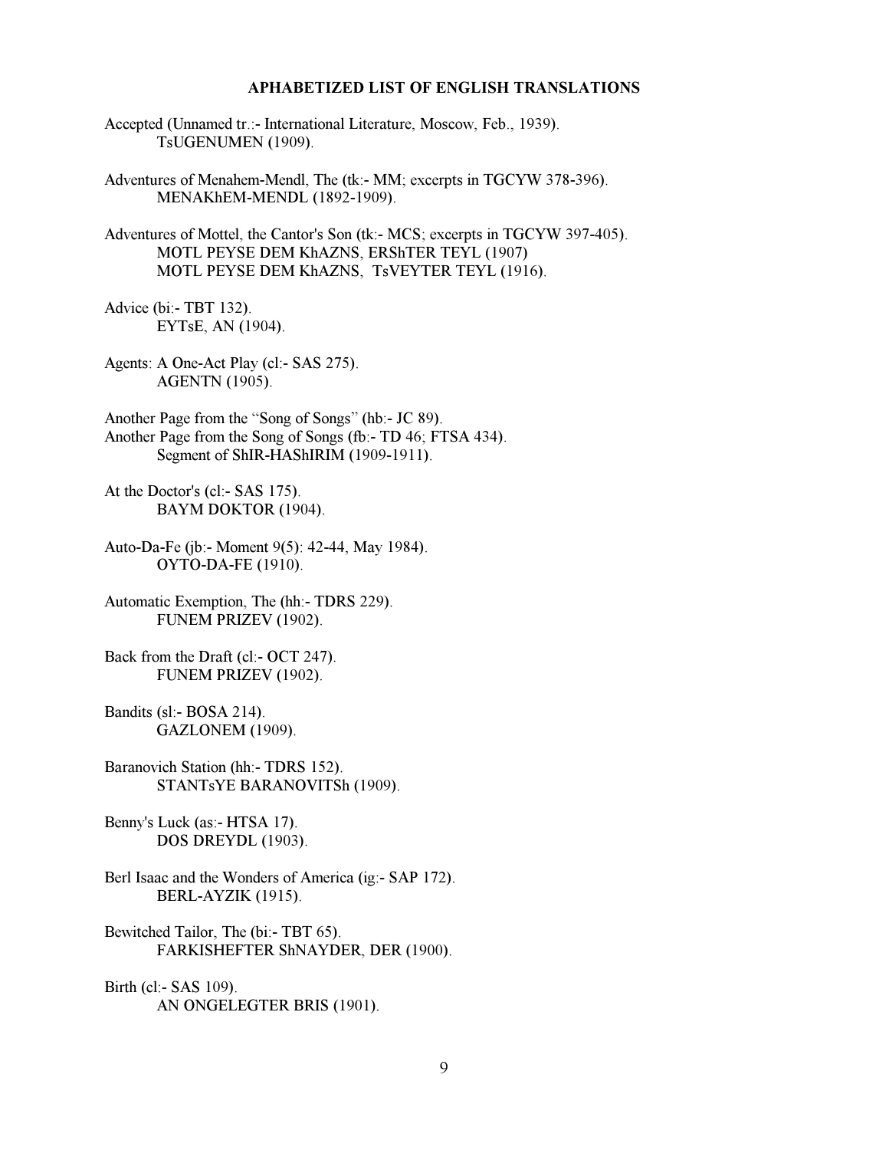## APHABETIZED LIST OF ENGLISH TRANSLATIONS

- <span id="page-8-0"></span>Accepted (Unnamed tr.:- International Literature, Moscow, Feb., 1939). TsUGENUMEN (1909).
- Adventures of Menahem-Mendl, The (tk:- MM; excerpts in TGCYW 378-396). MENAKhEM-MENDL (1892-1909).
- Adventures of Mottel, the Cantor's Son (tk:- MCS; excerpts in TGCYW 397-405). MOTL PEYSE DEM KhAZNS, ERShTER TEYL (1907) MOTL PEYSE DEM KhAZNS, TsVEYTER TEYL (1916).
- Advice (bi:- TBT 132). EYTsE, AN (1904).
- Agents: A One-Act Play (cl:- SAS 275). AGENTN (1905).
- Another Page from the "Song of Songs" (hb:- JC 89). Another Page from the Song of Songs (fb:- TD 46; FTSA 434). Segment of ShIR-HAShIRIM (1909-1911).
- At the Doctor's (cl:- SAS 175). BAYM DOKTOR (1904).
- Auto-Da-Fe (jb:- Moment 9(5): 42-44, May 1984). OYTO-DA-FE (1910).
- Automatic Exemption, The (hh:- TDRS 229). FUNEM PRIZEV (1902).
- Back from the Draft (cl:- OCT 247). FUNEM PRIZEV (1902).
- Bandits (sl:- BOSA 214). GAZLONEM (1909).
- Baranovich Station (hh:- TDRS 152). STANTsYE BARANOVITSh (1909).
- Benny's Luck (as:- HTSA 17). DOS DREYDL (1903).
- Berl Isaac and the Wonders of America (ig:- SAP 172). BERL-AYZIK (1915).
- Bewitched Tailor, The (bi:- TBT 65). FARKISHEFTER ShNAYDER, DER (1900).
- Birth (cl:- SAS 109). AN ONGELEGTER BRIS (1901).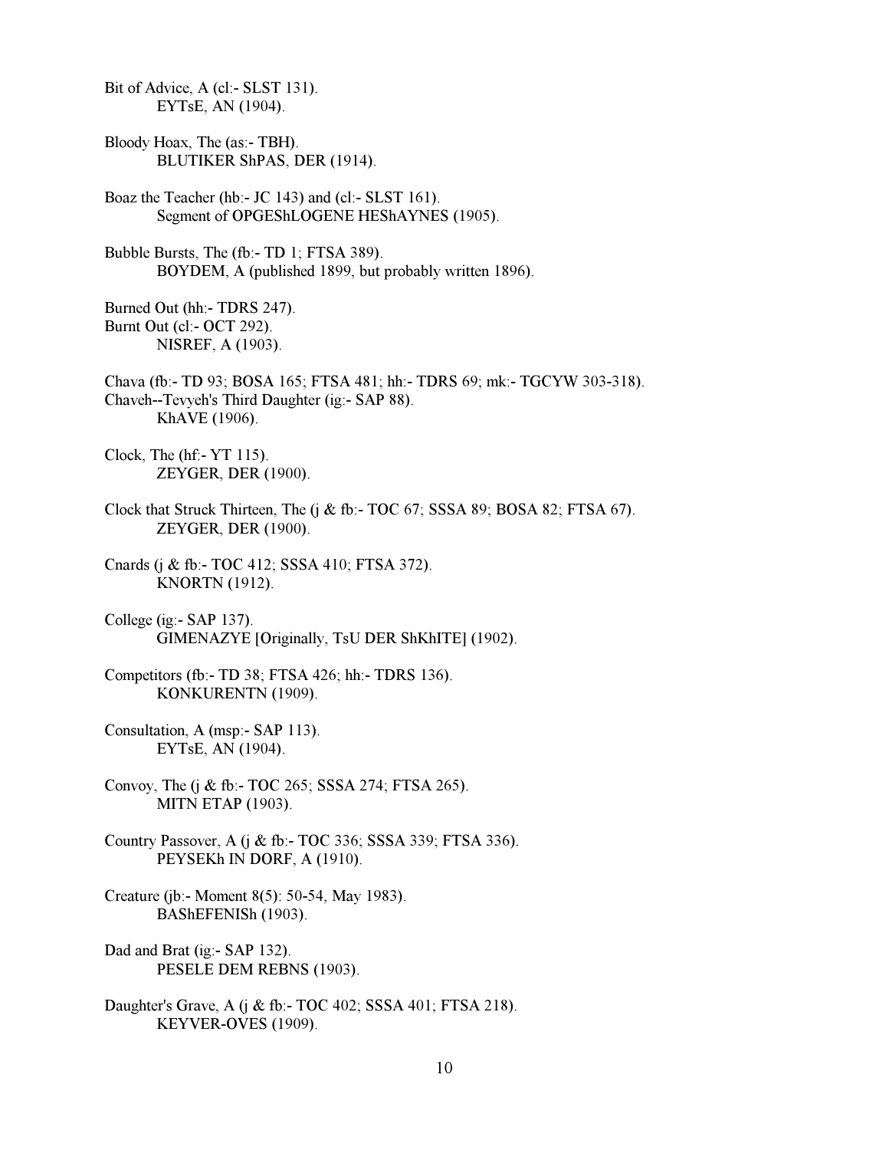Bit of Advice, A (cl:- SLST 131). EYTsE, AN (1904).

- Bloody Hoax, The (as:- TBH). BLUTIKER ShPAS, DER (1914).
- Boaz the Teacher (hb:- JC 143) and (cl:- SLST 161). Segment of OPGEShLOGENE HEShAYNES (1905).
- Bubble Bursts, The (fb:- TD 1; FTSA 389). BOYDEM, A (published 1899, but probably written 1896).

Burned Out (hh:- TDRS 247). Burnt Out (cl:- OCT 292). NISREF, A (1903).

- Chava (fb:- TD 93; BOSA 165; FTSA 481; hh:- TDRS 69; mk:- TGCYW 303-318). Chaveh--Tevyeh's Third Daughter (ig:- SAP 88). KhAVE (1906).
- Clock, The (hf:- YT 115). ZEYGER, DER (1900).
- Clock that Struck Thirteen, The (j & fb:- TOC 67; SSSA 89; BOSA 82; FTSA 67). ZEYGER, DER (1900).
- Cnards (j & fb:- TOC 412; SSSA 410; FTSA 372). KNORTN (1912).
- College (ig:- SAP 137). GIMENAZYE [Originally, TsU DER ShKhITE] (1902).
- Competitors (fb:- TD 38; FTSA 426; hh:- TDRS 136). KONKURENTN (1909).
- Consultation, A (msp:- SAP 113). EYTsE, AN (1904).
- Convoy, The (j & fb:- TOC 265; SSSA 274; FTSA 265). MITN ETAP (1903).
- Country Passover, A (j & fb:- TOC 336; SSSA 339; FTSA 336). PEYSEKh IN DORF, A (1910).
- Creature (jb:- Moment 8(5): 50-54, May 1983). BAShEFENISh (1903).
- Dad and Brat (ig:- SAP 132). PESELE DEM REBNS (1903).
- Daughter's Grave, A (j & fb:- TOC 402; SSSA 401; FTSA 218). KEYVER-OVES (1909).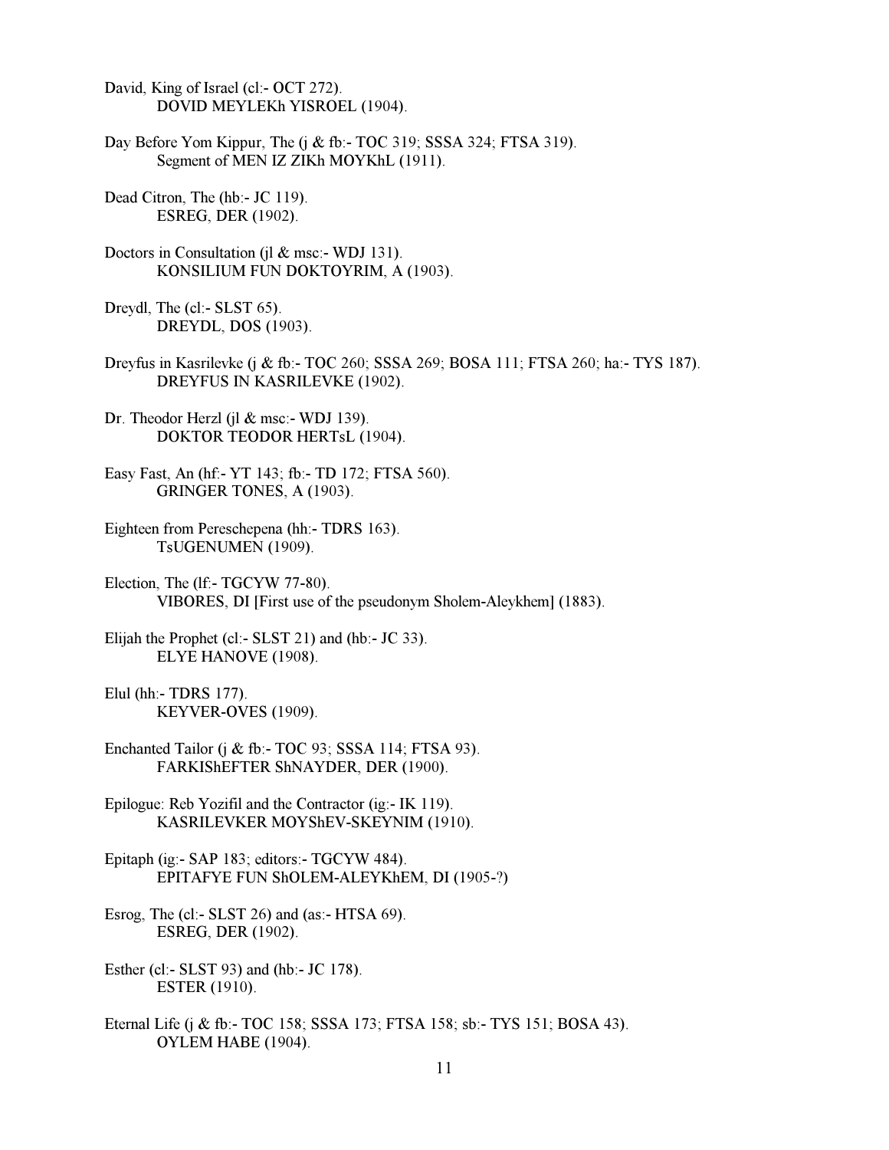David, King of Israel (cl:- OCT 272). DOVID MEYLEKh YISROEL (1904).

Day Before Yom Kippur, The (j & fb:- TOC 319; SSSA 324; FTSA 319). Segment of MEN IZ ZIKh MOYKhL (1911).

Dead Citron, The (hb:- JC 119). ESREG, DER (1902).

Doctors in Consultation (jl & msc:- WDJ 131). KONSILIUM FUN DOKTOYRIM, A (1903).

Dreydl, The (cl:- SLST 65). DREYDL, DOS (1903).

Dreyfus in Kasrilevke (j & fb:- TOC 260; SSSA 269; BOSA 111; FTSA 260; ha:- TYS 187). DREYFUS IN KASRILEVKE (1902).

Dr. Theodor Herzl (jl & msc:- WDJ 139). DOKTOR TEODOR HERTsL (1904).

Easy Fast, An (hf:- YT 143; fb:- TD 172; FTSA 560). GRINGER TONES, A (1903).

Eighteen from Pereschepena (hh:- TDRS 163). TsUGENUMEN (1909).

Election, The (lf:- TGCYW 77-80). VIBORES, DI [First use of the pseudonym Sholem-Aleykhem] (1883).

Elijah the Prophet (cl:- SLST 21) and (hb:- JC 33). ELYE HANOVE (1908).

Elul (hh:- TDRS 177). KEYVER-OVES (1909).

Enchanted Tailor (j & fb:- TOC 93; SSSA 114; FTSA 93). FARKIShEFTER ShNAYDER, DER (1900).

Epilogue: Reb Yozifil and the Contractor (ig:- IK 119). KASRILEVKER MOYShEV-SKEYNIM (1910).

Epitaph (ig:- SAP 183; editors:- TGCYW 484). EPITAFYE FUN ShOLEM-ALEYKhEM, DI (1905-?)

Esrog, The (cl:- SLST 26) and (as:- HTSA 69). ESREG, DER (1902).

Esther (cl:- SLST 93) and (hb:- JC 178). ESTER (1910).

Eternal Life (j & fb:- TOC 158; SSSA 173; FTSA 158; sb:- TYS 151; BOSA 43). OYLEM HABE (1904).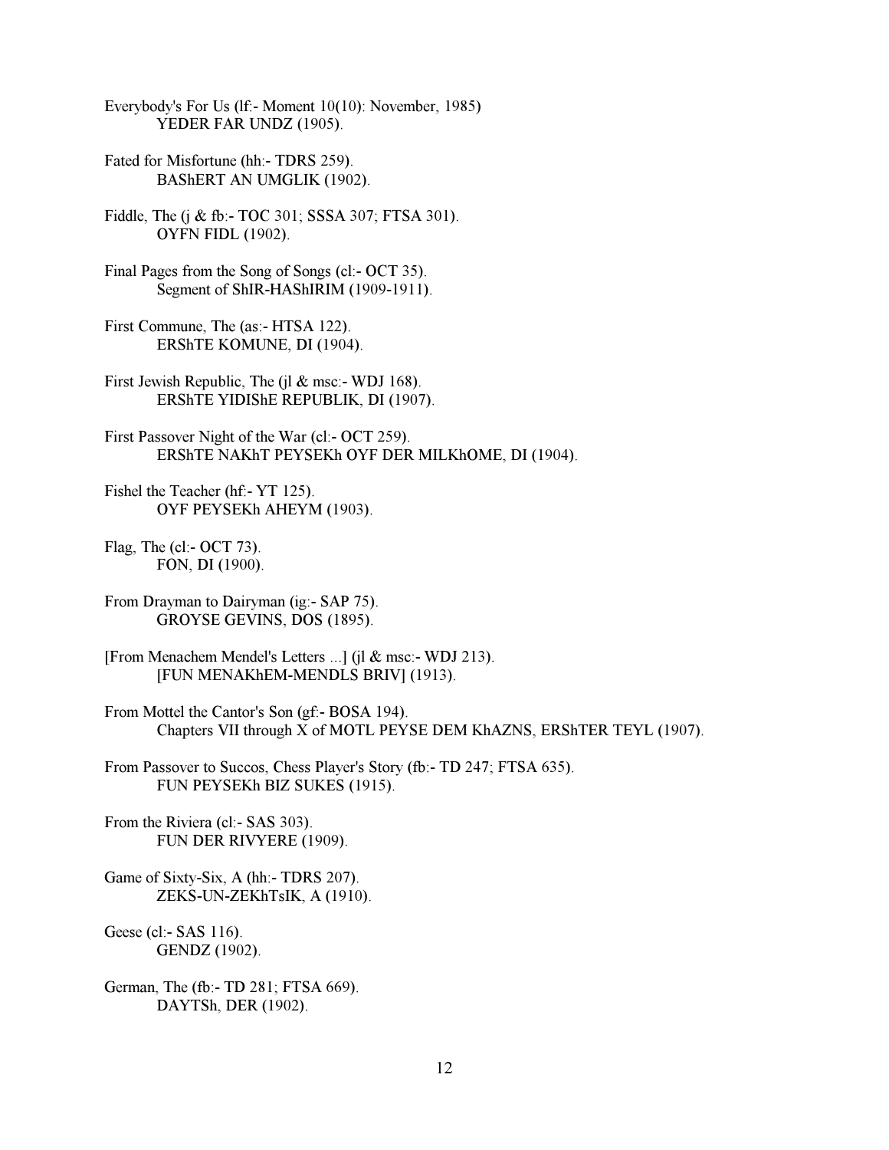Everybody's For Us (lf:- Moment 10(10): November, 1985) YEDER FAR UNDZ (1905).

- Fated for Misfortune (hh:- TDRS 259). BAShERT AN UMGLIK (1902).
- Fiddle, The (j & fb:- TOC 301; SSSA 307; FTSA 301). OYFN FIDL (1902).
- Final Pages from the Song of Songs (cl:- OCT 35). Segment of ShIR-HAShIRIM (1909-1911).
- First Commune, The (as:- HTSA 122). ERShTE KOMUNE, DI (1904).
- First Jewish Republic, The (jl & msc:- WDJ 168). ERShTE YIDIShE REPUBLIK, DI (1907).
- First Passover Night of the War (cl:- OCT 259). ERShTE NAKhT PEYSEKh OYF DER MILKhOME, DI (1904).
- Fishel the Teacher (hf:- YT 125). OYF PEYSEKh AHEYM (1903).
- Flag, The (cl:- OCT 73). FON, DI (1900).
- From Drayman to Dairyman (ig:- SAP 75). GROYSE GEVINS, DOS (1895).
- [From Menachem Mendel's Letters ...] (jl & msc:- WDJ 213). [FUN MENAKhEM-MENDLS BRIV] (1913).
- From Mottel the Cantor's Son (gf:- BOSA 194). Chapters VII through X of MOTL PEYSE DEM KhAZNS, ERShTER TEYL (1907).
- From Passover to Succos, Chess Player's Story (fb:- TD 247; FTSA 635). FUN PEYSEKh BIZ SUKES (1915).
- From the Riviera (cl:- SAS 303). FUN DER RIVYERE (1909).
- Game of Sixty-Six, A (hh:- TDRS 207). ZEKS-UN-ZEKhTsIK, A (1910).
- Geese (cl:- SAS 116). GENDZ (1902).
- German, The (fb:- TD 281; FTSA 669). DAYTSh, DER (1902).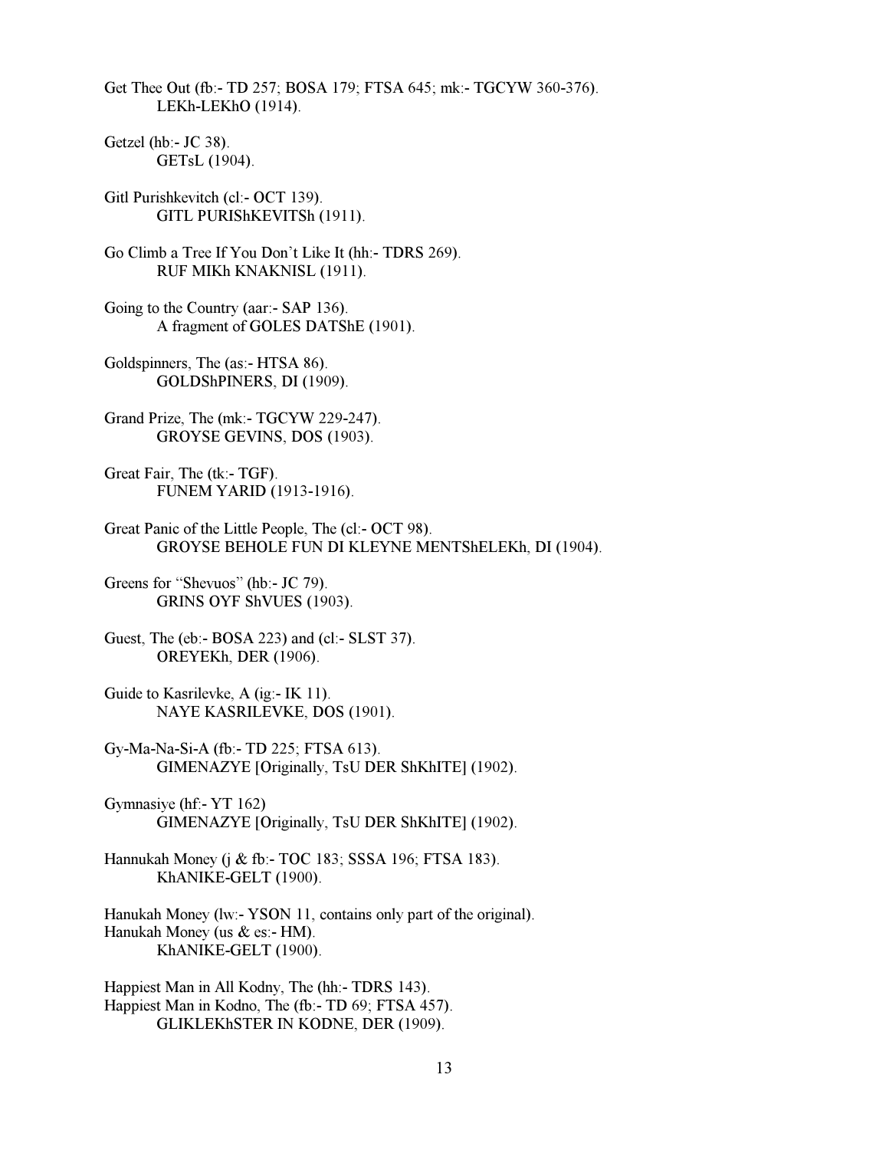Get Thee Out (fb:- TD 257; BOSA 179; FTSA 645; mk:- TGCYW 360-376). LEKh-LEKhO (1914).

Getzel (hb:- JC 38). GETsL (1904).

Gitl Purishkevitch (cl:- OCT 139). GITL PURIShKEVITSh (1911).

Go Climb a Tree If You Don't Like It (hh:- TDRS 269). RUF MIKh KNAKNISL (1911).

Going to the Country (aar:- SAP 136). A fragment of GOLES DATShE (1901).

Goldspinners, The (as:- HTSA 86). GOLDShPINERS, DI (1909).

Grand Prize, The (mk:- TGCYW 229-247). GROYSE GEVINS, DOS (1903).

Great Fair, The (tk:- TGF). FUNEM YARID (1913-1916).

Great Panic of the Little People, The (cl:- OCT 98). GROYSE BEHOLE FUN DI KLEYNE MENTShELEKh, DI (1904).

Greens for "Shevuos" (hb:- JC 79). GRINS OYF ShVUES (1903).

Guest, The (eb:- BOSA 223) and (cl:- SLST 37). OREYEKh, DER (1906).

Guide to Kasrilevke, A (ig:- IK 11). NAYE KASRILEVKE, DOS (1901).

Gy-Ma-Na-Si-A (fb:- TD 225; FTSA 613). GIMENAZYE [Originally, TsU DER ShKhITE] (1902).

Gymnasiye (hf:- YT 162) GIMENAZYE [Originally, TsU DER ShKhITE] (1902).

Hannukah Money (j & fb:- TOC 183; SSSA 196; FTSA 183). KhANIKE-GELT (1900).

Hanukah Money (lw:- YSON 11, contains only part of the original). Hanukah Money (us  $\&$  es:- HM). KhANIKE-GELT (1900).

Happiest Man in All Kodny, The (hh:- TDRS 143). Happiest Man in Kodno, The (fb:- TD 69; FTSA 457). GLIKLEKhSTER IN KODNE, DER (1909).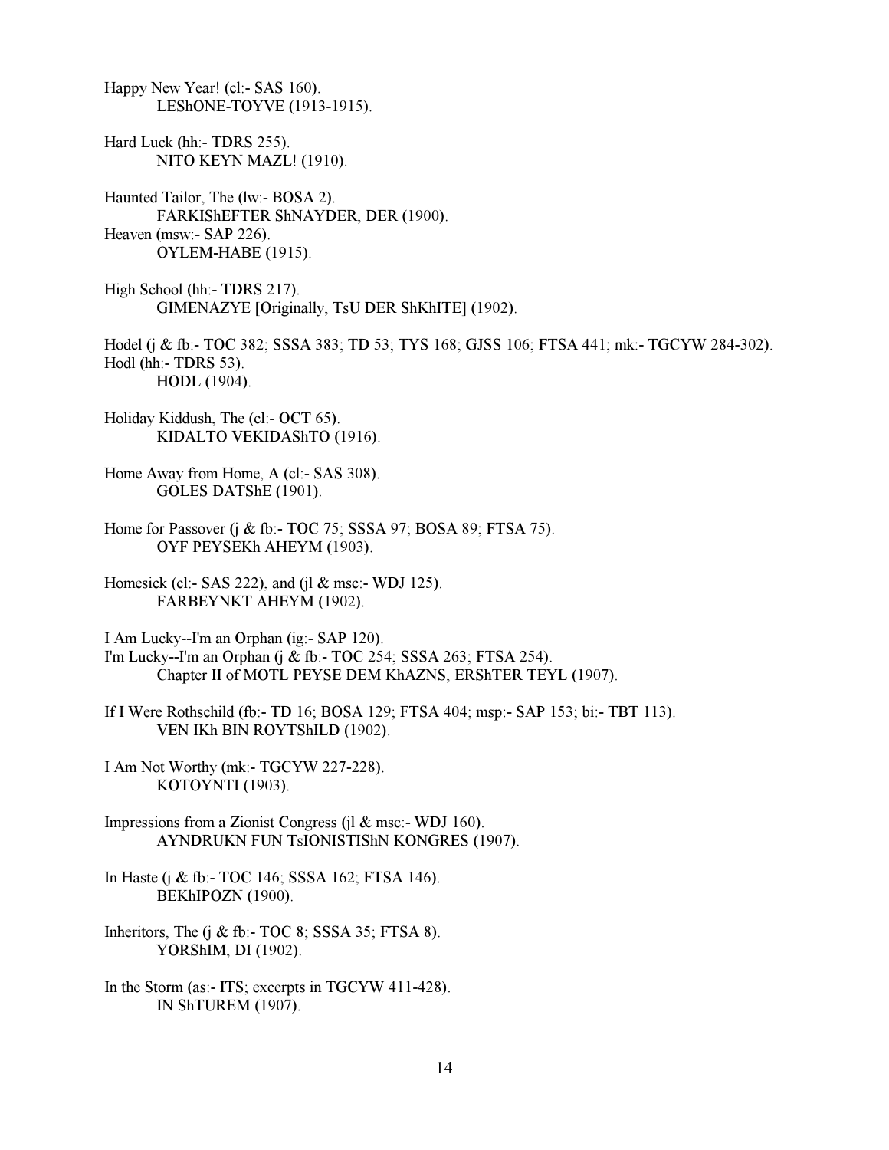Happy New Year! (cl:- SAS 160). LEShONE-TOYVE (1913-1915). Hard Luck (hh:- TDRS 255). NITO KEYN MAZL! (1910). Haunted Tailor, The (lw:- BOSA 2). FARKIShEFTER ShNAYDER, DER (1900). Heaven (msw:- SAP 226). OYLEM-HABE (1915). High School (hh:- TDRS 217). GIMENAZYE [Originally, TsU DER ShKhITE] (1902). Hodel (j & fb:- TOC 382; SSSA 383; TD 53; TYS 168; GJSS 106; FTSA 441; mk:- TGCYW 284-302). Hodl (hh:- TDRS 53). HODL (1904). Holiday Kiddush, The (cl:- OCT 65). KIDALTO VEKIDAShTO (1916). Home Away from Home, A (cl:- SAS 308). GOLES DATShE (1901). Home for Passover (j & fb:- TOC 75; SSSA 97; BOSA 89; FTSA 75). OYF PEYSEKh AHEYM (1903). Homesick (cl:- SAS 222), and (jl & msc:- WDJ 125). FARBEYNKT AHEYM (1902). I Am Lucky--I'm an Orphan (ig:- SAP 120). I'm Lucky--I'm an Orphan (j & fb:- TOC 254; SSSA 263; FTSA 254). Chapter II of MOTL PEYSE DEM KhAZNS, ERShTER TEYL (1907). If I Were Rothschild (fb:- TD 16; BOSA 129; FTSA 404; msp:- SAP 153; bi:- TBT 113). VEN IKh BIN ROYTShILD (1902). I Am Not Worthy (mk:- TGCYW 227-228). KOTOYNTI (1903). Impressions from a Zionist Congress (jl & msc:- WDJ 160). AYNDRUKN FUN TsIONISTIShN KONGRES (1907). In Haste (j & fb:- TOC 146; SSSA 162; FTSA 146). BEKhIPOZN (1900). Inheritors, The  $(i \& fb - TOC 8$ ; SSSA 35; FTSA 8). YORShIM, DI (1902). In the Storm (as:- ITS; excerpts in TGCYW 411-428). IN ShTUREM (1907).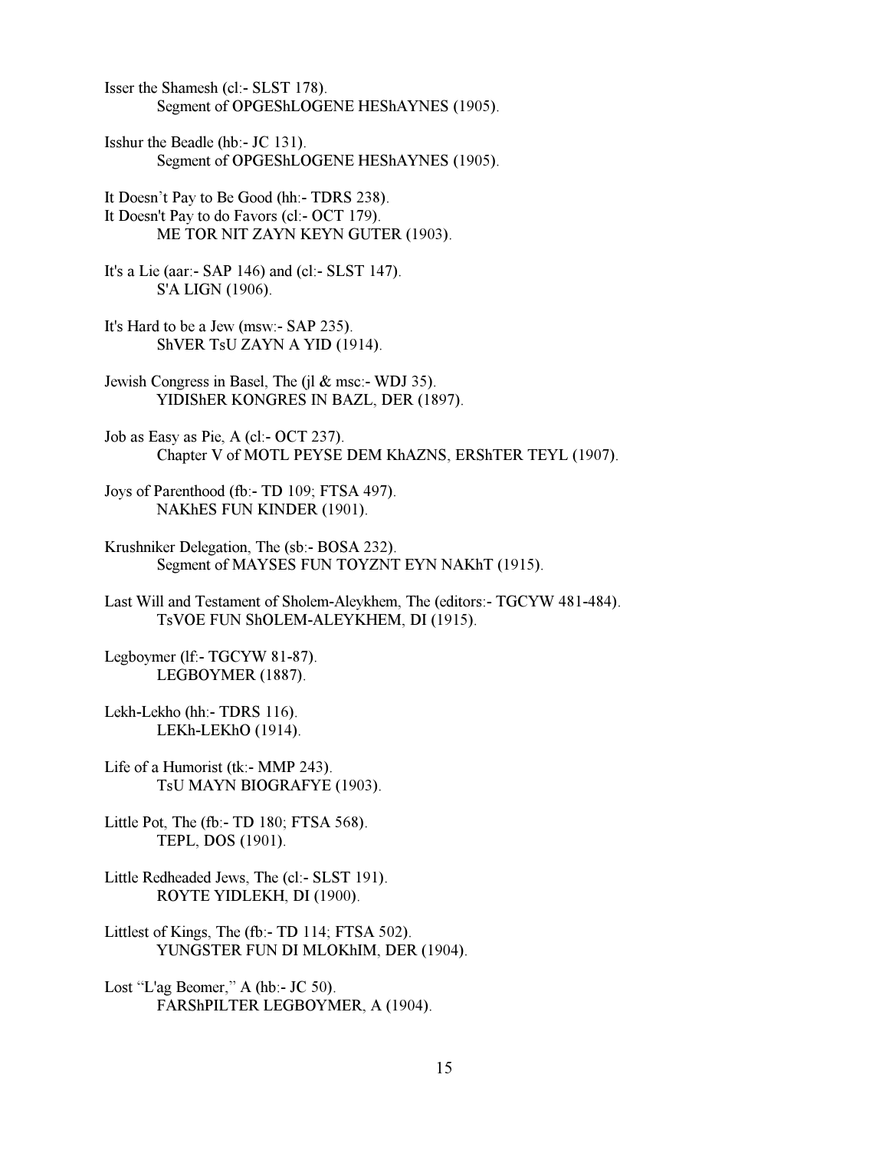Isser the Shamesh (cl:- SLST 178). Segment of OPGEShLOGENE HEShAYNES (1905).

Isshur the Beadle (hb:- JC 131). Segment of OPGEShLOGENE HEShAYNES (1905).

It Doesn't Pay to Be Good (hh:- TDRS 238). It Doesn't Pay to do Favors (cl:- OCT 179). ME TOR NIT ZAYN KEYN GUTER (1903).

It's a Lie (aar:- SAP 146) and (cl:- SLST 147). S'A LIGN (1906).

It's Hard to be a Jew (msw:- SAP 235). ShVER TsU ZAYN A YID (1914).

Jewish Congress in Basel, The (jl & msc:- WDJ 35). YIDIShER KONGRES IN BAZL, DER (1897).

Job as Easy as Pie, A (cl:- OCT 237). Chapter V of MOTL PEYSE DEM KhAZNS, ERShTER TEYL (1907).

Joys of Parenthood (fb:- TD 109; FTSA 497). NAKhES FUN KINDER (1901).

Krushniker Delegation, The (sb:- BOSA 232). Segment of MAYSES FUN TOYZNT EYN NAKhT (1915).

Last Will and Testament of Sholem-Aleykhem, The (editors:- TGCYW 481-484). TsVOE FUN ShOLEM-ALEYKHEM, DI (1915).

Legboymer (lf:- TGCYW 81-87). LEGBOYMER (1887).

Lekh-Lekho (hh:- TDRS 116). LEKh-LEKhO (1914).

Life of a Humorist (tk:- MMP 243). TsU MAYN BIOGRAFYE (1903).

Little Pot, The (fb:- TD 180; FTSA 568). TEPL, DOS (1901).

Little Redheaded Jews, The (cl:- SLST 191). ROYTE YIDLEKH, DI (1900).

Littlest of Kings, The (fb:- TD 114; FTSA 502). YUNGSTER FUN DI MLOKhIM, DER (1904).

Lost "L'ag Beomer," A (hb:- JC 50). FARShPILTER LEGBOYMER, A (1904).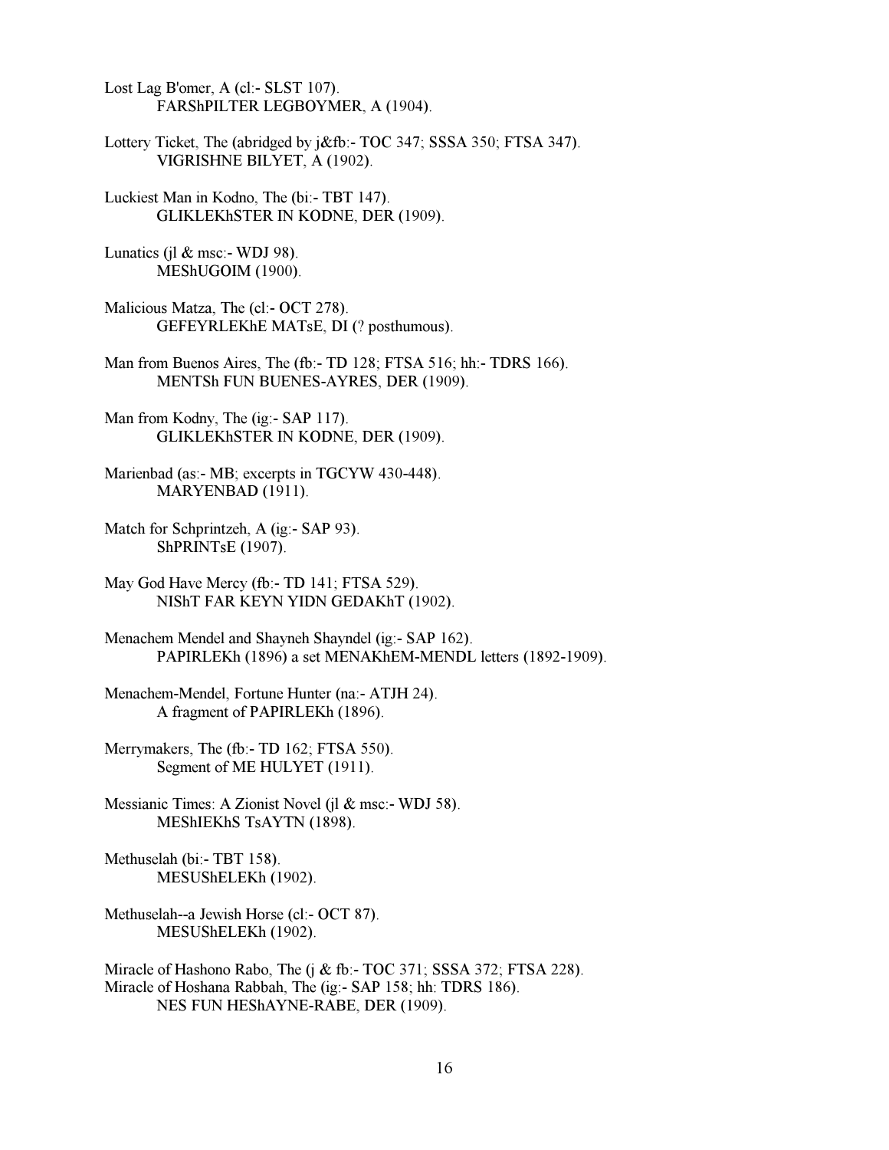Lost Lag B'omer, A (cl:- SLST 107). FARShPILTER LEGBOYMER, A (1904).

Lottery Ticket, The (abridged by j&fb:- TOC 347; SSSA 350; FTSA 347). VIGRISHNE BILYET, A (1902).

Luckiest Man in Kodno, The (bi:- TBT 147). GLIKLEKhSTER IN KODNE, DER (1909).

Lunatics (jl  $&$  msc:- WDJ 98). MEShUGOIM (1900).

Malicious Matza, The (cl:- OCT 278). GEFEYRLEKhE MATsE, DI (? posthumous).

Man from Buenos Aires, The (fb:- TD 128; FTSA 516; hh:- TDRS 166). MENTSh FUN BUENES-AYRES, DER (1909).

Man from Kodny, The (ig:- SAP 117). GLIKLEKhSTER IN KODNE, DER (1909).

Marienbad (as:- MB; excerpts in TGCYW 430-448). MARYENBAD (1911).

Match for Schprintzeh, A (ig:- SAP 93). ShPRINTsE (1907).

May God Have Mercy (fb:- TD 141; FTSA 529). NIShT FAR KEYN YIDN GEDAKhT (1902).

Menachem Mendel and Shayneh Shayndel (ig:- SAP 162). PAPIRLEKh (1896) a set MENAKhEM-MENDL letters (1892-1909).

Menachem-Mendel, Fortune Hunter (na:- ATJH 24). A fragment of PAPIRLEKh (1896).

Merrymakers, The (fb:- TD 162; FTSA 550). Segment of ME HULYET (1911).

Messianic Times: A Zionist Novel (jl & msc:- WDJ 58). MEShIEKhS TsAYTN (1898).

Methuselah (bi:- TBT 158). MESUShELEKh (1902).

Methuselah--a Jewish Horse (cl:- OCT 87). MESUShELEKh (1902).

Miracle of Hashono Rabo, The (j & fb:- TOC 371; SSSA 372; FTSA 228). Miracle of Hoshana Rabbah, The (ig:- SAP 158; hh: TDRS 186). NES FUN HEShAYNE-RABE, DER (1909).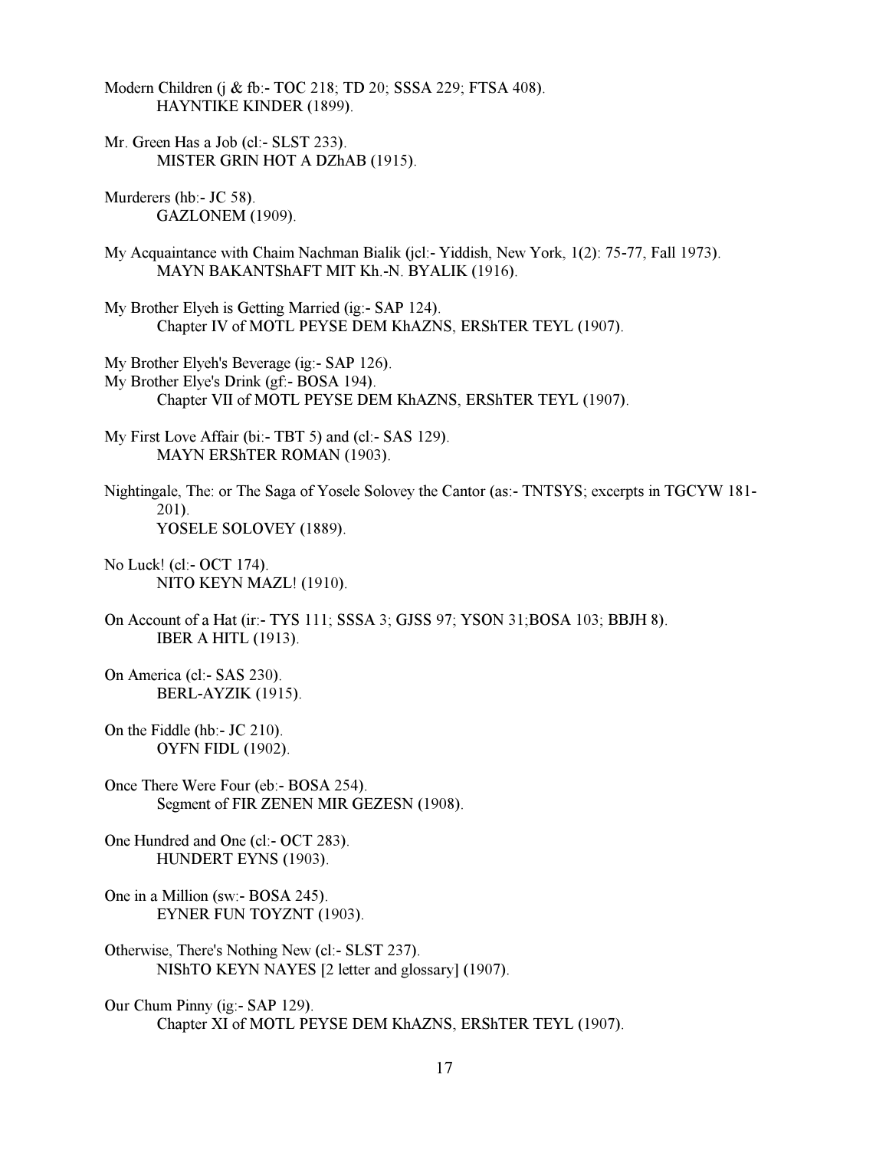Modern Children (j & fb:- TOC 218; TD 20; SSSA 229; FTSA 408). HAYNTIKE KINDER (1899).

Mr. Green Has a Job (cl:- SLST 233). MISTER GRIN HOT A DZhAB (1915).

Murderers (hb:- JC 58). GAZLONEM (1909).

- My Acquaintance with Chaim Nachman Bialik (jcl:- Yiddish, New York, 1(2): 75-77, Fall 1973). MAYN BAKANTShAFT MIT Kh.-N. BYALIK (1916).
- My Brother Elyeh is Getting Married (ig:- SAP 124). Chapter IV of MOTL PEYSE DEM KhAZNS, ERShTER TEYL (1907).
- My Brother Elyeh's Beverage (ig:- SAP 126).
- My Brother Elye's Drink (gf:- BOSA 194). Chapter VII of MOTL PEYSE DEM KhAZNS, ERShTER TEYL (1907).
- My First Love Affair (bi:- TBT 5) and (cl:- SAS 129). MAYN ERShTER ROMAN (1903).
- Nightingale, The: or The Saga of Yosele Solovey the Cantor (as:- TNTSYS; excerpts in TGCYW 181- 201). YOSELE SOLOVEY (1889).
- No Luck! (cl:- OCT 174). NITO KEYN MAZL! (1910).
- On Account of a Hat (ir:- TYS 111; SSSA 3; GJSS 97; YSON 31;BOSA 103; BBJH 8). IBER A HITL (1913).
- On America (cl:- SAS 230). BERL-AYZIK (1915).
- On the Fiddle (hb:- JC 210). OYFN FIDL (1902).
- Once There Were Four (eb:- BOSA 254). Segment of FIR ZENEN MIR GEZESN (1908).

One Hundred and One (cl:- OCT 283). HUNDERT EYNS (1903).

- One in a Million (sw:- BOSA 245). EYNER FUN TOYZNT (1903).
- Otherwise, There's Nothing New (cl:- SLST 237). NIShTO KEYN NAYES [2 letter and glossary] (1907).
- Our Chum Pinny (ig:- SAP 129). Chapter XI of MOTL PEYSE DEM KhAZNS, ERShTER TEYL (1907).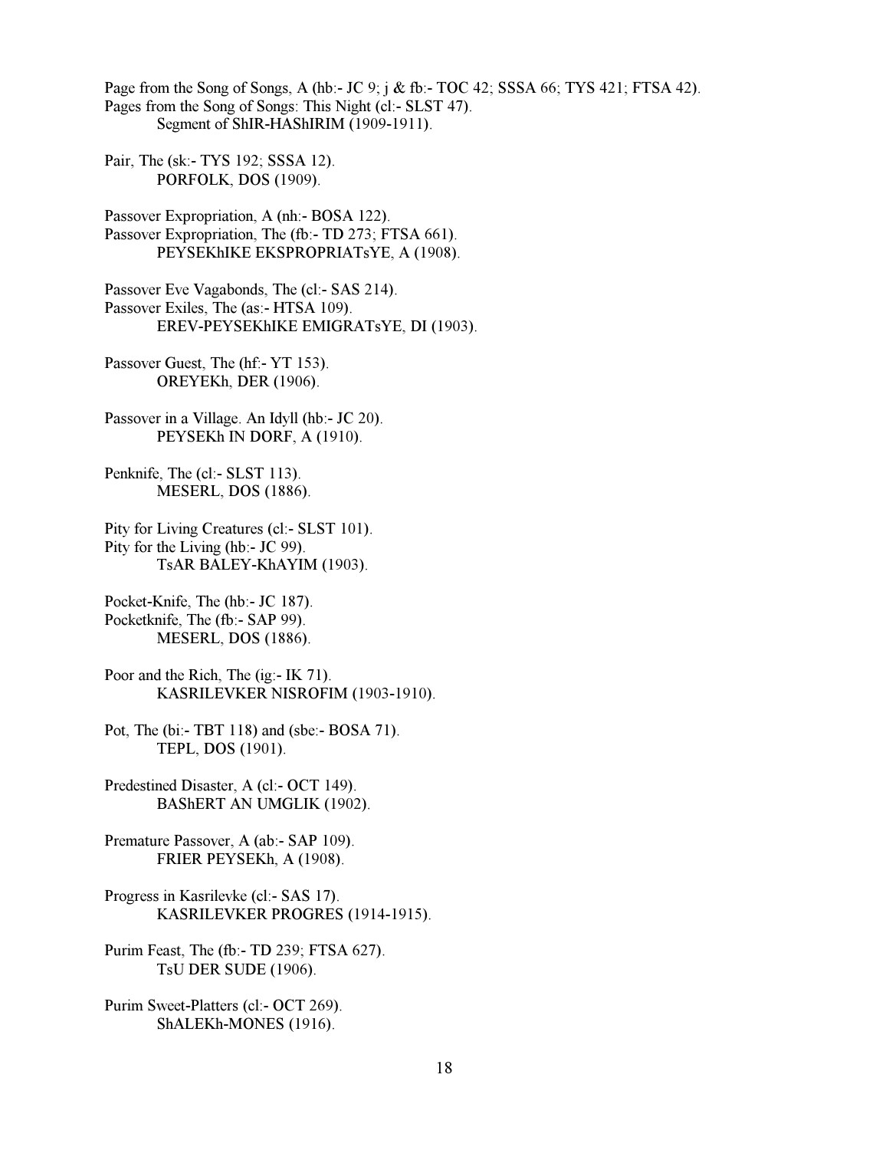Page from the Song of Songs, A (hb:- JC 9; j & fb:- TOC 42; SSSA 66; TYS 421; FTSA 42). Pages from the Song of Songs: This Night (cl:- SLST 47). Segment of ShIR-HAShIRIM (1909-1911).

Pair, The (sk:- TYS 192; SSSA 12). PORFOLK, DOS (1909).

Passover Expropriation, A (nh:- BOSA 122). Passover Expropriation, The (fb:- TD 273; FTSA 661). PEYSEKhIKE EKSPROPRIATsYE, A (1908).

Passover Eve Vagabonds, The (cl:- SAS 214). Passover Exiles, The (as:- HTSA 109). EREV-PEYSEKhIKE EMIGRATsYE, DI (1903).

Passover Guest, The (hf: - YT 153). OREYEKh, DER (1906).

Passover in a Village. An Idyll (hb:- JC 20). PEYSEKh IN DORF, A (1910).

Penknife, The (cl:- SLST 113). MESERL, DOS (1886).

Pity for Living Creatures (cl:- SLST 101). Pity for the Living (hb:- JC 99). TsAR BALEY-KhAYIM (1903).

Pocket-Knife, The (hb:- JC 187). Pocketknife, The (fb:- SAP 99). MESERL, DOS (1886).

Poor and the Rich, The (ig:- IK 71). KASRILEVKER NISROFIM (1903-1910).

Pot, The (bi:- TBT 118) and (sbe:- BOSA 71). TEPL, DOS (1901).

Predestined Disaster, A (cl:- OCT 149). BAShERT AN UMGLIK (1902).

Premature Passover, A (ab:- SAP 109). FRIER PEYSEKh, A (1908).

Progress in Kasrilevke (cl:- SAS 17). KASRILEVKER PROGRES (1914-1915).

Purim Feast, The (fb:- TD 239; FTSA 627). TsU DER SUDE (1906).

Purim Sweet-Platters (cl:- OCT 269). ShALEKh-MONES (1916).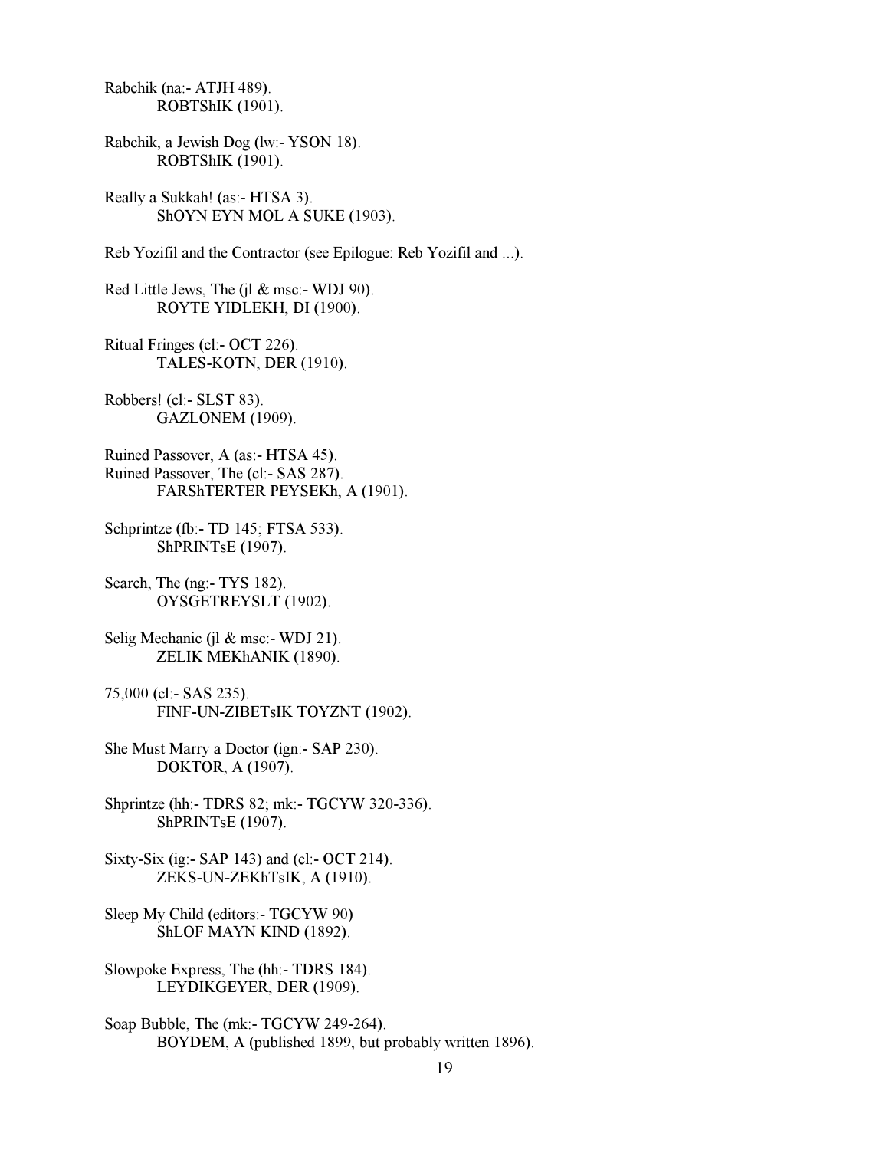Rabchik (na:- ATJH 489). ROBTShIK (1901).

Rabchik, a Jewish Dog (lw:- YSON 18). ROBTShIK (1901).

Really a Sukkah! (as:- HTSA 3). ShOYN EYN MOL A SUKE (1903).

Reb Yozifil and the Contractor (see Epilogue: Reb Yozifil and ...).

Red Little Jews, The (jl & msc:- WDJ 90). ROYTE YIDLEKH, DI (1900).

Ritual Fringes (cl:- OCT 226). TALES-KOTN, DER (1910).

Robbers! (cl:- SLST 83). GAZLONEM (1909).

Ruined Passover, A (as:- HTSA 45). Ruined Passover, The (cl:- SAS 287). FARShTERTER PEYSEKh, A (1901).

Schprintze (fb:- TD 145; FTSA 533). ShPRINTsE (1907).

Search, The (ng:- TYS 182). OYSGETREYSLT (1902).

Selig Mechanic (jl & msc:- WDJ 21). ZELIK MEKhANIK (1890).

75,000 (cl:- SAS 235). FINF-UN-ZIBETsIK TOYZNT (1902).

She Must Marry a Doctor (ign:- SAP 230). DOKTOR, A (1907).

Shprintze (hh:- TDRS 82; mk:- TGCYW 320-336). ShPRINTsE (1907).

Sixty-Six (ig:- SAP 143) and (cl:- OCT 214). ZEKS-UN-ZEKhTsIK, A (1910).

Sleep My Child (editors:- TGCYW 90) ShLOF MAYN KIND (1892).

Slowpoke Express, The (hh:- TDRS 184). LEYDIKGEYER, DER (1909).

Soap Bubble, The (mk:- TGCYW 249-264). BOYDEM, A (published 1899, but probably written 1896).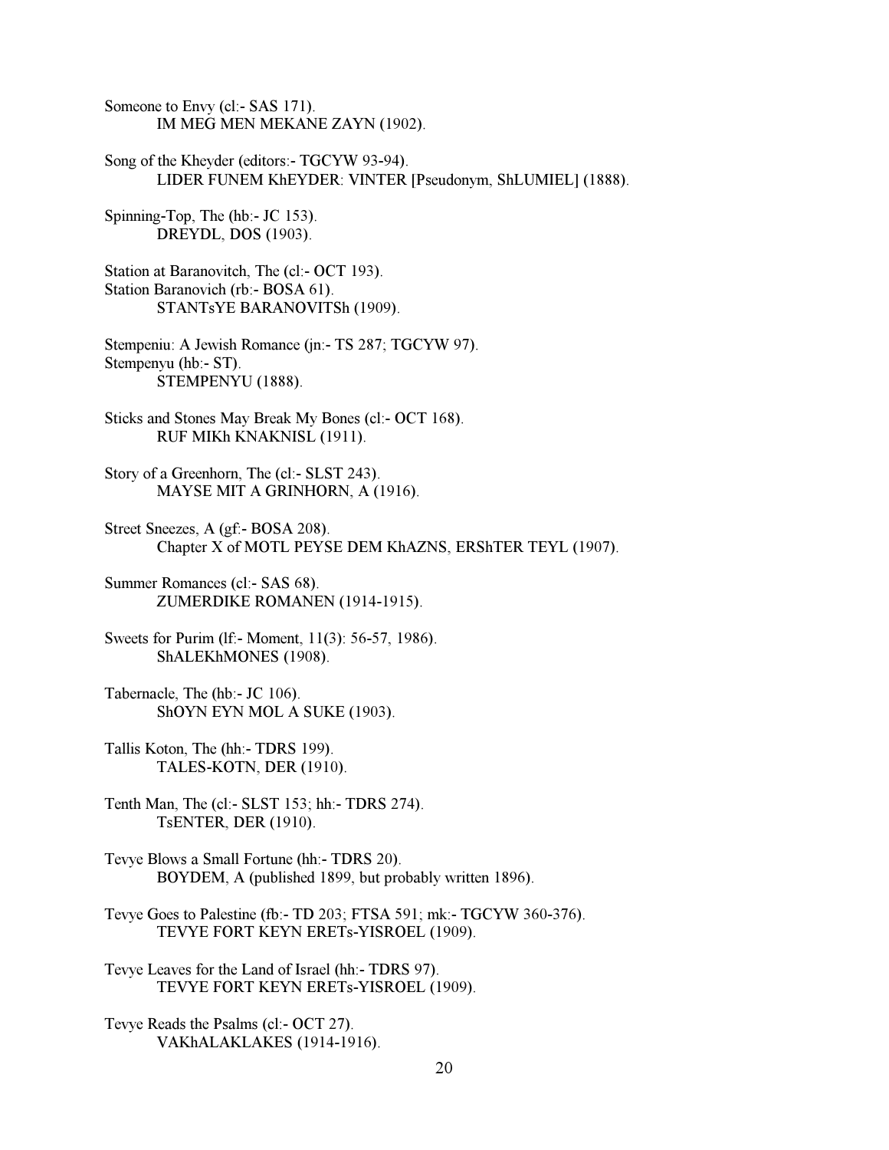Someone to Envy (cl:- SAS 171). IM MEG MEN MEKANE ZAYN (1902).

Song of the Kheyder (editors:- TGCYW 93-94). LIDER FUNEM KhEYDER: VINTER [Pseudonym, ShLUMIEL] (1888).

Spinning-Top, The (hb:- JC 153). DREYDL, DOS (1903).

Station at Baranovitch, The (cl:- OCT 193). Station Baranovich (rb:- BOSA 61). STANTsYE BARANOVITSh (1909).

Stempeniu: A Jewish Romance (jn:- TS 287; TGCYW 97). Stempenyu (hb:- ST). STEMPENYU (1888).

Sticks and Stones May Break My Bones (cl:- OCT 168). RUF MIKh KNAKNISL (1911).

Story of a Greenhorn, The (cl:- SLST 243). MAYSE MIT A GRINHORN, A (1916).

Street Sneezes, A (gf:- BOSA 208). Chapter X of MOTL PEYSE DEM KhAZNS, ERShTER TEYL (1907).

Summer Romances (cl:- SAS 68). ZUMERDIKE ROMANEN (1914-1915).

Sweets for Purim (lf:- Moment, 11(3): 56-57, 1986). ShALEKhMONES (1908).

Tabernacle, The (hb:- JC 106). ShOYN EYN MOL A SUKE (1903).

Tallis Koton, The (hh:- TDRS 199). TALES-KOTN, DER (1910).

Tenth Man, The (cl:- SLST 153; hh:- TDRS 274). TsENTER, DER (1910).

Tevye Blows a Small Fortune (hh:- TDRS 20). BOYDEM, A (published 1899, but probably written 1896).

Tevye Goes to Palestine (fb:- TD 203; FTSA 591; mk:- TGCYW 360-376). TEVYE FORT KEYN ERETs-YISROEL (1909).

Tevye Leaves for the Land of Israel (hh:- TDRS 97). TEVYE FORT KEYN ERETs-YISROEL (1909).

Tevye Reads the Psalms (cl:- OCT 27). VAKhALAKLAKES (1914-1916).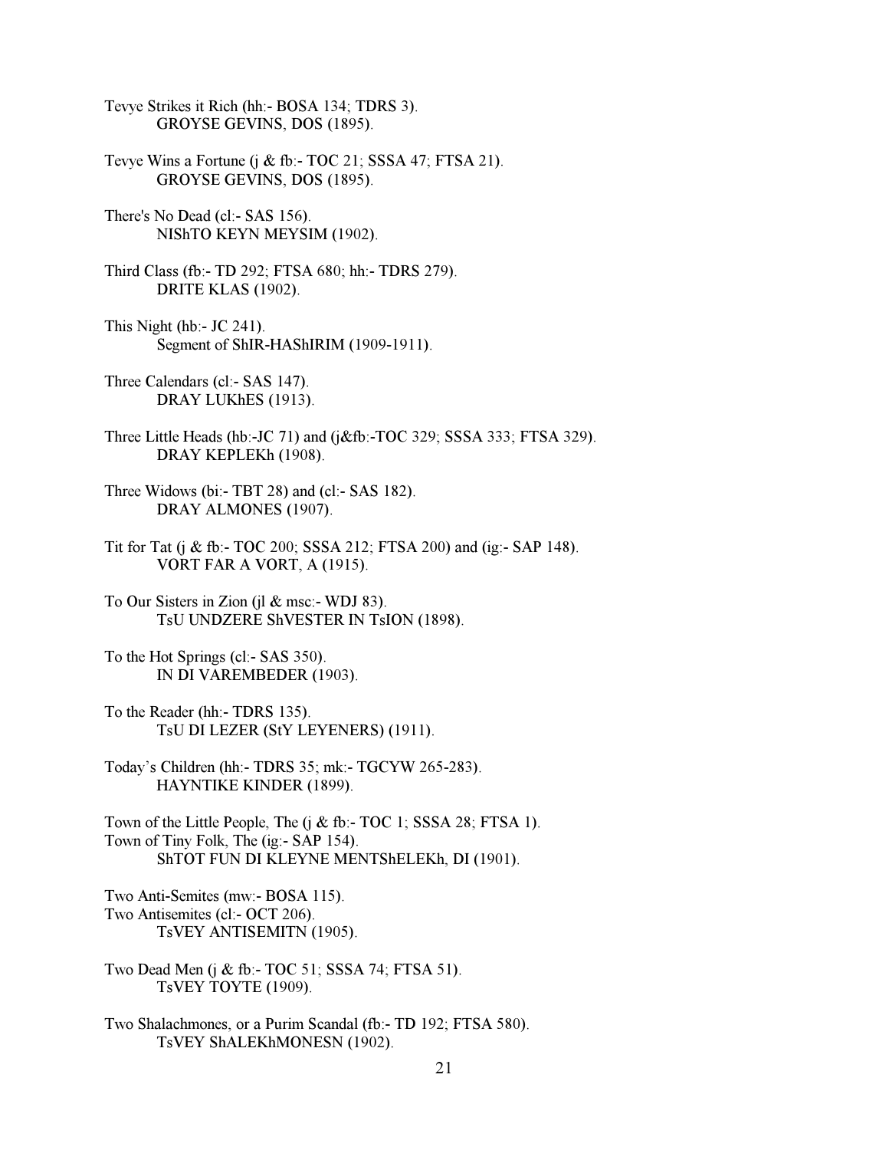Tevye Strikes it Rich (hh:- BOSA 134; TDRS 3). GROYSE GEVINS, DOS (1895).

- Tevye Wins a Fortune (j & fb:- TOC 21; SSSA 47; FTSA 21). GROYSE GEVINS, DOS (1895).
- There's No Dead (cl:- SAS 156). NIShTO KEYN MEYSIM (1902).
- Third Class (fb:- TD 292; FTSA 680; hh:- TDRS 279). DRITE KLAS (1902).
- This Night (hb:- JC 241). Segment of ShIR-HAShIRIM (1909-1911).
- Three Calendars (cl:- SAS 147). DRAY LUKhES (1913).
- Three Little Heads (hb:-JC 71) and (j&fb:-TOC 329; SSSA 333; FTSA 329). DRAY KEPLEKh (1908).
- Three Widows (bi:- TBT 28) and (cl:- SAS 182). DRAY ALMONES (1907).
- Tit for Tat (j & fb:- TOC 200; SSSA 212; FTSA 200) and (ig:- SAP 148). VORT FAR A VORT, A (1915).
- To Our Sisters in Zion (jl  $\&$  msc:- WDJ 83). TsU UNDZERE ShVESTER IN TsION (1898).
- To the Hot Springs (cl:- SAS 350). IN DI VAREMBEDER (1903).
- To the Reader (hh:- TDRS 135). TsU DI LEZER (StY LEYENERS) (1911).
- Today's Children (hh:- TDRS 35; mk:- TGCYW 265-283). HAYNTIKE KINDER (1899).

Town of the Little People, The (j & fb:- TOC 1; SSSA 28; FTSA 1). Town of Tiny Folk, The (ig:- SAP 154). ShTOT FUN DI KLEYNE MENTShELEKh, DI (1901).

Two Anti-Semites (mw:- BOSA 115). Two Antisemites (cl:- OCT 206). TsVEY ANTISEMITN (1905).

Two Dead Men (j & fb:- TOC 51; SSSA 74; FTSA 51). TsVEY TOYTE (1909).

Two Shalachmones, or a Purim Scandal (fb:- TD 192; FTSA 580). TsVEY ShALEKhMONESN (1902).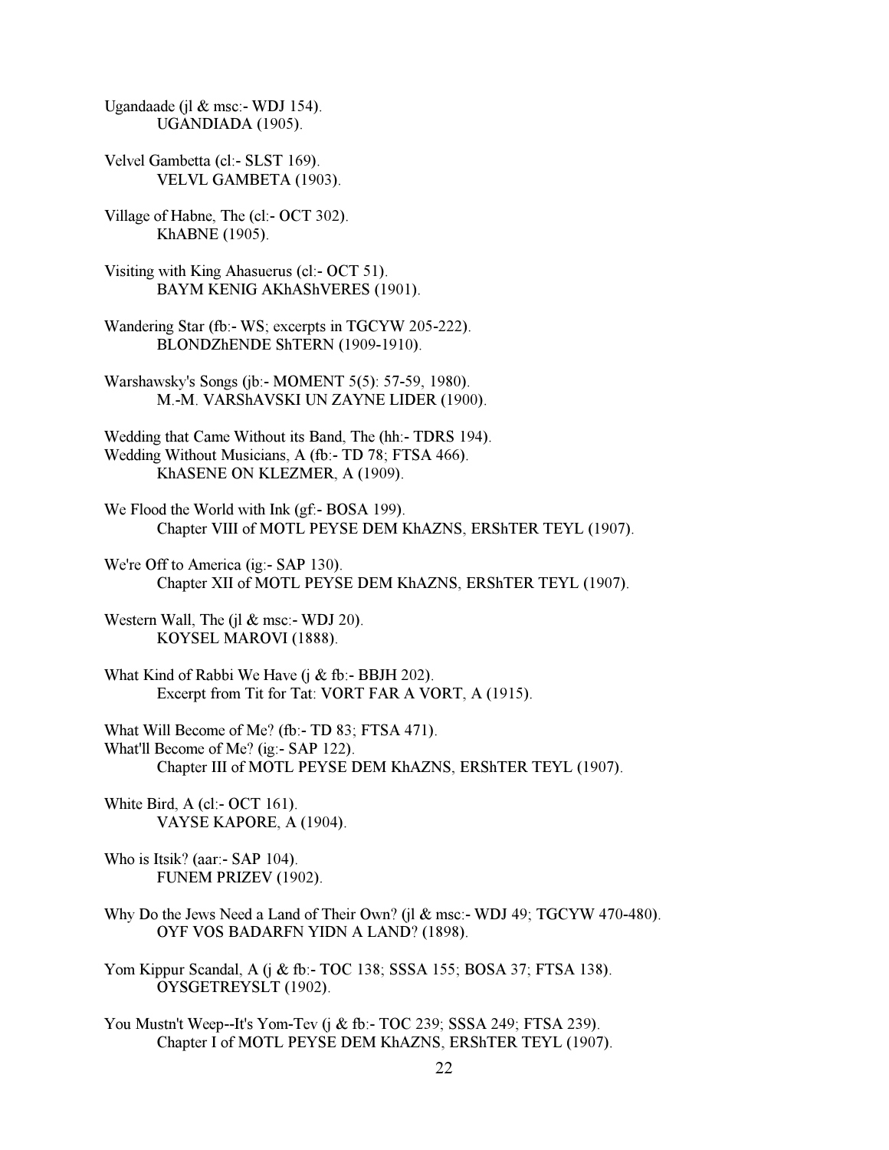Ugandaade (j $\ell$  & msc:- WDJ 154). UGANDIADA (1905).

- Velvel Gambetta (cl:- SLST 169). VELVL GAMBETA (1903).
- Village of Habne, The (cl:- OCT 302). KhABNE (1905).
- Visiting with King Ahasuerus (cl:- OCT 51). BAYM KENIG AKhAShVERES (1901).
- Wandering Star (fb:- WS; excerpts in TGCYW 205-222). BLONDZhENDE ShTERN (1909-1910).
- Warshawsky's Songs (jb:- MOMENT 5(5): 57-59, 1980). M.-M. VARShAVSKI UN ZAYNE LIDER (1900).
- Wedding that Came Without its Band, The (hh:- TDRS 194). Wedding Without Musicians, A (fb:- TD 78; FTSA 466). KhASENE ON KLEZMER, A (1909).
- We Flood the World with Ink (gf:- BOSA 199). Chapter VIII of MOTL PEYSE DEM KhAZNS, ERShTER TEYL (1907).
- We're Off to America (ig:- SAP 130). Chapter XII of MOTL PEYSE DEM KhAZNS, ERShTER TEYL (1907).
- Western Wall, The (il  $&$  msc:- WDJ 20). KOYSEL MAROVI (1888).
- What Kind of Rabbi We Have  $(i \& fb$ :- BBJH 202). Excerpt from Tit for Tat: VORT FAR A VORT, A (1915).
- What Will Become of Me? (fb:- TD 83; FTSA 471). What'll Become of Me? (ig:- SAP 122). Chapter III of MOTL PEYSE DEM KhAZNS, ERShTER TEYL (1907).
- White Bird, A (cl:- OCT 161). VAYSE KAPORE, A (1904).

Who is Itsik? (aar:- SAP 104). FUNEM PRIZEV (1902).

- Why Do the Jews Need a Land of Their Own? (il & msc:- WDJ 49; TGCYW 470-480). OYF VOS BADARFN YIDN A LAND? (1898).
- Yom Kippur Scandal, A (j & fb:- TOC 138; SSSA 155; BOSA 37; FTSA 138). OYSGETREYSLT (1902).
- You Mustn't Weep--It's Yom-Tev (j & fb:- TOC 239; SSSA 249; FTSA 239). Chapter I of MOTL PEYSE DEM KhAZNS, ERShTER TEYL (1907).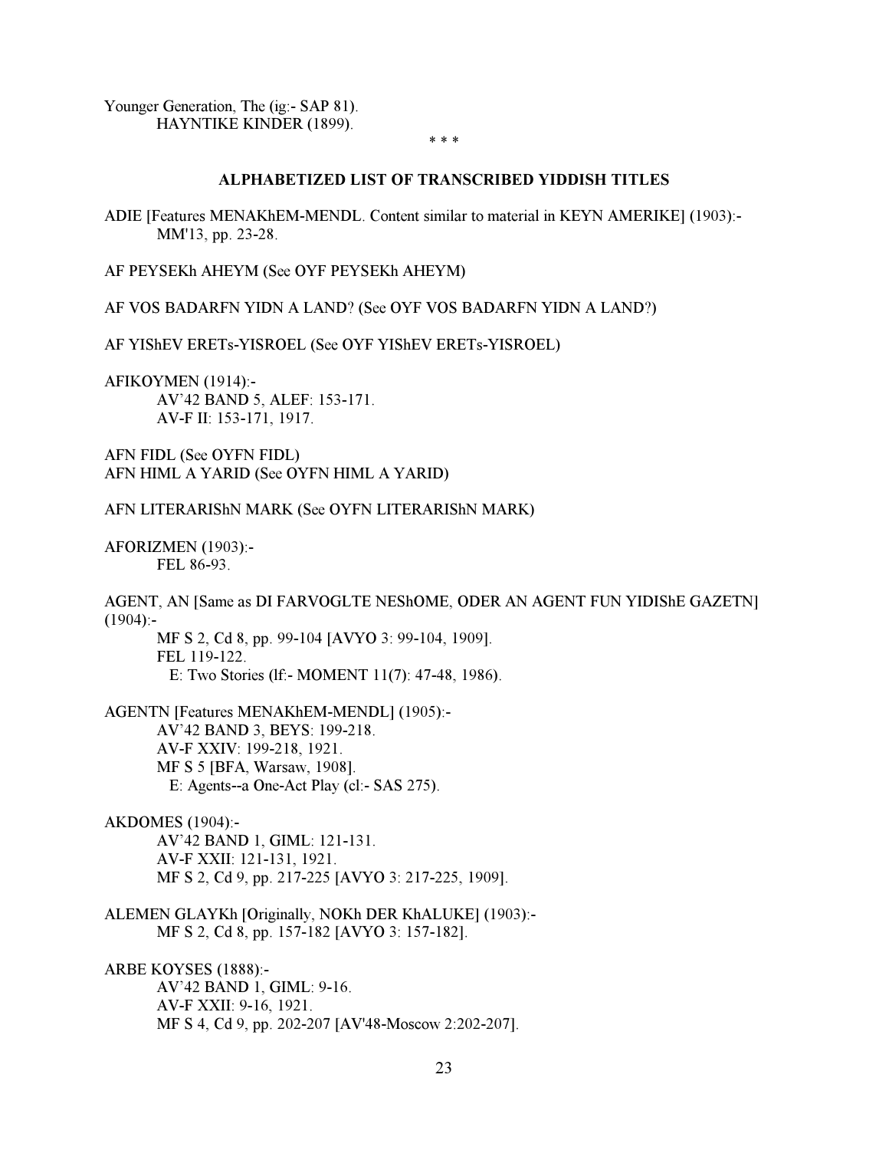<span id="page-22-0"></span>Younger Generation, The (ig:- SAP 81). HAYNTIKE KINDER (1899).

\* \* \*

# ALPHABETIZED LIST OF TRANSCRIBED YIDDISH TITLES

ADIE [Features MENAKhEM-MENDL. Content similar to material in KEYN AMERIKE] (1903):- MM'13, pp. 23-28.

AF PEYSEKh AHEYM (See OYF PEYSEKh AHEYM)

AF VOS BADARFN YIDN A LAND? (See OYF VOS BADARFN YIDN A LAND?)

AF YIShEV ERETs-YISROEL (See OYF YIShEV ERETs-YISROEL)

AFIKOYMEN (1914):- AV'42 BAND 5, ALEF: 153-171. AV-F II: 153-171, 1917.

AFN FIDL (See OYFN FIDL) AFN HIML A YARID (See OYFN HIML A YARID)

## AFN LITERARIShN MARK (See OYFN LITERARIShN MARK)

AFORIZMEN (1903):- FEL 86-93.

AGENT, AN [Same as DI FARVOGLTE NEShOME, ODER AN AGENT FUN YIDIShE GAZETN]  $(1904)$ :-

 MF S 2, Cd 8, pp. 99-104 [AVYO 3: 99-104, 1909]. FEL 119-122. E: Two Stories (lf:- MOMENT 11(7): 47-48, 1986).

AGENTN [Features MENAKhEM-MENDL] (1905):- AV'42 BAND 3, BEYS: 199-218. AV-F XXIV: 199-218, 1921. MF S 5 [BFA, Warsaw, 1908]. E: Agents--a One-Act Play (cl:- SAS 275).

AKDOMES (1904):- AV'42 BAND 1, GIML: 121-131. AV-F XXII: 121-131, 1921. MF S 2, Cd 9, pp. 217-225 [AVYO 3: 217-225, 1909].

ALEMEN GLAYKh [Originally, NOKh DER KhALUKE] (1903):- MF S 2, Cd 8, pp. 157-182 [AVYO 3: 157-182].

ARBE KOYSES (1888):- AV'42 BAND 1, GIML: 9-16. AV-F XXII: 9-16, 1921. MF S 4, Cd 9, pp. 202-207 [AV'48-Moscow 2:202-207].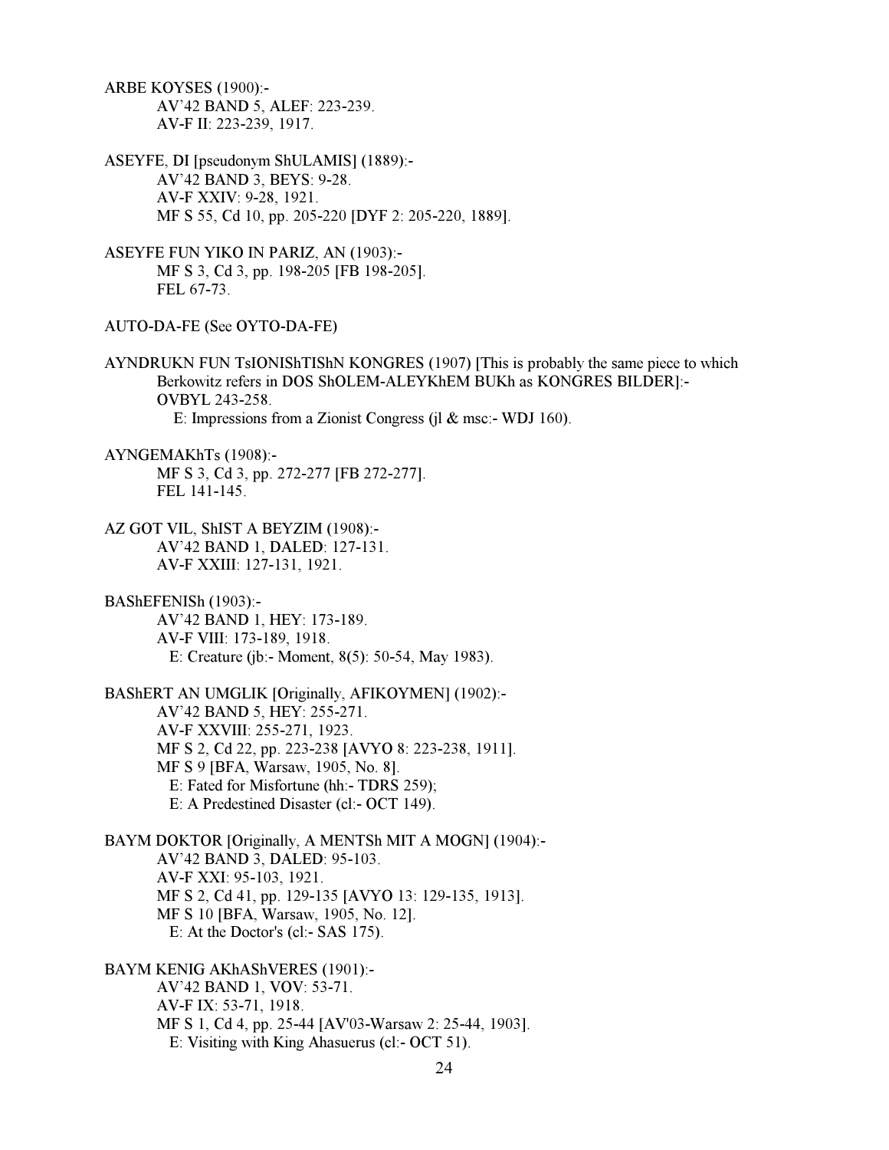ARBE KOYSES (1900):- AV'42 BAND 5, ALEF: 223-239. AV-F II: 223-239, 1917.

ASEYFE, DI [pseudonym ShULAMIS] (1889):- AV'42 BAND 3, BEYS: 9-28. AV-F XXIV: 9-28, 1921. MF S 55, Cd 10, pp. 205-220 [DYF 2: 205-220, 1889].

ASEYFE FUN YIKO IN PARIZ, AN (1903):- MF S 3, Cd 3, pp. 198-205 [FB 198-205]. FEL 67-73.

AUTO-DA-FE (See OYTO-DA-FE)

AYNDRUKN FUN TsIONIShTIShN KONGRES (1907) [This is probably the same piece to which Berkowitz refers in DOS ShOLEM-ALEYKhEM BUKh as KONGRES BILDER]:- OVBYL 243-258. E: Impressions from a Zionist Congress (jl & msc:- WDJ 160).

AYNGEMAKhTs (1908):- MF S 3, Cd 3, pp. 272-277 [FB 272-277]. FEL 141-145.

AZ GOT VIL, ShIST A BEYZIM (1908):- AV'42 BAND 1, DALED: 127-131. AV-F XXIII: 127-131, 1921.

BAShEFENISh (1903):- AV'42 BAND 1, HEY: 173-189. AV-F VIII: 173-189, 1918. E: Creature (jb:- Moment, 8(5): 50-54, May 1983).

BAShERT AN UMGLIK [Originally, AFIKOYMEN] (1902):- AV'42 BAND 5, HEY: 255-271. AV-F XXVIII: 255-271, 1923. MF S 2, Cd 22, pp. 223-238 [AVYO 8: 223-238, 1911]. MF S 9 [BFA, Warsaw, 1905, No. 8]. E: Fated for Misfortune (hh:- TDRS 259); E: A Predestined Disaster (cl:- OCT 149).

BAYM DOKTOR [Originally, A MENTSh MIT A MOGN] (1904):- AV'42 BAND 3, DALED: 95-103. AV-F XXI: 95-103, 1921. MF S 2, Cd 41, pp. 129-135 [AVYO 13: 129-135, 1913]. MF S 10 [BFA, Warsaw, 1905, No. 12]. E: At the Doctor's (cl:- SAS 175).

BAYM KENIG AKhAShVERES (1901):- AV'42 BAND 1, VOV: 53-71. AV-F IX: 53-71, 1918. MF S 1, Cd 4, pp. 25-44 [AV'03-Warsaw 2: 25-44, 1903]. E: Visiting with King Ahasuerus (cl:- OCT 51).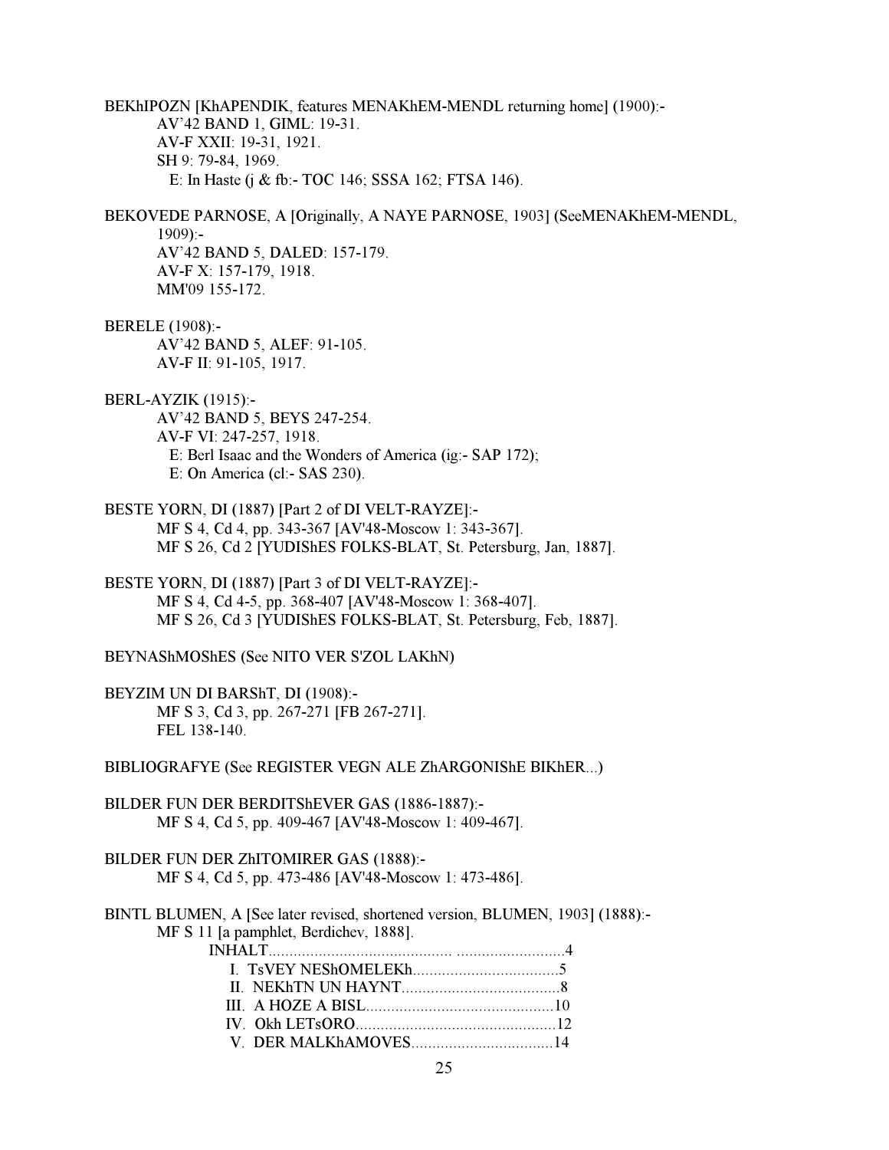BEKhIPOZN [KhAPENDIK, features MENAKhEM-MENDL returning home] (1900):- AV'42 BAND 1, GIML: 19-31. AV-F XXII: 19-31, 1921. SH 9: 79-84, 1969. E: In Haste (j & fb:- TOC 146; SSSA 162; FTSA 146). BEKOVEDE PARNOSE, A [Originally, A NAYE PARNOSE, 1903] (SeeMENAKhEM-MENDL,  $1909$ :- AV'42 BAND 5, DALED: 157-179. AV-F X: 157-179, 1918. MM'09 155-172. BERELE (1908):- AV'42 BAND 5, ALEF: 91-105. AV-F II: 91-105, 1917. BERL-AYZIK (1915):- AV'42 BAND 5, BEYS 247-254. AV-F VI: 247-257, 1918. E: Berl Isaac and the Wonders of America (ig:- SAP 172); E: On America (cl:- SAS 230). BESTE YORN, DI (1887) [Part 2 of DI VELT-RAYZE]:- MF S 4, Cd 4, pp. 343-367 [AV'48-Moscow 1: 343-367]. MF S 26, Cd 2 [YUDIShES FOLKS-BLAT, St. Petersburg, Jan, 1887]. BESTE YORN, DI (1887) [Part 3 of DI VELT-RAYZE]:- MF S 4, Cd 4-5, pp. 368-407 [AV'48-Moscow 1: 368-407]. MF S 26, Cd 3 [YUDIShES FOLKS-BLAT, St. Petersburg, Feb, 1887]. BEYNAShMOShES (See NITO VER S'ZOL LAKhN) BEYZIM UN DI BARShT, DI (1908):- MF S 3, Cd 3, pp. 267-271 [FB 267-271]. FEL 138-140. BIBLIOGRAFYE (See REGISTER VEGN ALE ZhARGONIShE BIKhER...) BILDER FUN DER BERDITShEVER GAS (1886-1887):- MF S 4, Cd 5, pp. 409-467 [AV'48-Moscow 1: 409-467]. BILDER FUN DER ZhITOMIRER GAS (1888):- MF S 4, Cd 5, pp. 473-486 [AV'48-Moscow 1: 473-486]. BINTL BLUMEN, A [See later revised, shortened version, BLUMEN, 1903] (1888):- MF S 11 [a pamphlet, Berdichev, 1888]. INHALT............................................ ..........................4 I. TsVEY NEShOMELEKh...................................5 II. NEKhTN UN HAYNT......................................8 III. A HOZE A BISL.............................................10 IV. Okh LETsORO................................................12 V. DER MALKhAMOVES..................................14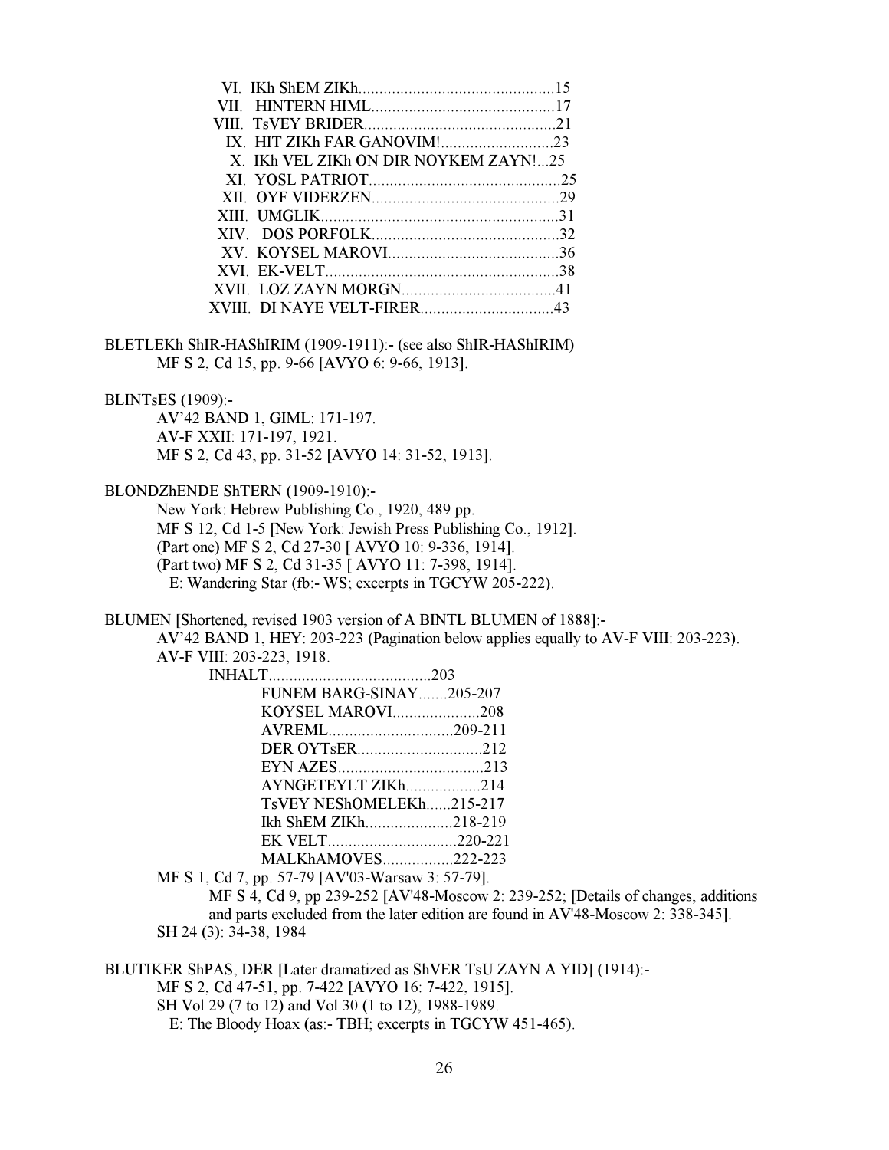| X. IKh VEL ZIKh ON DIR NOYKEM ZAYN!25 |  |
|---------------------------------------|--|
| XI YOSL PATRIOT 25                    |  |
|                                       |  |
|                                       |  |
|                                       |  |
| XV KOYSEL MAROVI 36                   |  |
|                                       |  |
|                                       |  |
| XVIII DI NAYE VELT-FIRER 43           |  |
|                                       |  |

BLETLEKh ShIR-HAShIRIM (1909-1911): (see also ShIR-HAShIRIM) MF S 2, Cd 15, pp. 9-66 [AVYO 6: 9-66, 1913].

# BLINTsES (1909):-

 AV'42 BAND 1, GIML: 171-197. AV-F XXII: 171-197, 1921. MF S 2, Cd 43, pp. 31-52 [AVYO 14: 31-52, 1913].

# BLONDZhENDE ShTERN (1909-1910):-

 New York: Hebrew Publishing Co., 1920, 489 pp. MF S 12, Cd 1-5 [New York: Jewish Press Publishing Co., 1912]. (Part one) MF S 2, Cd 27-30 [ AVYO 10: 9-336, 1914]. (Part two) MF S 2, Cd 31-35 [ AVYO 11: 7-398, 1914]. E: Wandering Star (fb:- WS; excerpts in TGCYW 205-222).

BLUMEN [Shortened, revised 1903 version of A BINTL BLUMEN of 1888]:-

 AV'42 BAND 1, HEY: 203-223 (Pagination below applies equally to AV-F VIII: 203-223). AV-F VIII: 203-223, 1918.

| <b>FUNEM BARG-SINAY205-207</b> |                          |
|--------------------------------|--------------------------|
|                                | KOYSEL MAROVI208         |
|                                |                          |
|                                | <b>DER OYTSER</b> 212    |
|                                |                          |
|                                | AYNGETEYLT ZIKh214       |
|                                | TsVEY NEShOMELEKh215-217 |
|                                | Ikh ShEM ZIKh218-219     |
|                                |                          |
|                                | MALKhAMOVES222-223       |

MF S 1, Cd 7, pp. 57-79 [AV'03-Warsaw 3: 57-79].

 MF S 4, Cd 9, pp 239-252 [AV'48-Moscow 2: 239-252; [Details of changes, additions and parts excluded from the later edition are found in AV'48-Moscow 2: 338-345]. SH 24 (3): 34-38, 1984

BLUTIKER ShPAS, DER [Later dramatized as ShVER TsU ZAYN A YID] (1914):-

MF S 2, Cd 47-51, pp. 7-422 [AVYO 16: 7-422, 1915].

SH Vol 29 (7 to 12) and Vol 30 (1 to 12), 1988-1989.

E: The Bloody Hoax (as:- TBH; excerpts in TGCYW 451-465).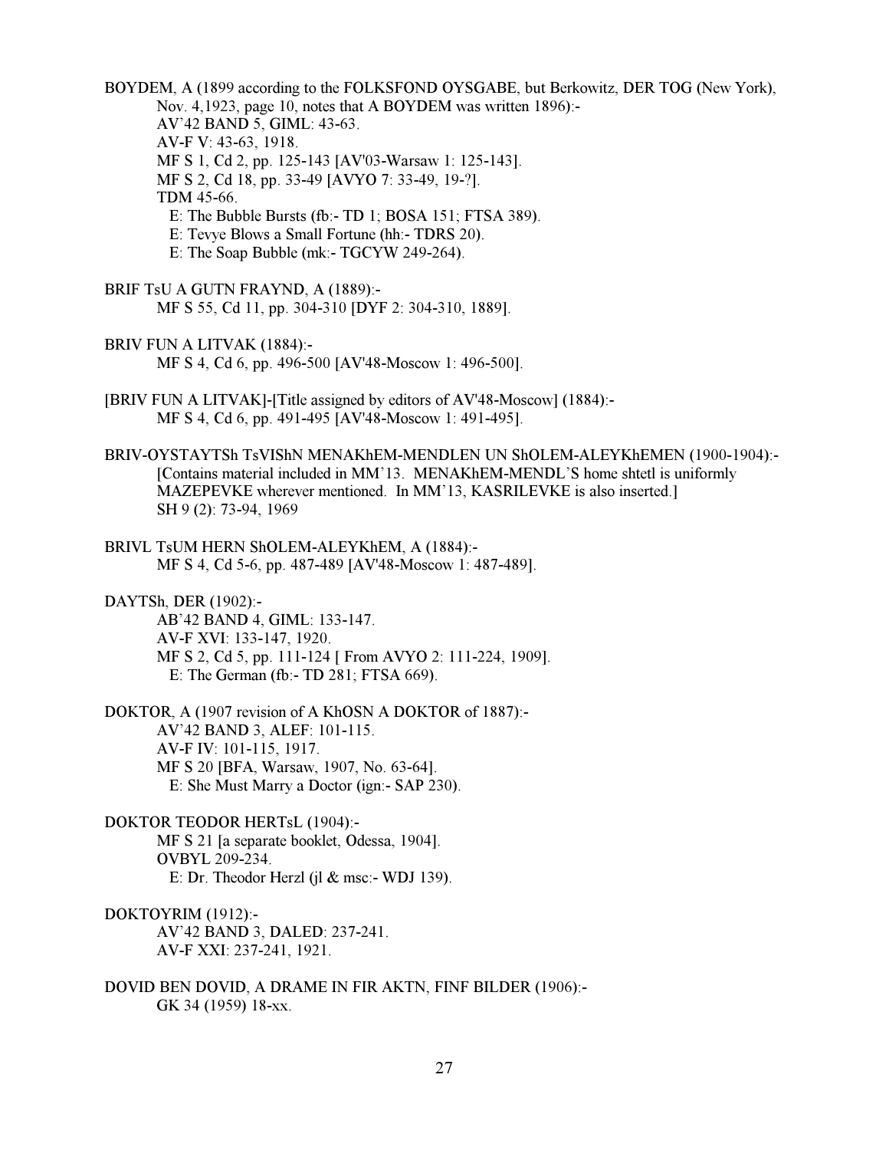BOYDEM, A (1899 according to the FOLKSFOND OYSGABE, but Berkowitz, DER TOG (New York), Nov. 4,1923, page 10, notes that A BOYDEM was written 1896):- AV'42 BAND 5, GIML: 43-63. AV-F V: 43-63, 1918. MF S 1, Cd 2, pp. 125-143 [AV'03-Warsaw 1: 125-143]. MF S 2, Cd 18, pp. 33-49 [AVYO 7: 33-49, 19-?]. TDM 45-66. E: The Bubble Bursts (fb:- TD 1; BOSA 151; FTSA 389). E: Tevye Blows a Small Fortune (hh:- TDRS 20). E: The Soap Bubble (mk:- TGCYW 249-264). BRIF TsU A GUTN FRAYND, A (1889):- MF S 55, Cd 11, pp. 304-310 [DYF 2: 304-310, 1889]. BRIV FUN A LITVAK (1884):-

- MF S 4, Cd 6, pp. 496-500 [AV'48-Moscow 1: 496-500].
- [BRIV FUN A LITVAK]-[Title assigned by editors of AV'48-Moscow] (1884):- MF S 4, Cd 6, pp. 491-495 [AV'48-Moscow 1: 491-495].
- BRIV-OYSTAYTSh TsVIShN MENAKhEM-MENDLEN UN ShOLEM-ALEYKhEMEN (1900-1904):- [Contains material included in MM'13. MENAKhEM-MENDL'S home shtetl is uniformly MAZEPEVKE wherever mentioned. In MM'13, KASRILEVKE is also inserted.] SH 9 (2): 73-94, 1969
- BRIVL TsUM HERN ShOLEM-ALEYKhEM, A (1884):- MF S 4, Cd 5-6, pp. 487-489 [AV'48-Moscow 1: 487-489].

DAYTSh, DER (1902):- AB'42 BAND 4, GIML: 133-147. AV-F XVI: 133-147, 1920. MF S 2, Cd 5, pp. 111-124 [ From AVYO 2: 111-224, 1909]. E: The German (fb:- TD 281; FTSA 669).

DOKTOR, A (1907 revision of A KhOSN A DOKTOR of 1887):- AV'42 BAND 3, ALEF: 101-115. AV-F IV: 101-115, 1917. MF S 20 [BFA, Warsaw, 1907, No. 63-64]. E: She Must Marry a Doctor (ign:- SAP 230).

- DOKTOR TEODOR HERTsL (1904):- MF S 21 [a separate booklet, Odessa, 1904]. OVBYL 209-234. E: Dr. Theodor Herzl (jl & msc:- WDJ 139).
- DOKTOYRIM (1912):- AV'42 BAND 3, DALED: 237-241. AV-F XXI: 237-241, 1921.
- DOVID BEN DOVID, A DRAME IN FIR AKTN, FINF BILDER (1906):- GK 34 (1959) 18-xx.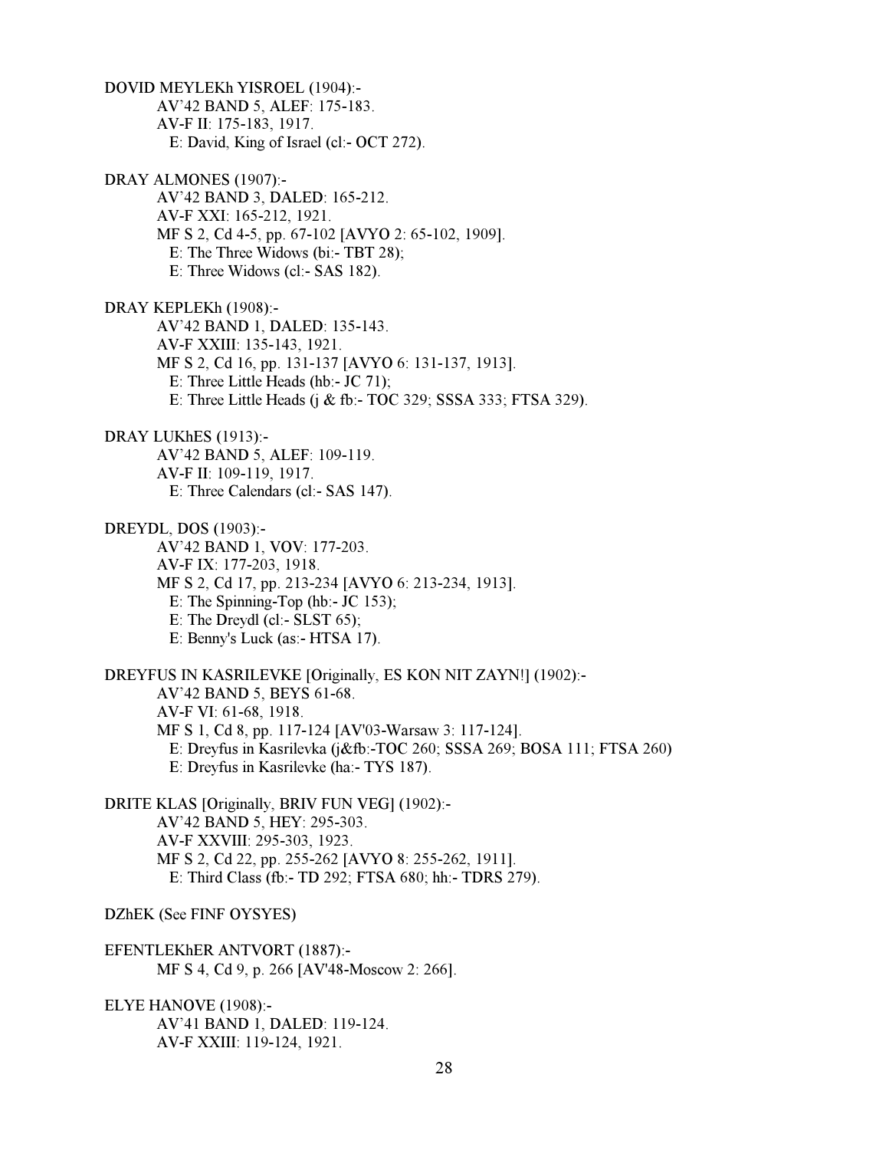DOVID MEYLEKh YISROEL (1904):- AV'42 BAND 5, ALEF: 175-183. AV-F II: 175-183, 1917. E: David, King of Israel (cl:- OCT 272). DRAY ALMONES (1907):- AV'42 BAND 3, DALED: 165-212. AV-F XXI: 165-212, 1921. MF S 2, Cd 4-5, pp. 67-102 [AVYO 2: 65-102, 1909]. E: The Three Widows (bi:- TBT 28); E: Three Widows (cl:- SAS 182). DRAY KEPLEKh (1908):- AV'42 BAND 1, DALED: 135-143. AV-F XXIII: 135-143, 1921. MF S 2, Cd 16, pp. 131-137 [AVYO 6: 131-137, 1913]. E: Three Little Heads (hb:- JC 71); E: Three Little Heads (j & fb:- TOC 329; SSSA 333; FTSA 329). DRAY LUKhES (1913):- AV'42 BAND 5, ALEF: 109-119. AV-F II: 109-119, 1917. E: Three Calendars (cl:- SAS 147). DREYDL, DOS (1903):- AV'42 BAND 1, VOV: 177-203. AV-F IX: 177-203, 1918. MF S 2, Cd 17, pp. 213-234 [AVYO 6: 213-234, 1913]. E: The Spinning-Top (hb:- JC 153); E: The Dreydl (cl:- SLST 65); E: Benny's Luck (as:- HTSA 17). DREYFUS IN KASRILEVKE [Originally, ES KON NIT ZAYN!] (1902):- AV'42 BAND 5, BEYS 61-68. AV-F VI: 61-68, 1918. MF S 1, Cd 8, pp. 117-124 [AV'03-Warsaw 3: 117-124]. E: Dreyfus in Kasrilevka (j&fb:-TOC 260; SSSA 269; BOSA 111; FTSA 260) E: Dreyfus in Kasrilevke (ha:- TYS 187). DRITE KLAS [Originally, BRIV FUN VEG] (1902):- AV'42 BAND 5, HEY: 295-303. AV-F XXVIII: 295-303, 1923. MF S 2, Cd 22, pp. 255-262 [AVYO 8: 255-262, 1911]. E: Third Class (fb:- TD 292; FTSA 680; hh:- TDRS 279). DZhEK (See FINF OYSYES) EFENTLEKhER ANTVORT (1887):- MF S 4, Cd 9, p. 266 [AV'48-Moscow 2: 266]. ELYE HANOVE (1908):- AV'41 BAND 1, DALED: 119-124. AV-F XXIII: 119-124, 1921.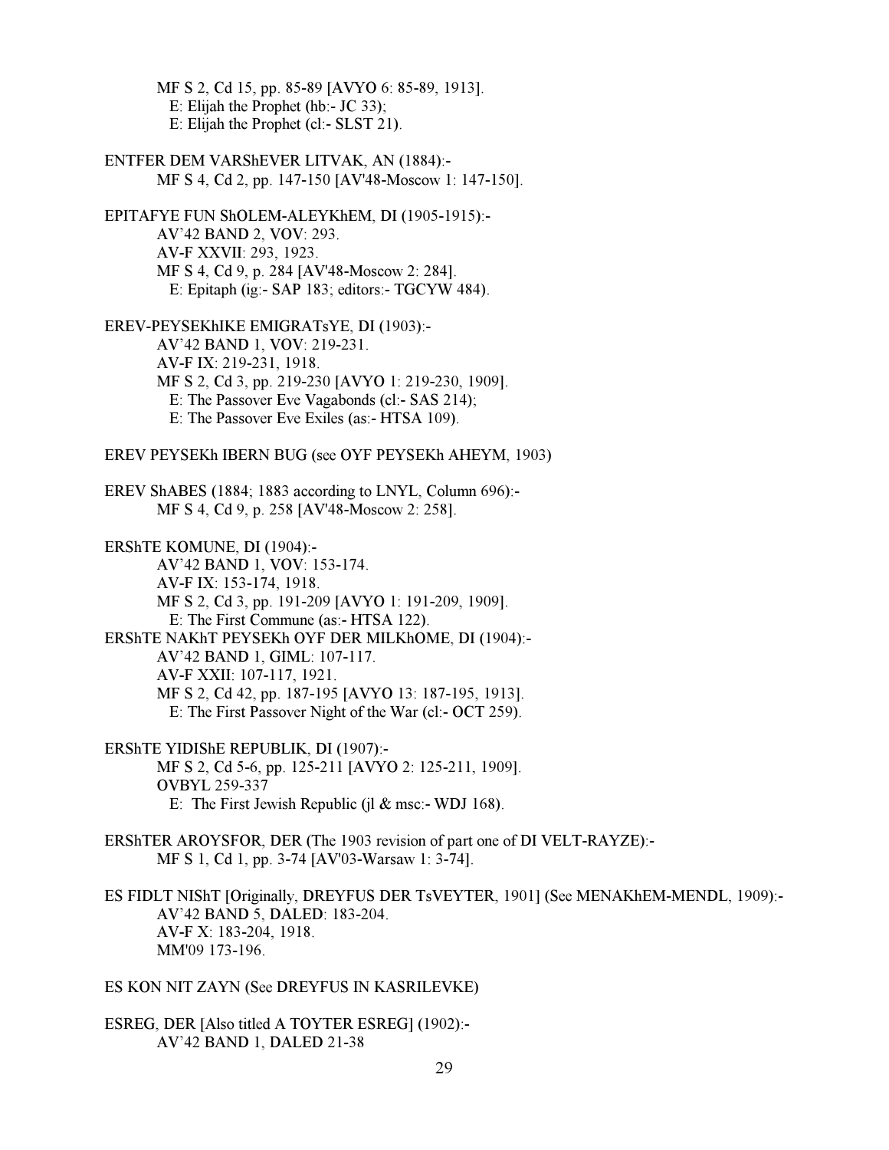MF S 2, Cd 15, pp. 85-89 [AVYO 6: 85-89, 1913]. E: Elijah the Prophet (hb:- JC 33); E: Elijah the Prophet (cl:- SLST 21).

ENTFER DEM VARShEVER LITVAK, AN (1884):- MF S 4, Cd 2, pp. 147-150 [AV'48-Moscow 1: 147-150]. EPITAFYE FUN ShOLEM-ALEYKhEM, DI (1905-1915):- AV'42 BAND 2, VOV: 293. AV-F XXVII: 293, 1923. MF S 4, Cd 9, p. 284 [AV'48-Moscow 2: 284]. E: Epitaph (ig:- SAP 183; editors:- TGCYW 484). EREV-PEYSEKhIKE EMIGRATsYE, DI (1903):- AV'42 BAND 1, VOV: 219-231. AV-F IX: 219-231, 1918. MF S 2, Cd 3, pp. 219-230 [AVYO 1: 219-230, 1909]. E: The Passover Eve Vagabonds (cl:- SAS 214); E: The Passover Eve Exiles (as:- HTSA 109). EREV PEYSEKh IBERN BUG (see OYF PEYSEKh AHEYM, 1903) EREV ShABES (1884; 1883 according to LNYL, Column 696):- MF S 4, Cd 9, p. 258 [AV'48-Moscow 2: 258].

ERShTE KOMUNE, DI (1904):- AV'42 BAND 1, VOV: 153-174. AV-F IX: 153-174, 1918. MF S 2, Cd 3, pp. 191-209 [AVYO 1: 191-209, 1909]. E: The First Commune (as:- HTSA 122). ERShTE NAKhT PEYSEKh OYF DER MILKhOME, DI (1904):- AV'42 BAND 1, GIML: 107-117. AV-F XXII: 107-117, 1921. MF S 2, Cd 42, pp. 187-195 [AVYO 13: 187-195, 1913]. E: The First Passover Night of the War (cl:- OCT 259).

ERShTE YIDIShE REPUBLIK, DI (1907):- MF S 2, Cd 5-6, pp. 125-211 [AVYO 2: 125-211, 1909]. OVBYL 259-337 E: The First Jewish Republic (jl  $&$  msc:- WDJ 168).

ERShTER AROYSFOR, DER (The 1903 revision of part one of DI VELT-RAYZE):- MF S 1, Cd 1, pp. 3-74 [AV'03-Warsaw 1: 3-74].

ES FIDLT NIShT [Originally, DREYFUS DER TsVEYTER, 1901] (See MENAKhEM-MENDL, 1909):- AV'42 BAND 5, DALED: 183-204. AV-F X: 183-204, 1918. MM'09 173-196.

ES KON NIT ZAYN (See DREYFUS IN KASRILEVKE)

ESREG, DER [Also titled A TOYTER ESREG] (1902):- AV'42 BAND 1, DALED 21-38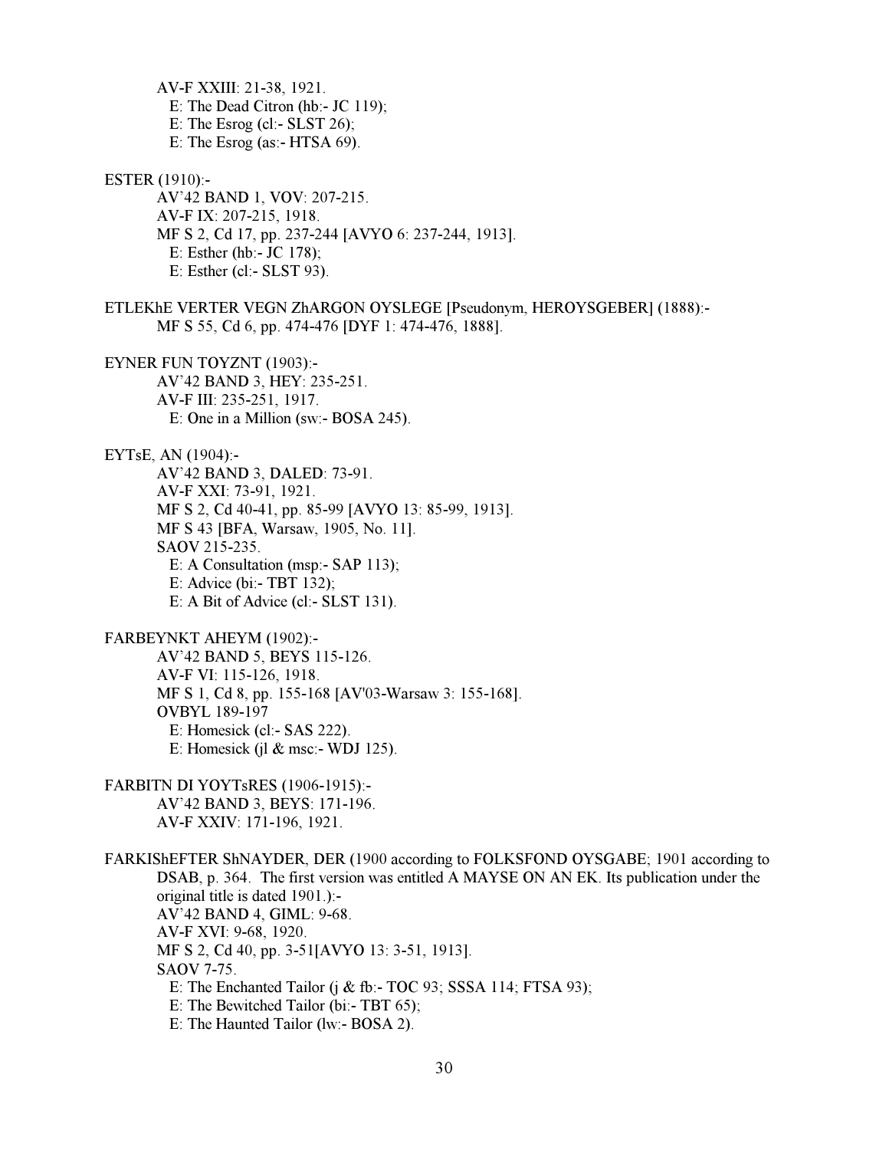AV-F XXIII: 21-38, 1921. E: The Dead Citron (hb:- JC 119); E: The Esrog (cl:-  $SLST 26$ ); E: The Esrog (as:- HTSA 69).

ESTER (1910):-

 AV'42 BAND 1, VOV: 207-215. AV-F IX: 207-215, 1918. MF S 2, Cd 17, pp. 237-244 [AVYO 6: 237-244, 1913]. E: Esther (hb:- JC 178); E: Esther (cl:- SLST 93).

ETLEKhE VERTER VEGN ZhARGON OYSLEGE [Pseudonym, HEROYSGEBER] (1888):- MF S 55, Cd 6, pp. 474-476 [DYF 1: 474-476, 1888].

EYNER FUN TOYZNT (1903):- AV'42 BAND 3, HEY: 235-251. AV-F III: 235-251, 1917. E: One in a Million (sw:- BOSA 245).

EYTsE, AN (1904):-

 AV'42 BAND 3, DALED: 73-91. AV-F XXI: 73-91, 1921. MF S 2, Cd 40-41, pp. 85-99 [AVYO 13: 85-99, 1913]. MF S 43 [BFA, Warsaw, 1905, No. 11]. SAOV 215-235. E: A Consultation (msp:- SAP 113); E: Advice (bi:- TBT 132); E: A Bit of Advice (cl:- SLST 131).

FARBEYNKT AHEYM (1902):-

 AV'42 BAND 5, BEYS 115-126. AV-F VI: 115-126, 1918. MF S 1, Cd 8, pp. 155-168 [AV'03-Warsaw 3: 155-168]. OVBYL 189-197 E: Homesick (cl:- SAS 222). E: Homesick (jl  $&$  msc:- WDJ 125).

FARBITN DI YOYTsRES (1906-1915):- AV'42 BAND 3, BEYS: 171-196. AV-F XXIV: 171-196, 1921.

FARKIShEFTER ShNAYDER, DER (1900 according to FOLKSFOND OYSGABE; 1901 according to DSAB, p. 364. The first version was entitled A MAYSE ON AN EK. Its publication under the original title is dated 1901.):- AV'42 BAND 4, GIML: 9-68. AV-F XVI: 9-68, 1920. MF S 2, Cd 40, pp. 3-51[AVYO 13: 3-51, 1913]. SAOV 7-75. E: The Enchanted Tailor (j & fb:- TOC 93; SSSA 114; FTSA 93); E: The Bewitched Tailor (bi:- TBT 65); E: The Haunted Tailor (lw:- BOSA 2).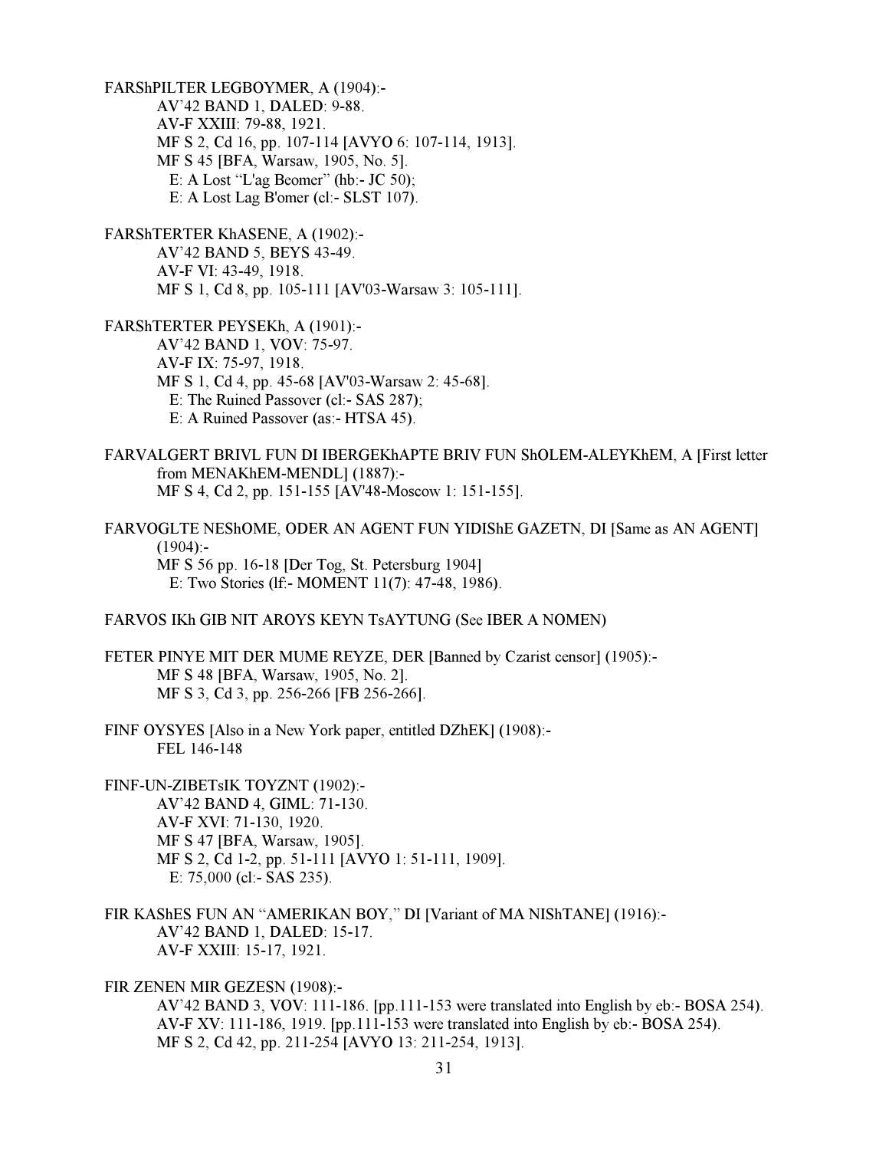FARShPILTER LEGBOYMER, A (1904):- AV'42 BAND 1, DALED: 9-88. AV-F XXIII: 79-88, 1921. MF S 2, Cd 16, pp. 107-114 [AVYO 6: 107-114, 1913]. MF S 45 [BFA, Warsaw, 1905, No. 5]. E: A Lost "L'ag Beomer" (hb:- JC 50); E: A Lost Lag B'omer (cl:- SLST 107).

FARShTERTER KhASENE, A (1902):- AV'42 BAND 5, BEYS 43-49. AV-F VI: 43-49, 1918. MF S 1, Cd 8, pp. 105-111 [AV'03-Warsaw 3: 105-111].

FARShTERTER PEYSEKh, A (1901):- AV'42 BAND 1, VOV: 75-97. AV-F IX: 75-97, 1918. MF S 1, Cd 4, pp. 45-68 [AV'03-Warsaw 2: 45-68]. E: The Ruined Passover (cl:- SAS 287); E: A Ruined Passover (as:- HTSA 45).

FARVALGERT BRIVL FUN DI IBERGEKhAPTE BRIV FUN ShOLEM-ALEYKhEM, A [First letter from MENAKhEM-MENDL] (1887):- MF S 4, Cd 2, pp. 151-155 [AV'48-Moscow 1: 151-155].

FARVOGLTE NEShOME, ODER AN AGENT FUN YIDIShE GAZETN, DI [Same as AN AGENT]  $(1904)$ :- MF S 56 pp. 16-18 [Der Tog, St. Petersburg 1904] E: Two Stories (lf:- MOMENT 11(7): 47-48, 1986).

FARVOS IKh GIB NIT AROYS KEYN TsAYTUNG (See IBER A NOMEN)

FETER PINYE MIT DER MUME REYZE, DER [Banned by Czarist censor] (1905):- MF S 48 [BFA, Warsaw, 1905, No. 2]. MF S 3, Cd 3, pp. 256-266 [FB 256-266].

FINF OYSYES [Also in a New York paper, entitled DZhEK] (1908):- FEL 146-148

FINF-UN-ZIBETsIK TOYZNT (1902):- AV'42 BAND 4, GIML: 71-130. AV-F XVI: 71-130, 1920. MF S 47 [BFA, Warsaw, 1905]. MF S 2, Cd 1-2, pp. 51-111 [AVYO 1: 51-111, 1909]. E: 75,000 (cl:- SAS 235).

FIR KAShES FUN AN "AMERIKAN BOY," DI [Variant of MA NIShTANE] (1916):- AV'42 BAND 1, DALED: 15-17. AV-F XXIII: 15-17, 1921.

FIR ZENEN MIR GEZESN (1908):-

 AV'42 BAND 3, VOV: 111-186. [pp.111-153 were translated into English by eb:- BOSA 254). AV-F XV: 111-186, 1919. [pp.111-153 were translated into English by eb:- BOSA 254). MF S 2, Cd 42, pp. 211-254 [AVYO 13: 211-254, 1913].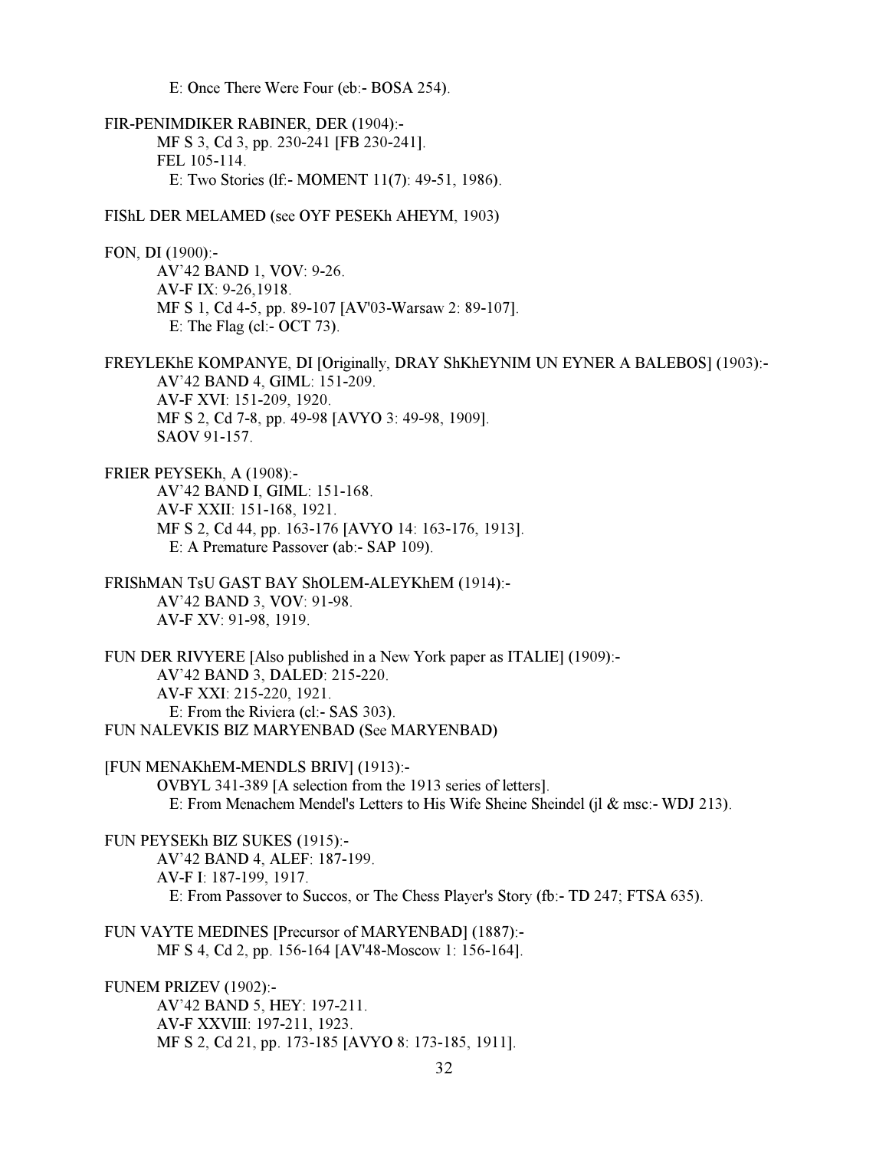E: Once There Were Four (eb:- BOSA 254).

FIR-PENIMDIKER RABINER, DER (1904):- MF S 3, Cd 3, pp. 230-241 [FB 230-241]. FEL 105-114. E: Two Stories (lf:- MOMENT 11(7): 49-51, 1986).

FIShL DER MELAMED (see OYF PESEKh AHEYM, 1903)

FON, DI (1900):- AV'42 BAND 1, VOV: 9-26. AV-F IX: 9-26,1918. MF S 1, Cd 4-5, pp. 89-107 [AV'03-Warsaw 2: 89-107]. E: The Flag (cl:- OCT 73).

FREYLEKhE KOMPANYE, DI [Originally, DRAY ShKhEYNIM UN EYNER A BALEBOS] (1903):- AV'42 BAND 4, GIML: 151-209. AV-F XVI: 151-209, 1920. MF S 2, Cd 7-8, pp. 49-98 [AVYO 3: 49-98, 1909]. SAOV 91-157.

FRIER PEYSEKh, A (1908):- AV'42 BAND I, GIML: 151-168. AV-F XXII: 151-168, 1921. MF S 2, Cd 44, pp. 163-176 [AVYO 14: 163-176, 1913]. E: A Premature Passover (ab:- SAP 109).

FRIShMAN TsU GAST BAY ShOLEM-ALEYKhEM (1914):- AV'42 BAND 3, VOV: 91-98. AV-F XV: 91-98, 1919.

FUN DER RIVYERE [Also published in a New York paper as ITALIE] (1909):- AV'42 BAND 3, DALED: 215-220. AV-F XXI: 215-220, 1921. E: From the Riviera (cl:- SAS 303). FUN NALEVKIS BIZ MARYENBAD (See MARYENBAD)

[FUN MENAKhEM-MENDLS BRIV] (1913):- OVBYL 341-389 [A selection from the 1913 series of letters]. E: From Menachem Mendel's Letters to His Wife Sheine Sheindel (jl & msc:- WDJ 213).

FUN PEYSEKh BIZ SUKES (1915):- AV'42 BAND 4, ALEF: 187-199. AV-F I: 187-199, 1917. E: From Passover to Succos, or The Chess Player's Story (fb:- TD 247; FTSA 635).

FUN VAYTE MEDINES [Precursor of MARYENBAD] (1887):- MF S 4, Cd 2, pp. 156-164 [AV'48-Moscow 1: 156-164].

FUNEM PRIZEV (1902):- AV'42 BAND 5, HEY: 197-211. AV-F XXVIII: 197-211, 1923. MF S 2, Cd 21, pp. 173-185 [AVYO 8: 173-185, 1911].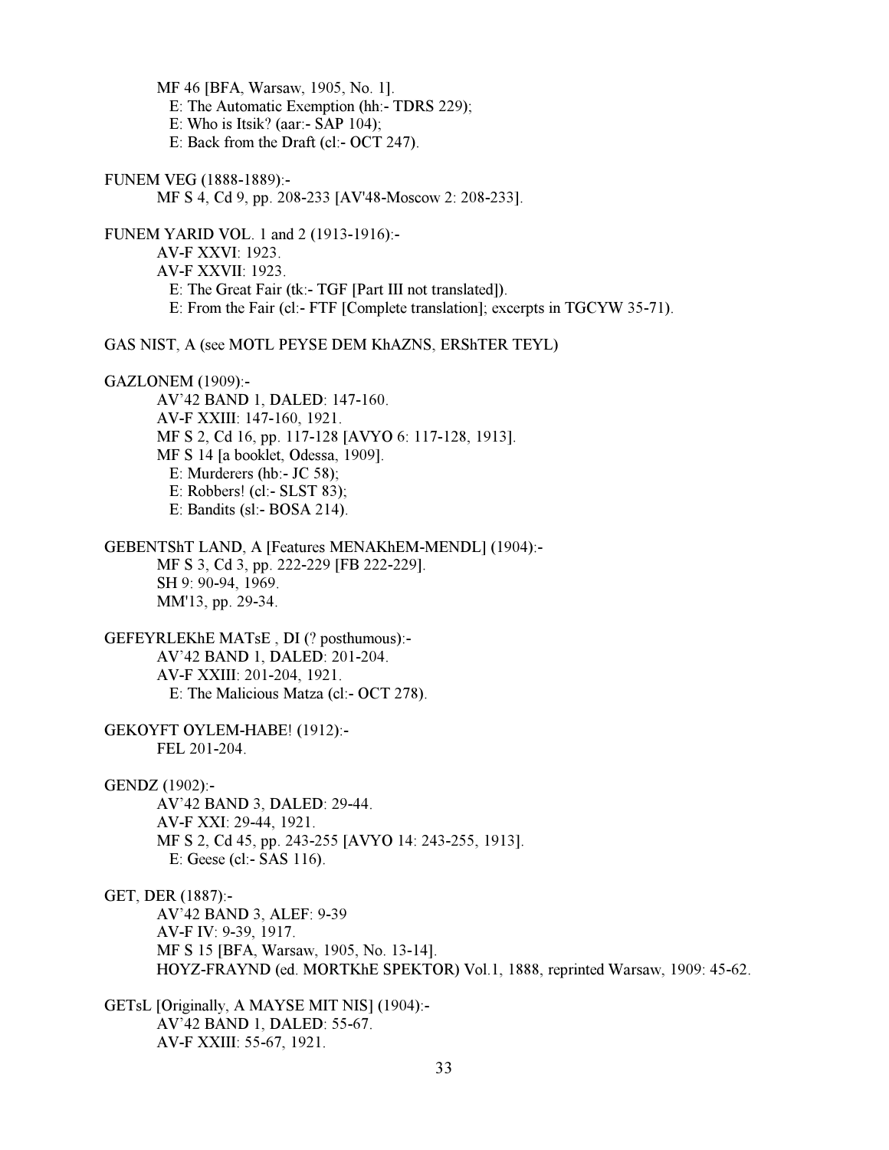MF 46 [BFA, Warsaw, 1905, No. 1]. E: The Automatic Exemption (hh:- TDRS 229); E: Who is Itsik? (aar:- SAP 104);

E: Back from the Draft (cl:- OCT 247).

FUNEM VEG (1888-1889):- MF S 4, Cd 9, pp. 208-233 [AV'48-Moscow 2: 208-233].

FUNEM YARID VOL. 1 and 2 (1913-1916):- AV-F XXVI: 1923. AV-F XXVII: 1923. E: The Great Fair (tk:- TGF [Part III not translated]). E: From the Fair (cl:- FTF [Complete translation]; excerpts in TGCYW 35-71).

GAS NIST, A (see MOTL PEYSE DEM KhAZNS, ERShTER TEYL)

GAZLONEM (1909):-

 AV'42 BAND 1, DALED: 147-160. AV-F XXIII: 147-160, 1921. MF S 2, Cd 16, pp. 117-128 [AVYO 6: 117-128, 1913]. MF S 14 [a booklet, Odessa, 1909]. E: Murderers (hb:- JC 58); E: Robbers! (cl:- SLST 83); E: Bandits (sl:- BOSA 214).

GEBENTShT LAND, A [Features MENAKhEM-MENDL] (1904):- MF S 3, Cd 3, pp. 222-229 [FB 222-229]. SH 9: 90-94, 1969. MM'13, pp. 29-34.

GEFEYRLEKhE MATsE , DI (? posthumous):- AV'42 BAND 1, DALED: 201-204. AV-F XXIII: 201-204, 1921. E: The Malicious Matza (cl:- OCT 278).

GEKOYFT OYLEM-HABE! (1912):- FEL 201-204.

GENDZ (1902):-

 AV'42 BAND 3, DALED: 29-44. AV-F XXI: 29-44, 1921. MF S 2, Cd 45, pp. 243-255 [AVYO 14: 243-255, 1913]. E: Geese (cl:- SAS 116).

GET, DER (1887):-

 AV'42 BAND 3, ALEF: 9-39 AV-F IV: 9-39, 1917. MF S 15 [BFA, Warsaw, 1905, No. 13-14]. HOYZ-FRAYND (ed. MORTKhE SPEKTOR) Vol.1, 1888, reprinted Warsaw, 1909: 45-62.

GETsL [Originally, A MAYSE MIT NIS] (1904):- AV'42 BAND 1, DALED: 55-67. AV-F XXIII: 55-67, 1921.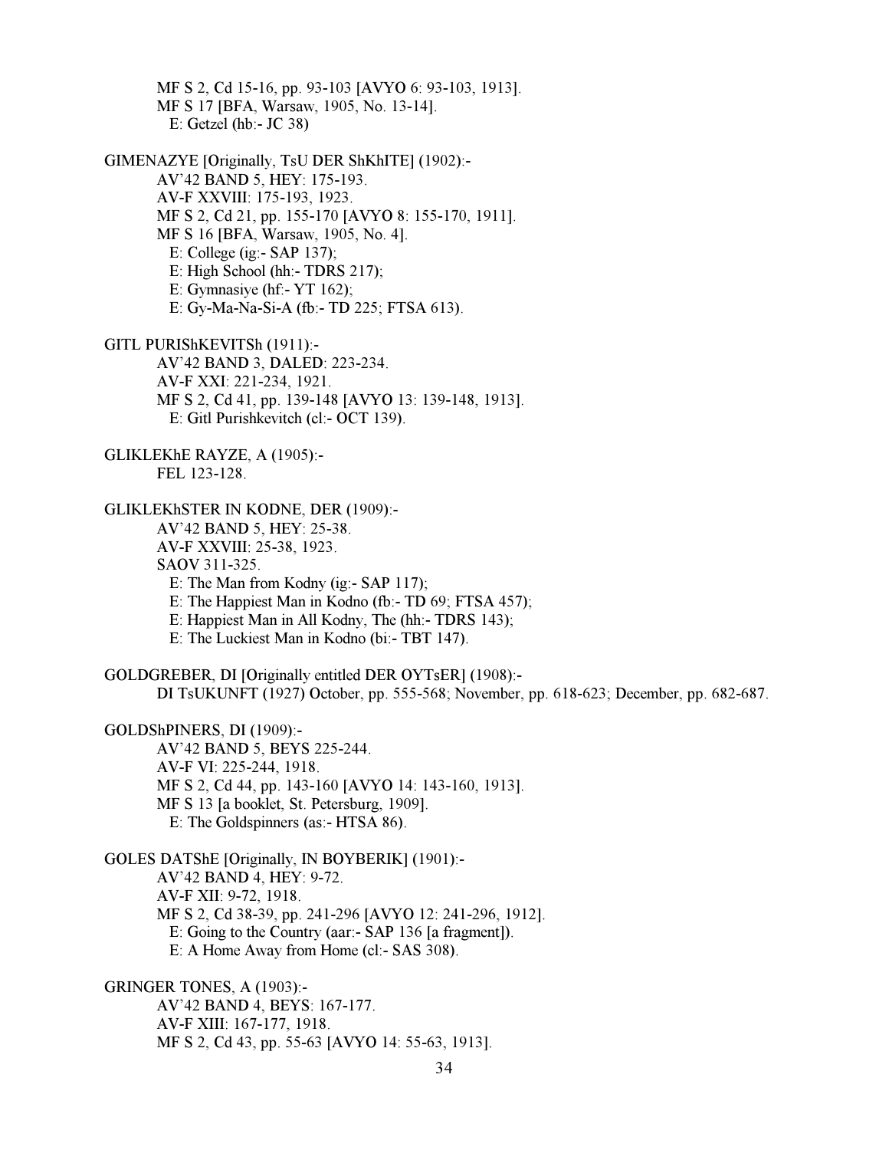MF S 2, Cd 15-16, pp. 93-103 [AVYO 6: 93-103, 1913]. MF S 17 [BFA, Warsaw, 1905, No. 13-14]. E: Getzel (hb:- JC 38)

GIMENAZYE [Originally, TsU DER ShKhITE] (1902):- AV'42 BAND 5, HEY: 175-193. AV-F XXVIII: 175-193, 1923. MF S 2, Cd 21, pp. 155-170 [AVYO 8: 155-170, 1911]. MF S 16 [BFA, Warsaw, 1905, No. 4]. E: College (ig:- SAP 137); E: High School (hh:- TDRS 217); E: Gymnasiye (hf:- YT 162); E: Gy-Ma-Na-Si-A (fb:- TD 225; FTSA 613).

GITL PURIShKEVITSh (1911):- AV'42 BAND 3, DALED: 223-234. AV-F XXI: 221-234, 1921. MF S 2, Cd 41, pp. 139-148 [AVYO 13: 139-148, 1913]. E: Gitl Purishkevitch (cl:- OCT 139).

GLIKLEKhE RAYZE, A (1905):- FEL 123-128.

GLIKLEKhSTER IN KODNE, DER (1909):- AV'42 BAND 5, HEY: 25-38. AV-F XXVIII: 25-38, 1923. SAOV 311-325. E: The Man from Kodny (ig:- SAP 117); E: The Happiest Man in Kodno (fb:- TD 69; FTSA 457); E: Happiest Man in All Kodny, The (hh:- TDRS 143);

E: The Luckiest Man in Kodno (bi:- TBT 147).

GOLDGREBER, DI [Originally entitled DER OYTsER] (1908):- DI TsUKUNFT (1927) October, pp. 555-568; November, pp. 618-623; December, pp. 682-687.

GOLDShPINERS, DI (1909):-

 AV'42 BAND 5, BEYS 225-244. AV-F VI: 225-244, 1918. MF S 2, Cd 44, pp. 143-160 [AVYO 14: 143-160, 1913]. MF S 13 [a booklet, St. Petersburg, 1909]. E: The Goldspinners (as:- HTSA 86).

GOLES DATShE [Originally, IN BOYBERIK] (1901):- AV'42 BAND 4, HEY: 9-72. AV-F XII: 9-72, 1918. MF S 2, Cd 38-39, pp. 241-296 [AVYO 12: 241-296, 1912]. E: Going to the Country (aar:- SAP 136 [a fragment]). E: A Home Away from Home (cl:- SAS 308).

GRINGER TONES, A (1903):- AV'42 BAND 4, BEYS: 167-177. AV-F XIII: 167-177, 1918. MF S 2, Cd 43, pp. 55-63 [AVYO 14: 55-63, 1913].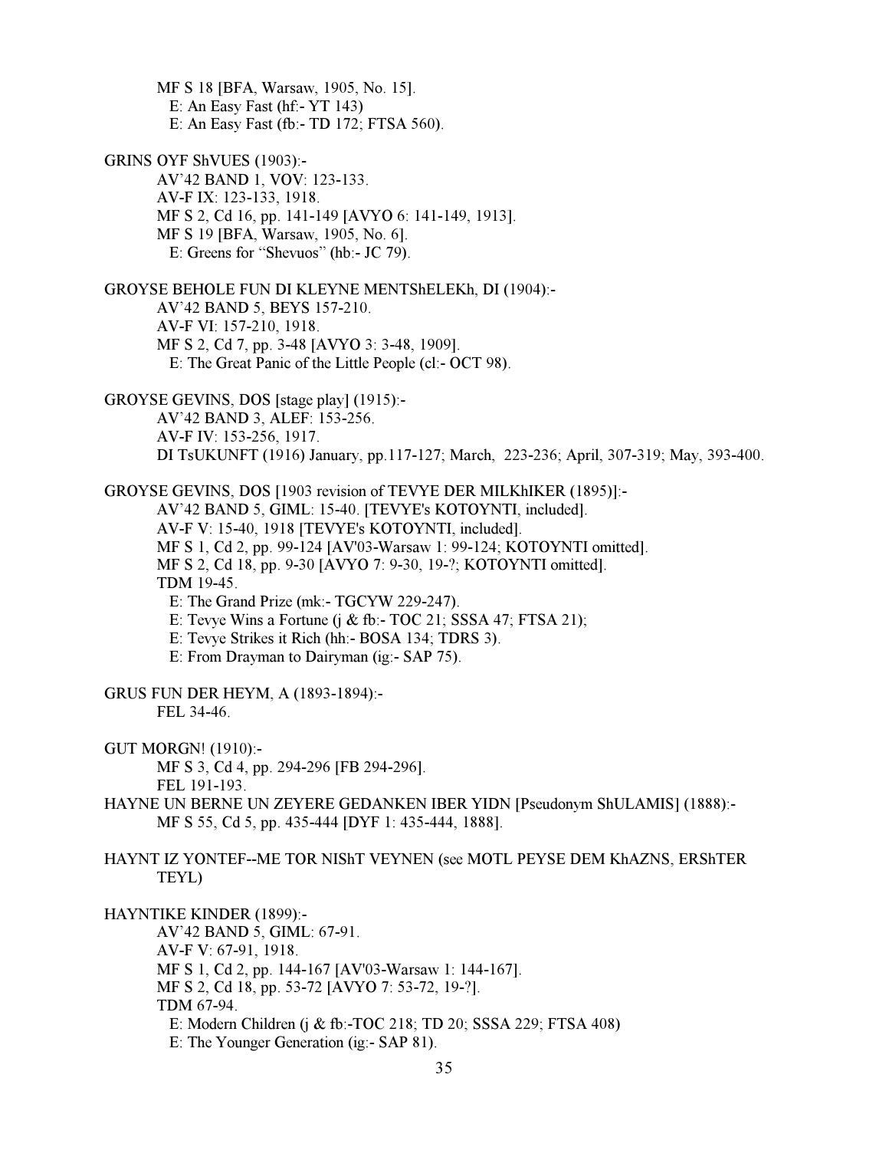MF S 18 [BFA, Warsaw, 1905, No. 15]. E: An Easy Fast (hf:- YT 143) E: An Easy Fast (fb:- TD 172; FTSA 560).

GRINS OYF ShVUES (1903):- AV'42 BAND 1, VOV: 123-133. AV-F IX: 123-133, 1918. MF S 2, Cd 16, pp. 141-149 [AVYO 6: 141-149, 1913]. MF S 19 [BFA, Warsaw, 1905, No. 6]. E: Greens for "Shevuos" (hb:- JC 79).

GROYSE BEHOLE FUN DI KLEYNE MENTShELEKh, DI (1904):- AV'42 BAND 5, BEYS 157-210. AV-F VI: 157-210, 1918. MF S 2, Cd 7, pp. 3-48 [AVYO 3: 3-48, 1909]. E: The Great Panic of the Little People (cl:- OCT 98).

GROYSE GEVINS, DOS [stage play] (1915):- AV'42 BAND 3, ALEF: 153-256. AV-F IV: 153-256, 1917. DI TsUKUNFT (1916) January, pp.117-127; March, 223-236; April, 307-319; May, 393-400.

GROYSE GEVINS, DOS [1903 revision of TEVYE DER MILKhIKER (1895)]:- AV'42 BAND 5, GIML: 15-40. [TEVYE's KOTOYNTI, included]. AV-F V: 15-40, 1918 [TEVYE's KOTOYNTI, included]. MF S 1, Cd 2, pp. 99-124 [AV'03-Warsaw 1: 99-124; KOTOYNTI omitted]. MF S 2, Cd 18, pp. 9-30 [AVYO 7: 9-30, 19-?; KOTOYNTI omitted]. TDM 19-45. E: The Grand Prize (mk:- TGCYW 229-247).

E: Tevye Wins a Fortune (j & fb:- TOC 21; SSSA 47; FTSA 21);

E: Tevye Strikes it Rich (hh:- BOSA 134; TDRS 3).

E: From Drayman to Dairyman (ig:- SAP 75).

GRUS FUN DER HEYM, A (1893-1894):- FEL 34-46.

GUT MORGN! (1910):-

 MF S 3, Cd 4, pp. 294-296 [FB 294-296]. FEL 191-193.

HAYNE UN BERNE UN ZEYERE GEDANKEN IBER YIDN [Pseudonym ShULAMIS] (1888):- MF S 55, Cd 5, pp. 435-444 [DYF 1: 435-444, 1888].

HAYNT IZ YONTEF--ME TOR NIShT VEYNEN (see MOTL PEYSE DEM KhAZNS, ERShTER TEYL)

HAYNTIKE KINDER (1899):-

 AV'42 BAND 5, GIML: 67-91. AV-F V: 67-91, 1918. MF S 1, Cd 2, pp. 144-167 [AV'03-Warsaw 1: 144-167]. MF S 2, Cd 18, pp. 53-72 [AVYO 7: 53-72, 19-?]. TDM 67-94. E: Modern Children (j & fb:-TOC 218; TD 20; SSSA 229; FTSA 408) E: The Younger Generation (ig:- SAP 81).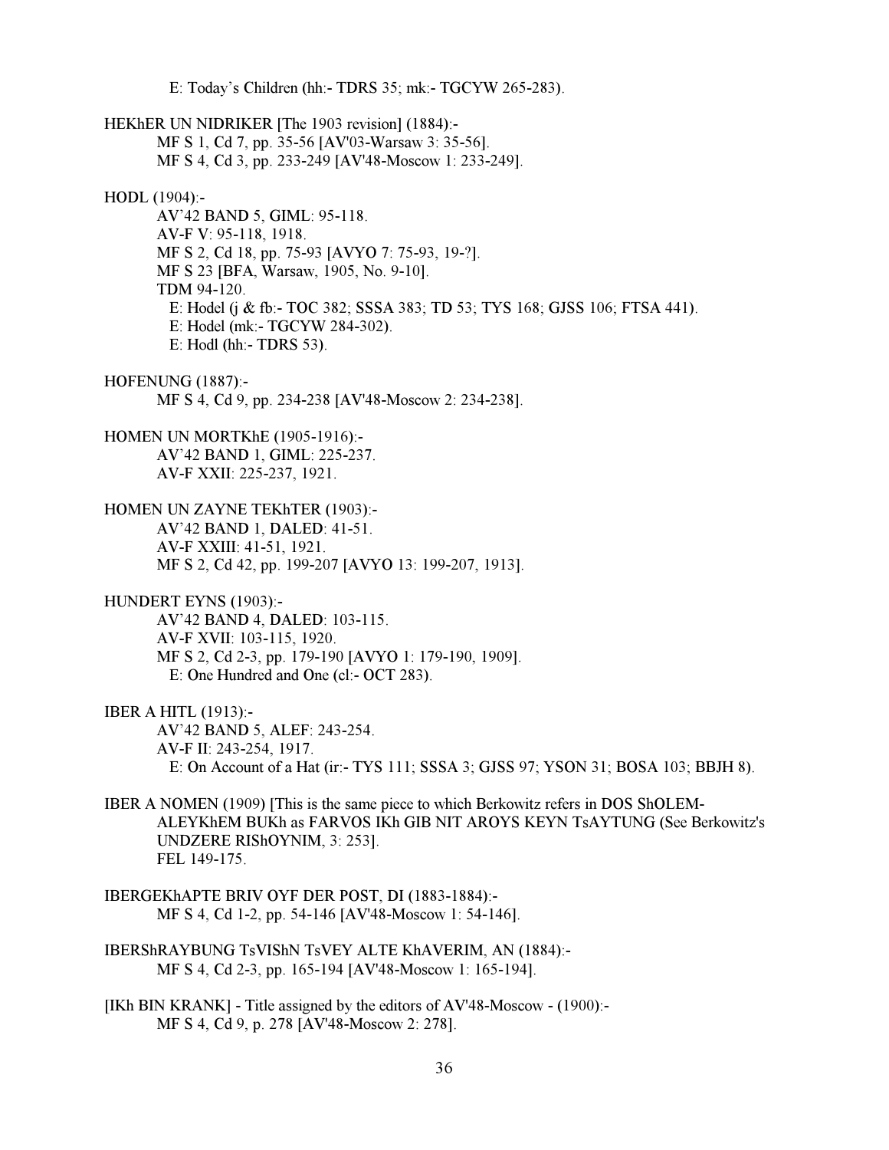E: Today's Children (hh:- TDRS 35; mk:- TGCYW 265-283). HEKhER UN NIDRIKER [The 1903 revision] (1884):- MF S 1, Cd 7, pp. 35-56 [AV'03-Warsaw 3: 35-56]. MF S 4, Cd 3, pp. 233-249 [AV'48-Moscow 1: 233-249]. HODL (1904):- AV'42 BAND 5, GIML: 95-118. AV-F V: 95-118, 1918. MF S 2, Cd 18, pp. 75-93 [AVYO 7: 75-93, 19-?]. MF S 23 [BFA, Warsaw, 1905, No. 9-10]. TDM 94-120. E: Hodel (j & fb:- TOC 382; SSSA 383; TD 53; TYS 168; GJSS 106; FTSA 441). E: Hodel (mk:- TGCYW 284-302). E: Hodl (hh:- TDRS 53). HOFENUNG (1887):- MF S 4, Cd 9, pp. 234-238 [AV'48-Moscow 2: 234-238]. HOMEN UN MORTKhE (1905-1916):- AV'42 BAND 1, GIML: 225-237. AV-F XXII: 225-237, 1921. HOMEN UN ZAYNE TEKhTER (1903):- AV'42 BAND 1, DALED: 41-51. AV-F XXIII: 41-51, 1921. MF S 2, Cd 42, pp. 199-207 [AVYO 13: 199-207, 1913]. HUNDERT EYNS (1903):- AV'42 BAND 4, DALED: 103-115. AV-F XVII: 103-115, 1920. MF S 2, Cd 2-3, pp. 179-190 [AVYO 1: 179-190, 1909]. E: One Hundred and One (cl:- OCT 283). IBER A HITL (1913):- AV'42 BAND 5, ALEF: 243-254. AV-F II: 243-254, 1917. E: On Account of a Hat (ir:- TYS 111; SSSA 3; GJSS 97; YSON 31; BOSA 103; BBJH 8). IBER A NOMEN (1909) [This is the same piece to which Berkowitz refers in DOS ShOLEM-ALEYKhEM BUKh as FARVOS IKh GIB NIT AROYS KEYN TsAYTUNG (See Berkowitz's UNDZERE RIShOYNIM, 3: 253]. FEL 149-175. IBERGEKhAPTE BRIV OYF DER POST, DI (1883-1884):- MF S 4, Cd 1-2, pp. 54-146 [AV'48-Moscow 1: 54-146]. IBERShRAYBUNG TsVIShN TsVEY ALTE KhAVERIM, AN (1884):- MF S 4, Cd 2-3, pp. 165-194 [AV'48-Moscow 1: 165-194]. [IKh BIN KRANK] - Title assigned by the editors of AV'48-Moscow - (1900):-

MF S 4, Cd 9, p. 278 [AV'48-Moscow 2: 278].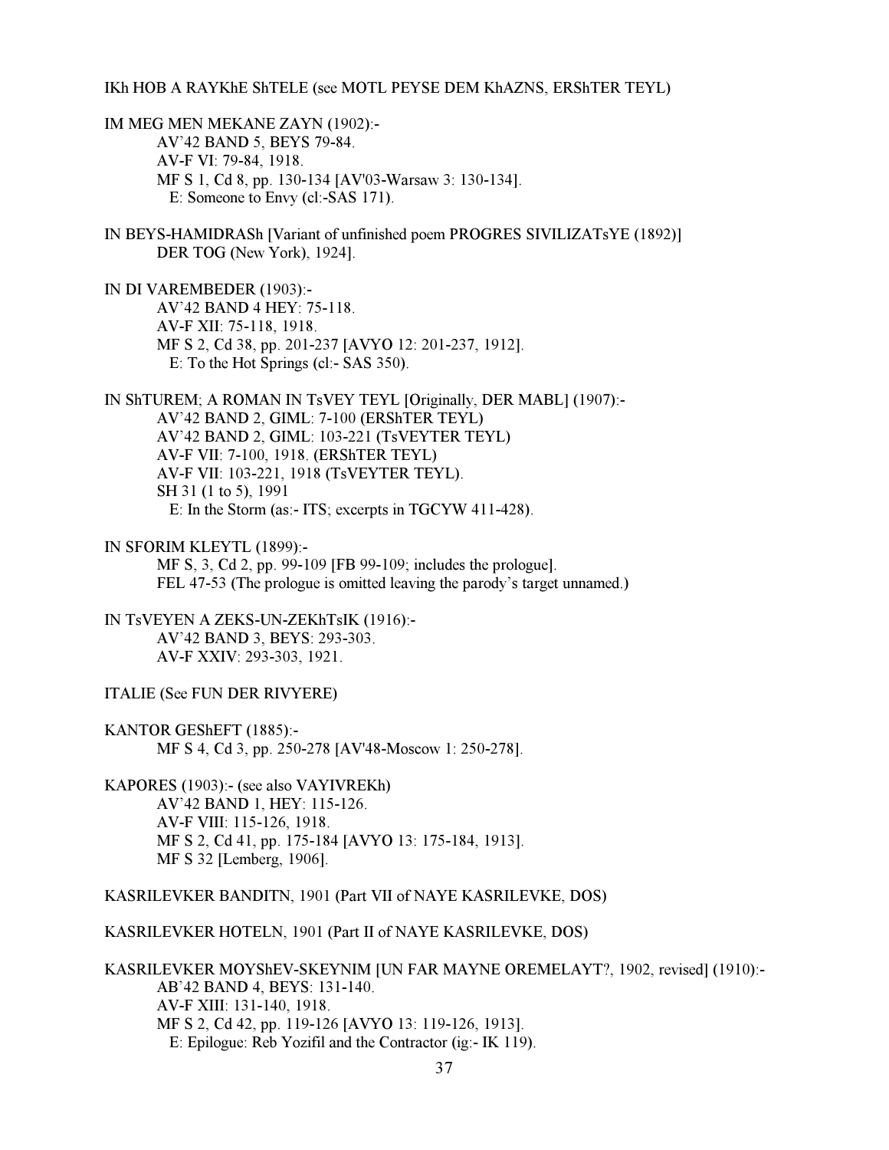#### IKh HOB A RAYKhE ShTELE (see MOTL PEYSE DEM KhAZNS, ERShTER TEYL)

IM MEG MEN MEKANE ZAYN (1902):- AV'42 BAND 5, BEYS 79-84. AV-F VI: 79-84, 1918. MF S 1, Cd 8, pp. 130-134 [AV'03-Warsaw 3: 130-134]. E: Someone to Envy (cl:-SAS 171).

IN BEYS-HAMIDRASh [Variant of unfinished poem PROGRES SIVILIZATsYE (1892)] DER TOG (New York), 1924].

IN DI VAREMBEDER (1903):- AV'42 BAND 4 HEY: 75-118. AV-F XII: 75-118, 1918. MF S 2, Cd 38, pp. 201-237 [AVYO 12: 201-237, 1912]. E: To the Hot Springs (cl:- SAS 350).

IN ShTUREM; A ROMAN IN TsVEY TEYL [Originally, DER MABL] (1907):- AV'42 BAND 2, GIML: 7-100 (ERShTER TEYL) AV'42 BAND 2, GIML: 103-221 (TsVEYTER TEYL) AV-F VII: 7-100, 1918. (ERShTER TEYL) AV-F VII: 103-221, 1918 (TsVEYTER TEYL). SH 31 (1 to 5), 1991 E: In the Storm (as:- ITS; excerpts in TGCYW 411-428).

IN SFORIM KLEYTL (1899):-

 MF S, 3, Cd 2, pp. 99-109 [FB 99-109; includes the prologue]. FEL 47-53 (The prologue is omitted leaving the parody's target unnamed.)

IN TsVEYEN A ZEKS-UN-ZEKhTsIK (1916):- AV'42 BAND 3, BEYS: 293-303. AV-F XXIV: 293-303, 1921.

ITALIE (See FUN DER RIVYERE)

KANTOR GEShEFT (1885):- MF S 4, Cd 3, pp. 250-278 [AV'48-Moscow 1: 250-278].

KAPORES (1903):- (see also VAYIVREKh) AV'42 BAND 1, HEY: 115-126. AV-F VIII: 115-126, 1918. MF S 2, Cd 41, pp. 175-184 [AVYO 13: 175-184, 1913]. MF S 32 [Lemberg, 1906].

KASRILEVKER BANDITN, 1901 (Part VII of NAYE KASRILEVKE, DOS)

KASRILEVKER HOTELN, 1901 (Part II of NAYE KASRILEVKE, DOS)

KASRILEVKER MOYShEV-SKEYNIM [UN FAR MAYNE OREMELAYT?, 1902, revised] (1910):- AB'42 BAND 4, BEYS: 131-140. AV-F XIII: 131-140, 1918. MF S 2, Cd 42, pp. 119-126 [AVYO 13: 119-126, 1913]. E: Epilogue: Reb Yozifil and the Contractor (ig:- IK 119).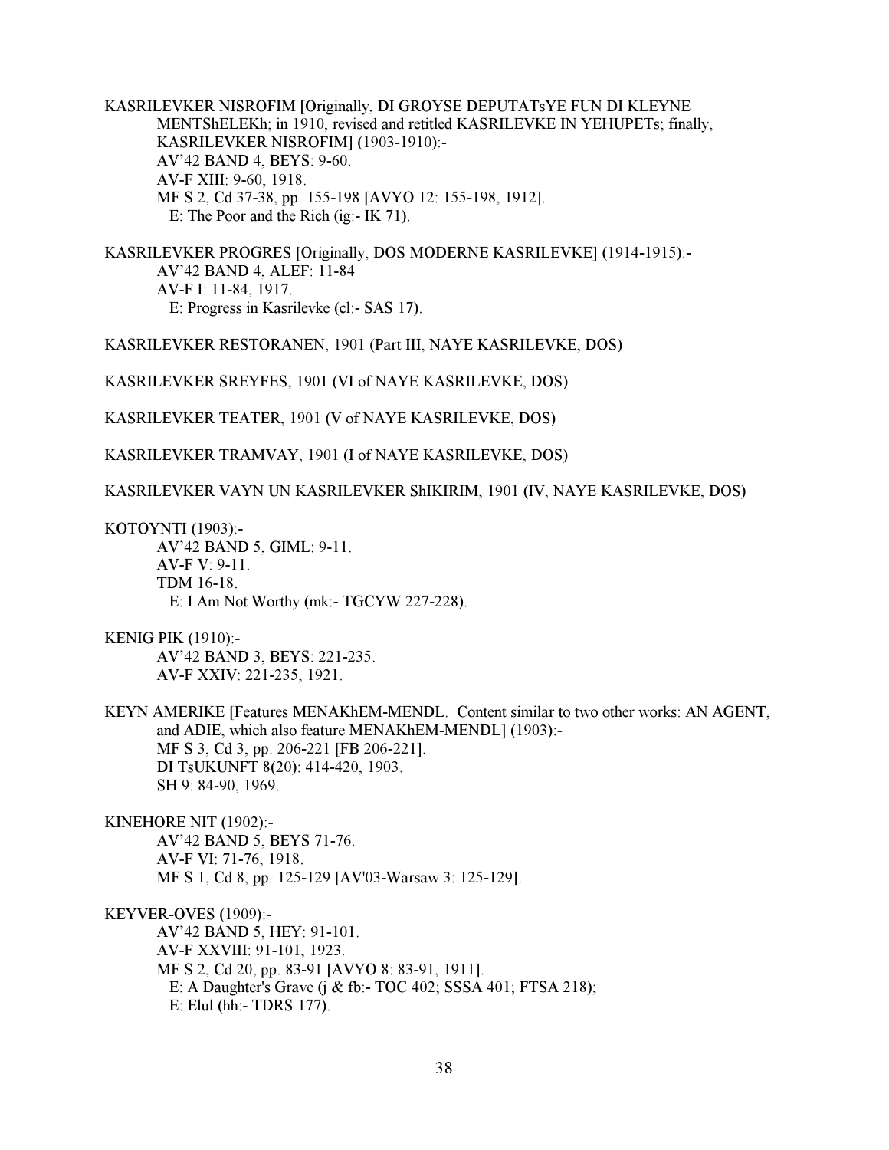KASRILEVKER NISROFIM [Originally, DI GROYSE DEPUTATsYE FUN DI KLEYNE MENTShELEKh; in 1910, revised and retitled KASRILEVKE IN YEHUPETs; finally, KASRILEVKER NISROFIM] (1903-1910):- AV'42 BAND 4, BEYS: 9-60. AV-F XIII: 9-60, 1918. MF S 2, Cd 37-38, pp. 155-198 [AVYO 12: 155-198, 1912]. E: The Poor and the Rich (ig:- IK 71).

KASRILEVKER PROGRES [Originally, DOS MODERNE KASRILEVKE] (1914-1915):- AV'42 BAND 4, ALEF: 11-84 AV-F I: 11-84, 1917. E: Progress in Kasrilevke (cl:- SAS 17).

KASRILEVKER RESTORANEN, 1901 (Part III, NAYE KASRILEVKE, DOS)

KASRILEVKER SREYFES, 1901 (VI of NAYE KASRILEVKE, DOS)

KASRILEVKER TEATER, 1901 (V of NAYE KASRILEVKE, DOS)

KASRILEVKER TRAMVAY, 1901 (I of NAYE KASRILEVKE, DOS)

KASRILEVKER VAYN UN KASRILEVKER ShIKIRIM, 1901 (IV, NAYE KASRILEVKE, DOS)

KOTOYNTI (1903):-

 AV'42 BAND 5, GIML: 9-11. AV-F V: 9-11. TDM 16-18. E: I Am Not Worthy (mk:- TGCYW 227-228).

KENIG PIK (1910):- AV'42 BAND 3, BEYS: 221-235. AV-F XXIV: 221-235, 1921.

KEYN AMERIKE [Features MENAKhEM-MENDL. Content similar to two other works: AN AGENT, and ADIE, which also feature MENAKhEM-MENDL] (1903):- MF S 3, Cd 3, pp. 206-221 [FB 206-221]. DI TsUKUNFT 8(20): 414-420, 1903. SH 9: 84-90, 1969.

KINEHORE NIT (1902):- AV'42 BAND 5, BEYS 71-76. AV-F VI: 71-76, 1918. MF S 1, Cd 8, pp. 125-129 [AV'03-Warsaw 3: 125-129].

KEYVER-OVES (1909):- AV'42 BAND 5, HEY: 91-101. AV-F XXVIII: 91-101, 1923. MF S 2, Cd 20, pp. 83-91 [AVYO 8: 83-91, 1911]. E: A Daughter's Grave (j & fb:- TOC 402; SSSA 401; FTSA 218); E: Elul (hh:- TDRS 177).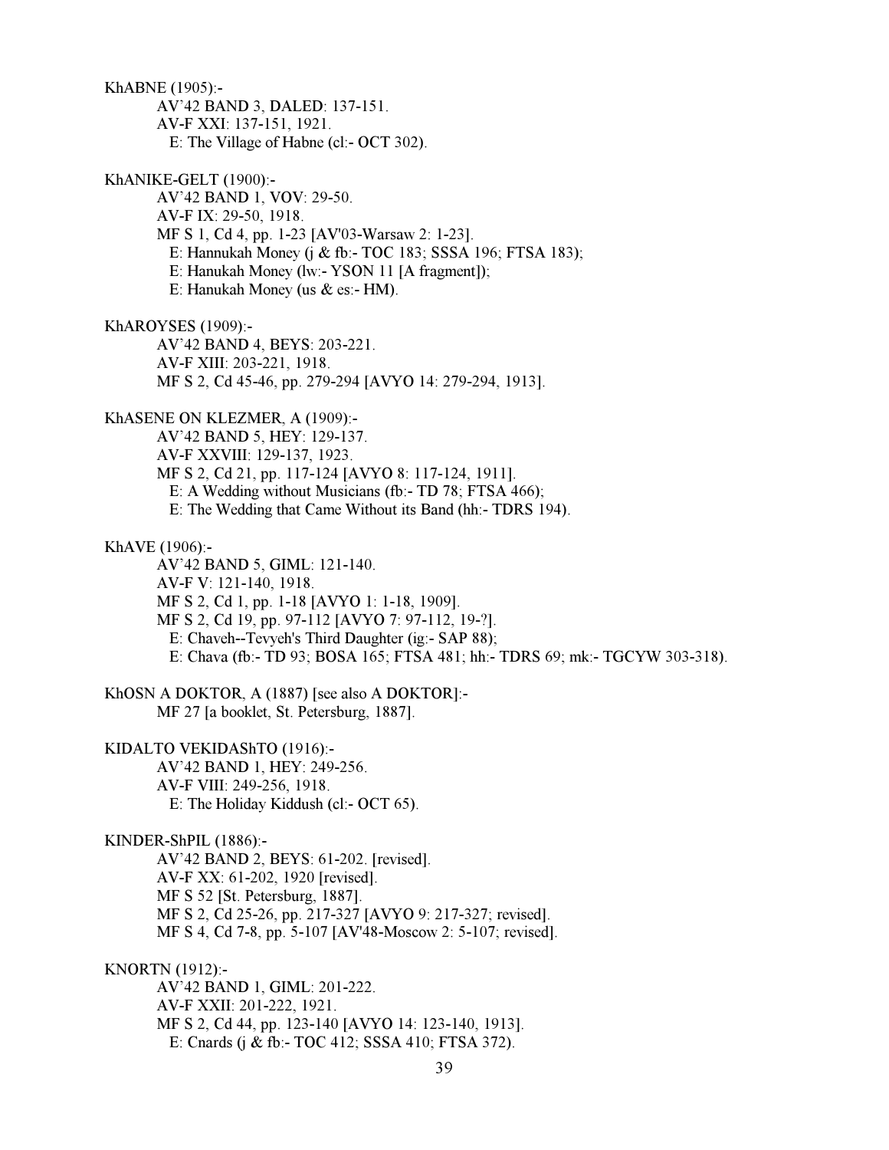39 KhABNE (1905):- AV'42 BAND 3, DALED: 137-151. AV-F XXI: 137-151, 1921. E: The Village of Habne (cl:- OCT 302). KhANIKE-GELT (1900):- AV'42 BAND 1, VOV: 29-50. AV-F IX: 29-50, 1918. MF S 1, Cd 4, pp. 1-23 [AV'03-Warsaw 2: 1-23]. E: Hannukah Money (j & fb:- TOC 183; SSSA 196; FTSA 183); E: Hanukah Money (lw:- YSON 11 [A fragment]); E: Hanukah Money (us & es:- HM). KhAROYSES (1909):- AV'42 BAND 4, BEYS: 203-221. AV-F XIII: 203-221, 1918. MF S 2, Cd 45-46, pp. 279-294 [AVYO 14: 279-294, 1913]. KhASENE ON KLEZMER, A (1909):- AV'42 BAND 5, HEY: 129-137. AV-F XXVIII: 129-137, 1923. MF S 2, Cd 21, pp. 117-124 [AVYO 8: 117-124, 1911]. E: A Wedding without Musicians (fb:- TD 78; FTSA 466); E: The Wedding that Came Without its Band (hh:- TDRS 194). KhAVE (1906):- AV'42 BAND 5, GIML: 121-140. AV-F V: 121-140, 1918. MF S 2, Cd 1, pp. 1-18 [AVYO 1: 1-18, 1909]. MF S 2, Cd 19, pp. 97-112 [AVYO 7: 97-112, 19-?]. E: Chaveh--Tevyeh's Third Daughter (ig:- SAP 88); E: Chava (fb:- TD 93; BOSA 165; FTSA 481; hh:- TDRS 69; mk:- TGCYW 303-318). KhOSN A DOKTOR, A (1887) [see also A DOKTOR]:- MF 27 [a booklet, St. Petersburg, 1887]. KIDALTO VEKIDAShTO (1916):- AV'42 BAND 1, HEY: 249-256. AV-F VIII: 249-256, 1918. E: The Holiday Kiddush (cl:- OCT 65). KINDER-ShPIL (1886):- AV'42 BAND 2, BEYS: 61-202. [revised]. AV-F XX: 61-202, 1920 [revised]. MF S 52 [St. Petersburg, 1887]. MF S 2, Cd 25-26, pp. 217-327 [AVYO 9: 217-327; revised]. MF S 4, Cd 7-8, pp. 5-107 [AV'48-Moscow 2: 5-107; revised]. KNORTN (1912):- AV'42 BAND 1, GIML: 201-222. AV-F XXII: 201-222, 1921. MF S 2, Cd 44, pp. 123-140 [AVYO 14: 123-140, 1913]. E: Cnards (j & fb:- TOC 412; SSSA 410; FTSA 372).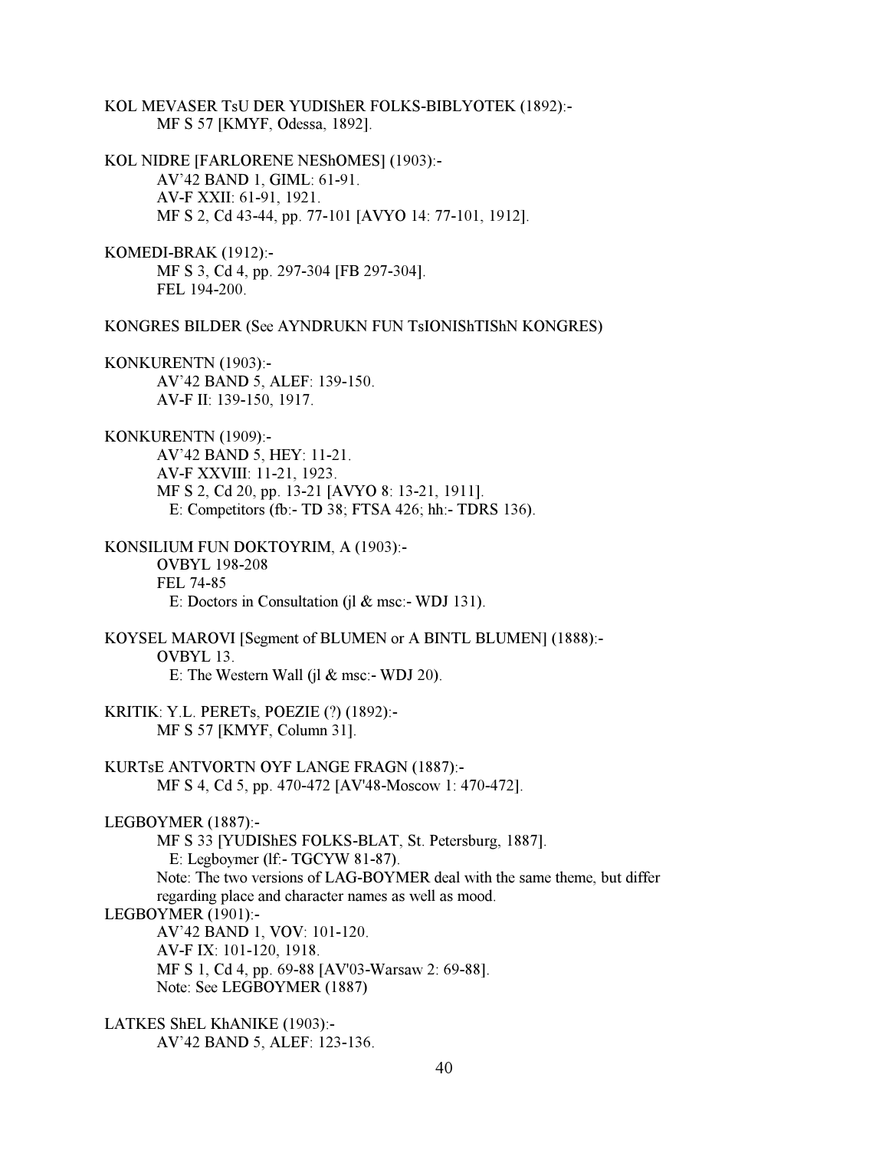KOL MEVASER TsU DER YUDIShER FOLKS-BIBLYOTEK (1892):- MF S 57 [KMYF, Odessa, 1892].

KOL NIDRE [FARLORENE NEShOMES] (1903):- AV'42 BAND 1, GIML: 61-91. AV-F XXII: 61-91, 1921. MF S 2, Cd 43-44, pp. 77-101 [AVYO 14: 77-101, 1912].

KOMEDI-BRAK (1912):- MF S 3, Cd 4, pp. 297-304 [FB 297-304]. FEL 194-200.

KONGRES BILDER (See AYNDRUKN FUN TsIONIShTIShN KONGRES)

KONKURENTN (1903):- AV'42 BAND 5, ALEF: 139-150. AV-F II: 139-150, 1917.

KONKURENTN (1909):- AV'42 BAND 5, HEY: 11-21. AV-F XXVIII: 11-21, 1923. MF S 2, Cd 20, pp. 13-21 [AVYO 8: 13-21, 1911].

E: Competitors (fb:- TD 38; FTSA 426; hh:- TDRS 136).

KONSILIUM FUN DOKTOYRIM, A (1903):- OVBYL 198-208 FEL 74-85 E: Doctors in Consultation (jl & msc:- WDJ 131).

KOYSEL MAROVI [Segment of BLUMEN or A BINTL BLUMEN] (1888):- OVBYL 13. E: The Western Wall (jl  $&$  msc:- WDJ 20).

KRITIK: Y.L. PERETs, POEZIE (?) (1892):- MF S 57 [KMYF, Column 31].

KURTsE ANTVORTN OYF LANGE FRAGN (1887):- MF S 4, Cd 5, pp. 470-472 [AV'48-Moscow 1: 470-472].

LEGBOYMER (1887):-

 MF S 33 [YUDIShES FOLKS-BLAT, St. Petersburg, 1887]. E: Legboymer (lf:- TGCYW 81-87). Note: The two versions of LAG-BOYMER deal with the same theme, but differ regarding place and character names as well as mood. LEGBOYMER (1901):- AV'42 BAND 1, VOV: 101-120. AV-F IX: 101-120, 1918. MF S 1, Cd 4, pp. 69-88 [AV'03-Warsaw 2: 69-88]. Note: See LEGBOYMER (1887)

LATKES ShEL KhANIKE (1903):- AV'42 BAND 5, ALEF: 123-136.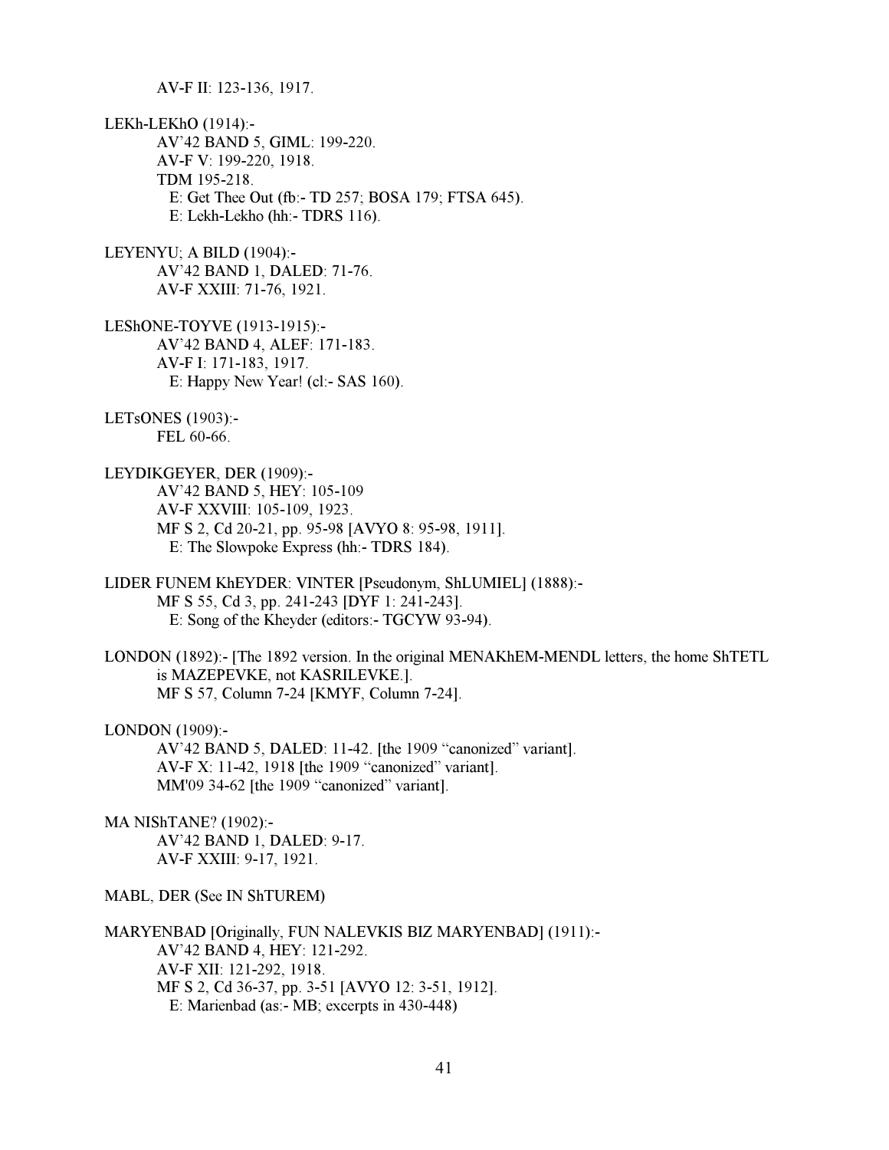AV-F II: 123-136, 1917.

LEKh-LEKhO (1914):- AV'42 BAND 5, GIML: 199-220. AV-F V: 199-220, 1918. TDM 195-218. E: Get Thee Out (fb:- TD 257; BOSA 179; FTSA 645). E: Lekh-Lekho (hh:- TDRS 116).

LEYENYU; A BILD (1904):- AV'42 BAND 1, DALED: 71-76. AV-F XXIII: 71-76, 1921.

LEShONE-TOYVE (1913-1915):- AV'42 BAND 4, ALEF: 171-183. AV-F I: 171-183, 1917. E: Happy New Year! (cl:- SAS 160).

LETsONES (1903):- FEL 60-66.

LEYDIKGEYER, DER (1909):- AV'42 BAND 5, HEY: 105-109 AV-F XXVIII: 105-109, 1923. MF S 2, Cd 20-21, pp. 95-98 [AVYO 8: 95-98, 1911]. E: The Slowpoke Express (hh:- TDRS 184).

LIDER FUNEM KhEYDER: VINTER [Pseudonym, ShLUMIEL] (1888):- MF S 55, Cd 3, pp. 241-243 [DYF 1: 241-243]. E: Song of the Kheyder (editors:- TGCYW 93-94).

LONDON (1892):- [The 1892 version. In the original MENAKhEM-MENDL letters, the home ShTETL is MAZEPEVKE, not KASRILEVKE.]. MF S 57, Column 7-24 [KMYF, Column 7-24].

LONDON (1909):-

 AV'42 BAND 5, DALED: 11-42. [the 1909 "canonized" variant]. AV-F X: 11-42, 1918 [the 1909 "canonized" variant]. MM'09 34-62 [the 1909 "canonized" variant].

MA NIShTANE? (1902):- AV'42 BAND 1, DALED: 9-17. AV-F XXIII: 9-17, 1921.

MABL, DER (See IN ShTUREM)

MARYENBAD [Originally, FUN NALEVKIS BIZ MARYENBAD] (1911):- AV'42 BAND 4, HEY: 121-292. AV-F XII: 121-292, 1918. MF S 2, Cd 36-37, pp. 3-51 [AVYO 12: 3-51, 1912]. E: Marienbad (as:- MB; excerpts in 430-448)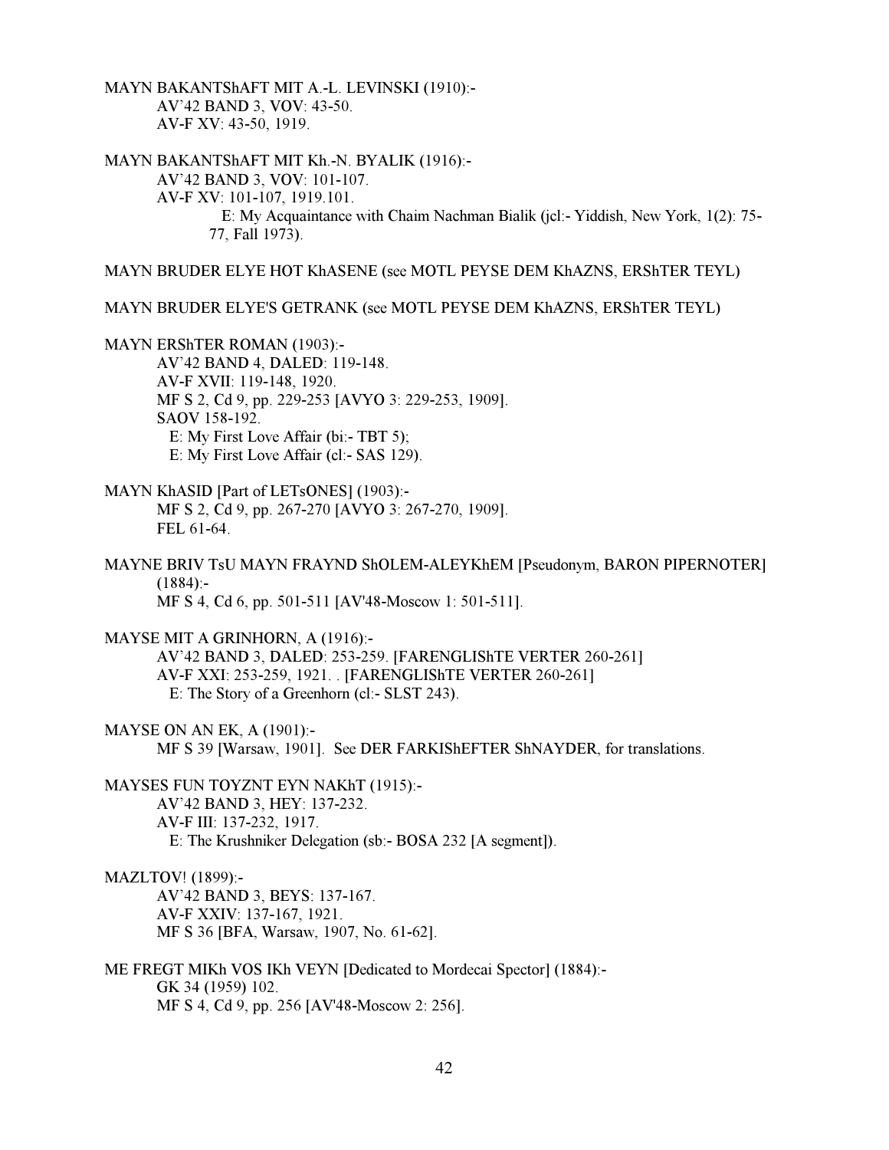MAYN BAKANTShAFT MIT A.-L. LEVINSKI (1910):- AV'42 BAND 3, VOV: 43-50. AV-F XV: 43-50, 1919.

MAYN BAKANTShAFT MIT Kh.-N. BYALIK (1916):- AV'42 BAND 3, VOV: 101-107. AV-F XV: 101-107, 1919.101. E: My Acquaintance with Chaim Nachman Bialik (jcl:- Yiddish, New York, 1(2): 75- 77, Fall 1973).

MAYN BRUDER ELYE HOT KhASENE (see MOTL PEYSE DEM KhAZNS, ERShTER TEYL)

MAYN BRUDER ELYE'S GETRANK (see MOTL PEYSE DEM KhAZNS, ERShTER TEYL)

MAYN ERShTER ROMAN (1903):- AV'42 BAND 4, DALED: 119-148. AV-F XVII: 119-148, 1920. MF S 2, Cd 9, pp. 229-253 [AVYO 3: 229-253, 1909]. SAOV 158-192. E: My First Love Affair (bi:- TBT 5); E: My First Love Affair (cl:- SAS 129).

MAYN KhASID [Part of LETsONES] (1903):- MF S 2, Cd 9, pp. 267-270 [AVYO 3: 267-270, 1909]. FEL 61-64.

MAYNE BRIV TsU MAYN FRAYND ShOLEM-ALEYKhEM [Pseudonym, BARON PIPERNOTER]  $(1884):$ MF S 4, Cd 6, pp. 501-511 [AV'48-Moscow 1: 501-511].

MAYSE MIT A GRINHORN, A (1916):-

 AV'42 BAND 3, DALED: 253-259. [FARENGLIShTE VERTER 260-261] AV-F XXI: 253-259, 1921. . [FARENGLIShTE VERTER 260-261] E: The Story of a Greenhorn (cl:- SLST 243).

MAYSE ON AN EK, A (1901):- MF S 39 [Warsaw, 1901]. See DER FARKIShEFTER ShNAYDER, for translations.

MAYSES FUN TOYZNT EYN NAKhT (1915):- AV'42 BAND 3, HEY: 137-232. AV-F III: 137-232, 1917. E: The Krushniker Delegation (sb:- BOSA 232 [A segment]).

MAZLTOV! (1899):-

 AV'42 BAND 3, BEYS: 137-167. AV-F XXIV: 137-167, 1921. MF S 36 [BFA, Warsaw, 1907, No. 61-62].

ME FREGT MIKh VOS IKh VEYN [Dedicated to Mordecai Spector] (1884):- GK 34 (1959) 102. MF S 4, Cd 9, pp. 256 [AV'48-Moscow 2: 256].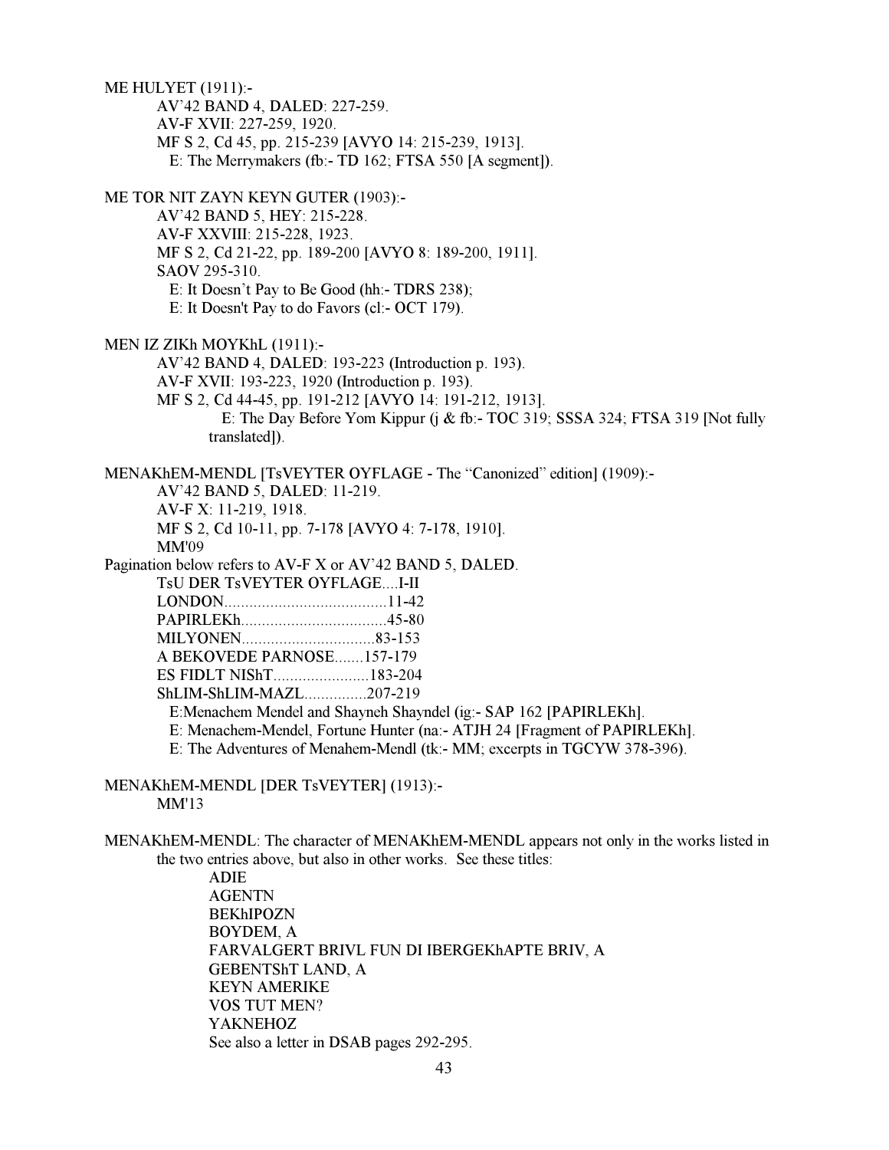ME HULYET (1911):- AV'42 BAND 4, DALED: 227-259. AV-F XVII: 227-259, 1920. MF S 2, Cd 45, pp. 215-239 [AVYO 14: 215-239, 1913]. E: The Merrymakers (fb:- TD 162; FTSA 550 [A segment]). ME TOR NIT ZAYN KEYN GUTER (1903):- AV'42 BAND 5, HEY: 215-228. AV-F XXVIII: 215-228, 1923. MF S 2, Cd 21-22, pp. 189-200 [AVYO 8: 189-200, 1911]. SAOV 295-310. E: It Doesn't Pay to Be Good (hh:- TDRS 238); E: It Doesn't Pay to do Favors (cl:- OCT 179). MEN IZ ZIKh MOYKhL (1911):- AV'42 BAND 4, DALED: 193-223 (Introduction p. 193). AV-F XVII: 193-223, 1920 (Introduction p. 193). MF S 2, Cd 44-45, pp. 191-212 [AVYO 14: 191-212, 1913]. E: The Day Before Yom Kippur (j & fb:- TOC 319; SSSA 324; FTSA 319 [Not fully translated]). MENAKhEM-MENDL [TsVEYTER OYFLAGE - The "Canonized" edition] (1909):- AV'42 BAND 5, DALED: 11-219. AV-F X: 11-219, 1918. MF S 2, Cd 10-11, pp. 7-178 [AVYO 4: 7-178, 1910]. MM'09 Pagination below refers to AV-F X or AV'42 BAND 5, DALED. TsU DER TsVEYTER OYFLAGE....I-II LONDON.......................................11-42 PAPIRLEKh...................................45-80 MILYONEN................................83-153 A BEKOVEDE PARNOSE.......157-179 ES FIDLT NIShT.......................183-204 ShLIM-ShLIM-MAZL...............207-219

E:Menachem Mendel and Shayneh Shayndel (ig:- SAP 162 [PAPIRLEKh].

E: Menachem-Mendel, Fortune Hunter (na:- ATJH 24 [Fragment of PAPIRLEKh].

E: The Adventures of Menahem-Mendl (tk:- MM; excerpts in TGCYW 378-396).

MENAKhEM-MENDL [DER TsVEYTER] (1913):- MM'13

MENAKhEM-MENDL: The character of MENAKhEM-MENDL appears not only in the works listed in the two entries above, but also in other works. See these titles:

> ADIE AGENTN BEKhIPOZN BOYDEM, A FARVALGERT BRIVL FUN DI IBERGEKhAPTE BRIV, A GEBENTShT LAND, A KEYN AMERIKE VOS TUT MEN? YAKNEHOZ See also a letter in DSAB pages 292-295.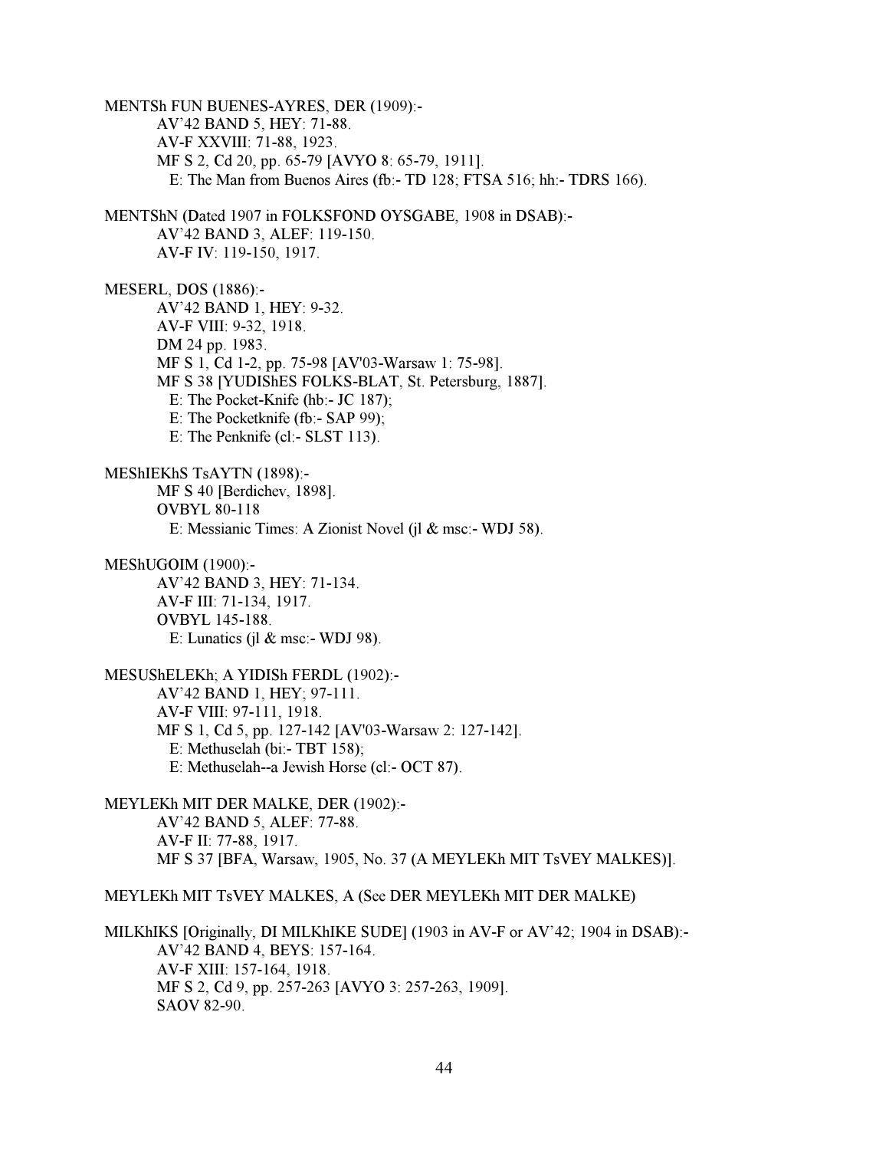MENTSh FUN BUENES-AYRES, DER (1909):- AV'42 BAND 5, HEY: 71-88. AV-F XXVIII: 71-88, 1923. MF S 2, Cd 20, pp. 65-79 [AVYO 8: 65-79, 1911]. E: The Man from Buenos Aires (fb:- TD 128; FTSA 516; hh:- TDRS 166). MENTShN (Dated 1907 in FOLKSFOND OYSGABE, 1908 in DSAB):- AV'42 BAND 3, ALEF: 119-150. AV-F IV: 119-150, 1917. MESERL, DOS (1886):- AV'42 BAND 1, HEY: 9-32. AV-F VIII: 9-32, 1918. DM 24 pp. 1983. MF S 1, Cd 1-2, pp. 75-98 [AV'03-Warsaw 1: 75-98]. MF S 38 [YUDIShES FOLKS-BLAT, St. Petersburg, 1887]. E: The Pocket-Knife (hb:- JC 187); E: The Pocketknife (fb:- SAP 99); E: The Penknife (cl:- SLST 113). MEShIEKhS TsAYTN (1898):- MF S 40 [Berdichev, 1898]. OVBYL 80-118 E: Messianic Times: A Zionist Novel (jl & msc:- WDJ 58). MEShUGOIM (1900):- AV'42 BAND 3, HEY: 71-134. AV-F III: 71-134, 1917. OVBYL 145-188. E: Lunatics (jl  $&$  msc:- WDJ 98). MESUShELEKh; A YIDISh FERDL (1902):- AV'42 BAND 1, HEY; 97-111. AV-F VIII: 97-111, 1918. MF S 1, Cd 5, pp. 127-142 [AV'03-Warsaw 2: 127-142]. E: Methuselah (bi:- TBT 158); E: Methuselah--a Jewish Horse (cl:- OCT 87). MEYLEKh MIT DER MALKE, DER (1902):- AV'42 BAND 5, ALEF: 77-88. AV-F II: 77-88, 1917. MF S 37 [BFA, Warsaw, 1905, No. 37 (A MEYLEKh MIT TsVEY MALKES)]. MEYLEKh MIT TsVEY MALKES, A (See DER MEYLEKh MIT DER MALKE) MILKhIKS [Originally, DI MILKhIKE SUDE] (1903 in AV-F or AV'42; 1904 in DSAB):- AV'42 BAND 4, BEYS: 157-164. AV-F XIII: 157-164, 1918. MF S 2, Cd 9, pp. 257-263 [AVYO 3: 257-263, 1909].

SAOV 82-90.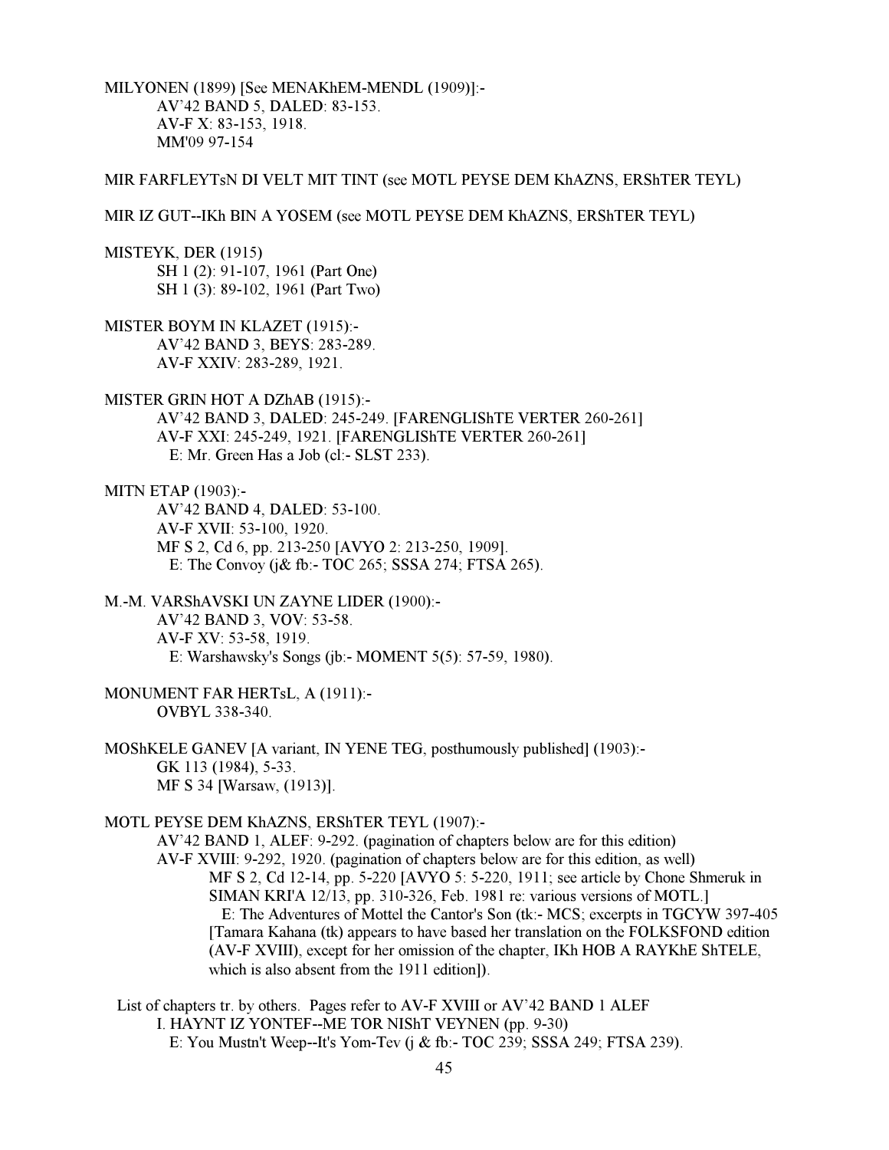MILYONEN (1899) [See MENAKhEM-MENDL (1909)]:- AV'42 BAND 5, DALED: 83-153. AV-F X: 83-153, 1918. MM'09 97-154

# MIR FARFLEYTsN DI VELT MIT TINT (see MOTL PEYSE DEM KhAZNS, ERShTER TEYL)

MIR IZ GUT--IKh BIN A YOSEM (see MOTL PEYSE DEM KhAZNS, ERShTER TEYL)

MISTEYK, DER (1915)

 SH 1 (2): 91-107, 1961 (Part One) SH 1 (3): 89-102, 1961 (Part Two)

MISTER BOYM IN KLAZET (1915):-

 AV'42 BAND 3, BEYS: 283-289. AV-F XXIV: 283-289, 1921.

MISTER GRIN HOT A DZhAB (1915):-

 AV'42 BAND 3, DALED: 245-249. [FARENGLIShTE VERTER 260-261] AV-F XXI: 245-249, 1921. [FARENGLIShTE VERTER 260-261] E: Mr. Green Has a Job (cl:- SLST 233).

MITN ETAP (1903):-

 AV'42 BAND 4, DALED: 53-100. AV-F XVII: 53-100, 1920. MF S 2, Cd 6, pp. 213-250 [AVYO 2: 213-250, 1909]. E: The Convoy (j& fb:- TOC 265; SSSA 274; FTSA 265).

M.-M. VARShAVSKI UN ZAYNE LIDER (1900):- AV'42 BAND 3, VOV: 53-58. AV-F XV: 53-58, 1919. E: Warshawsky's Songs (jb:- MOMENT 5(5): 57-59, 1980).

MONUMENT FAR HERTsL, A (1911):- OVBYL 338-340.

MOShKELE GANEV [A variant, IN YENE TEG, posthumously published] (1903):- GK 113 (1984), 5-33. MF S 34 [Warsaw, (1913)].

MOTL PEYSE DEM KhAZNS, ERShTER TEYL (1907):-

 AV'42 BAND 1, ALEF: 9-292. (pagination of chapters below are for this edition) AV-F XVIII: 9-292, 1920. (pagination of chapters below are for this edition, as well) MF S 2, Cd 12-14, pp. 5-220 [AVYO 5: 5-220, 1911; see article by Chone Shmeruk in SIMAN KRI'A 12/13, pp. 310-326, Feb. 1981 re: various versions of MOTL.] E: The Adventures of Mottel the Cantor's Son (tk:- MCS; excerpts in TGCYW 397-405 [Tamara Kahana (tk) appears to have based her translation on the FOLKSFOND edition (AV-F XVIII), except for her omission of the chapter, IKh HOB A RAYKhE ShTELE, which is also absent from the 1911 edition]).

 List of chapters tr. by others. Pages refer to AV-F XVIII or AV'42 BAND 1 ALEF I. HAYNT IZ YONTEF--ME TOR NIShT VEYNEN (pp. 9-30) E: You Mustn't Weep--It's Yom-Tev (j & fb:- TOC 239; SSSA 249; FTSA 239).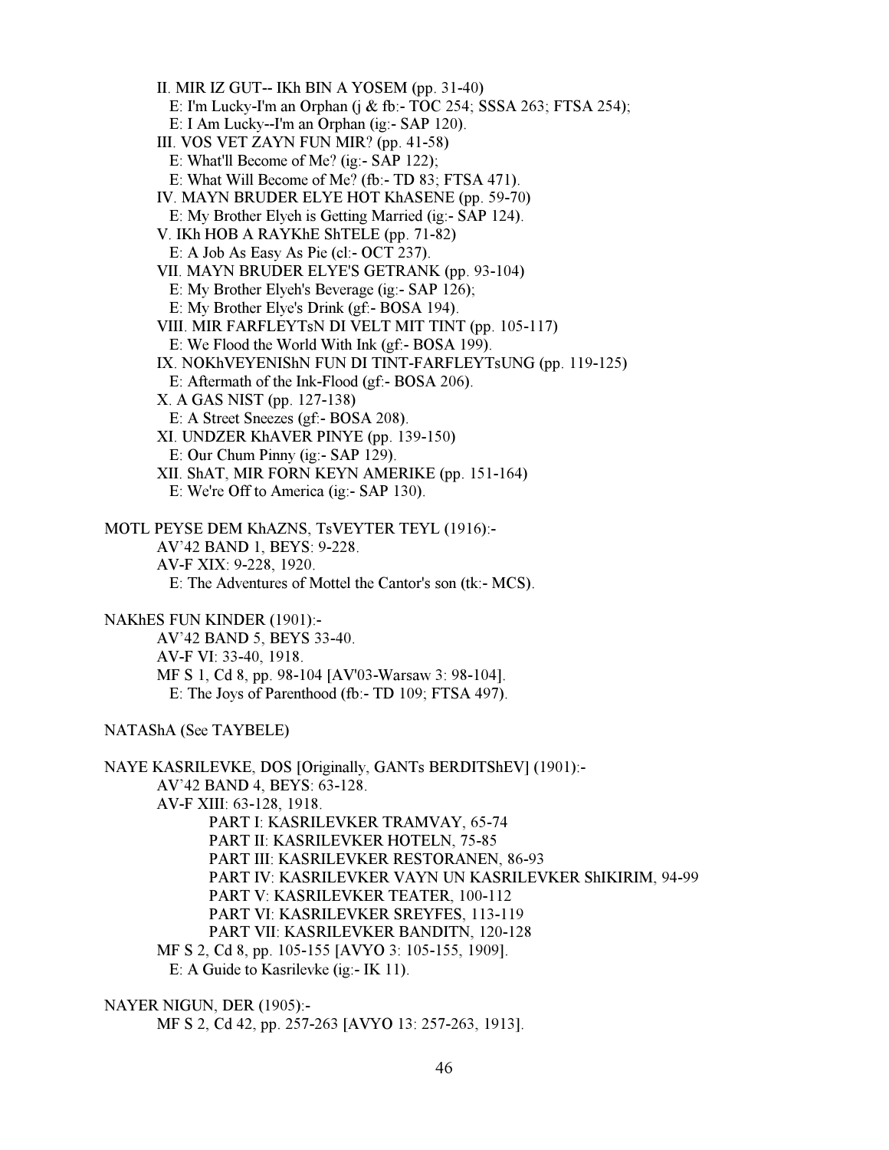II. MIR IZ GUT-- IKh BIN A YOSEM (pp. 31-40) E: I'm Lucky-I'm an Orphan (j & fb:- TOC 254; SSSA 263; FTSA 254); E: I Am Lucky--I'm an Orphan (ig:- SAP 120). III. VOS VET ZAYN FUN MIR? (pp. 41-58) E: What'll Become of Me? (ig:- SAP 122); E: What Will Become of Me? (fb:- TD 83; FTSA 471). IV. MAYN BRUDER ELYE HOT KhASENE (pp. 59-70) E: My Brother Elyeh is Getting Married (ig:- SAP 124). V. IKh HOB A RAYKhE ShTELE (pp. 71-82) E: A Job As Easy As Pie (cl:- OCT 237). VII. MAYN BRUDER ELYE'S GETRANK (pp. 93-104) E: My Brother Elyeh's Beverage (ig:- SAP 126); E: My Brother Elye's Drink (gf:- BOSA 194). VIII. MIR FARFLEYTsN DI VELT MIT TINT (pp. 105-117) E: We Flood the World With Ink (gf:- BOSA 199). IX. NOKhVEYENIShN FUN DI TINT-FARFLEYTsUNG (pp. 119-125) E: Aftermath of the Ink-Flood (gf:- BOSA 206). X. A GAS NIST (pp. 127-138) E: A Street Sneezes (gf:- BOSA 208). XI. UNDZER KhAVER PINYE (pp. 139-150) E: Our Chum Pinny (ig:- SAP 129). XII. ShAT, MIR FORN KEYN AMERIKE (pp. 151-164) E: We're Off to America (ig:- SAP 130). MOTL PEYSE DEM KhAZNS, TsVEYTER TEYL (1916):- AV'42 BAND 1, BEYS: 9-228.

 AV-F XIX: 9-228, 1920. E: The Adventures of Mottel the Cantor's son (tk:- MCS).

NAKhES FUN KINDER (1901):-

 AV'42 BAND 5, BEYS 33-40. AV-F VI: 33-40, 1918. MF S 1, Cd 8, pp. 98-104 [AV'03-Warsaw 3: 98-104]. E: The Joys of Parenthood (fb:- TD 109; FTSA 497).

NATAShA (See TAYBELE)

NAYE KASRILEVKE, DOS [Originally, GANTs BERDITShEV] (1901):- AV'42 BAND 4, BEYS: 63-128. AV-F XIII: 63-128, 1918. PART I: KASRILEVKER TRAMVAY, 65-74 PART II: KASRILEVKER HOTELN, 75-85 PART III: KASRILEVKER RESTORANEN, 86-93 PART IV: KASRILEVKER VAYN UN KASRILEVKER ShIKIRIM, 94-99 PART V: KASRILEVKER TEATER, 100-112 PART VI: KASRILEVKER SREYFES, 113-119 PART VII: KASRILEVKER BANDITN, 120-128 MF S 2, Cd 8, pp. 105-155 [AVYO 3: 105-155, 1909]. E: A Guide to Kasrilevke (ig:- IK 11).

NAYER NIGUN, DER (1905):-

MF S 2, Cd 42, pp. 257-263 [AVYO 13: 257-263, 1913].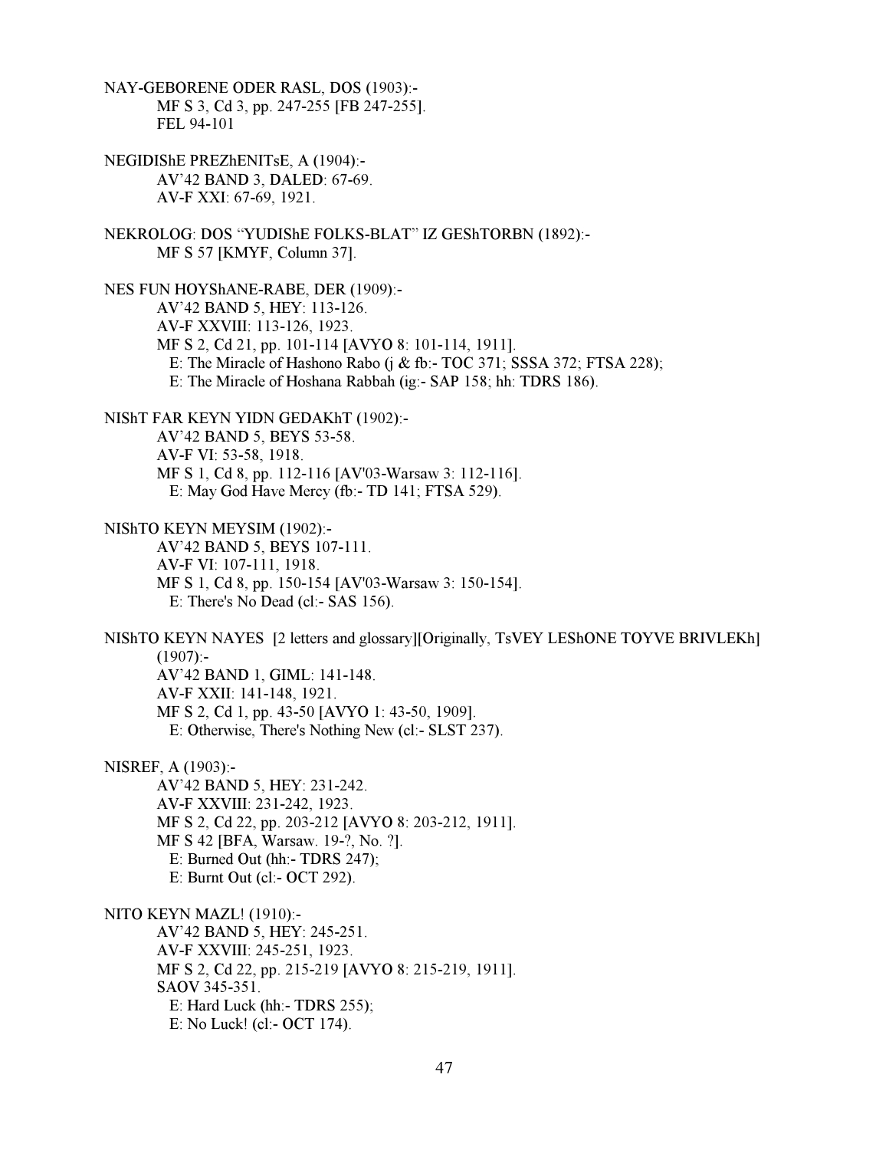NAY-GEBORENE ODER RASL, DOS (1903):- MF S 3, Cd 3, pp. 247-255 [FB 247-255]. FEL 94-101 NEGIDIShE PREZhENITsE, A (1904):- AV'42 BAND 3, DALED: 67-69. AV-F XXI: 67-69, 1921. NEKROLOG: DOS "YUDIShE FOLKS-BLAT" IZ GEShTORBN (1892):- MF S 57 [KMYF, Column 37]. NES FUN HOYShANE-RABE, DER (1909):- AV'42 BAND 5, HEY: 113-126. AV-F XXVIII: 113-126, 1923. MF S 2, Cd 21, pp. 101-114 [AVYO 8: 101-114, 1911]. E: The Miracle of Hashono Rabo (j & fb:- TOC 371; SSSA 372; FTSA 228); E: The Miracle of Hoshana Rabbah (ig:- SAP 158; hh: TDRS 186). NIShT FAR KEYN YIDN GEDAKhT (1902):- AV'42 BAND 5, BEYS 53-58. AV-F VI: 53-58, 1918. MF S 1, Cd 8, pp. 112-116 [AV'03-Warsaw 3: 112-116]. E: May God Have Mercy (fb:- TD 141; FTSA 529). NIShTO KEYN MEYSIM (1902):- AV'42 BAND 5, BEYS 107-111. AV-F VI: 107-111, 1918. MF S 1, Cd 8, pp. 150-154 [AV'03-Warsaw 3: 150-154]. E: There's No Dead (cl:- SAS 156). NIShTO KEYN NAYES [2 letters and glossary][Originally, TsVEY LEShONE TOYVE BRIVLEKh]  $(1907)$ :- AV'42 BAND 1, GIML: 141-148. AV-F XXII: 141-148, 1921. MF S 2, Cd 1, pp. 43-50 [AVYO 1: 43-50, 1909]. E: Otherwise, There's Nothing New (cl:- SLST 237). NISREF, A (1903):- AV'42 BAND 5, HEY: 231-242. AV-F XXVIII: 231-242, 1923. MF S 2, Cd 22, pp. 203-212 [AVYO 8: 203-212, 1911]. MF S 42 [BFA, Warsaw. 19-?, No. ?]. E: Burned Out (hh:- TDRS 247); E: Burnt Out (cl:- OCT 292). NITO KEYN MAZL! (1910):- AV'42 BAND 5, HEY: 245-251. AV-F XXVIII: 245-251, 1923. MF S 2, Cd 22, pp. 215-219 [AVYO 8: 215-219, 1911]. SAOV 345-351. E: Hard Luck (hh:- TDRS 255); E: No Luck! (cl:- OCT 174).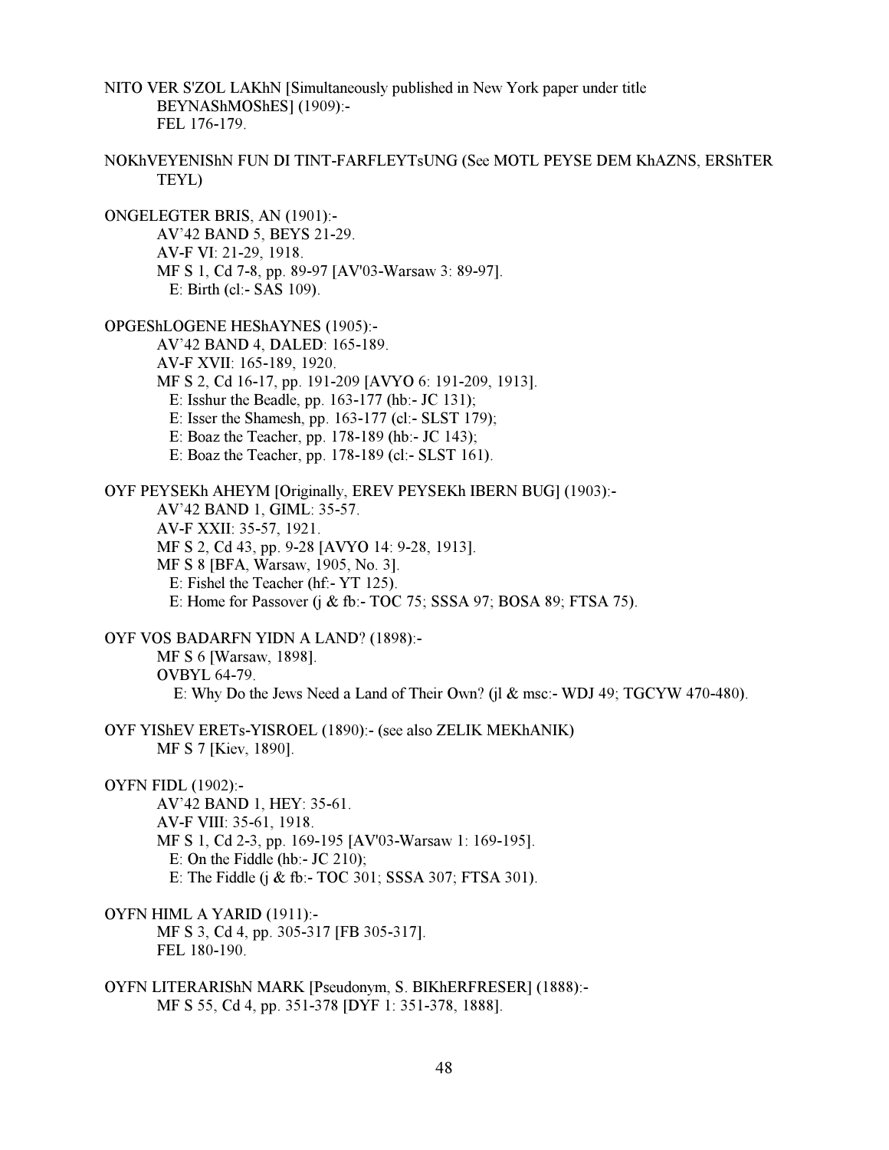NITO VER S'ZOL LAKhN [Simultaneously published in New York paper under title BEYNAShMOShES] (1909):- FEL 176-179.

NOKhVEYENIShN FUN DI TINT-FARFLEYTsUNG (See MOTL PEYSE DEM KhAZNS, ERShTER TEYL)

ONGELEGTER BRIS, AN (1901):- AV'42 BAND 5, BEYS 21-29. AV-F VI: 21-29, 1918. MF S 1, Cd 7-8, pp. 89-97 [AV'03-Warsaw 3: 89-97]. E: Birth (cl:- SAS 109).

OPGEShLOGENE HEShAYNES (1905):- AV'42 BAND 4, DALED: 165-189. AV-F XVII: 165-189, 1920. MF S 2, Cd 16-17, pp. 191-209 [AVYO 6: 191-209, 1913]. E: Isshur the Beadle, pp. 163-177 (hb:- JC 131); E: Isser the Shamesh, pp. 163-177 (cl:- SLST 179); E: Boaz the Teacher, pp. 178-189 (hb:- JC 143); E: Boaz the Teacher, pp. 178-189 (cl:- SLST 161).

OYF PEYSEKh AHEYM [Originally, EREV PEYSEKh IBERN BUG] (1903):- AV'42 BAND 1, GIML: 35-57. AV-F XXII: 35-57, 1921. MF S 2, Cd 43, pp. 9-28 [AVYO 14: 9-28, 1913]. MF S 8 [BFA, Warsaw, 1905, No. 3]. E: Fishel the Teacher (hf:- YT 125). E: Home for Passover (j & fb:- TOC 75; SSSA 97; BOSA 89; FTSA 75).

OYF VOS BADARFN YIDN A LAND? (1898):- MF S 6 [Warsaw, 1898]. OVBYL 64-79. E: Why Do the Jews Need a Land of Their Own? (jl & msc:- WDJ 49; TGCYW 470-480).

OYF YIShEV ERETs-YISROEL (1890):- (see also ZELIK MEKhANIK) MF S 7 [Kiev, 1890].

OYFN FIDL (1902):-

 AV'42 BAND 1, HEY: 35-61. AV-F VIII: 35-61, 1918. MF S 1, Cd 2-3, pp. 169-195 [AV'03-Warsaw 1: 169-195]. E: On the Fiddle (hb:- JC 210); E: The Fiddle (j & fb:- TOC 301; SSSA 307; FTSA 301).

OYFN HIML A YARID (1911):-

 MF S 3, Cd 4, pp. 305-317 [FB 305-317]. FEL 180-190.

OYFN LITERARIShN MARK [Pseudonym, S. BIKhERFRESER] (1888):- MF S 55, Cd 4, pp. 351-378 [DYF 1: 351-378, 1888].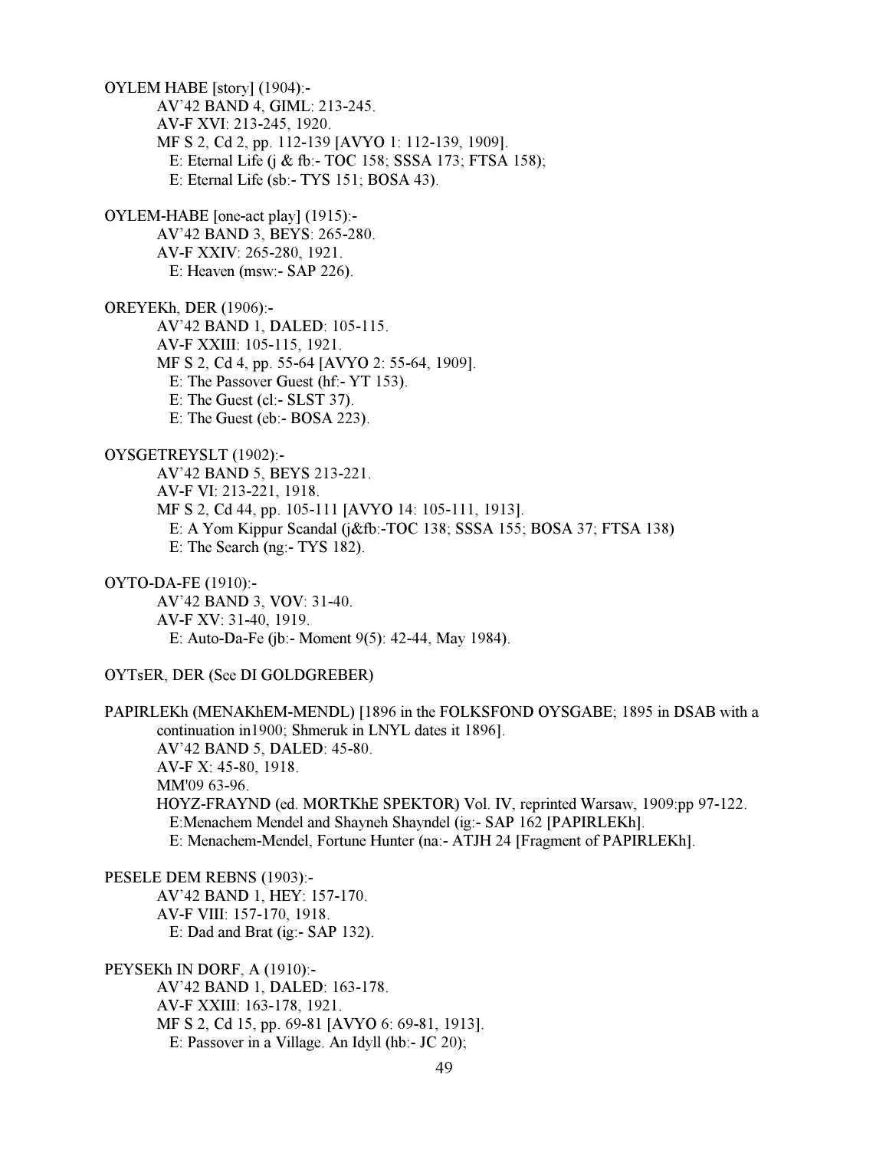OYLEM HABE [story] (1904):- AV'42 BAND 4, GIML: 213-245. AV-F XVI: 213-245, 1920. MF S 2, Cd 2, pp. 112-139 [AVYO 1: 112-139, 1909]. E: Eternal Life (j & fb:- TOC 158; SSSA 173; FTSA 158); E: Eternal Life (sb:- TYS 151; BOSA 43). OYLEM-HABE [one-act play] (1915):- AV'42 BAND 3, BEYS: 265-280. AV-F XXIV: 265-280, 1921. E: Heaven (msw:- SAP 226). OREYEKh, DER (1906):- AV'42 BAND 1, DALED: 105-115. AV-F XXIII: 105-115, 1921. MF S 2, Cd 4, pp. 55-64 [AVYO 2: 55-64, 1909]. E: The Passover Guest (hf:- YT 153). E: The Guest (cl:- SLST 37). E: The Guest (eb:- BOSA 223). OYSGETREYSLT (1902):- AV'42 BAND 5, BEYS 213-221. AV-F VI: 213-221, 1918. MF S 2, Cd 44, pp. 105-111 [AVYO 14: 105-111, 1913]. E: A Yom Kippur Scandal (j&fb:-TOC 138; SSSA 155; BOSA 37; FTSA 138) E: The Search (ng:- TYS 182). OYTO-DA-FE (1910):- AV'42 BAND 3, VOV: 31-40. AV-F XV: 31-40, 1919. E: Auto-Da-Fe (jb:- Moment 9(5): 42-44, May 1984). OYTsER, DER (See DI GOLDGREBER) PAPIRLEKh (MENAKhEM-MENDL) [1896 in the FOLKSFOND OYSGABE; 1895 in DSAB with a continuation in1900; Shmeruk in LNYL dates it 1896]. AV'42 BAND 5, DALED: 45-80. AV-F X: 45-80, 1918. MM'09 63-96. HOYZ-FRAYND (ed. MORTKhE SPEKTOR) Vol. IV, reprinted Warsaw, 1909:pp 97-122. E:Menachem Mendel and Shayneh Shayndel (ig:- SAP 162 [PAPIRLEKh]. E: Menachem-Mendel, Fortune Hunter (na:- ATJH 24 [Fragment of PAPIRLEKh]. PESELE DEM REBNS (1903):- AV'42 BAND 1, HEY: 157-170. AV-F VIII: 157-170, 1918. E: Dad and Brat (ig:- SAP 132). PEYSEKh IN DORF, A (1910):-

 AV'42 BAND 1, DALED: 163-178. AV-F XXIII: 163-178, 1921. MF S 2, Cd 15, pp. 69-81 [AVYO 6: 69-81, 1913]. E: Passover in a Village. An Idyll (hb:- JC 20);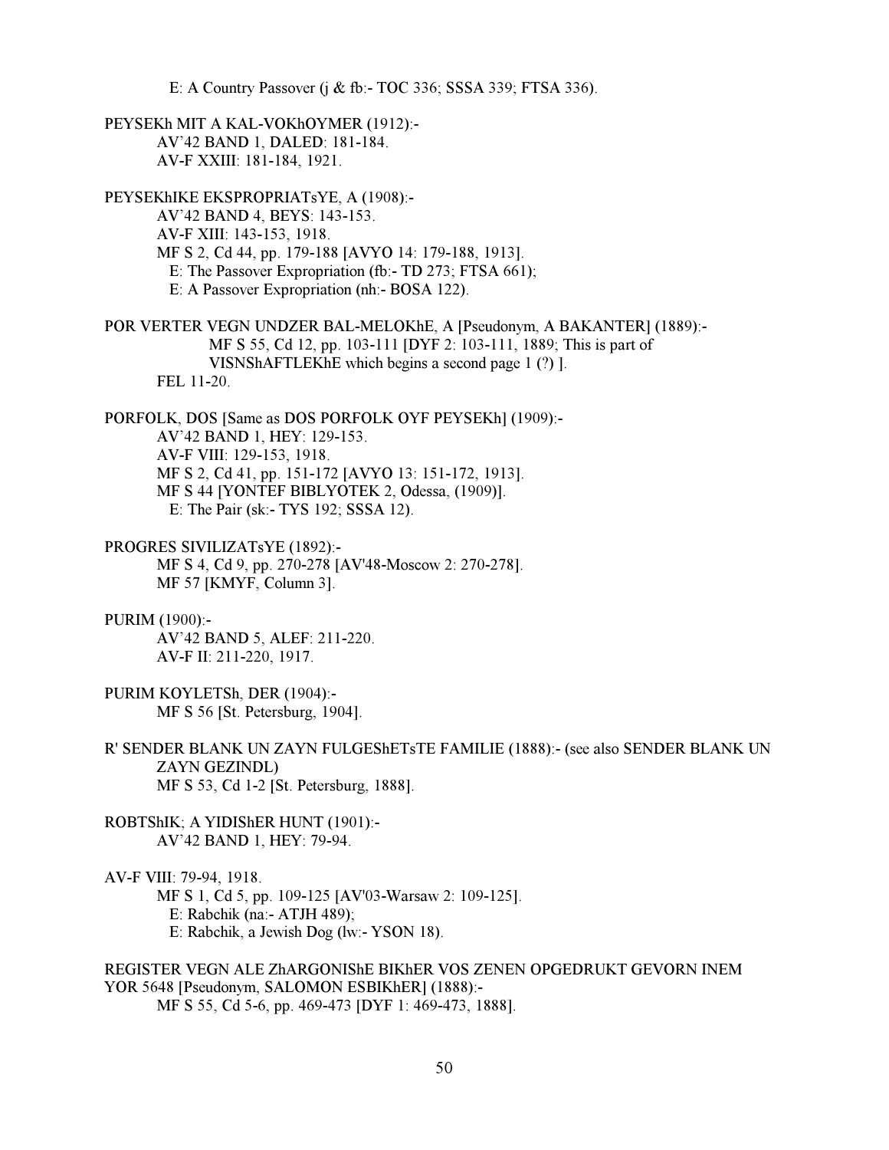E: A Country Passover (j & fb:- TOC 336; SSSA 339; FTSA 336).

PEYSEKh MIT A KAL-VOKhOYMER (1912):- AV'42 BAND 1, DALED: 181-184. AV-F XXIII: 181-184, 1921.

PEYSEKhIKE EKSPROPRIATsYE, A (1908):- AV'42 BAND 4, BEYS: 143-153. AV-F XIII: 143-153, 1918. MF S 2, Cd 44, pp. 179-188 [AVYO 14: 179-188, 1913]. E: The Passover Expropriation (fb:- TD 273; FTSA 661); E: A Passover Expropriation (nh:- BOSA 122).

POR VERTER VEGN UNDZER BAL-MELOKhE, A [Pseudonym, A BAKANTER] (1889):- MF S 55, Cd 12, pp. 103-111 [DYF 2: 103-111, 1889; This is part of VISNShAFTLEKhE which begins a second page 1 (?) ]. FEL 11-20.

PORFOLK, DOS [Same as DOS PORFOLK OYF PEYSEKh] (1909):- AV'42 BAND 1, HEY: 129-153. AV-F VIII: 129-153, 1918. MF S 2, Cd 41, pp. 151-172 [AVYO 13: 151-172, 1913]. MF S 44 [YONTEF BIBLYOTEK 2, Odessa, (1909)]. E: The Pair (sk:- TYS 192; SSSA 12).

PROGRES SIVILIZATsYE (1892):- MF S 4, Cd 9, pp. 270-278 [AV'48-Moscow 2: 270-278]. MF 57 [KMYF, Column 3].

PURIM (1900):-

 AV'42 BAND 5, ALEF: 211-220. AV-F II: 211-220, 1917.

PURIM KOYLETSh, DER (1904):- MF S 56 [St. Petersburg, 1904].

R' SENDER BLANK UN ZAYN FULGEShETsTE FAMILIE (1888):- (see also SENDER BLANK UN ZAYN GEZINDL) MF S 53, Cd 1-2 [St. Petersburg, 1888].

ROBTShIK; A YIDIShER HUNT (1901):- AV'42 BAND 1, HEY: 79-94.

AV-F VIII: 79-94, 1918.

MF S 1, Cd 5, pp. 109-125 [AV'03-Warsaw 2: 109-125].

E: Rabchik (na:- ATJH 489);

E: Rabchik, a Jewish Dog (lw:- YSON 18).

# REGISTER VEGN ALE ZhARGONIShE BIKhER VOS ZENEN OPGEDRUKT GEVORN INEM YOR 5648 [Pseudonym, SALOMON ESBIKhER] (1888):-

MF S 55, Cd 5-6, pp. 469-473 [DYF 1: 469-473, 1888].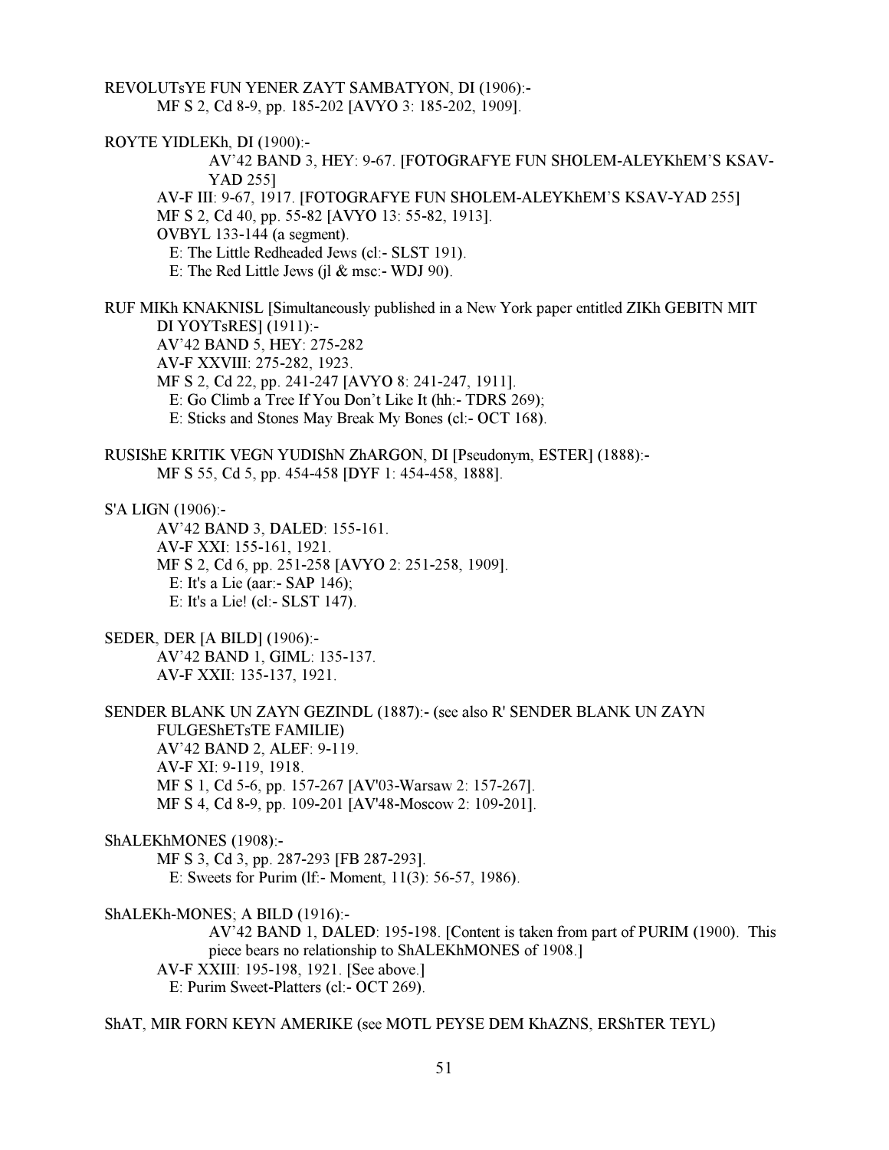REVOLUTsYE FUN YENER ZAYT SAMBATYON, DI (1906):- MF S 2, Cd 8-9, pp. 185-202 [AVYO 3: 185-202, 1909].

ROYTE YIDLEKh, DI (1900):-

 AV'42 BAND 3, HEY: 9-67. [FOTOGRAFYE FUN SHOLEM-ALEYKhEM'S KSAV-YAD 255]

 AV-F III: 9-67, 1917. [FOTOGRAFYE FUN SHOLEM-ALEYKhEM'S KSAV-YAD 255] MF S 2, Cd 40, pp. 55-82 [AVYO 13: 55-82, 1913].

OVBYL 133-144 (a segment).

E: The Little Redheaded Jews (cl:- SLST 191).

E: The Red Little Jews (jl  $\&$  msc:- WDJ 90).

RUF MIKh KNAKNISL [Simultaneously published in a New York paper entitled ZIKh GEBITN MIT DI YOYTsRES] (1911):- AV'42 BAND 5, HEY: 275-282

AV-F XXVIII: 275-282, 1923.

MF S 2, Cd 22, pp. 241-247 [AVYO 8: 241-247, 1911].

E: Go Climb a Tree If You Don't Like It (hh:- TDRS 269);

E: Sticks and Stones May Break My Bones (cl:- OCT 168).

RUSIShE KRITIK VEGN YUDIShN ZhARGON, DI [Pseudonym, ESTER] (1888):- MF S 55, Cd 5, pp. 454-458 [DYF 1: 454-458, 1888].

S'A LIGN (1906):-

 AV'42 BAND 3, DALED: 155-161. AV-F XXI: 155-161, 1921. MF S 2, Cd 6, pp. 251-258 [AVYO 2: 251-258, 1909]. E: It's a Lie (aar:- SAP 146); E: It's a Lie! (cl:- SLST 147).

SEDER, DER [A BILD] (1906):-

 AV'42 BAND 1, GIML: 135-137. AV-F XXII: 135-137, 1921.

SENDER BLANK UN ZAYN GEZINDL (1887):- (see also R' SENDER BLANK UN ZAYN FULGEShETsTE FAMILIE) AV'42 BAND 2, ALEF: 9-119. AV-F XI: 9-119, 1918. MF S 1, Cd 5-6, pp. 157-267 [AV'03-Warsaw 2: 157-267]. MF S 4, Cd 8-9, pp. 109-201 [AV'48-Moscow 2: 109-201].

ShALEKhMONES (1908):-

 MF S 3, Cd 3, pp. 287-293 [FB 287-293]. E: Sweets for Purim (lf:- Moment, 11(3): 56-57, 1986).

ShALEKh-MONES; A BILD (1916):-

 AV'42 BAND 1, DALED: 195-198. [Content is taken from part of PURIM (1900). This piece bears no relationship to ShALEKhMONES of 1908.] AV-F XXIII: 195-198, 1921. [See above.] E: Purim Sweet-Platters (cl:- OCT 269).

ShAT, MIR FORN KEYN AMERIKE (see MOTL PEYSE DEM KhAZNS, ERShTER TEYL)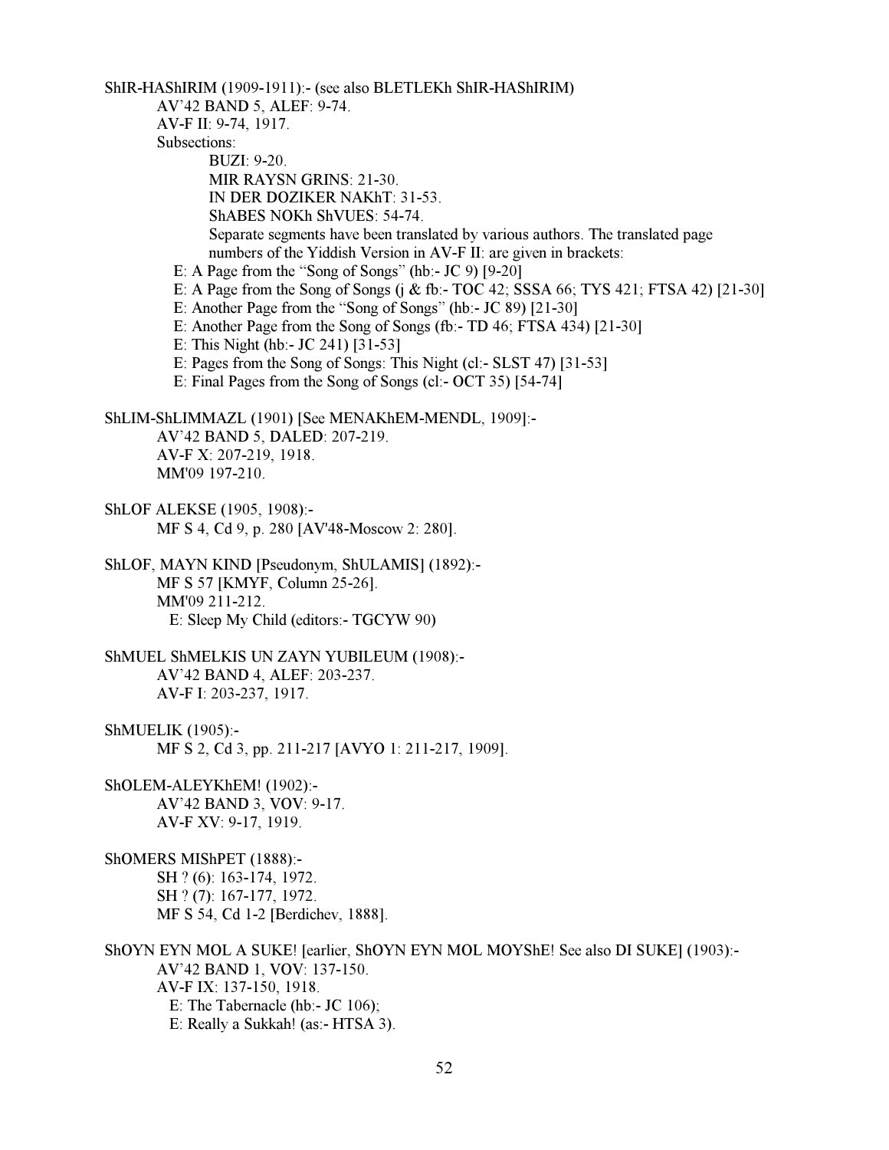ShIR-HAShIRIM (1909-1911):- (see also BLETLEKh ShIR-HAShIRIM)

AV'42 BAND 5, ALEF: 9-74.

AV-F II: 9-74, 1917.

Subsections:

 BUZI: 9-20. MIR RAYSN GRINS: 21-30.

IN DER DOZIKER NAKhT: 31-53.

ShABES NOKh ShVUES: 54-74.

 Separate segments have been translated by various authors. The translated page numbers of the Yiddish Version in AV-F II: are given in brackets:

E: A Page from the "Song of Songs" (hb:- JC 9)  $[9-20]$ 

E: A Page from the Song of Songs (j & fb:- TOC 42; SSSA 66; TYS 421; FTSA 42) [21-30]

- E: Another Page from the "Song of Songs" (hb:- JC 89) [21-30]
- E: Another Page from the Song of Songs (fb:- TD 46; FTSA 434) [21-30]
- E: This Night (hb:- JC 241) [31-53]
- E: Pages from the Song of Songs: This Night (cl:- SLST 47) [31-53]
- E: Final Pages from the Song of Songs (cl:- OCT 35) [54-74]

ShLIM-ShLIMMAZL (1901) [See MENAKhEM-MENDL, 1909]:- AV'42 BAND 5, DALED: 207-219. AV-F X: 207-219, 1918. MM'09 197-210.

- ShLOF ALEKSE (1905, 1908):- MF S 4, Cd 9, p. 280 [AV'48-Moscow 2: 280].
- ShLOF, MAYN KIND [Pseudonym, ShULAMIS] (1892):- MF S 57 [KMYF, Column 25-26]. MM'09 211-212. E: Sleep My Child (editors:- TGCYW 90)
- ShMUEL ShMELKIS UN ZAYN YUBILEUM (1908):- AV'42 BAND 4, ALEF: 203-237. AV-F I: 203-237, 1917.
- ShMUELIK (1905):- MF S 2, Cd 3, pp. 211-217 [AVYO 1: 211-217, 1909].
- ShOLEM-ALEYKhEM! (1902):- AV'42 BAND 3, VOV: 9-17. AV-F XV: 9-17, 1919.

ShOMERS MIShPET (1888):- SH ? (6): 163-174, 1972. SH ? (7): 167-177, 1972. MF S 54, Cd 1-2 [Berdichev, 1888].

ShOYN EYN MOL A SUKE! [earlier, ShOYN EYN MOL MOYShE! See also DI SUKE] (1903):- AV'42 BAND 1, VOV: 137-150. AV-F IX: 137-150, 1918. E: The Tabernacle (hb:- JC 106); E: Really a Sukkah! (as:- HTSA 3).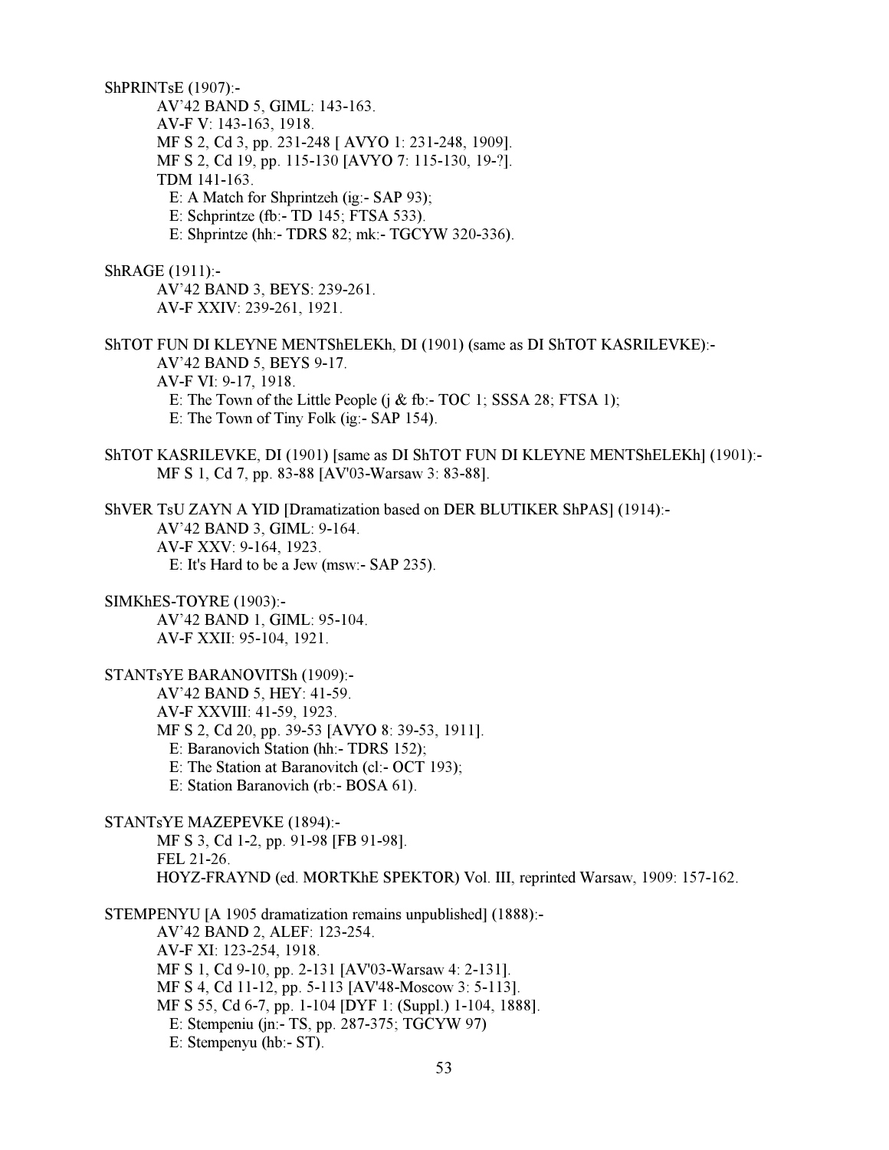ShPRINTsE (1907):- AV'42 BAND 5, GIML: 143-163. AV-F V: 143-163, 1918. MF S 2, Cd 3, pp. 231-248 [ AVYO 1: 231-248, 1909]. MF S 2, Cd 19, pp. 115-130 [AVYO 7: 115-130, 19-?]. TDM 141-163. E: A Match for Shprintzeh (ig:- SAP 93); E: Schprintze (fb:- TD 145; FTSA 533). E: Shprintze (hh:- TDRS 82; mk:- TGCYW 320-336). ShRAGE (1911):- AV'42 BAND 3, BEYS: 239-261. AV-F XXIV: 239-261, 1921. ShTOT FUN DI KLEYNE MENTShELEKh, DI (1901) (same as DI ShTOT KASRILEVKE):- AV'42 BAND 5, BEYS 9-17. AV-F VI: 9-17, 1918. E: The Town of the Little People (j & fb:- TOC 1; SSSA 28; FTSA 1); E: The Town of Tiny Folk (ig:- SAP 154). ShTOT KASRILEVKE, DI (1901) [same as DI ShTOT FUN DI KLEYNE MENTShELEKh] (1901):- MF S 1, Cd 7, pp. 83-88 [AV'03-Warsaw 3: 83-88]. ShVER TsU ZAYN A YID [Dramatization based on DER BLUTIKER ShPAS] (1914):- AV'42 BAND 3, GIML: 9-164. AV-F XXV: 9-164, 1923. E: It's Hard to be a Jew (msw:- SAP 235). SIMKhES-TOYRE (1903):- AV'42 BAND 1, GIML: 95-104. AV-F XXII: 95-104, 1921. STANTsYE BARANOVITSh (1909):- AV'42 BAND 5, HEY: 41-59. AV-F XXVIII: 41-59, 1923. MF S 2, Cd 20, pp. 39-53 [AVYO 8: 39-53, 1911]. E: Baranovich Station (hh:- TDRS 152); E: The Station at Baranovitch (cl:- OCT 193); E: Station Baranovich (rb:- BOSA 61). STANTsYE MAZEPEVKE (1894):- MF S 3, Cd 1-2, pp. 91-98 [FB 91-98]. FEL 21-26. HOYZ-FRAYND (ed. MORTKhE SPEKTOR) Vol. III, reprinted Warsaw, 1909: 157-162. STEMPENYU [A 1905 dramatization remains unpublished] (1888):- AV'42 BAND 2, ALEF: 123-254. AV-F XI: 123-254, 1918. MF S 1, Cd 9-10, pp. 2-131 [AV'03-Warsaw 4: 2-131]. MF S 4, Cd 11-12, pp. 5-113 [AV'48-Moscow 3: 5-113]. MF S 55, Cd 6-7, pp. 1-104 [DYF 1: (Suppl.) 1-104, 1888]. E: Stempeniu (jn:- TS, pp. 287-375; TGCYW 97)

E: Stempenyu (hb:- ST).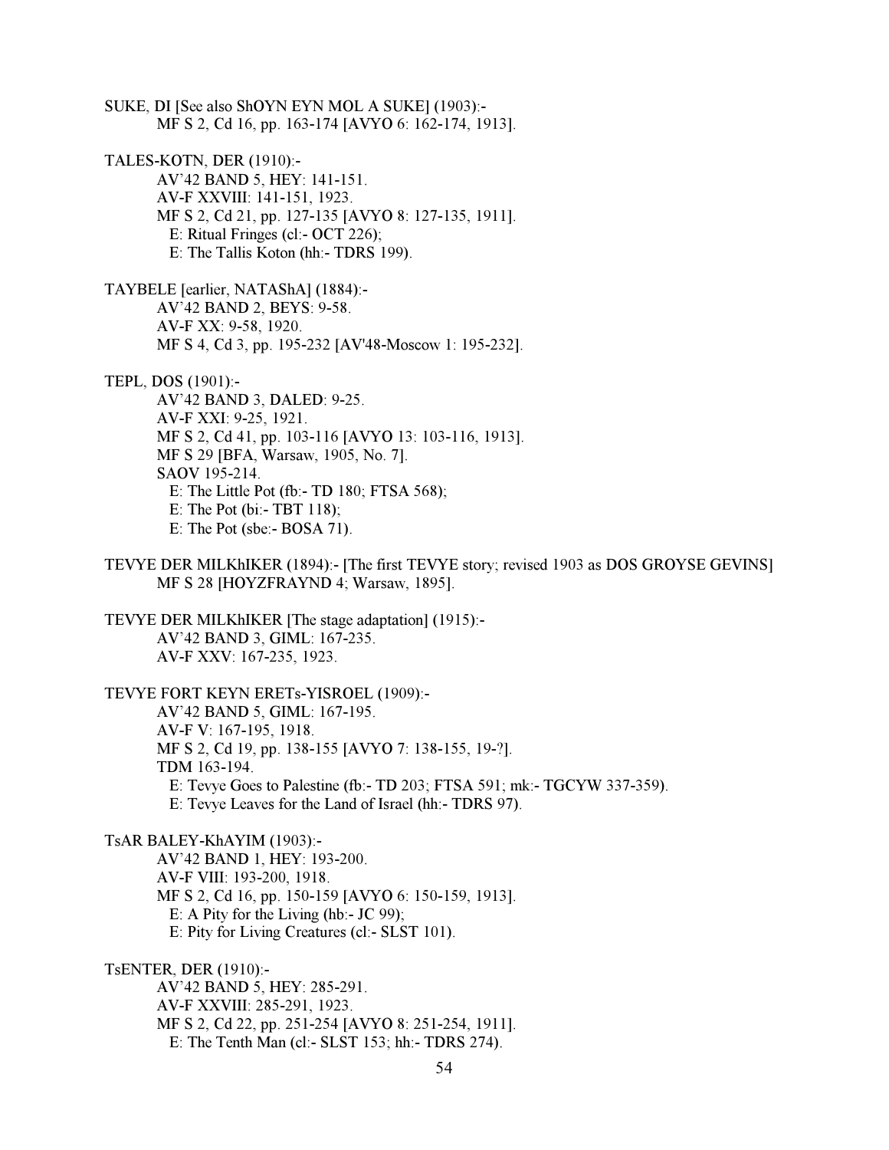SUKE, DI [See also ShOYN EYN MOL A SUKE] (1903):- MF S 2, Cd 16, pp. 163-174 [AVYO 6: 162-174, 1913]. TALES-KOTN, DER (1910):- AV'42 BAND 5, HEY: 141-151. AV-F XXVIII: 141-151, 1923. MF S 2, Cd 21, pp. 127-135 [AVYO 8: 127-135, 1911]. E: Ritual Fringes (cl:- OCT 226); E: The Tallis Koton (hh:- TDRS 199). TAYBELE [earlier, NATAShA] (1884):- AV'42 BAND 2, BEYS: 9-58. AV-F XX: 9-58, 1920. MF S 4, Cd 3, pp. 195-232 [AV'48-Moscow 1: 195-232]. TEPL, DOS (1901):- AV'42 BAND 3, DALED: 9-25. AV-F XXI: 9-25, 1921. MF S 2, Cd 41, pp. 103-116 [AVYO 13: 103-116, 1913]. MF S 29 [BFA, Warsaw, 1905, No. 7]. SAOV 195-214. E: The Little Pot (fb:- TD 180; FTSA 568); E: The Pot (bi:- TBT 118); E: The Pot (sbe:- BOSA 71). TEVYE DER MILKhIKER (1894):- [The first TEVYE story; revised 1903 as DOS GROYSE GEVINS] MF S 28 [HOYZFRAYND 4; Warsaw, 1895]. TEVYE DER MILKhIKER [The stage adaptation] (1915):- AV'42 BAND 3, GIML: 167-235. AV-F XXV: 167-235, 1923. TEVYE FORT KEYN ERETs-YISROEL (1909):- AV'42 BAND 5, GIML: 167-195. AV-F V: 167-195, 1918. MF S 2, Cd 19, pp. 138-155 [AVYO 7: 138-155, 19-?]. TDM 163-194. E: Tevye Goes to Palestine (fb:- TD 203; FTSA 591; mk:- TGCYW 337-359). E: Tevye Leaves for the Land of Israel (hh:- TDRS 97). TsAR BALEY-KhAYIM (1903):- AV'42 BAND 1, HEY: 193-200. AV-F VIII: 193-200, 1918. MF S 2, Cd 16, pp. 150-159 [AVYO 6: 150-159, 1913]. E: A Pity for the Living (hb:- JC 99); E: Pity for Living Creatures (cl:- SLST 101). TsENTER, DER (1910):- AV'42 BAND 5, HEY: 285-291.

 AV-F XXVIII: 285-291, 1923. MF S 2, Cd 22, pp. 251-254 [AVYO 8: 251-254, 1911]. E: The Tenth Man (cl:- SLST 153; hh:- TDRS 274).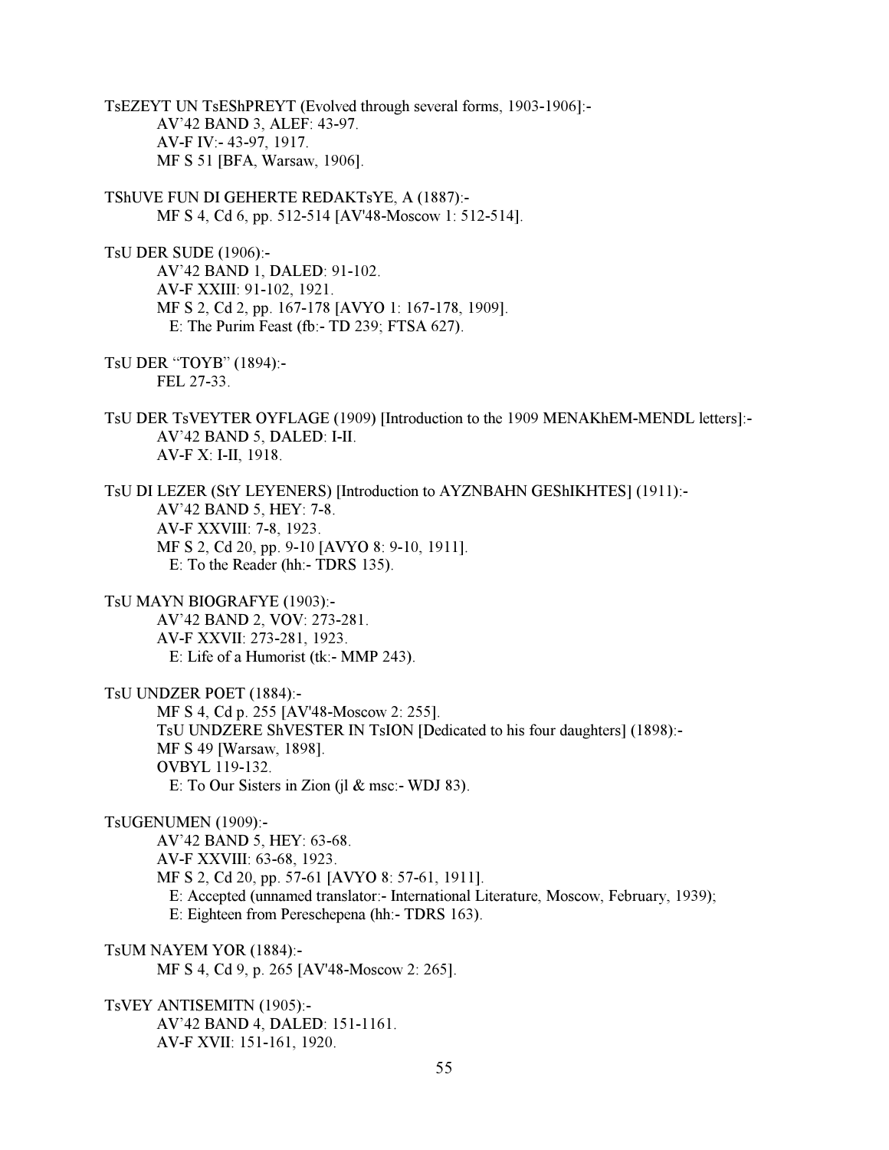TsEZEYT UN TsEShPREYT (Evolved through several forms, 1903-1906]:- AV'42 BAND 3, ALEF: 43-97. AV-F IV:- 43-97, 1917. MF S 51 [BFA, Warsaw, 1906].

TShUVE FUN DI GEHERTE REDAKTsYE, A (1887):- MF S 4, Cd 6, pp. 512-514 [AV'48-Moscow 1: 512-514].

TsU DER SUDE (1906):- AV'42 BAND 1, DALED: 91-102. AV-F XXIII: 91-102, 1921. MF S 2, Cd 2, pp. 167-178 [AVYO 1: 167-178, 1909]. E: The Purim Feast (fb:- TD 239; FTSA 627).

TsU DER "TOYB" (1894):- FEL 27-33.

TsU DER TsVEYTER OYFLAGE (1909) [Introduction to the 1909 MENAKhEM-MENDL letters]:- AV'42 BAND 5, DALED: I-II. AV-F X: I-II, 1918.

TsU DI LEZER (StY LEYENERS) [Introduction to AYZNBAHN GEShIKHTES] (1911):- AV'42 BAND 5, HEY: 7-8. AV-F XXVIII: 7-8, 1923. MF S 2, Cd 20, pp. 9-10 [AVYO 8: 9-10, 1911]. E: To the Reader (hh:- TDRS 135).

TsU MAYN BIOGRAFYE (1903):- AV'42 BAND 2, VOV: 273-281. AV-F XXVII: 273-281, 1923. E: Life of a Humorist (tk:- MMP 243).

TsU UNDZER POET (1884):- MF S 4, Cd p. 255 [AV'48-Moscow 2: 255]. TsU UNDZERE ShVESTER IN TsION [Dedicated to his four daughters] (1898):- MF S 49 [Warsaw, 1898]. OVBYL 119-132. E: To Our Sisters in Zion (jl & msc:- WDJ 83).

TsUGENUMEN (1909):-

 AV'42 BAND 5, HEY: 63-68. AV-F XXVIII: 63-68, 1923. MF S 2, Cd 20, pp. 57-61 [AVYO 8: 57-61, 1911]. E: Accepted (unnamed translator:- International Literature, Moscow, February, 1939); E: Eighteen from Pereschepena (hh:- TDRS 163).

TsUM NAYEM YOR (1884):- MF S 4, Cd 9, p. 265 [AV'48-Moscow 2: 265].

TsVEY ANTISEMITN (1905):- AV'42 BAND 4, DALED: 151-1161. AV-F XVII: 151-161, 1920.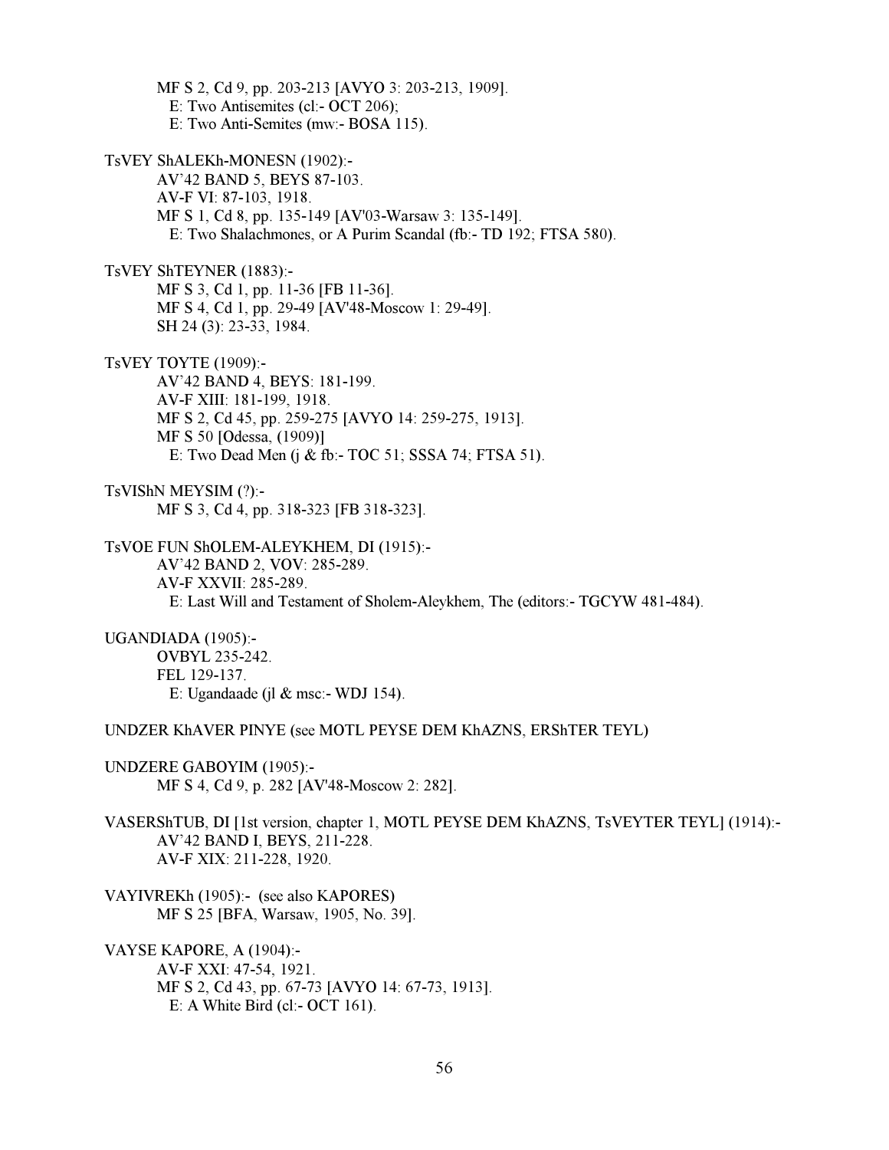MF S 2, Cd 9, pp. 203-213 [AVYO 3: 203-213, 1909]. E: Two Antisemites (cl:- OCT 206); E: Two Anti-Semites (mw:- BOSA 115). TsVEY ShALEKh-MONESN (1902):- AV'42 BAND 5, BEYS 87-103. AV-F VI: 87-103, 1918. MF S 1, Cd 8, pp. 135-149 [AV'03-Warsaw 3: 135-149]. E: Two Shalachmones, or A Purim Scandal (fb:- TD 192; FTSA 580). TsVEY ShTEYNER (1883):- MF S 3, Cd 1, pp. 11-36 [FB 11-36]. MF S 4, Cd 1, pp. 29-49 [AV'48-Moscow 1: 29-49]. SH 24 (3): 23-33, 1984.

TsVEY TOYTE (1909):- AV'42 BAND 4, BEYS: 181-199. AV-F XIII: 181-199, 1918. MF S 2, Cd 45, pp. 259-275 [AVYO 14: 259-275, 1913]. MF S 50 [Odessa, (1909)] E: Two Dead Men (j & fb:- TOC 51; SSSA 74; FTSA 51).

TsVIShN MEYSIM (?):- MF S 3, Cd 4, pp. 318-323 [FB 318-323].

TsVOE FUN ShOLEM-ALEYKHEM, DI (1915):- AV'42 BAND 2, VOV: 285-289. AV-F XXVII: 285-289. E: Last Will and Testament of Sholem-Aleykhem, The (editors:- TGCYW 481-484).

UGANDIADA (1905):- OVBYL 235-242. FEL 129-137. E: Ugandaade (jl & msc:- WDJ 154).

UNDZER KhAVER PINYE (see MOTL PEYSE DEM KhAZNS, ERShTER TEYL)

UNDZERE GABOYIM (1905):- MF S 4, Cd 9, p. 282 [AV'48-Moscow 2: 282].

VASERShTUB, DI [1st version, chapter 1, MOTL PEYSE DEM KhAZNS, TsVEYTER TEYL] (1914):- AV'42 BAND I, BEYS, 211-228. AV-F XIX: 211-228, 1920.

VAYIVREKh (1905):- (see also KAPORES) MF S 25 [BFA, Warsaw, 1905, No. 39].

VAYSE KAPORE, A (1904):- AV-F XXI: 47-54, 1921. MF S 2, Cd 43, pp. 67-73 [AVYO 14: 67-73, 1913]. E: A White Bird (cl:- OCT 161).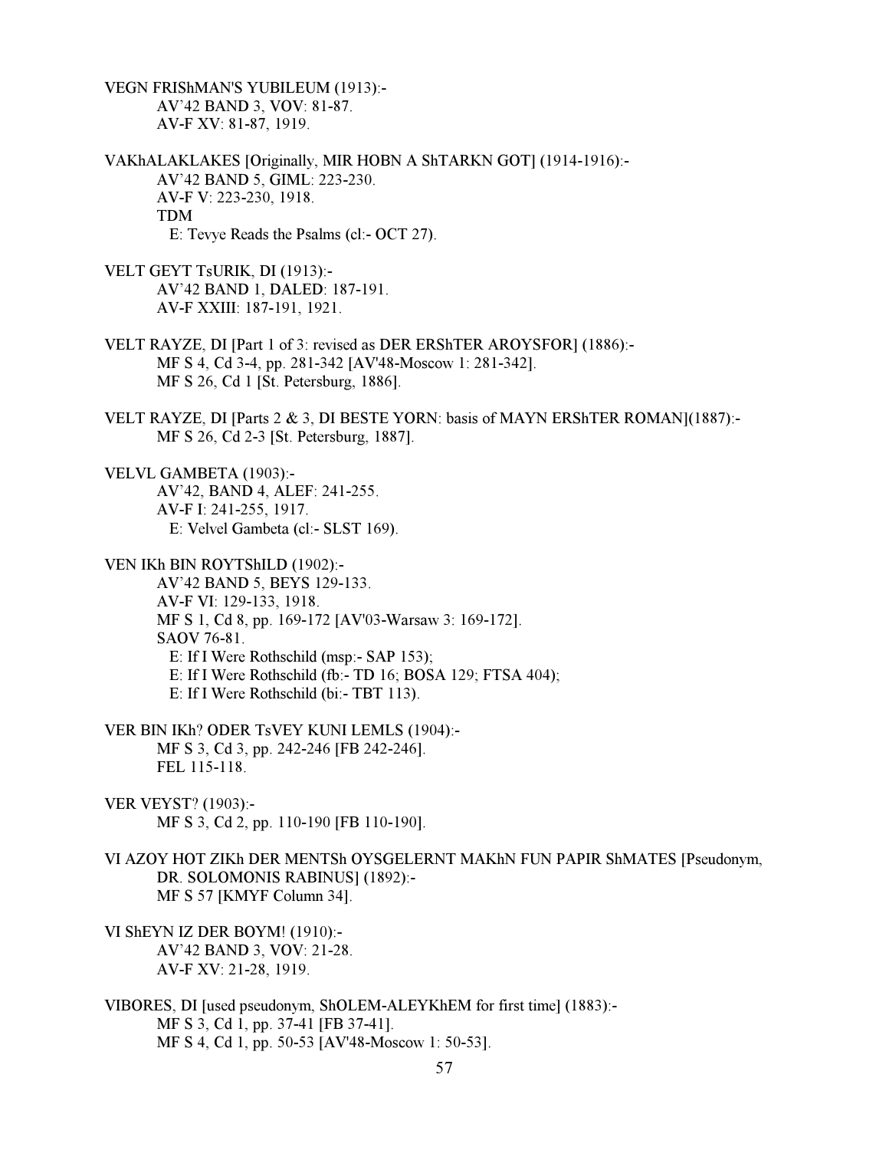VEGN FRIShMAN'S YUBILEUM (1913):- AV'42 BAND 3, VOV: 81-87. AV-F XV: 81-87, 1919.

VAKhALAKLAKES [Originally, MIR HOBN A ShTARKN GOT] (1914-1916):- AV'42 BAND 5, GIML: 223-230. AV-F V: 223-230, 1918. TDM E: Tevye Reads the Psalms (cl:- OCT 27).

VELT GEYT TsURIK, DI (1913):- AV'42 BAND 1, DALED: 187-191. AV-F XXIII: 187-191, 1921.

- VELT RAYZE, DI [Part 1 of 3: revised as DER ERShTER AROYSFOR] (1886):- MF S 4, Cd 3-4, pp. 281-342 [AV'48-Moscow 1: 281-342]. MF S 26, Cd 1 [St. Petersburg, 1886].
- VELT RAYZE, DI [Parts 2 & 3, DI BESTE YORN: basis of MAYN ERShTER ROMAN](1887):- MF S 26, Cd 2-3 [St. Petersburg, 1887].

VELVL GAMBETA (1903):- AV'42, BAND 4, ALEF: 241-255. AV-F I: 241-255, 1917. E: Velvel Gambeta (cl:- SLST 169).

VEN IKh BIN ROYTShILD (1902):-

 AV'42 BAND 5, BEYS 129-133. AV-F VI: 129-133, 1918. MF S 1, Cd 8, pp. 169-172 [AV'03-Warsaw 3: 169-172]. SAOV 76-81. E: If I Were Rothschild (msp:- SAP 153); E: If I Were Rothschild (fb:- TD 16; BOSA 129; FTSA 404); E: If I Were Rothschild (bi:- TBT 113).

VER BIN IKh? ODER TsVEY KUNI LEMLS (1904):- MF S 3, Cd 3, pp. 242-246 [FB 242-246]. FEL 115-118.

VER VEYST? (1903):- MF S 3, Cd 2, pp. 110-190 [FB 110-190].

VI AZOY HOT ZIKh DER MENTSh OYSGELERNT MAKhN FUN PAPIR ShMATES [Pseudonym, DR. SOLOMONIS RABINUS] (1892):- MF S 57 [KMYF Column 34].

- VI ShEYN IZ DER BOYM! (1910):- AV'42 BAND 3, VOV: 21-28. AV-F XV: 21-28, 1919.
- VIBORES, DI [used pseudonym, ShOLEM-ALEYKhEM for first time] (1883):- MF S 3, Cd 1, pp. 37-41 [FB 37-41]. MF S 4, Cd 1, pp. 50-53 [AV'48-Moscow 1: 50-53].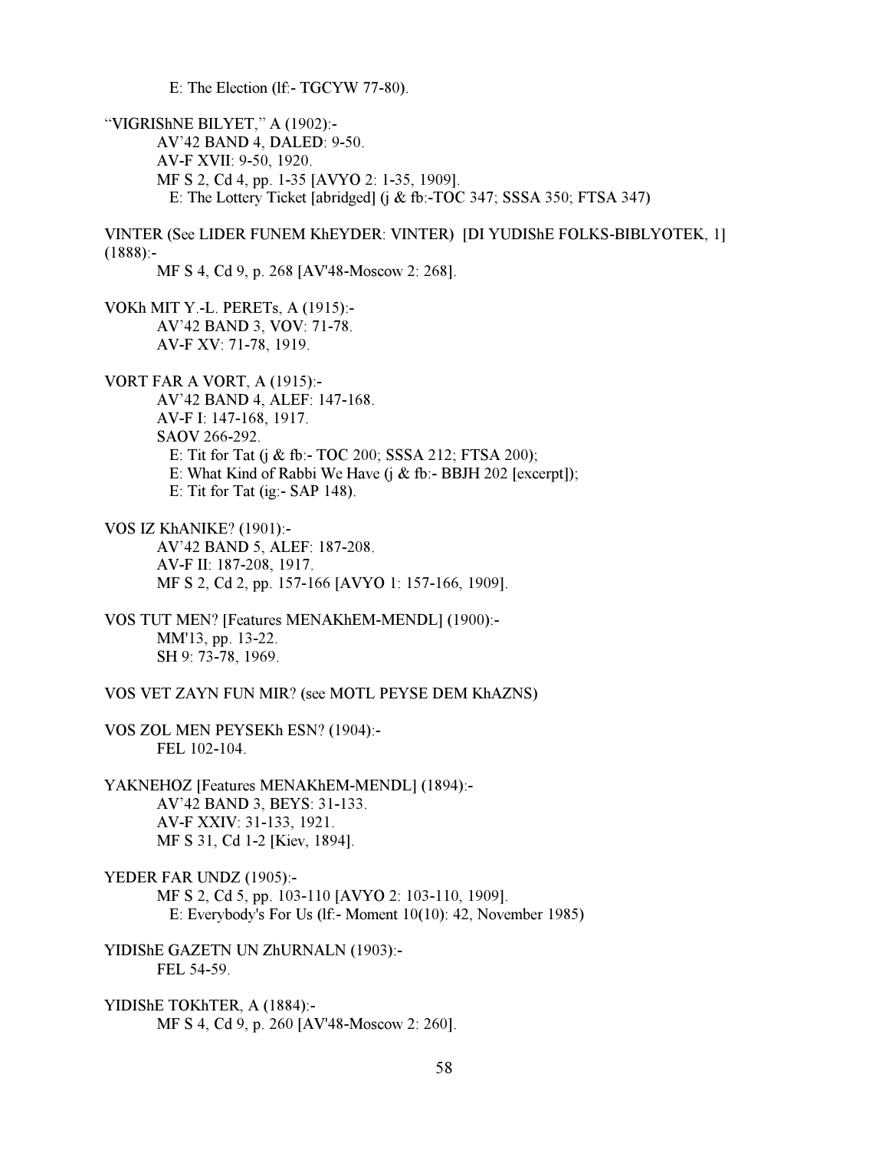E: The Election (lf:- TGCYW 77-80).

"VIGRIShNE BILYET," A (1902):- AV'42 BAND 4, DALED: 9-50. AV-F XVII: 9-50, 1920. MF S 2, Cd 4, pp. 1-35 [AVYO 2: 1-35, 1909]. E: The Lottery Ticket [abridged] (j & fb:-TOC 347; SSSA 350; FTSA 347)

VINTER (See LIDER FUNEM KhEYDER: VINTER) [DI YUDIShE FOLKS-BIBLYOTEK, 1]  $(1888):$ 

MF S 4, Cd 9, p. 268 [AV'48-Moscow 2: 268].

VOKh MIT Y.-L. PERETs, A (1915):- AV'42 BAND 3, VOV: 71-78. AV-F XV: 71-78, 1919.

VORT FAR A VORT, A (1915):-

 AV'42 BAND 4, ALEF: 147-168. AV-F I: 147-168, 1917. SAOV 266-292. E: Tit for Tat (j & fb:- TOC 200; SSSA 212; FTSA 200); E: What Kind of Rabbi We Have (j & fb:- BBJH 202 [excerpt]); E: Tit for Tat (ig:- SAP 148).

VOS IZ KhANIKE? (1901):- AV'42 BAND 5, ALEF: 187-208. AV-F II: 187-208, 1917. MF S 2, Cd 2, pp. 157-166 [AVYO 1: 157-166, 1909].

VOS TUT MEN? [Features MENAKhEM-MENDL] (1900):- MM'13, pp. 13-22. SH 9: 73-78, 1969.

VOS VET ZAYN FUN MIR? (see MOTL PEYSE DEM KhAZNS)

VOS ZOL MEN PEYSEKh ESN? (1904):- FEL 102-104.

YAKNEHOZ [Features MENAKhEM-MENDL] (1894):- AV'42 BAND 3, BEYS: 31-133. AV-F XXIV: 31-133, 1921. MF S 31, Cd 1-2 [Kiev, 1894].

YEDER FAR UNDZ (1905):-

 MF S 2, Cd 5, pp. 103-110 [AVYO 2: 103-110, 1909]. E: Everybody's For Us (lf:- Moment 10(10): 42, November 1985)

YIDIShE GAZETN UN ZhURNALN (1903):- FEL 54-59.

YIDIShE TOKhTER, A (1884):- MF S 4, Cd 9, p. 260 [AV'48-Moscow 2: 260].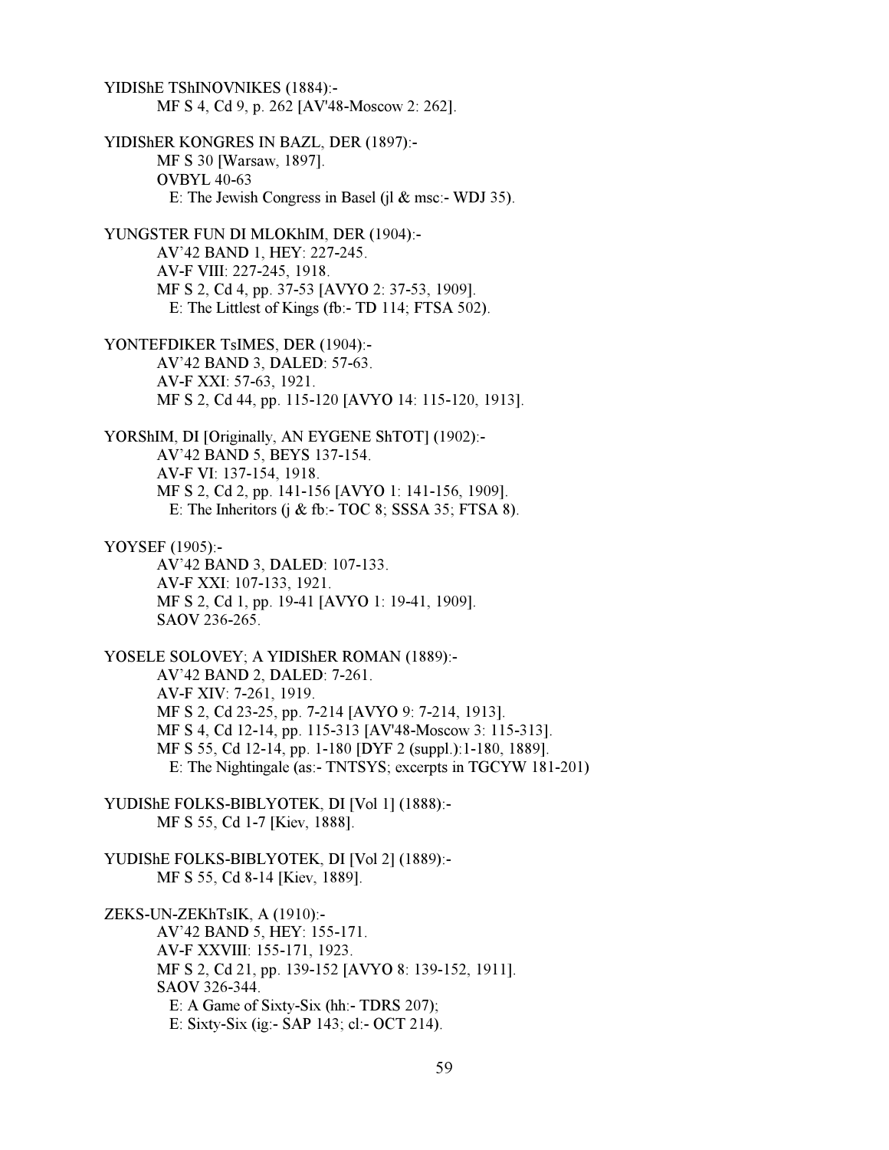YIDIShE TShINOVNIKES (1884):- MF S 4, Cd 9, p. 262 [AV'48-Moscow 2: 262]. YIDIShER KONGRES IN BAZL, DER (1897):- MF S 30 [Warsaw, 1897]. OVBYL 40-63 E: The Jewish Congress in Basel (il  $&$  msc:- WDJ 35). YUNGSTER FUN DI MLOKhIM, DER (1904):- AV'42 BAND 1, HEY: 227-245. AV-F VIII: 227-245, 1918. MF S 2, Cd 4, pp. 37-53 [AVYO 2: 37-53, 1909]. E: The Littlest of Kings (fb:- TD 114; FTSA 502). YONTEFDIKER TsIMES, DER (1904):- AV'42 BAND 3, DALED: 57-63. AV-F XXI: 57-63, 1921. MF S 2, Cd 44, pp. 115-120 [AVYO 14: 115-120, 1913]. YORShIM, DI [Originally, AN EYGENE ShTOT] (1902):- AV'42 BAND 5, BEYS 137-154. AV-F VI: 137-154, 1918. MF S 2, Cd 2, pp. 141-156 [AVYO 1: 141-156, 1909]. E: The Inheritors (j  $\&$  fb:- TOC 8; SSSA 35; FTSA 8). YOYSEF (1905):- AV'42 BAND 3, DALED: 107-133. AV-F XXI: 107-133, 1921. MF S 2, Cd 1, pp. 19-41 [AVYO 1: 19-41, 1909]. SAOV 236-265. YOSELE SOLOVEY; A YIDIShER ROMAN (1889):- AV'42 BAND 2, DALED: 7-261. AV-F XIV: 7-261, 1919. MF S 2, Cd 23-25, pp. 7-214 [AVYO 9: 7-214, 1913]. MF S 4, Cd 12-14, pp. 115-313 [AV'48-Moscow 3: 115-313]. MF S 55, Cd 12-14, pp. 1-180 [DYF 2 (suppl.):1-180, 1889]. E: The Nightingale (as:- TNTSYS; excerpts in TGCYW 181-201) YUDIShE FOLKS-BIBLYOTEK, DI [Vol 1] (1888):- MF S 55, Cd 1-7 [Kiev, 1888]. YUDIShE FOLKS-BIBLYOTEK, DI [Vol 2] (1889):- MF S 55, Cd 8-14 [Kiev, 1889]. ZEKS-UN-ZEKhTsIK, A (1910):- AV'42 BAND 5, HEY: 155-171. AV-F XXVIII: 155-171, 1923. MF S 2, Cd 21, pp. 139-152 [AVYO 8: 139-152, 1911]. SAOV 326-344. E: A Game of Sixty-Six (hh:- TDRS 207); E: Sixty-Six (ig:- SAP 143; cl:- OCT 214).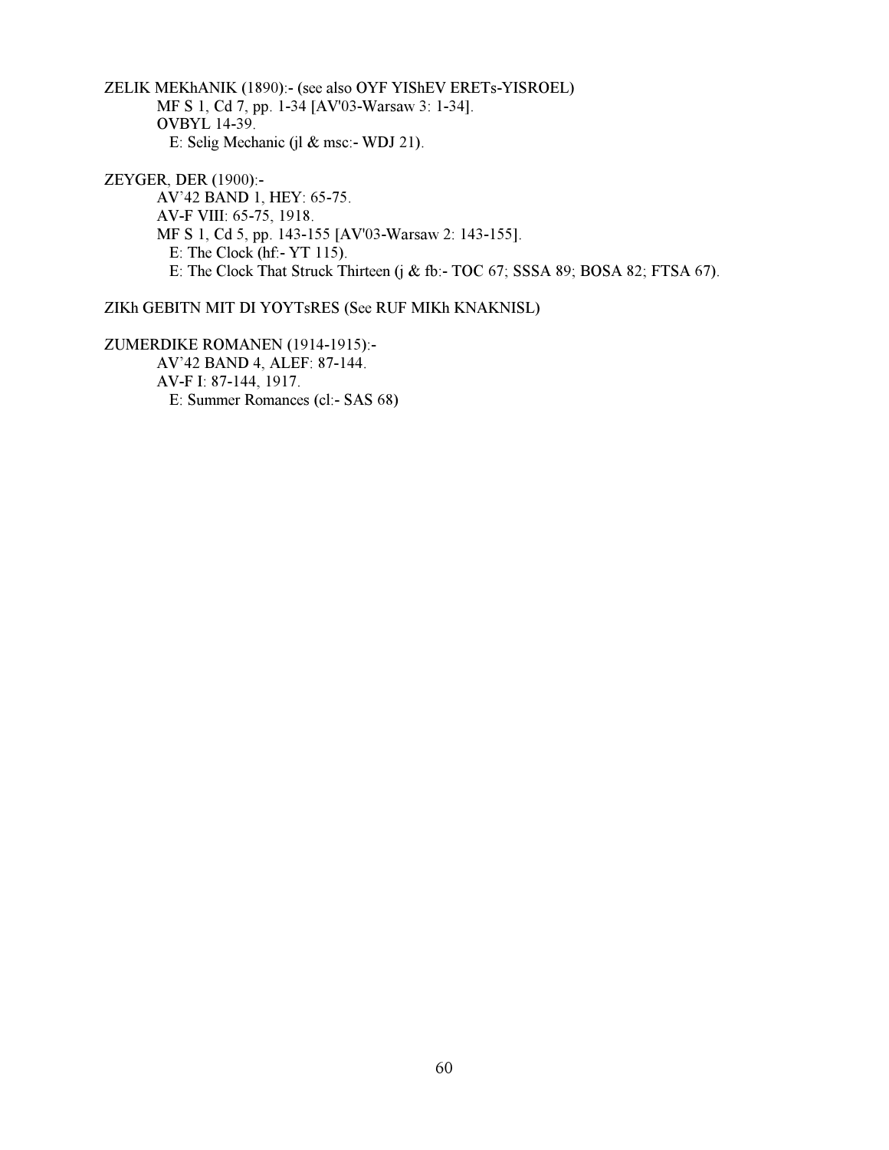ZELIK MEKhANIK (1890):- (see also OYF YIShEV ERETs-YISROEL) MF S 1, Cd 7, pp. 1-34 [AV'03-Warsaw 3: 1-34]. OVBYL 14-39. E: Selig Mechanic (jl & msc:- WDJ 21).

ZEYGER, DER (1900):- AV'42 BAND 1, HEY: 65-75. AV-F VIII: 65-75, 1918. MF S 1, Cd 5, pp. 143-155 [AV'03-Warsaw 2: 143-155]. E: The Clock (hf:- YT 115). E: The Clock That Struck Thirteen (j & fb:- TOC 67; SSSA 89; BOSA 82; FTSA 67).

# ZIKh GEBITN MIT DI YOYTsRES (See RUF MIKh KNAKNISL)

ZUMERDIKE ROMANEN (1914-1915):- AV'42 BAND 4, ALEF: 87-144. AV-F I: 87-144, 1917. E: Summer Romances (cl:- SAS 68)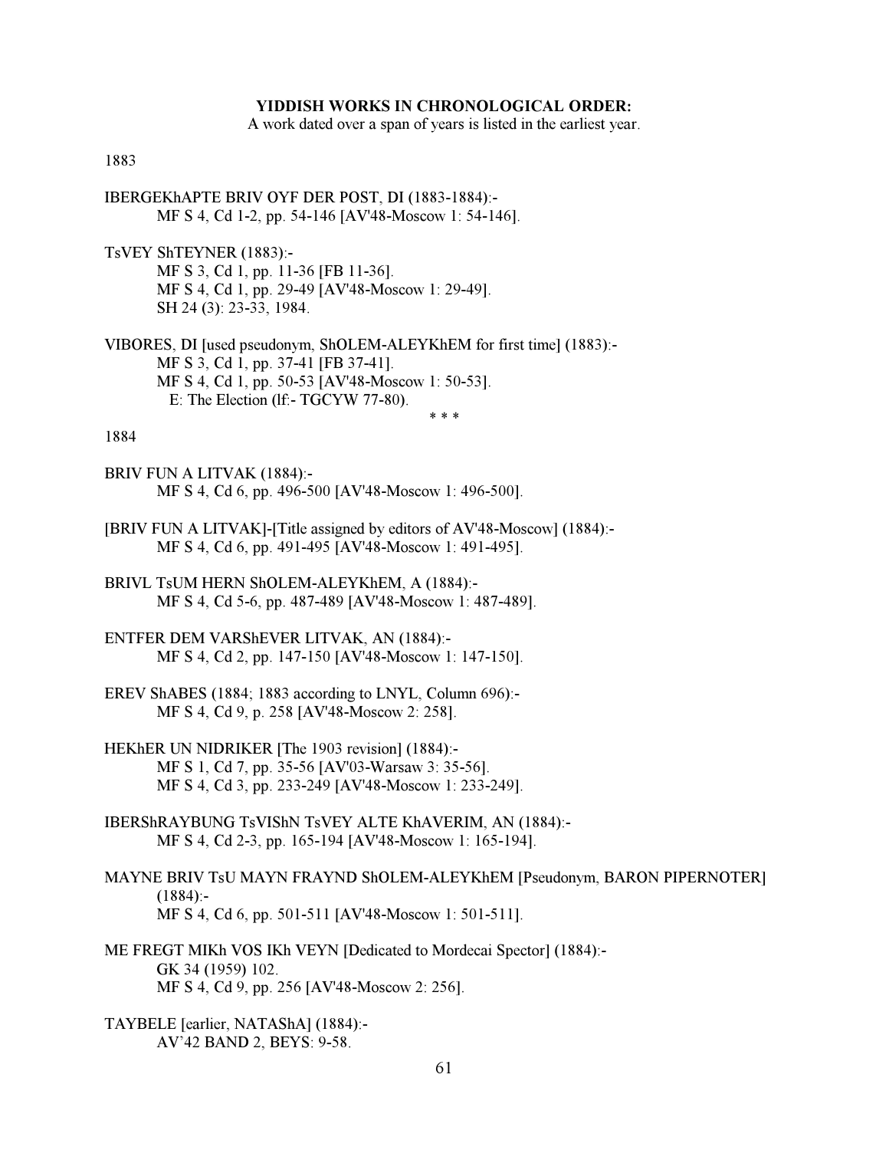# YIDDISH WORKS IN CHRONOLOGICAL ORDER:

A work dated over a span of years is listed in the earliest year.

### 1883

- IBERGEKhAPTE BRIV OYF DER POST, DI (1883-1884):- MF S 4, Cd 1-2, pp. 54-146 [AV'48-Moscow 1: 54-146].
- TsVEY ShTEYNER (1883):- MF S 3, Cd 1, pp. 11-36 [FB 11-36]. MF S 4, Cd 1, pp. 29-49 [AV'48-Moscow 1: 29-49]. SH 24 (3): 23-33, 1984.
- VIBORES, DI [used pseudonym, ShOLEM-ALEYKhEM for first time] (1883):- MF S 3, Cd 1, pp. 37-41 [FB 37-41]. MF S 4, Cd 1, pp. 50-53 [AV'48-Moscow 1: 50-53]. E: The Election (lf:- TGCYW 77-80).  $* * *$

#### 1884

- BRIV FUN A LITVAK (1884):- MF S 4, Cd 6, pp. 496-500 [AV'48-Moscow 1: 496-500].
- [BRIV FUN A LITVAK]-[Title assigned by editors of AV'48-Moscow] (1884):- MF S 4, Cd 6, pp. 491-495 [AV'48-Moscow 1: 491-495].
- BRIVL TsUM HERN ShOLEM-ALEYKhEM, A (1884):- MF S 4, Cd 5-6, pp. 487-489 [AV'48-Moscow 1: 487-489].
- ENTFER DEM VARShEVER LITVAK, AN (1884):- MF S 4, Cd 2, pp. 147-150 [AV'48-Moscow 1: 147-150].
- EREV ShABES (1884; 1883 according to LNYL, Column 696):- MF S 4, Cd 9, p. 258 [AV'48-Moscow 2: 258].
- HEKhER UN NIDRIKER [The 1903 revision] (1884):- MF S 1, Cd 7, pp. 35-56 [AV'03-Warsaw 3: 35-56]. MF S 4, Cd 3, pp. 233-249 [AV'48-Moscow 1: 233-249].
- IBERShRAYBUNG TsVIShN TsVEY ALTE KhAVERIM, AN (1884):- MF S 4, Cd 2-3, pp. 165-194 [AV'48-Moscow 1: 165-194].
- MAYNE BRIV TsU MAYN FRAYND ShOLEM-ALEYKhEM [Pseudonym, BARON PIPERNOTER]  $(1884):$ MF S 4, Cd 6, pp. 501-511 [AV'48-Moscow 1: 501-511].
- ME FREGT MIKh VOS IKh VEYN [Dedicated to Mordecai Spector] (1884):- GK 34 (1959) 102. MF S 4, Cd 9, pp. 256 [AV'48-Moscow 2: 256].
- TAYBELE [earlier, NATAShA] (1884):- AV'42 BAND 2, BEYS: 9-58.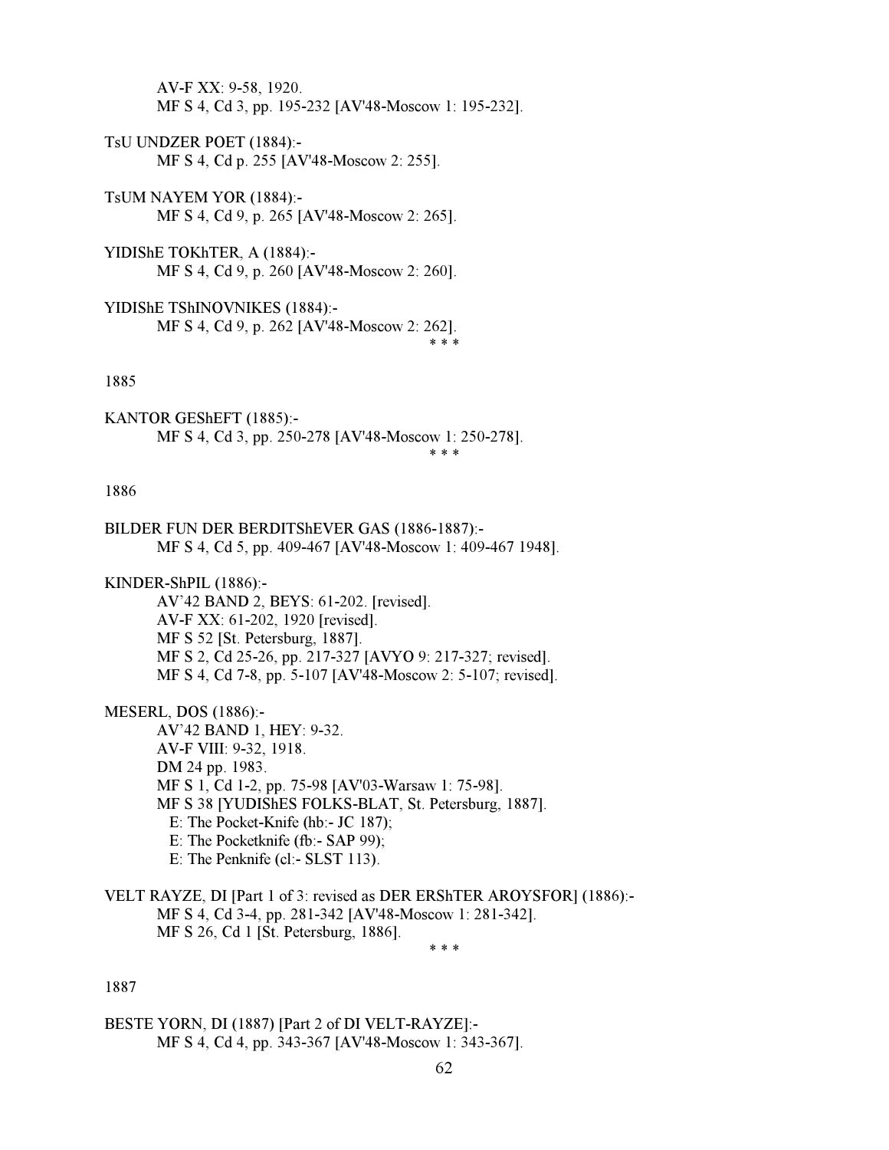AV-F XX: 9-58, 1920. MF S 4, Cd 3, pp. 195-232 [AV'48-Moscow 1: 195-232].

- TsU UNDZER POET (1884):- MF S 4, Cd p. 255 [AV'48-Moscow 2: 255].
- TsUM NAYEM YOR (1884):- MF S 4, Cd 9, p. 265 [AV'48-Moscow 2: 265].
- YIDIShE TOKhTER, A (1884):- MF S 4, Cd 9, p. 260 [AV'48-Moscow 2: 260].
- YIDIShE TShINOVNIKES (1884):- MF S 4, Cd 9, p. 262 [AV'48-Moscow 2: 262].  $* * *$

#### 1885

KANTOR GEShEFT (1885):- MF S 4, Cd 3, pp. 250-278 [AV'48-Moscow 1: 250-278].  $* * *$ 

# 1886

BILDER FUN DER BERDITShEVER GAS (1886-1887):- MF S 4, Cd 5, pp. 409-467 [AV'48-Moscow 1: 409-467 1948].

KINDER-ShPIL (1886):-

 AV'42 BAND 2, BEYS: 61-202. [revised]. AV-F XX: 61-202, 1920 [revised]. MF S 52 [St. Petersburg, 1887]. MF S 2, Cd 25-26, pp. 217-327 [AVYO 9: 217-327; revised]. MF S 4, Cd 7-8, pp. 5-107 [AV'48-Moscow 2: 5-107; revised].

MESERL, DOS (1886):-

 AV'42 BAND 1, HEY: 9-32. AV-F VIII: 9-32, 1918. DM 24 pp. 1983. MF S 1, Cd 1-2, pp. 75-98 [AV'03-Warsaw 1: 75-98]. MF S 38 [YUDIShES FOLKS-BLAT, St. Petersburg, 1887]. E: The Pocket-Knife (hb:- JC 187); E: The Pocketknife (fb:- SAP 99); E: The Penknife (cl:- SLST 113).

VELT RAYZE, DI [Part 1 of 3: revised as DER ERShTER AROYSFOR] (1886):- MF S 4, Cd 3-4, pp. 281-342 [AV'48-Moscow 1: 281-342]. MF S 26, Cd 1 [St. Petersburg, 1886].  $* * *$ 

# 1887

BESTE YORN, DI (1887) [Part 2 of DI VELT-RAYZE]:- MF S 4, Cd 4, pp. 343-367 [AV'48-Moscow 1: 343-367].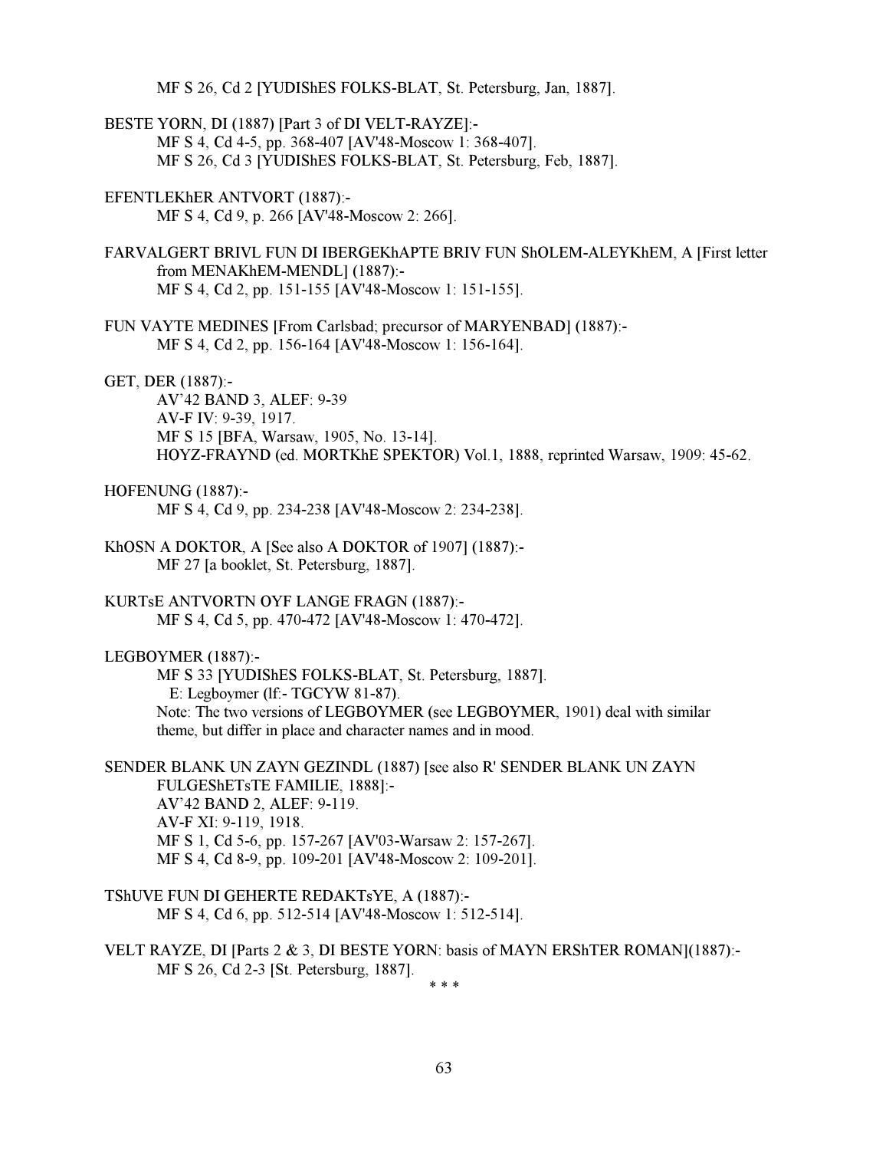MF S 26, Cd 2 [YUDIShES FOLKS-BLAT, St. Petersburg, Jan, 1887].

BESTE YORN, DI (1887) [Part 3 of DI VELT-RAYZE]:- MF S 4, Cd 4-5, pp. 368-407 [AV'48-Moscow 1: 368-407]. MF S 26, Cd 3 [YUDIShES FOLKS-BLAT, St. Petersburg, Feb, 1887].

EFENTLEKhER ANTVORT (1887):- MF S 4, Cd 9, p. 266 [AV'48-Moscow 2: 266].

FARVALGERT BRIVL FUN DI IBERGEKhAPTE BRIV FUN ShOLEM-ALEYKhEM, A [First letter from MENAKhEM-MENDL] (1887):- MF S 4, Cd 2, pp. 151-155 [AV'48-Moscow 1: 151-155].

FUN VAYTE MEDINES [From Carlsbad; precursor of MARYENBAD] (1887):- MF S 4, Cd 2, pp. 156-164 [AV'48-Moscow 1: 156-164].

GET, DER (1887):-

 AV'42 BAND 3, ALEF: 9-39 AV-F IV: 9-39, 1917. MF S 15 [BFA, Warsaw, 1905, No. 13-14]. HOYZ-FRAYND (ed. MORTKhE SPEKTOR) Vol.1, 1888, reprinted Warsaw, 1909: 45-62.

### HOFENUNG (1887):-

MF S 4, Cd 9, pp. 234-238 [AV'48-Moscow 2: 234-238].

KhOSN A DOKTOR, A [See also A DOKTOR of 1907] (1887):- MF 27 [a booklet, St. Petersburg, 1887].

KURTsE ANTVORTN OYF LANGE FRAGN (1887):- MF S 4, Cd 5, pp. 470-472 [AV'48-Moscow 1: 470-472].

### LEGBOYMER (1887):-

 MF S 33 [YUDIShES FOLKS-BLAT, St. Petersburg, 1887]. E: Legboymer (lf:- TGCYW 81-87). Note: The two versions of LEGBOYMER (see LEGBOYMER, 1901) deal with similar theme, but differ in place and character names and in mood.

SENDER BLANK UN ZAYN GEZINDL (1887) [see also R' SENDER BLANK UN ZAYN FULGEShETsTE FAMILIE, 1888]:- AV'42 BAND 2, ALEF: 9-119. AV-F XI: 9-119, 1918. MF S 1, Cd 5-6, pp. 157-267 [AV'03-Warsaw 2: 157-267]. MF S 4, Cd 8-9, pp. 109-201 [AV'48-Moscow 2: 109-201].

- TShUVE FUN DI GEHERTE REDAKTsYE, A (1887):- MF S 4, Cd 6, pp. 512-514 [AV'48-Moscow 1: 512-514].
- VELT RAYZE, DI [Parts 2 & 3, DI BESTE YORN: basis of MAYN ERShTER ROMAN](1887):- MF S 26, Cd 2-3 [St. Petersburg, 1887].  $* * *$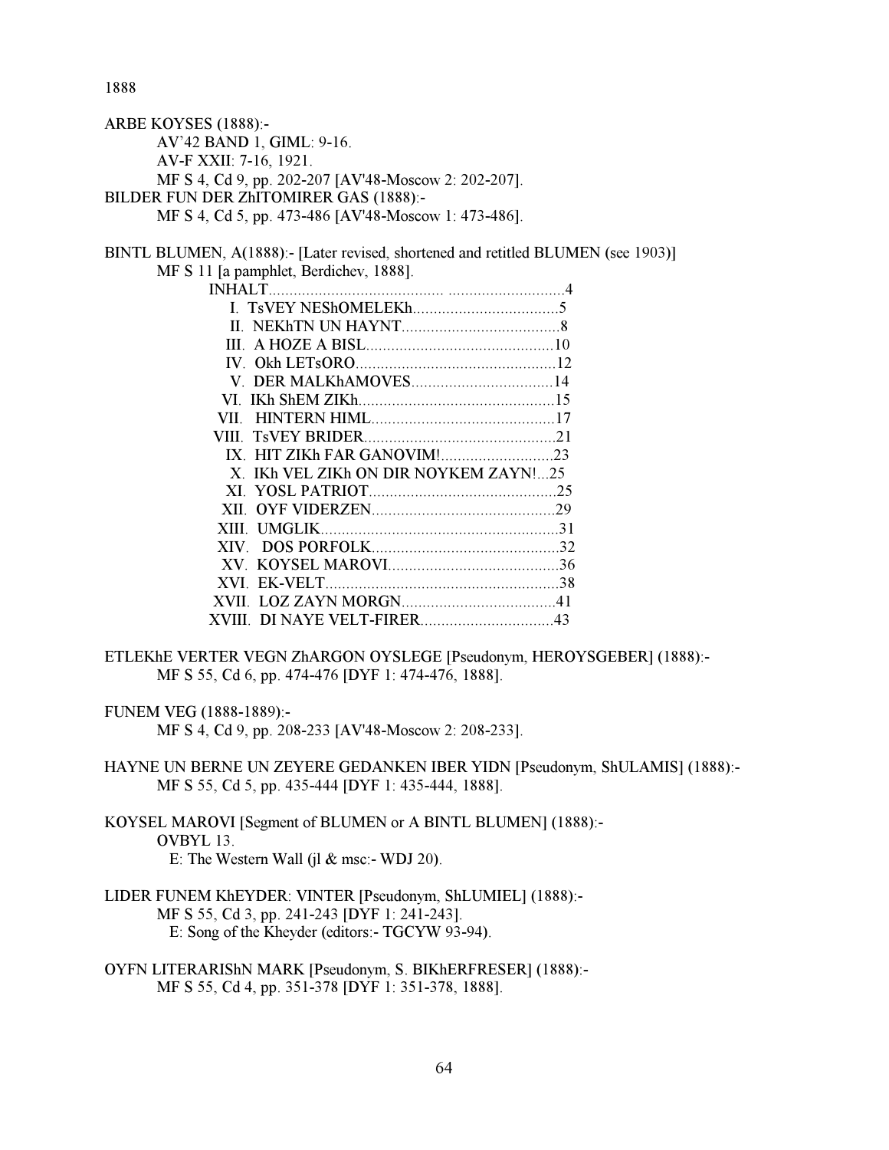1888

| ARBE KOYSES (1888):-                                                              |  |
|-----------------------------------------------------------------------------------|--|
| AV'42 BAND 1, GIML: 9-16.                                                         |  |
| AV-F XXII: 7-16, 1921.                                                            |  |
| MF S 4, Cd 9, pp. 202-207 [AV'48-Moscow 2: 202-207].                              |  |
| BILDER FUN DER ZhITOMIRER GAS (1888):-                                            |  |
| MF S 4, Cd 5, pp. 473-486 [AV'48-Moscow 1: 473-486].                              |  |
| BINTL BLUMEN, A(1888):- [Later revised, shortened and retitled BLUMEN (see 1903)] |  |
| MF S 11 [a pamphlet, Berdichev, 1888].                                            |  |
|                                                                                   |  |
|                                                                                   |  |
|                                                                                   |  |
|                                                                                   |  |
|                                                                                   |  |
|                                                                                   |  |
|                                                                                   |  |
|                                                                                   |  |
|                                                                                   |  |
|                                                                                   |  |
| X. IKh VEL ZIKh ON DIR NOYKEM ZAYN!25                                             |  |
|                                                                                   |  |
|                                                                                   |  |
|                                                                                   |  |
|                                                                                   |  |
|                                                                                   |  |
|                                                                                   |  |
|                                                                                   |  |

ETLEKhE VERTER VEGN ZhARGON OYSLEGE [Pseudonym, HEROYSGEBER] (1888):- MF S 55, Cd 6, pp. 474-476 [DYF 1: 474-476, 1888].

XVIII. DI NAYE VELT-FIRER................................43

FUNEM VEG (1888-1889):-

MF S 4, Cd 9, pp. 208-233 [AV'48-Moscow 2: 208-233].

HAYNE UN BERNE UN ZEYERE GEDANKEN IBER YIDN [Pseudonym, ShULAMIS] (1888):- MF S 55, Cd 5, pp. 435-444 [DYF 1: 435-444, 1888].

- KOYSEL MAROVI [Segment of BLUMEN or A BINTL BLUMEN] (1888):- OVBYL 13. E: The Western Wall (jl & msc:- WDJ 20).
- LIDER FUNEM KhEYDER: VINTER [Pseudonym, ShLUMIEL] (1888):- MF S 55, Cd 3, pp. 241-243 [DYF 1: 241-243]. E: Song of the Kheyder (editors:- TGCYW 93-94).
- OYFN LITERARIShN MARK [Pseudonym, S. BIKhERFRESER] (1888):- MF S 55, Cd 4, pp. 351-378 [DYF 1: 351-378, 1888].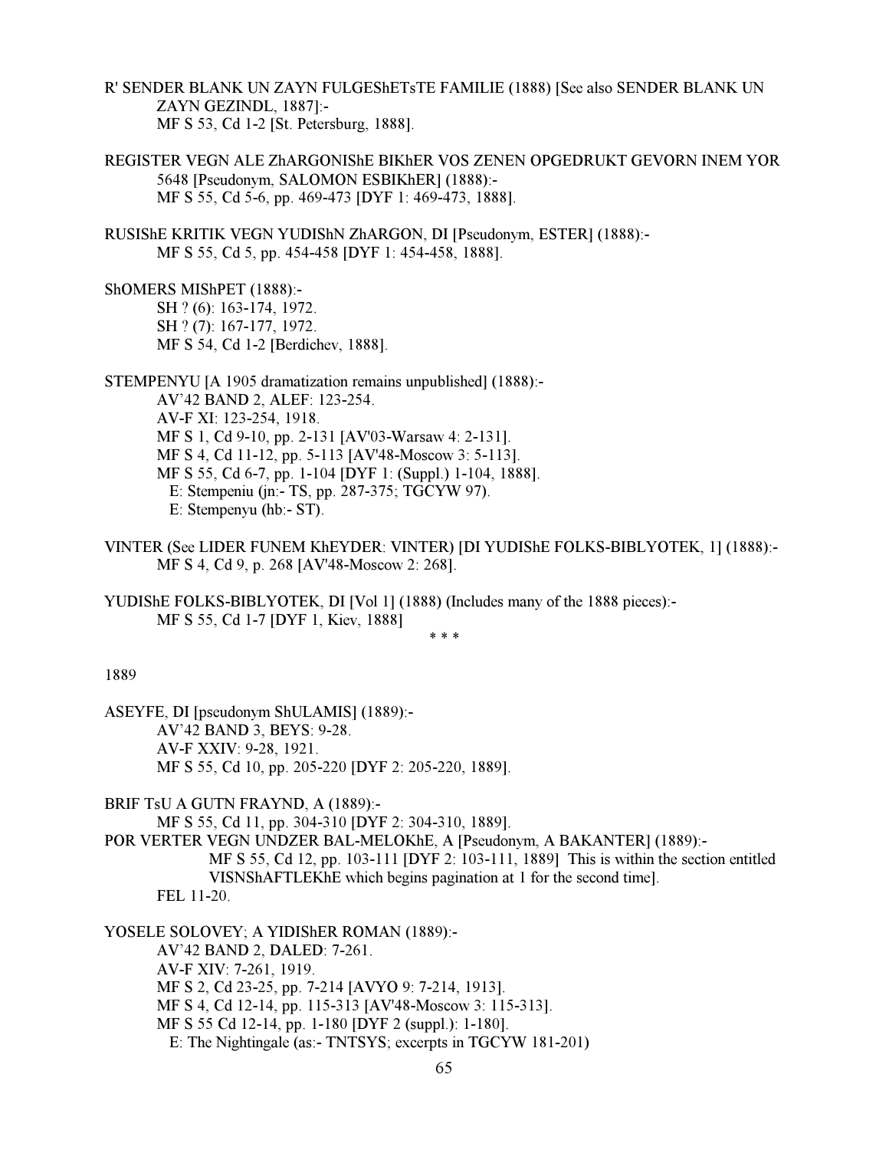R' SENDER BLANK UN ZAYN FULGEShETsTE FAMILIE (1888) [See also SENDER BLANK UN ZAYN GEZINDL, 1887]:- MF S 53, Cd 1-2 [St. Petersburg, 1888].

- REGISTER VEGN ALE ZhARGONIShE BIKhER VOS ZENEN OPGEDRUKT GEVORN INEM YOR 5648 [Pseudonym, SALOMON ESBIKhER] (1888):- MF S 55, Cd 5-6, pp. 469-473 [DYF 1: 469-473, 1888].
- RUSIShE KRITIK VEGN YUDIShN ZhARGON, DI [Pseudonym, ESTER] (1888):- MF S 55, Cd 5, pp. 454-458 [DYF 1: 454-458, 1888].

ShOMERS MIShPET (1888):- SH ? (6): 163-174, 1972. SH ? (7): 167-177, 1972. MF S 54, Cd 1-2 [Berdichev, 1888].

STEMPENYU [A 1905 dramatization remains unpublished] (1888):- AV'42 BAND 2, ALEF: 123-254. AV-F XI: 123-254, 1918. MF S 1, Cd 9-10, pp. 2-131 [AV'03-Warsaw 4: 2-131]. MF S 4, Cd 11-12, pp. 5-113 [AV'48-Moscow 3: 5-113]. MF S 55, Cd 6-7, pp. 1-104 [DYF 1: (Suppl.) 1-104, 1888]. E: Stempeniu (jn:- TS, pp. 287-375; TGCYW 97). E: Stempenyu (hb:- ST).

VINTER (See LIDER FUNEM KhEYDER: VINTER) [DI YUDIShE FOLKS-BIBLYOTEK, 1] (1888):- MF S 4, Cd 9, p. 268 [AV'48-Moscow 2: 268].

YUDIShE FOLKS-BIBLYOTEK, DI [Vol 1] (1888) (Includes many of the 1888 pieces):- MF S 55, Cd 1-7 [DYF 1, Kiev, 1888]

 $* * *$ 

1889

ASEYFE, DI [pseudonym ShULAMIS] (1889):- AV'42 BAND 3, BEYS: 9-28. AV-F XXIV: 9-28, 1921. MF S 55, Cd 10, pp. 205-220 [DYF 2: 205-220, 1889].

BRIF TsU A GUTN FRAYND, A (1889):- MF S 55, Cd 11, pp. 304-310 [DYF 2: 304-310, 1889].

POR VERTER VEGN UNDZER BAL-MELOKhE, A [Pseudonym, A BAKANTER] (1889):-

 MF S 55, Cd 12, pp. 103-111 [DYF 2: 103-111, 1889] This is within the section entitled VISNShAFTLEKhE which begins pagination at 1 for the second time]. FEL 11-20.

YOSELE SOLOVEY; A YIDIShER ROMAN (1889):- AV'42 BAND 2, DALED: 7-261. AV-F XIV: 7-261, 1919. MF S 2, Cd 23-25, pp. 7-214 [AVYO 9: 7-214, 1913]. MF S 4, Cd 12-14, pp. 115-313 [AV'48-Moscow 3: 115-313]. MF S 55 Cd 12-14, pp. 1-180 [DYF 2 (suppl.): 1-180]. E: The Nightingale (as:- TNTSYS; excerpts in TGCYW 181-201)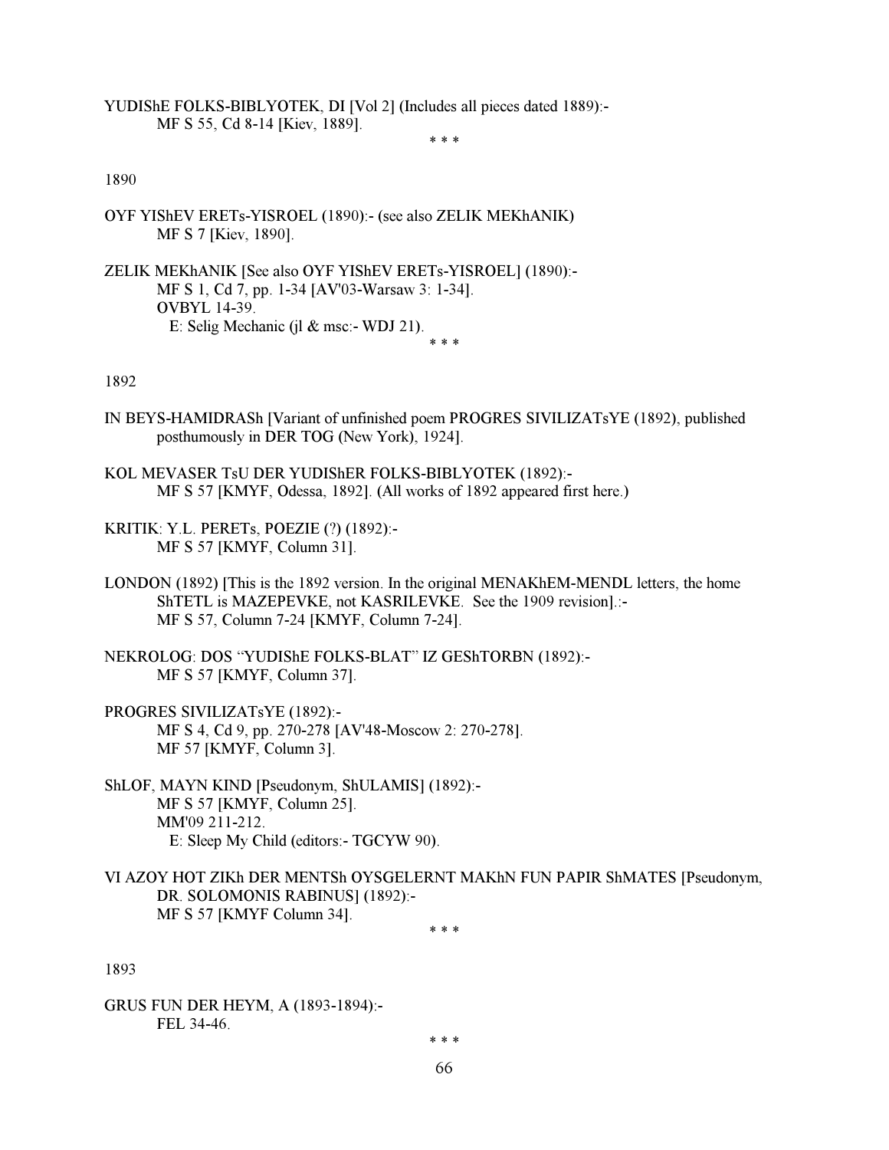YUDIShE FOLKS-BIBLYOTEK, DI [Vol 2] (Includes all pieces dated 1889):- MF S 55, Cd 8-14 [Kiev, 1889].

 $* * *$ 

# 1890

- OYF YIShEV ERETs-YISROEL (1890):- (see also ZELIK MEKhANIK) MF S 7 [Kiev, 1890].
- ZELIK MEKhANIK [See also OYF YIShEV ERETs-YISROEL] (1890):- MF S 1, Cd 7, pp. 1-34 [AV'03-Warsaw 3: 1-34]. OVBYL 14-39. E: Selig Mechanic (jl & msc:- WDJ 21).

 $* * *$ 

#### 1892

- IN BEYS-HAMIDRASh [Variant of unfinished poem PROGRES SIVILIZATsYE (1892), published posthumously in DER TOG (New York), 1924].
- KOL MEVASER TsU DER YUDIShER FOLKS-BIBLYOTEK (1892):- MF S 57 [KMYF, Odessa, 1892]. (All works of 1892 appeared first here.)
- KRITIK: Y.L. PERETs, POEZIE (?) (1892):- MF S 57 [KMYF, Column 31].
- LONDON (1892) [This is the 1892 version. In the original MENAKhEM-MENDL letters, the home ShTETL is MAZEPEVKE, not KASRILEVKE. See the 1909 revision].:- MF S 57, Column 7-24 [KMYF, Column 7-24].
- NEKROLOG: DOS "YUDIShE FOLKS-BLAT" IZ GEShTORBN (1892):- MF S 57 [KMYF, Column 37].
- PROGRES SIVILIZATsYE (1892):- MF S 4, Cd 9, pp. 270-278 [AV'48-Moscow 2: 270-278]. MF 57 [KMYF, Column 3].
- ShLOF, MAYN KIND [Pseudonym, ShULAMIS] (1892):- MF S 57 [KMYF, Column 25]. MM'09 211-212. E: Sleep My Child (editors:- TGCYW 90).
- VI AZOY HOT ZIKh DER MENTSh OYSGELERNT MAKhN FUN PAPIR ShMATES [Pseudonym, DR. SOLOMONIS RABINUS] (1892):- MF S 57 [KMYF Column 34].

 $* * *$ 

1893

GRUS FUN DER HEYM, A (1893-1894):- FEL 34-46.

 $* * *$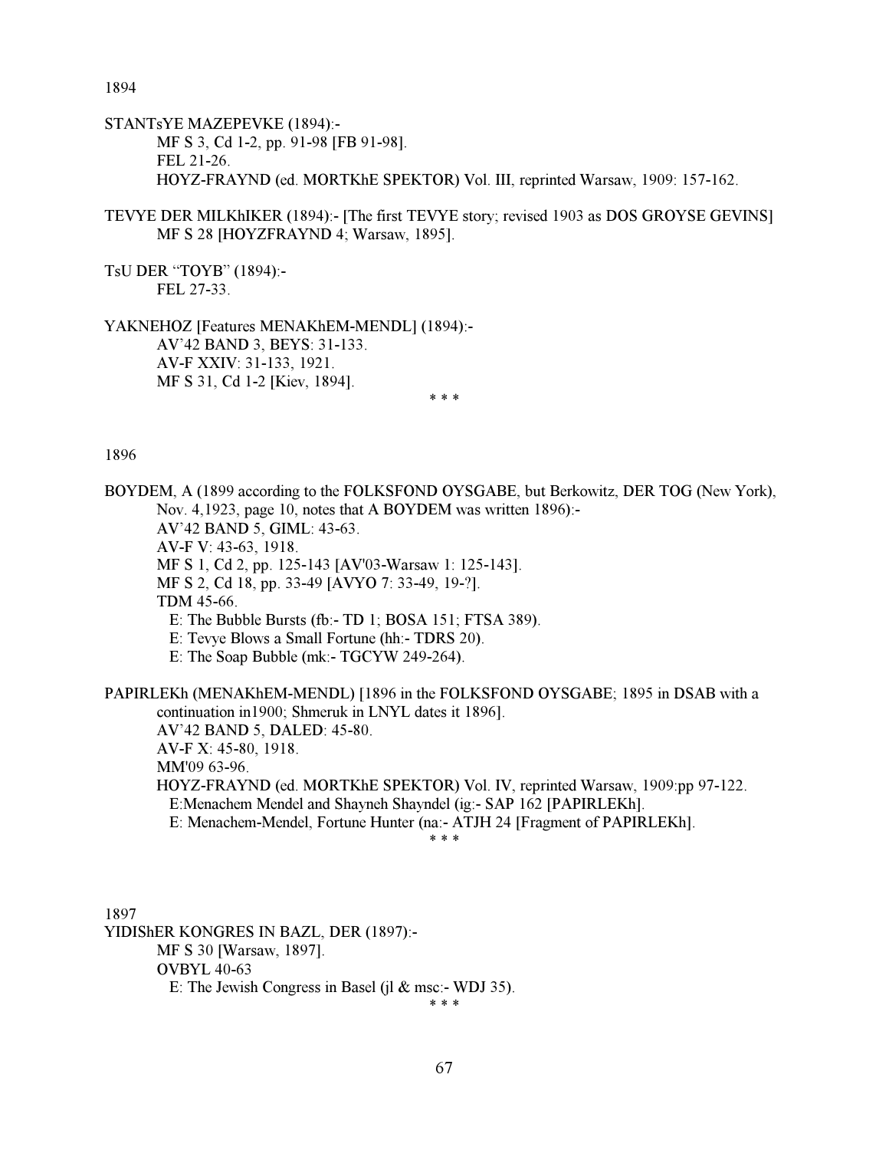1894

STANTsYE MAZEPEVKE (1894):- MF S 3, Cd 1-2, pp. 91-98 [FB 91-98]. FEL 21-26. HOYZ-FRAYND (ed. MORTKhE SPEKTOR) Vol. III, reprinted Warsaw, 1909: 157-162.

TEVYE DER MILKhIKER (1894):- [The first TEVYE story; revised 1903 as DOS GROYSE GEVINS] MF S 28 [HOYZFRAYND 4; Warsaw, 1895].

TsU DER "TOYB" (1894):- FEL 27-33.

YAKNEHOZ [Features MENAKhEM-MENDL] (1894):- AV'42 BAND 3, BEYS: 31-133. AV-F XXIV: 31-133, 1921. MF S 31, Cd 1-2 [Kiev, 1894].

 $* * *$ 

1896

BOYDEM, A (1899 according to the FOLKSFOND OYSGABE, but Berkowitz, DER TOG (New York), Nov. 4,1923, page 10, notes that A BOYDEM was written 1896):- AV'42 BAND 5, GIML: 43-63. AV-F V: 43-63, 1918. MF S 1, Cd 2, pp. 125-143 [AV'03-Warsaw 1: 125-143]. MF S 2, Cd 18, pp. 33-49 [AVYO 7: 33-49, 19-?]. TDM 45-66. E: The Bubble Bursts (fb:- TD 1; BOSA 151; FTSA 389). E: Tevye Blows a Small Fortune (hh:- TDRS 20). E: The Soap Bubble (mk:- TGCYW 249-264). PAPIRLEKh (MENAKhEM-MENDL) [1896 in the FOLKSFOND OYSGABE; 1895 in DSAB with a continuation in1900; Shmeruk in LNYL dates it 1896]. AV'42 BAND 5, DALED: 45-80. AV-F X: 45-80, 1918. MM'09 63-96. HOYZ-FRAYND (ed. MORTKhE SPEKTOR) Vol. IV, reprinted Warsaw, 1909:pp 97-122. E:Menachem Mendel and Shayneh Shayndel (ig:- SAP 162 [PAPIRLEKh]. E: Menachem-Mendel, Fortune Hunter (na:- ATJH 24 [Fragment of PAPIRLEKh].

 $* * *$ 

1897 YIDIShER KONGRES IN BAZL, DER (1897):- MF S 30 [Warsaw, 1897]. OVBYL 40-63 E: The Jewish Congress in Basel (il  $&$  msc:- WDJ 35).

 $* * *$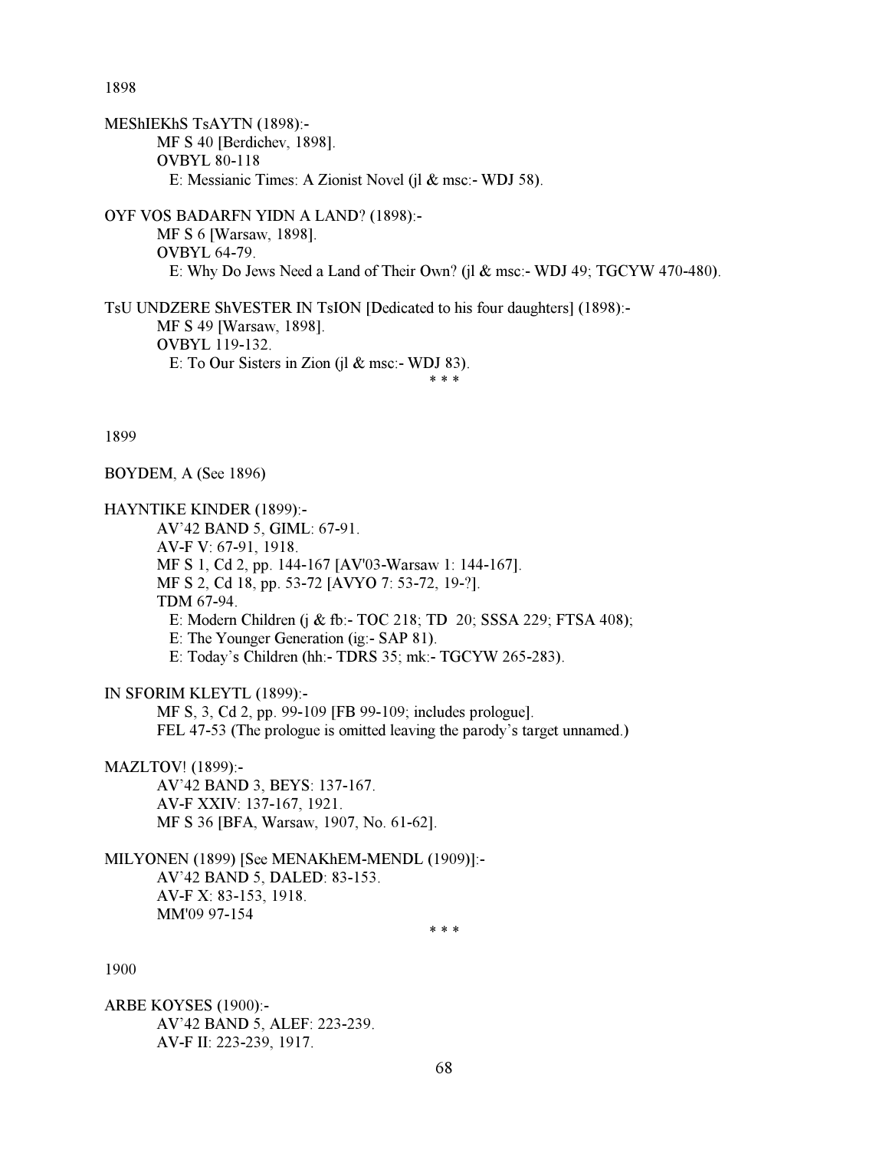1898

MEShIEKhS TsAYTN (1898):- MF S 40 [Berdichev, 1898]. OVBYL 80-118 E: Messianic Times: A Zionist Novel (jl & msc:- WDJ 58).

OYF VOS BADARFN YIDN A LAND? (1898):- MF S 6 [Warsaw, 1898]. OVBYL 64-79. E: Why Do Jews Need a Land of Their Own? (jl & msc:- WDJ 49; TGCYW 470-480).

TsU UNDZERE ShVESTER IN TsION [Dedicated to his four daughters] (1898):- MF S 49 [Warsaw, 1898]. OVBYL 119-132. E: To Our Sisters in Zion (il  $&$  msc:- WDJ 83).

1899

BOYDEM, A (See 1896)

HAYNTIKE KINDER (1899):-

 AV'42 BAND 5, GIML: 67-91. AV-F V: 67-91, 1918. MF S 1, Cd 2, pp. 144-167 [AV'03-Warsaw 1: 144-167]. MF S 2, Cd 18, pp. 53-72 [AVYO 7: 53-72, 19-?]. TDM 67-94. E: Modern Children (j & fb:- TOC 218; TD 20; SSSA 229; FTSA 408); E: The Younger Generation (ig:- SAP 81). E: Today's Children (hh:- TDRS 35; mk:- TGCYW 265-283).

IN SFORIM KLEYTL (1899):-

 MF S, 3, Cd 2, pp. 99-109 [FB 99-109; includes prologue]. FEL 47-53 (The prologue is omitted leaving the parody's target unnamed.)

MAZLTOV! (1899):-

 AV'42 BAND 3, BEYS: 137-167. AV-F XXIV: 137-167, 1921. MF S 36 [BFA, Warsaw, 1907, No. 61-62].

 $* * *$ 

MILYONEN (1899) [See MENAKhEM-MENDL (1909)]:- AV'42 BAND 5, DALED: 83-153. AV-F X: 83-153, 1918. MM'09 97-154

 $* * *$ 

1900

ARBE KOYSES (1900):- AV'42 BAND 5, ALEF: 223-239. AV-F II: 223-239, 1917.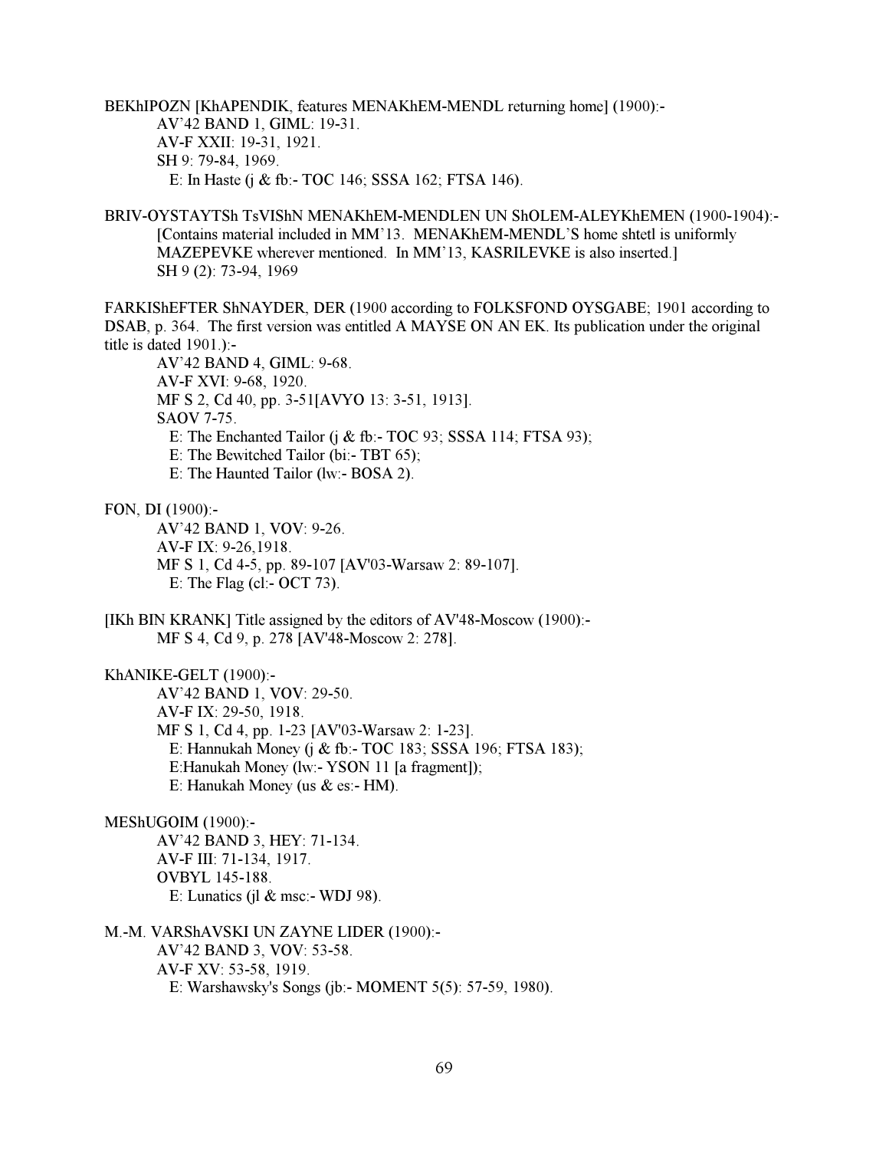BEKhIPOZN [KhAPENDIK, features MENAKhEM-MENDL returning home] (1900):- AV'42 BAND 1, GIML: 19-31. AV-F XXII: 19-31, 1921. SH 9: 79-84, 1969. E: In Haste (j & fb:- TOC 146; SSSA 162; FTSA 146).

BRIV-OYSTAYTSh TsVIShN MENAKhEM-MENDLEN UN ShOLEM-ALEYKhEMEN (1900-1904):- [Contains material included in MM'13. MENAKhEM-MENDL'S home shtetl is uniformly MAZEPEVKE wherever mentioned. In MM'13, KASRILEVKE is also inserted.] SH 9 (2): 73-94, 1969

FARKIShEFTER ShNAYDER, DER (1900 according to FOLKSFOND OYSGABE; 1901 according to DSAB, p. 364. The first version was entitled A MAYSE ON AN EK. Its publication under the original title is dated 1901.):-

 AV'42 BAND 4, GIML: 9-68. AV-F XVI: 9-68, 1920. MF S 2, Cd 40, pp. 3-51[AVYO 13: 3-51, 1913]. SAOV 7-75. E: The Enchanted Tailor (j & fb:- TOC 93; SSSA 114; FTSA 93); E: The Bewitched Tailor (bi:- TBT 65); E: The Haunted Tailor (lw:- BOSA 2).

FON, DI (1900):-

 AV'42 BAND 1, VOV: 9-26. AV-F IX: 9-26,1918. MF S 1, Cd 4-5, pp. 89-107 [AV'03-Warsaw 2: 89-107]. E: The Flag (cl:- OCT 73).

[IKh BIN KRANK] Title assigned by the editors of AV'48-Moscow (1900):- MF S 4, Cd 9, p. 278 [AV'48-Moscow 2: 278].

KhANIKE-GELT (1900):-

 AV'42 BAND 1, VOV: 29-50. AV-F IX: 29-50, 1918. MF S 1, Cd 4, pp. 1-23 [AV'03-Warsaw 2: 1-23]. E: Hannukah Money (j & fb:- TOC 183; SSSA 196; FTSA 183); E:Hanukah Money (lw:- YSON 11 [a fragment]); E: Hanukah Money (us & es:- HM).

## MEShUGOIM (1900):-

 AV'42 BAND 3, HEY: 71-134. AV-F III: 71-134, 1917. OVBYL 145-188. E: Lunatics (il  $&$  msc:- WDJ 98).

M.-M. VARShAVSKI UN ZAYNE LIDER (1900):- AV'42 BAND 3, VOV: 53-58. AV-F XV: 53-58, 1919. E: Warshawsky's Songs (jb:- MOMENT 5(5): 57-59, 1980).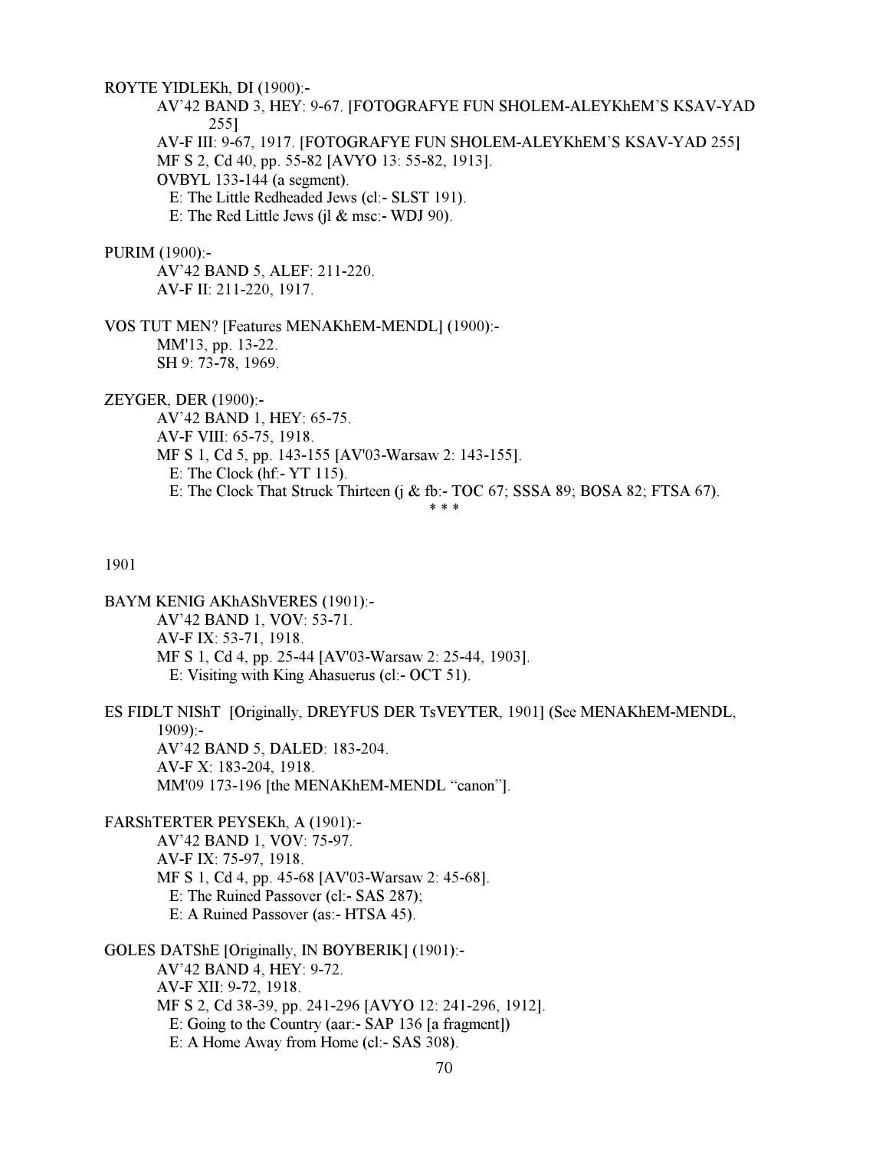ROYTE YIDLEKh, DI (1900):- AV'42 BAND 3, HEY: 9-67. [FOTOGRAFYE FUN SHOLEM-ALEYKhEM'S KSAV-YAD 255] AV-F III: 9-67, 1917. [FOTOGRAFYE FUN SHOLEM-ALEYKhEM'S KSAV-YAD 255] MF S 2, Cd 40, pp. 55-82 [AVYO 13: 55-82, 1913]. OVBYL 133-144 (a segment). E: The Little Redheaded Jews (cl:- SLST 191). E: The Red Little Jews (jl  $&$  msc:- WDJ 90).

#### PURIM (1900):-

 AV'42 BAND 5, ALEF: 211-220. AV-F II: 211-220, 1917.

VOS TUT MEN? [Features MENAKhEM-MENDL] (1900):- MM'13, pp. 13-22. SH 9: 73-78, 1969.

ZEYGER, DER (1900):-

 AV'42 BAND 1, HEY: 65-75. AV-F VIII: 65-75, 1918. MF S 1, Cd 5, pp. 143-155 [AV'03-Warsaw 2: 143-155]. E: The Clock (hf:- YT 115). E: The Clock That Struck Thirteen (j & fb:- TOC 67; SSSA 89; BOSA 82; FTSA 67).  $* * *$ 

# 1901

BAYM KENIG AKhAShVERES (1901):- AV'42 BAND 1, VOV: 53-71. AV-F IX: 53-71, 1918. MF S 1, Cd 4, pp. 25-44 [AV'03-Warsaw 2: 25-44, 1903]. E: Visiting with King Ahasuerus (cl:- OCT 51).

ES FIDLT NIShT [Originally, DREYFUS DER TsVEYTER, 1901] (See MENAKhEM-MENDL,  $1909$ :- AV'42 BAND 5, DALED: 183-204. AV-F X: 183-204, 1918. MM'09 173-196 [the MENAKhEM-MENDL "canon"].

FARShTERTER PEYSEKh, A (1901):- AV'42 BAND 1, VOV: 75-97. AV-F IX: 75-97, 1918. MF S 1, Cd 4, pp. 45-68 [AV'03-Warsaw 2: 45-68]. E: The Ruined Passover (cl:- SAS 287); E: A Ruined Passover (as:- HTSA 45).

GOLES DATShE [Originally, IN BOYBERIK] (1901):- AV'42 BAND 4, HEY: 9-72. AV-F XII: 9-72, 1918. MF S 2, Cd 38-39, pp. 241-296 [AVYO 12: 241-296, 1912]. E: Going to the Country (aar:- SAP 136 [a fragment]) E: A Home Away from Home (cl:- SAS 308).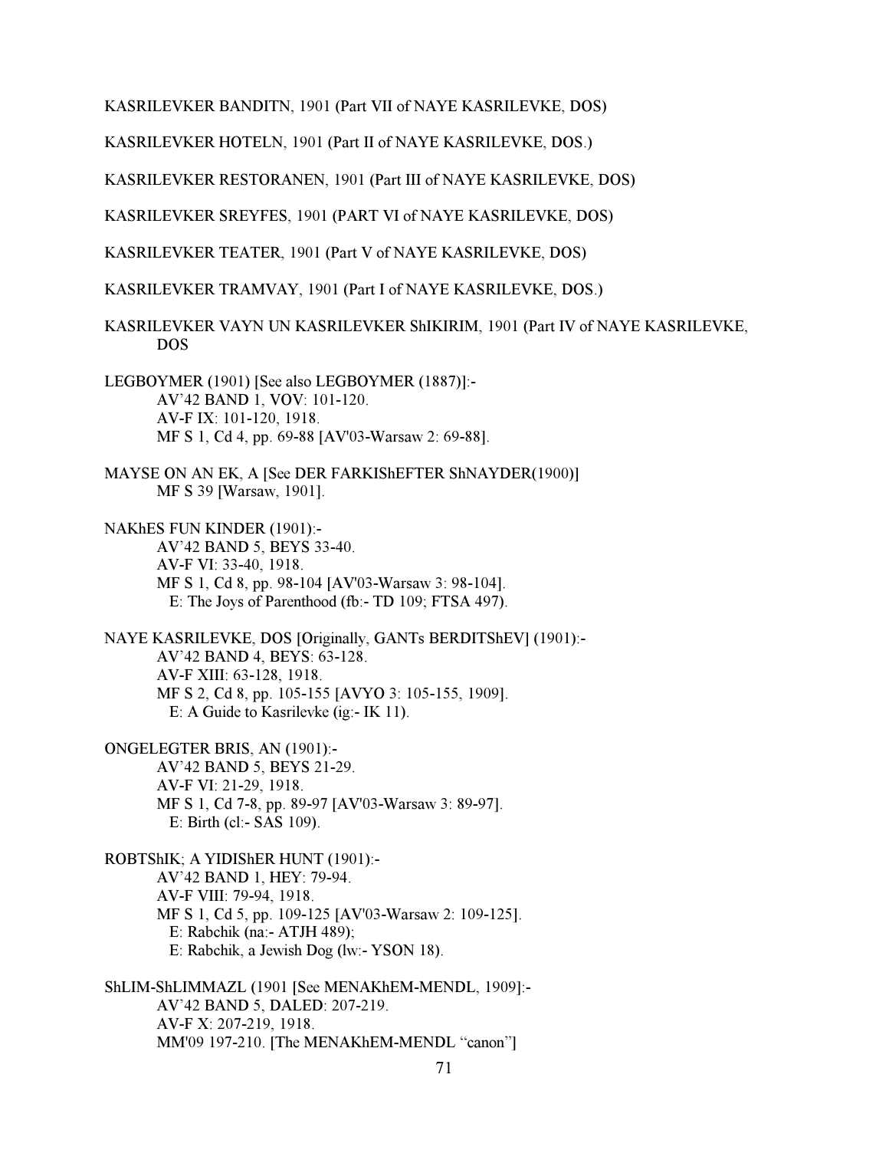KASRILEVKER BANDITN, 1901 (Part VII of NAYE KASRILEVKE, DOS)

KASRILEVKER HOTELN, 1901 (Part II of NAYE KASRILEVKE, DOS.)

KASRILEVKER RESTORANEN, 1901 (Part III of NAYE KASRILEVKE, DOS)

KASRILEVKER SREYFES, 1901 (PART VI of NAYE KASRILEVKE, DOS)

KASRILEVKER TEATER, 1901 (Part V of NAYE KASRILEVKE, DOS)

KASRILEVKER TRAMVAY, 1901 (Part I of NAYE KASRILEVKE, DOS.)

KASRILEVKER VAYN UN KASRILEVKER ShIKIRIM, 1901 (Part IV of NAYE KASRILEVKE, DOS

LEGBOYMER (1901) [See also LEGBOYMER (1887)]:- AV'42 BAND 1, VOV: 101-120. AV-F IX: 101-120, 1918. MF S 1, Cd 4, pp. 69-88 [AV'03-Warsaw 2: 69-88].

MAYSE ON AN EK, A [See DER FARKIShEFTER ShNAYDER(1900)] MF S 39 [Warsaw, 1901].

NAKhES FUN KINDER (1901):- AV'42 BAND 5, BEYS 33-40. AV-F VI: 33-40, 1918. MF S 1, Cd 8, pp. 98-104 [AV'03-Warsaw 3: 98-104]. E: The Joys of Parenthood (fb:- TD 109; FTSA 497).

NAYE KASRILEVKE, DOS [Originally, GANTs BERDITShEV] (1901):- AV'42 BAND 4, BEYS: 63-128. AV-F XIII: 63-128, 1918. MF S 2, Cd 8, pp. 105-155 [AVYO 3: 105-155, 1909]. E: A Guide to Kasrilevke (ig:- IK 11).

ONGELEGTER BRIS, AN (1901):- AV'42 BAND 5, BEYS 21-29. AV-F VI: 21-29, 1918. MF S 1, Cd 7-8, pp. 89-97 [AV'03-Warsaw 3: 89-97]. E: Birth (cl:- SAS 109).

ROBTShIK; A YIDIShER HUNT (1901):- AV'42 BAND 1, HEY: 79-94. AV-F VIII: 79-94, 1918. MF S 1, Cd 5, pp. 109-125 [AV'03-Warsaw 2: 109-125]. E: Rabchik (na:- ATJH 489); E: Rabchik, a Jewish Dog (lw:- YSON 18).

ShLIM-ShLIMMAZL (1901 [See MENAKhEM-MENDL, 1909]:- AV'42 BAND 5, DALED: 207-219. AV-F X: 207-219, 1918. MM'09 197-210. [The MENAKhEM-MENDL "canon"]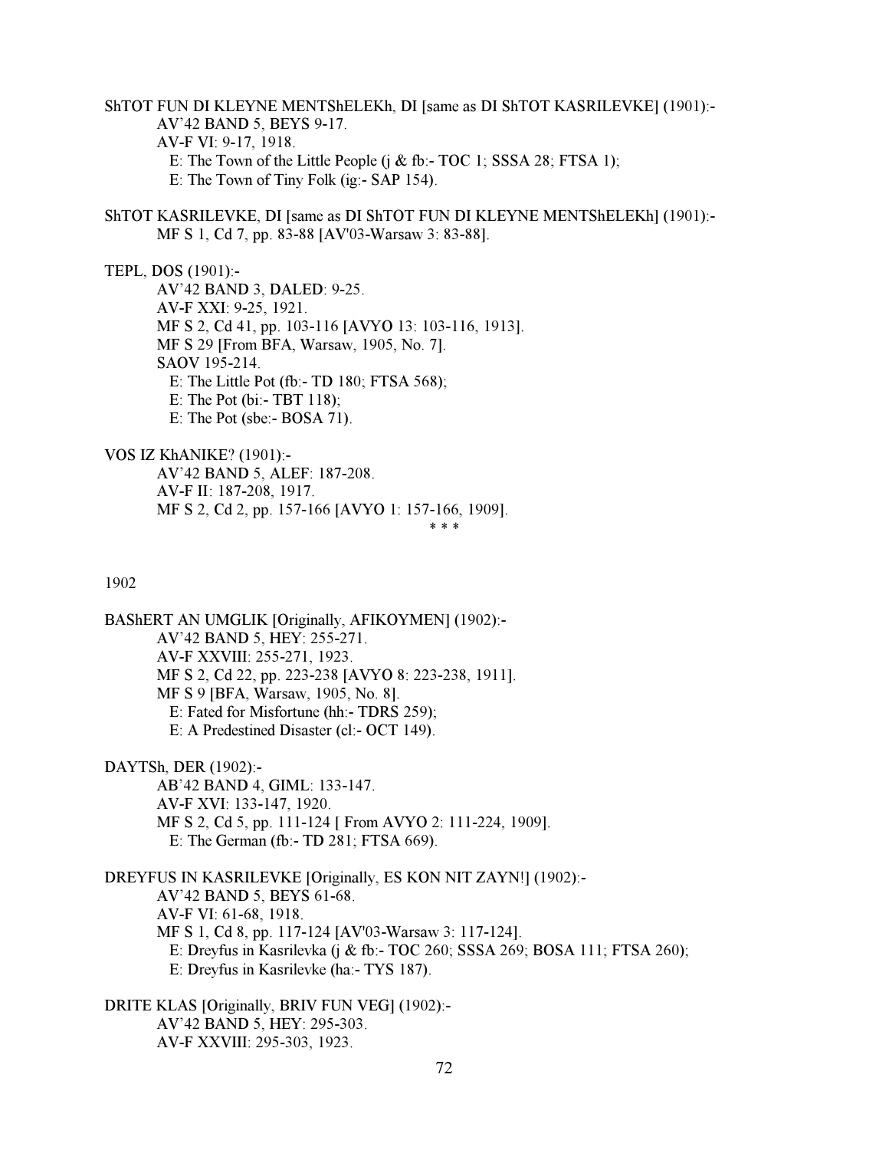ShTOT FUN DI KLEYNE MENTShELEKh, DI [same as DI ShTOT KASRILEVKE] (1901):- AV'42 BAND 5, BEYS 9-17. AV-F VI: 9-17, 1918. E: The Town of the Little People  $(i \&$  fb:- TOC 1; SSSA 28; FTSA 1); E: The Town of Tiny Folk (ig:- SAP 154).

ShTOT KASRILEVKE, DI [same as DI ShTOT FUN DI KLEYNE MENTShELEKh] (1901):- MF S 1, Cd 7, pp. 83-88 [AV'03-Warsaw 3: 83-88].

TEPL, DOS (1901):-

 AV'42 BAND 3, DALED: 9-25. AV-F XXI: 9-25, 1921. MF S 2, Cd 41, pp. 103-116 [AVYO 13: 103-116, 1913]. MF S 29 [From BFA, Warsaw, 1905, No. 7]. SAOV 195-214. E: The Little Pot (fb:- TD 180; FTSA 568); E: The Pot (bi:- TBT 118); E: The Pot (sbe:- BOSA 71).

VOS IZ KhANIKE? (1901):- AV'42 BAND 5, ALEF: 187-208. AV-F II: 187-208, 1917. MF S 2, Cd 2, pp. 157-166 [AVYO 1: 157-166, 1909].<br>\*\*\*  $* * *$ 

1902

BAShERT AN UMGLIK [Originally, AFIKOYMEN] (1902):- AV'42 BAND 5, HEY: 255-271. AV-F XXVIII: 255-271, 1923. MF S 2, Cd 22, pp. 223-238 [AVYO 8: 223-238, 1911]. MF S 9 [BFA, Warsaw, 1905, No. 8]. E: Fated for Misfortune (hh:- TDRS 259); E: A Predestined Disaster (cl:- OCT 149).

DAYTSh, DER (1902):- AB'42 BAND 4, GIML: 133-147. AV-F XVI: 133-147, 1920. MF S 2, Cd 5, pp. 111-124 [ From AVYO 2: 111-224, 1909]. E: The German (fb:- TD 281; FTSA 669).

DREYFUS IN KASRILEVKE [Originally, ES KON NIT ZAYN!] (1902):- AV'42 BAND 5, BEYS 61-68. AV-F VI: 61-68, 1918. MF S 1, Cd 8, pp. 117-124 [AV'03-Warsaw 3: 117-124]. E: Dreyfus in Kasrilevka (j & fb:- TOC 260; SSSA 269; BOSA 111; FTSA 260); E: Dreyfus in Kasrilevke (ha:- TYS 187).

DRITE KLAS [Originally, BRIV FUN VEG] (1902):- AV'42 BAND 5, HEY: 295-303. AV-F XXVIII: 295-303, 1923.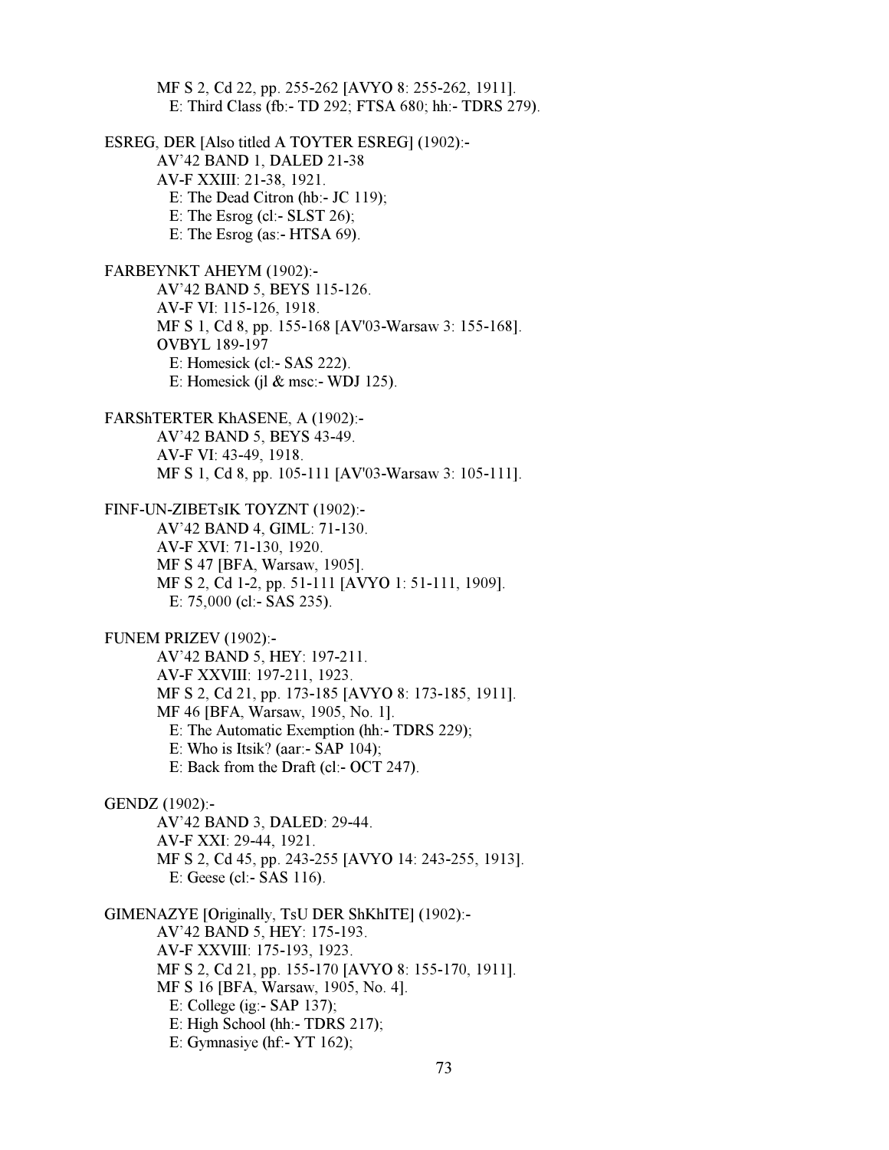MF S 2, Cd 22, pp. 255-262 [AVYO 8: 255-262, 1911]. E: Third Class (fb:- TD 292; FTSA 680; hh:- TDRS 279). ESREG, DER [Also titled A TOYTER ESREG] (1902):- AV'42 BAND 1, DALED 21-38 AV-F XXIII: 21-38, 1921. E: The Dead Citron (hb:- JC 119); E: The Esrog (cl:-  $SLST$  26); E: The Esrog (as:- HTSA 69). FARBEYNKT AHEYM (1902):- AV'42 BAND 5, BEYS 115-126. AV-F VI: 115-126, 1918. MF S 1, Cd 8, pp. 155-168 [AV'03-Warsaw 3: 155-168]. OVBYL 189-197 E: Homesick (cl:- SAS 222). E: Homesick (jl & msc:- WDJ 125). FARShTERTER KhASENE, A (1902):- AV'42 BAND 5, BEYS 43-49. AV-F VI: 43-49, 1918. MF S 1, Cd 8, pp. 105-111 [AV'03-Warsaw 3: 105-111]. FINF-UN-ZIBETsIK TOYZNT (1902):- AV'42 BAND 4, GIML: 71-130. AV-F XVI: 71-130, 1920. MF S 47 [BFA, Warsaw, 1905]. MF S 2, Cd 1-2, pp. 51-111 [AVYO 1: 51-111, 1909]. E: 75,000 (cl:- SAS 235). FUNEM PRIZEV (1902):- AV'42 BAND 5, HEY: 197-211. AV-F XXVIII: 197-211, 1923. MF S 2, Cd 21, pp. 173-185 [AVYO 8: 173-185, 1911]. MF 46 [BFA, Warsaw, 1905, No. 1]. E: The Automatic Exemption (hh:- TDRS 229); E: Who is Itsik? (aar:- SAP 104); E: Back from the Draft (cl:- OCT 247). GENDZ (1902):- AV'42 BAND 3, DALED: 29-44. AV-F XXI: 29-44, 1921. MF S 2, Cd 45, pp. 243-255 [AVYO 14: 243-255, 1913]. E: Geese (cl:- SAS 116). GIMENAZYE [Originally, TsU DER ShKhITE] (1902):- AV'42 BAND 5, HEY: 175-193. AV-F XXVIII: 175-193, 1923. MF S 2, Cd 21, pp. 155-170 [AVYO 8: 155-170, 1911]. MF S 16 [BFA, Warsaw, 1905, No. 4]. E: College (ig:- SAP 137); E: High School (hh:- TDRS 217); E: Gymnasiye (hf:- YT 162);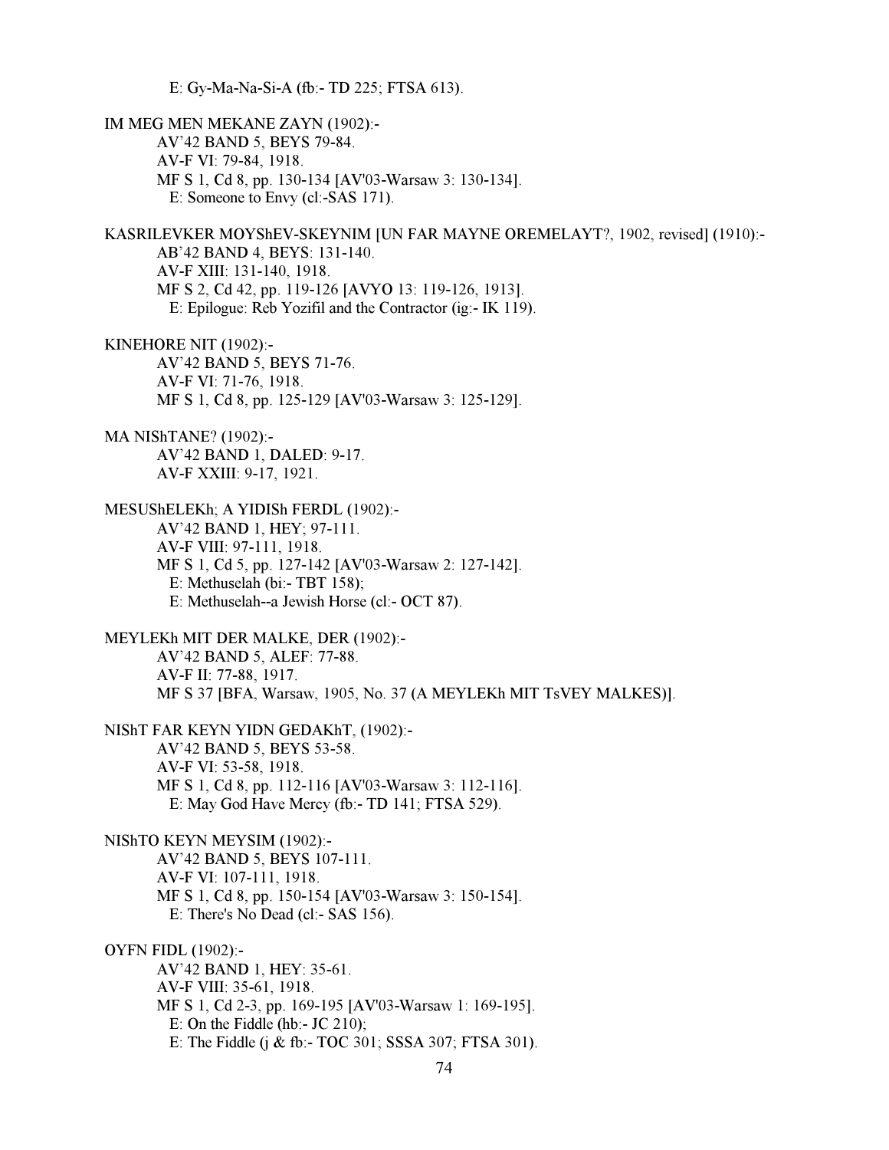E: Gy-Ma-Na-Si-A (fb:- TD 225; FTSA 613).

IM MEG MEN MEKANE ZAYN (1902):- AV'42 BAND 5, BEYS 79-84. AV-F VI: 79-84, 1918. MF S 1, Cd 8, pp. 130-134 [AV'03-Warsaw 3: 130-134]. E: Someone to Envy (cl:-SAS 171). KASRILEVKER MOYShEV-SKEYNIM [UN FAR MAYNE OREMELAYT?, 1902, revised] (1910):- AB'42 BAND 4, BEYS: 131-140. AV-F XIII: 131-140, 1918. MF S 2, Cd 42, pp. 119-126 [AVYO 13: 119-126, 1913]. E: Epilogue: Reb Yozifil and the Contractor (ig:- IK 119). KINEHORE NIT (1902):- AV'42 BAND 5, BEYS 71-76. AV-F VI: 71-76, 1918. MF S 1, Cd 8, pp. 125-129 [AV'03-Warsaw 3: 125-129]. MA NIShTANE? (1902):- AV'42 BAND 1, DALED: 9-17. AV-F XXIII: 9-17, 1921. MESUShELEKh; A YIDISh FERDL (1902):- AV'42 BAND 1, HEY; 97-111. AV-F VIII: 97-111, 1918. MF S 1, Cd 5, pp. 127-142 [AV'03-Warsaw 2: 127-142]. E: Methuselah (bi:- TBT 158); E: Methuselah--a Jewish Horse (cl:- OCT 87). MEYLEKh MIT DER MALKE, DER (1902):- AV'42 BAND 5, ALEF: 77-88. AV-F II: 77-88, 1917. MF S 37 [BFA, Warsaw, 1905, No. 37 (A MEYLEKh MIT TsVEY MALKES)]. NIShT FAR KEYN YIDN GEDAKhT, (1902):- AV'42 BAND 5, BEYS 53-58. AV-F VI: 53-58, 1918. MF S 1, Cd 8, pp. 112-116 [AV'03-Warsaw 3: 112-116]. E: May God Have Mercy (fb:- TD 141; FTSA 529). NIShTO KEYN MEYSIM (1902):- AV'42 BAND 5, BEYS 107-111. AV-F VI: 107-111, 1918. MF S 1, Cd 8, pp. 150-154 [AV'03-Warsaw 3: 150-154]. E: There's No Dead (cl:- SAS 156). OYFN FIDL (1902):- AV'42 BAND 1, HEY: 35-61. AV-F VIII: 35-61, 1918. MF S 1, Cd 2-3, pp. 169-195 [AV'03-Warsaw 1: 169-195]. E: On the Fiddle (hb:-  $JC$  210); E: The Fiddle (j & fb:- TOC 301; SSSA 307; FTSA 301).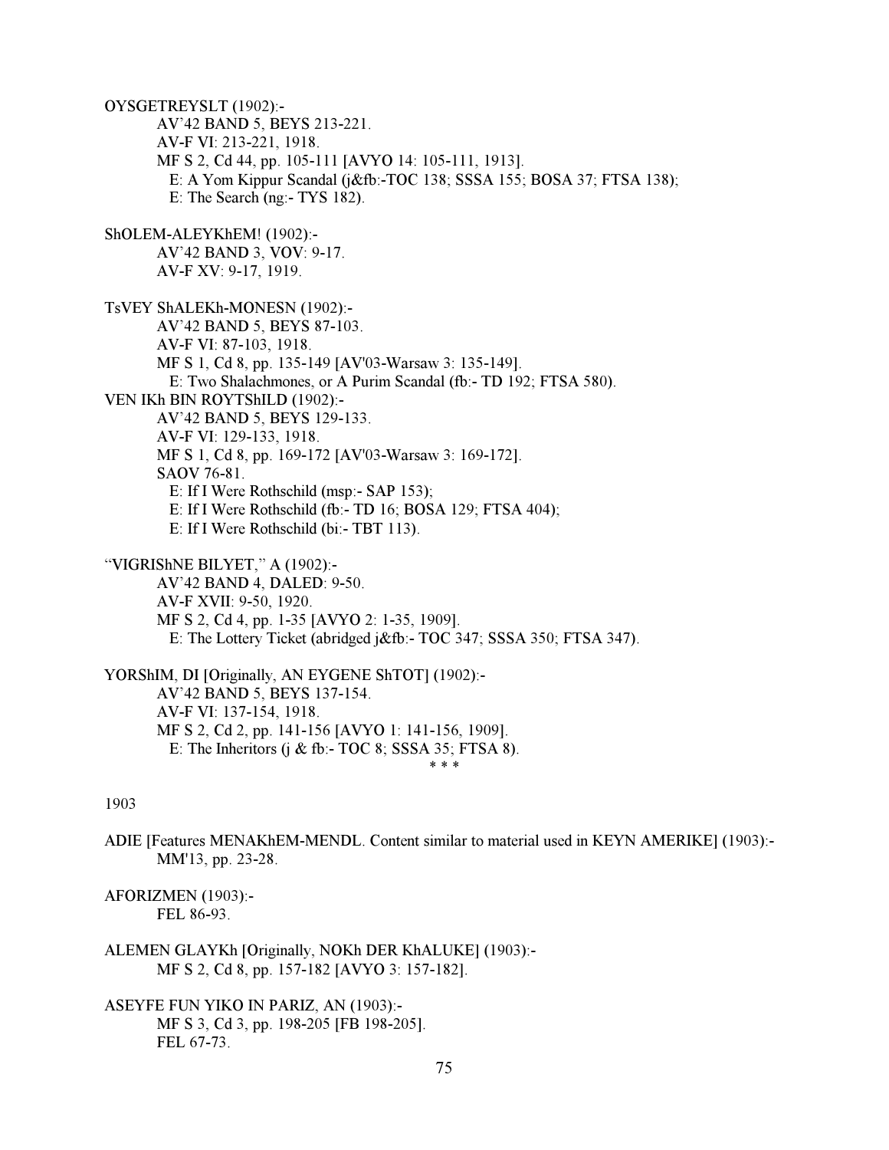OYSGETREYSLT (1902):- AV'42 BAND 5, BEYS 213-221. AV-F VI: 213-221, 1918. MF S 2, Cd 44, pp. 105-111 [AVYO 14: 105-111, 1913]. E: A Yom Kippur Scandal (j&fb:-TOC 138; SSSA 155; BOSA 37; FTSA 138); E: The Search (ng:- TYS 182). ShOLEM-ALEYKhEM! (1902):- AV'42 BAND 3, VOV: 9-17. AV-F XV: 9-17, 1919. TsVEY ShALEKh-MONESN (1902):- AV'42 BAND 5, BEYS 87-103. AV-F VI: 87-103, 1918. MF S 1, Cd 8, pp. 135-149 [AV'03-Warsaw 3: 135-149]. E: Two Shalachmones, or A Purim Scandal (fb:- TD 192; FTSA 580). VEN IKh BIN ROYTShILD (1902):- AV'42 BAND 5, BEYS 129-133. AV-F VI: 129-133, 1918. MF S 1, Cd 8, pp. 169-172 [AV'03-Warsaw 3: 169-172]. SAOV 76-81. E: If I Were Rothschild (msp:- SAP 153); E: If I Were Rothschild (fb:- TD 16; BOSA 129; FTSA 404); E: If I Were Rothschild (bi:- TBT 113). "VIGRIShNE BILYET," A (1902):- AV'42 BAND 4, DALED: 9-50. AV-F XVII: 9-50, 1920. MF S 2, Cd 4, pp. 1-35 [AVYO 2: 1-35, 1909]. E: The Lottery Ticket (abridged j&fb:- TOC 347; SSSA 350; FTSA 347). YORShIM, DI [Originally, AN EYGENE ShTOT] (1902):- AV'42 BAND 5, BEYS 137-154. AV-F VI: 137-154, 1918. MF S 2, Cd 2, pp. 141-156 [AVYO 1: 141-156, 1909]. E: The Inheritors (j & fb:- TOC 8; SSSA 35; FTSA 8).  $* * *$ 

#### 1903

ADIE [Features MENAKhEM-MENDL. Content similar to material used in KEYN AMERIKE] (1903):- MM'13, pp. 23-28.

AFORIZMEN (1903):- FEL 86-93.

- ALEMEN GLAYKh [Originally, NOKh DER KhALUKE] (1903):- MF S 2, Cd 8, pp. 157-182 [AVYO 3: 157-182].
- ASEYFE FUN YIKO IN PARIZ, AN (1903):- MF S 3, Cd 3, pp. 198-205 [FB 198-205]. FEL 67-73.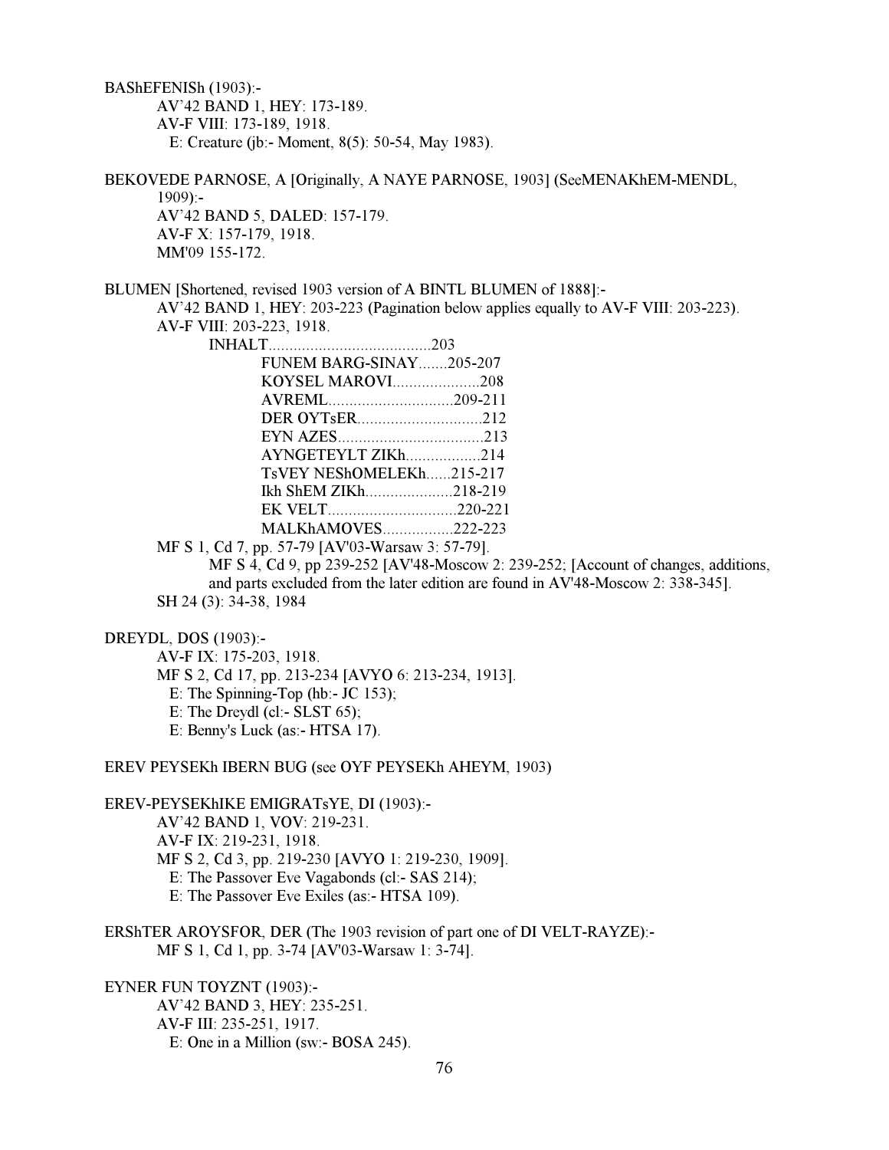BAShEFENISh (1903):- AV'42 BAND 1, HEY: 173-189. AV-F VIII: 173-189, 1918. E: Creature (jb:- Moment, 8(5): 50-54, May 1983).

BEKOVEDE PARNOSE, A [Originally, A NAYE PARNOSE, 1903] (SeeMENAKhEM-MENDL,  $1909$ :- AV'42 BAND 5, DALED: 157-179. AV-F X: 157-179, 1918. MM'09 155-172.

BLUMEN [Shortened, revised 1903 version of A BINTL BLUMEN of 1888]:- AV'42 BAND 1, HEY: 203-223 (Pagination below applies equally to AV-F VIII: 203-223).

AV-F VIII: 203-223, 1918.

|  | FUNEM BARG-SINAY205-207  |  |  |
|--|--------------------------|--|--|
|  | KOYSEL MAROVI208         |  |  |
|  |                          |  |  |
|  |                          |  |  |
|  |                          |  |  |
|  | AYNGETEYLT ZIKh214       |  |  |
|  | TsVEY NEShOMELEKh215-217 |  |  |
|  | Ikh ShEM ZIKh218-219     |  |  |
|  |                          |  |  |
|  | MALKhAMOVES222-223       |  |  |
|  |                          |  |  |

MF S 1, Cd 7, pp. 57-79 [AV'03-Warsaw 3: 57-79].

 MF S 4, Cd 9, pp 239-252 [AV'48-Moscow 2: 239-252; [Account of changes, additions, and parts excluded from the later edition are found in AV'48-Moscow 2: 338-345]. SH 24 (3): 34-38, 1984

DREYDL, DOS (1903):-

 AV-F IX: 175-203, 1918. MF S 2, Cd 17, pp. 213-234 [AVYO 6: 213-234, 1913]. E: The Spinning-Top (hb:- JC 153); E: The Dreydl (cl:- SLST 65); E: Benny's Luck (as:- HTSA 17).

EREV PEYSEKh IBERN BUG (see OYF PEYSEKh AHEYM, 1903)

EREV-PEYSEKhIKE EMIGRATsYE, DI (1903):-

 AV'42 BAND 1, VOV: 219-231. AV-F IX: 219-231, 1918. MF S 2, Cd 3, pp. 219-230 [AVYO 1: 219-230, 1909]. E: The Passover Eve Vagabonds (cl:- SAS 214); E: The Passover Eve Exiles (as:- HTSA 109).

ERShTER AROYSFOR, DER (The 1903 revision of part one of DI VELT-RAYZE):- MF S 1, Cd 1, pp. 3-74 [AV'03-Warsaw 1: 3-74].

EYNER FUN TOYZNT (1903):- AV'42 BAND 3, HEY: 235-251. AV-F III: 235-251, 1917. E: One in a Million (sw:- BOSA 245).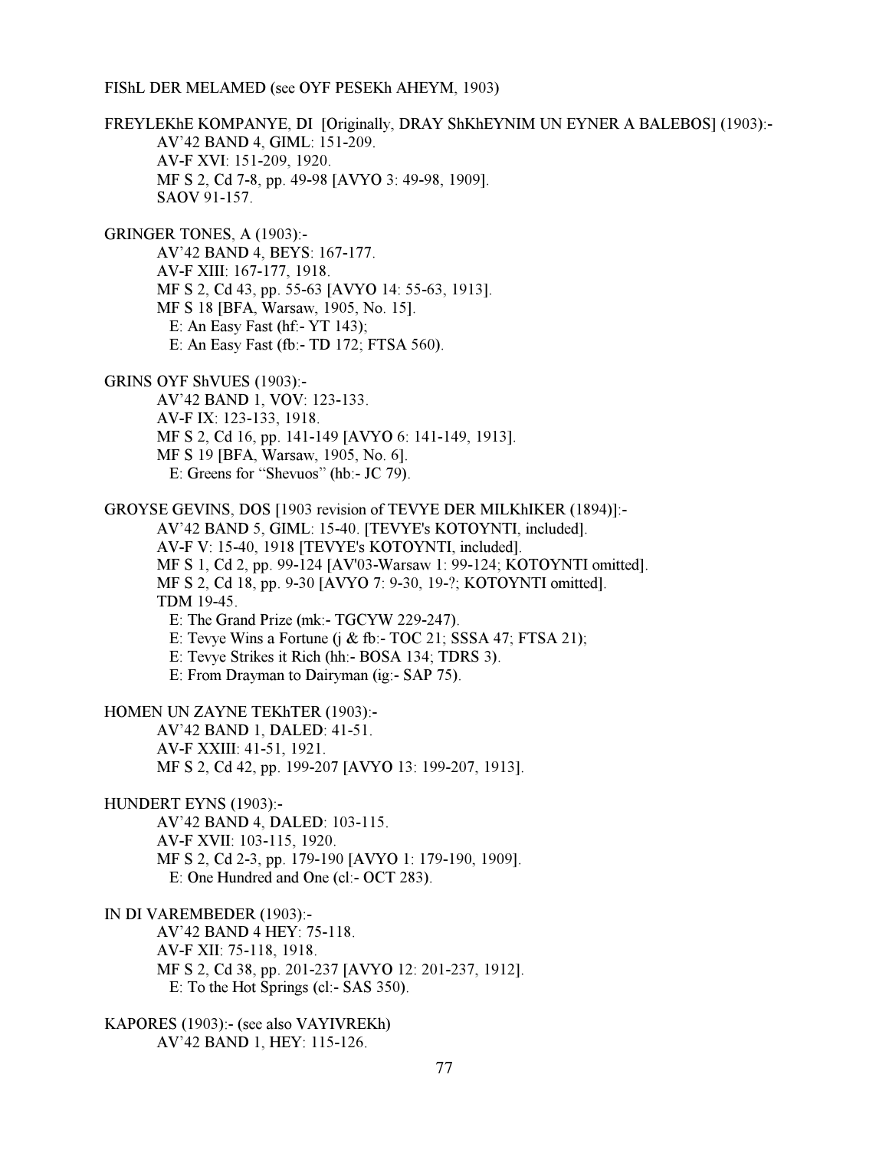FIShL DER MELAMED (see OYF PESEKh AHEYM, 1903)

FREYLEKhE KOMPANYE, DI [Originally, DRAY ShKhEYNIM UN EYNER A BALEBOS] (1903):- AV'42 BAND 4, GIML: 151-209. AV-F XVI: 151-209, 1920. MF S 2, Cd 7-8, pp. 49-98 [AVYO 3: 49-98, 1909]. SAOV 91-157. GRINGER TONES, A (1903):- AV'42 BAND 4, BEYS: 167-177. AV-F XIII: 167-177, 1918. MF S 2, Cd 43, pp. 55-63 [AVYO 14: 55-63, 1913]. MF S 18 [BFA, Warsaw, 1905, No. 15]. E: An Easy Fast (hf:- YT 143); E: An Easy Fast (fb:- TD 172; FTSA 560). GRINS OYF ShVUES (1903):- AV'42 BAND 1, VOV: 123-133. AV-F IX: 123-133, 1918. MF S 2, Cd 16, pp. 141-149 [AVYO 6: 141-149, 1913]. MF S 19 [BFA, Warsaw, 1905, No. 6]. E: Greens for "Shevuos" (hb:- JC 79). GROYSE GEVINS, DOS [1903 revision of TEVYE DER MILKhIKER (1894)]:- AV'42 BAND 5, GIML: 15-40. [TEVYE's KOTOYNTI, included]. AV-F V: 15-40, 1918 [TEVYE's KOTOYNTI, included]. MF S 1, Cd 2, pp. 99-124 [AV'03-Warsaw 1: 99-124; KOTOYNTI omitted]. MF S 2, Cd 18, pp. 9-30 [AVYO 7: 9-30, 19-?; KOTOYNTI omitted]. TDM 19-45. E: The Grand Prize (mk:- TGCYW 229-247). E: Tevye Wins a Fortune  $(i \& fb - TOC 21$ ; SSSA 47; FTSA 21); E: Tevye Strikes it Rich (hh:- BOSA 134; TDRS 3). E: From Drayman to Dairyman (ig:- SAP 75). HOMEN UN ZAYNE TEKhTER (1903):- AV'42 BAND 1, DALED: 41-51. AV-F XXIII: 41-51, 1921. MF S 2, Cd 42, pp. 199-207 [AVYO 13: 199-207, 1913]. HUNDERT EYNS (1903):- AV'42 BAND 4, DALED: 103-115. AV-F XVII: 103-115, 1920. MF S 2, Cd 2-3, pp. 179-190 [AVYO 1: 179-190, 1909]. E: One Hundred and One (cl:- OCT 283). IN DI VAREMBEDER (1903):- AV'42 BAND 4 HEY: 75-118. AV-F XII: 75-118, 1918. MF S 2, Cd 38, pp. 201-237 [AVYO 12: 201-237, 1912]. E: To the Hot Springs (cl:- SAS 350). KAPORES (1903):- (see also VAYIVREKh) AV'42 BAND 1, HEY: 115-126.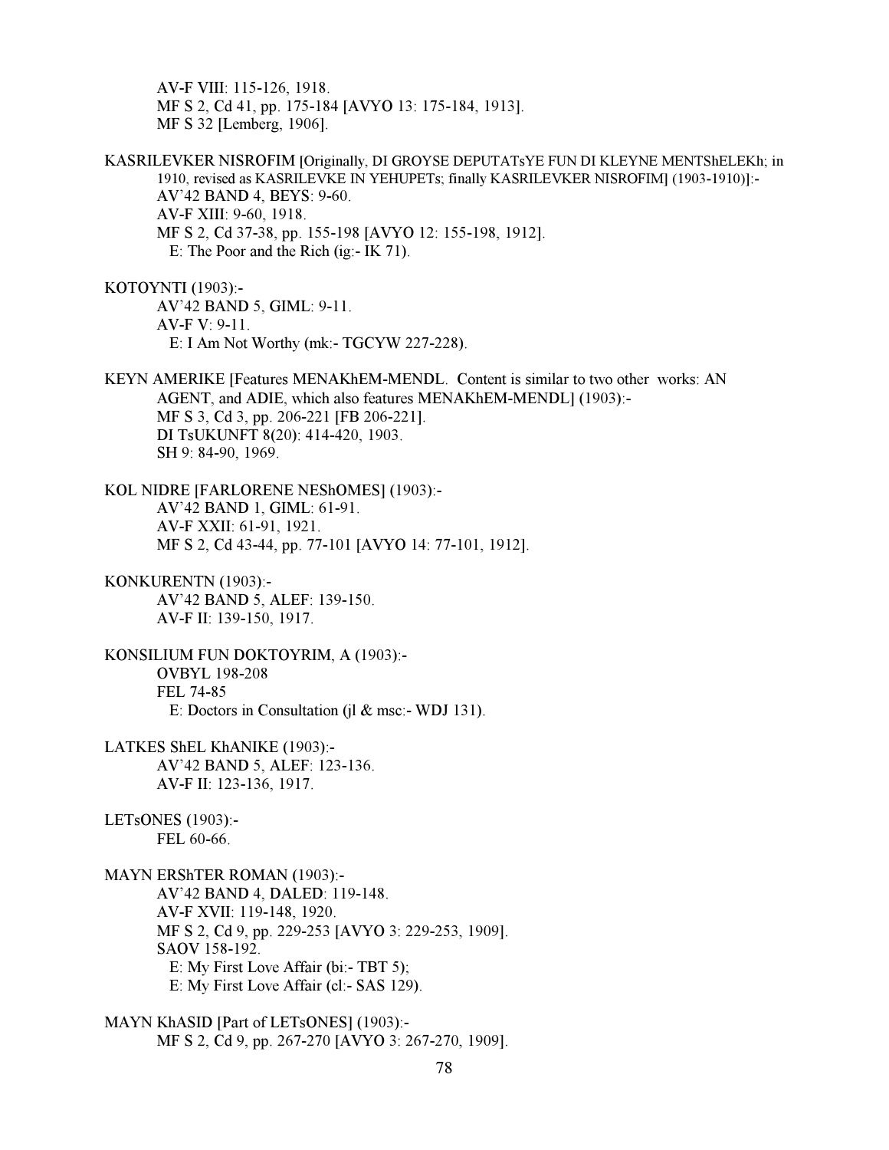AV-F VIII: 115-126, 1918. MF S 2, Cd 41, pp. 175-184 [AVYO 13: 175-184, 1913]. MF S 32 [Lemberg, 1906].

KASRILEVKER NISROFIM [Originally, DI GROYSE DEPUTATsYE FUN DI KLEYNE MENTShELEKh; in 1910, revised as KASRILEVKE IN YEHUPETs; finally KASRILEVKER NISROFIM] (1903-1910)]:- AV'42 BAND 4, BEYS: 9-60. AV-F XIII: 9-60, 1918. MF S 2, Cd 37-38, pp. 155-198 [AVYO 12: 155-198, 1912]. E: The Poor and the Rich (ig:- IK 71).

KOTOYNTI (1903):- AV'42 BAND 5, GIML: 9-11. AV-F V: 9-11. E: I Am Not Worthy (mk:- TGCYW 227-228).

KEYN AMERIKE [Features MENAKhEM-MENDL. Content is similar to two other works: AN AGENT, and ADIE, which also features MENAKhEM-MENDL] (1903):- MF S 3, Cd 3, pp. 206-221 [FB 206-221]. DI TsUKUNFT 8(20): 414-420, 1903. SH 9: 84-90, 1969.

KOL NIDRE [FARLORENE NEShOMES] (1903):- AV'42 BAND 1, GIML: 61-91. AV-F XXII: 61-91, 1921. MF S 2, Cd 43-44, pp. 77-101 [AVYO 14: 77-101, 1912].

KONKURENTN (1903):- AV'42 BAND 5, ALEF: 139-150. AV-F II: 139-150, 1917.

KONSILIUM FUN DOKTOYRIM, A (1903):- OVBYL 198-208 FEL 74-85 E: Doctors in Consultation (jl & msc:- WDJ 131).

- LATKES ShEL KhANIKE (1903):- AV'42 BAND 5, ALEF: 123-136. AV-F II: 123-136, 1917.
- LETsONES (1903):- FEL 60-66.

MAYN ERShTER ROMAN (1903):- AV'42 BAND 4, DALED: 119-148. AV-F XVII: 119-148, 1920. MF S 2, Cd 9, pp. 229-253 [AVYO 3: 229-253, 1909]. SAOV 158-192. E: My First Love Affair (bi:- TBT 5); E: My First Love Affair (cl:- SAS 129).

MAYN KhASID [Part of LETsONES] (1903):- MF S 2, Cd 9, pp. 267-270 [AVYO 3: 267-270, 1909].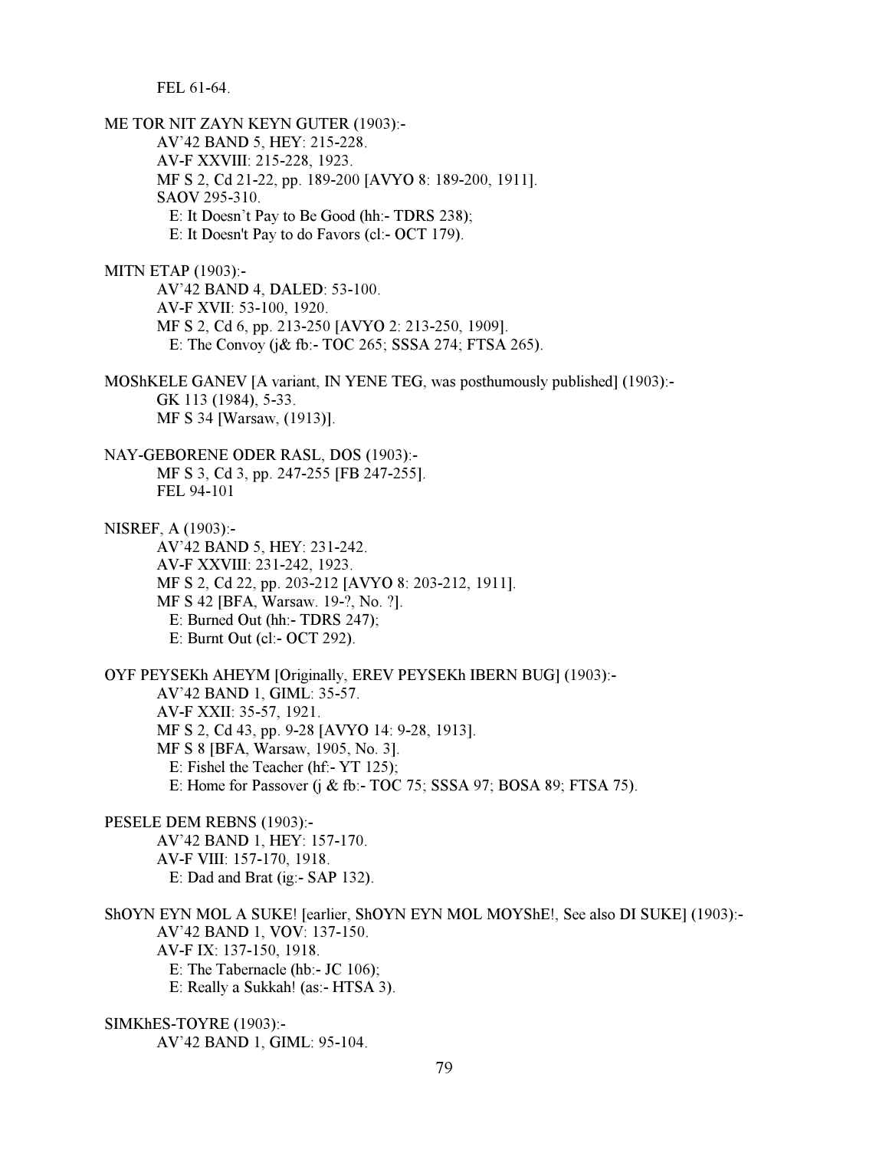FEL 61-64.

ME TOR NIT ZAYN KEYN GUTER (1903):- AV'42 BAND 5, HEY: 215-228. AV-F XXVIII: 215-228, 1923. MF S 2, Cd 21-22, pp. 189-200 [AVYO 8: 189-200, 1911]. SAOV 295-310. E: It Doesn't Pay to Be Good (hh:- TDRS 238); E: It Doesn't Pay to do Favors (cl:- OCT 179). MITN ETAP (1903):- AV'42 BAND 4, DALED: 53-100. AV-F XVII: 53-100, 1920. MF S 2, Cd 6, pp. 213-250 [AVYO 2: 213-250, 1909]. E: The Convoy (j& fb:- TOC 265; SSSA 274; FTSA 265). MOShKELE GANEV [A variant, IN YENE TEG, was posthumously published] (1903):- GK 113 (1984), 5-33. MF S 34 [Warsaw, (1913)]. NAY-GEBORENE ODER RASL, DOS (1903):- MF S 3, Cd 3, pp. 247-255 [FB 247-255]. FEL 94-101 NISREF, A (1903):- AV'42 BAND 5, HEY: 231-242. AV-F XXVIII: 231-242, 1923. MF S 2, Cd 22, pp. 203-212 [AVYO 8: 203-212, 1911]. MF S 42 [BFA, Warsaw. 19-?, No. ?]. E: Burned Out (hh:- TDRS 247); E: Burnt Out (cl:- OCT 292). OYF PEYSEKh AHEYM [Originally, EREV PEYSEKh IBERN BUG] (1903):- AV'42 BAND 1, GIML: 35-57. AV-F XXII: 35-57, 1921. MF S 2, Cd 43, pp. 9-28 [AVYO 14: 9-28, 1913]. MF S 8 [BFA, Warsaw, 1905, No. 3]. E: Fishel the Teacher (hf:- YT 125); E: Home for Passover (j & fb:- TOC 75; SSSA 97; BOSA 89; FTSA 75). PESELE DEM REBNS (1903):- AV'42 BAND 1, HEY: 157-170. AV-F VIII: 157-170, 1918. E: Dad and Brat (ig:- SAP 132). ShOYN EYN MOL A SUKE! [earlier, ShOYN EYN MOL MOYShE!, See also DI SUKE] (1903):- AV'42 BAND 1, VOV: 137-150. AV-F IX: 137-150, 1918. E: The Tabernacle (hb:- JC 106); E: Really a Sukkah! (as:- HTSA 3). SIMKhES-TOYRE (1903):- AV'42 BAND 1, GIML: 95-104.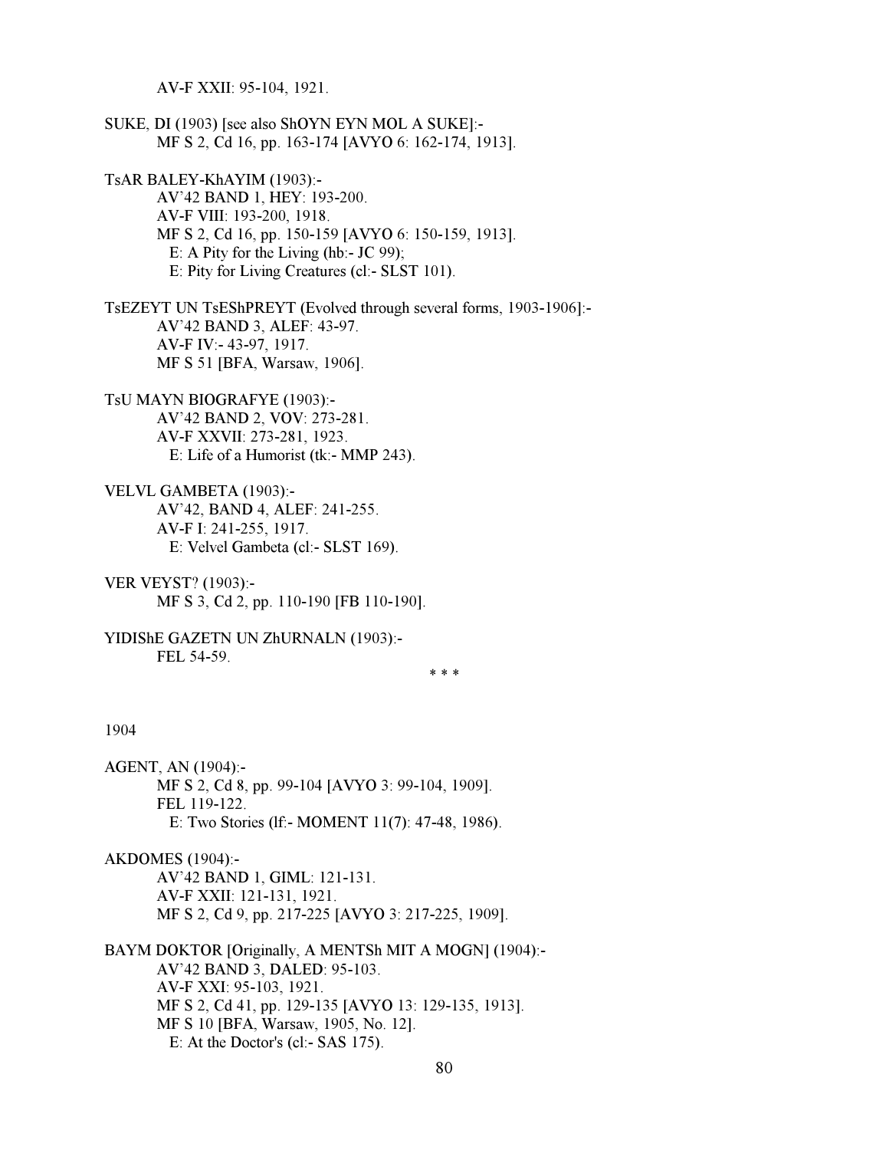AV-F XXII: 95-104, 1921.

SUKE, DI (1903) [see also ShOYN EYN MOL A SUKE]:- MF S 2, Cd 16, pp. 163-174 [AVYO 6: 162-174, 1913].

TsAR BALEY-KhAYIM (1903):-

 AV'42 BAND 1, HEY: 193-200. AV-F VIII: 193-200, 1918. MF S 2, Cd 16, pp. 150-159 [AVYO 6: 150-159, 1913]. E: A Pity for the Living (hb:- JC 99); E: Pity for Living Creatures (cl:- SLST 101).

TsEZEYT UN TsEShPREYT (Evolved through several forms, 1903-1906]:- AV'42 BAND 3, ALEF: 43-97. AV-F IV:- 43-97, 1917. MF S 51 [BFA, Warsaw, 1906].

- TsU MAYN BIOGRAFYE (1903):- AV'42 BAND 2, VOV: 273-281. AV-F XXVII: 273-281, 1923. E: Life of a Humorist (tk:- MMP 243).
- VELVL GAMBETA (1903):- AV'42, BAND 4, ALEF: 241-255. AV-F I: 241-255, 1917. E: Velvel Gambeta (cl:- SLST 169).
- VER VEYST? (1903):- MF S 3, Cd 2, pp. 110-190 [FB 110-190].
- YIDIShE GAZETN UN ZhURNALN (1903):- FEL 54-59.

 $* * *$ 

## 1904

AGENT, AN (1904):- MF S 2, Cd 8, pp. 99-104 [AVYO 3: 99-104, 1909]. FEL 119-122. E: Two Stories (lf:- MOMENT 11(7): 47-48, 1986).

AKDOMES (1904):- AV'42 BAND 1, GIML: 121-131. AV-F XXII: 121-131, 1921. MF S 2, Cd 9, pp. 217-225 [AVYO 3: 217-225, 1909].

BAYM DOKTOR [Originally, A MENTSh MIT A MOGN] (1904):- AV'42 BAND 3, DALED: 95-103. AV-F XXI: 95-103, 1921. MF S 2, Cd 41, pp. 129-135 [AVYO 13: 129-135, 1913]. MF S 10 [BFA, Warsaw, 1905, No. 12]. E: At the Doctor's (cl:- SAS 175).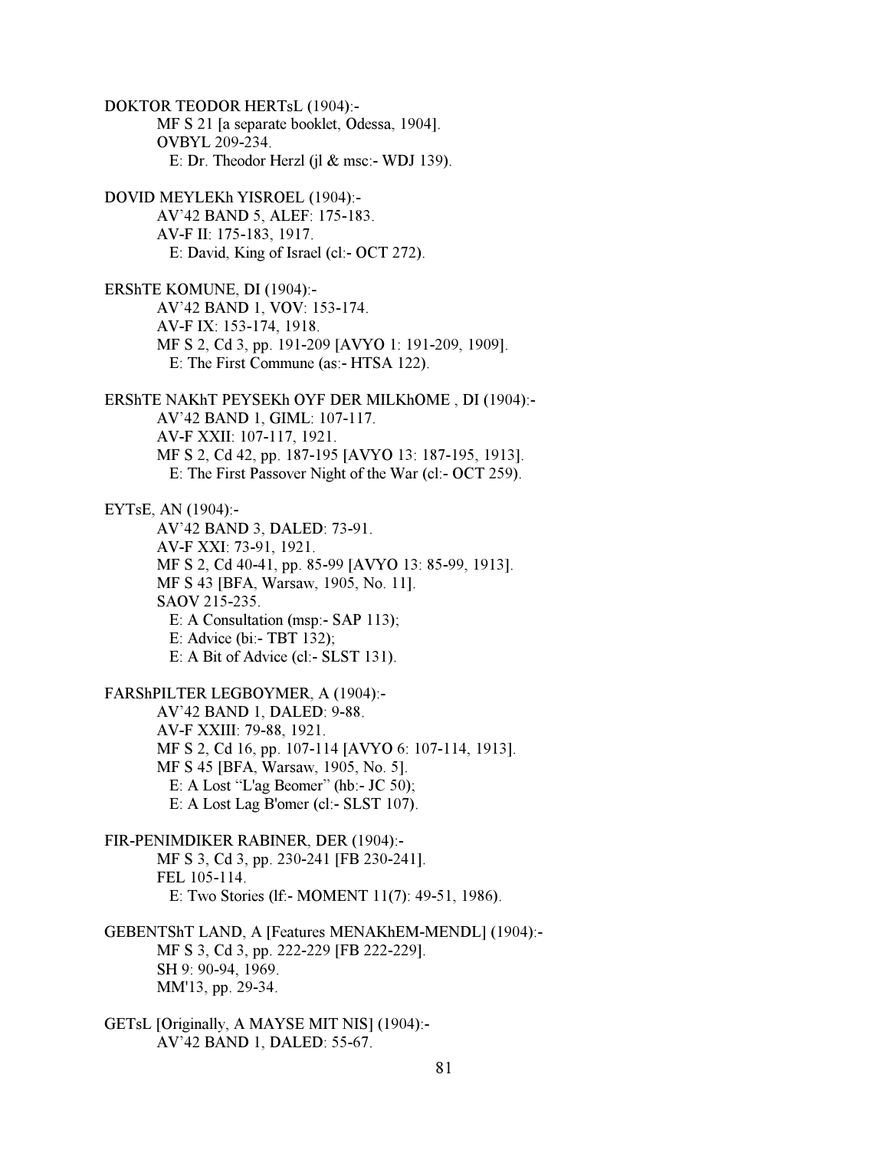DOKTOR TEODOR HERTsL (1904):- MF S 21 [a separate booklet, Odessa, 1904]. OVBYL 209-234. E: Dr. Theodor Herzl (j $\alpha$  msc:- WDJ 139). DOVID MEYLEKh YISROEL (1904):- AV'42 BAND 5, ALEF: 175-183. AV-F II: 175-183, 1917. E: David, King of Israel (cl:- OCT 272). ERShTE KOMUNE, DI (1904):- AV'42 BAND 1, VOV: 153-174. AV-F IX: 153-174, 1918. MF S 2, Cd 3, pp. 191-209 [AVYO 1: 191-209, 1909]. E: The First Commune (as:- HTSA 122). ERShTE NAKhT PEYSEKh OYF DER MILKhOME , DI (1904):- AV'42 BAND 1, GIML: 107-117. AV-F XXII: 107-117, 1921. MF S 2, Cd 42, pp. 187-195 [AVYO 13: 187-195, 1913]. E: The First Passover Night of the War (cl:- OCT 259). EYTsE, AN (1904):- AV'42 BAND 3, DALED: 73-91. AV-F XXI: 73-91, 1921. MF S 2, Cd 40-41, pp. 85-99 [AVYO 13: 85-99, 1913]. MF S 43 [BFA, Warsaw, 1905, No. 11]. SAOV 215-235. E: A Consultation (msp:- SAP 113); E: Advice (bi:- TBT 132); E: A Bit of Advice (cl:- SLST 131). FARShPILTER LEGBOYMER, A (1904):- AV'42 BAND 1, DALED: 9-88. AV-F XXIII: 79-88, 1921. MF S 2, Cd 16, pp. 107-114 [AVYO 6: 107-114, 1913]. MF S 45 [BFA, Warsaw, 1905, No. 5]. E: A Lost "L'ag Beomer" (hb:- JC 50); E: A Lost Lag B'omer (cl:- SLST 107). FIR-PENIMDIKER RABINER, DER (1904):-

 MF S 3, Cd 3, pp. 230-241 [FB 230-241]. FEL 105-114. E: Two Stories (lf:- MOMENT 11(7): 49-51, 1986).

GEBENTShT LAND, A [Features MENAKhEM-MENDL] (1904):- MF S 3, Cd 3, pp. 222-229 [FB 222-229]. SH 9: 90-94, 1969. MM'13, pp. 29-34.

GETsL [Originally, A MAYSE MIT NIS] (1904):- AV'42 BAND 1, DALED: 55-67.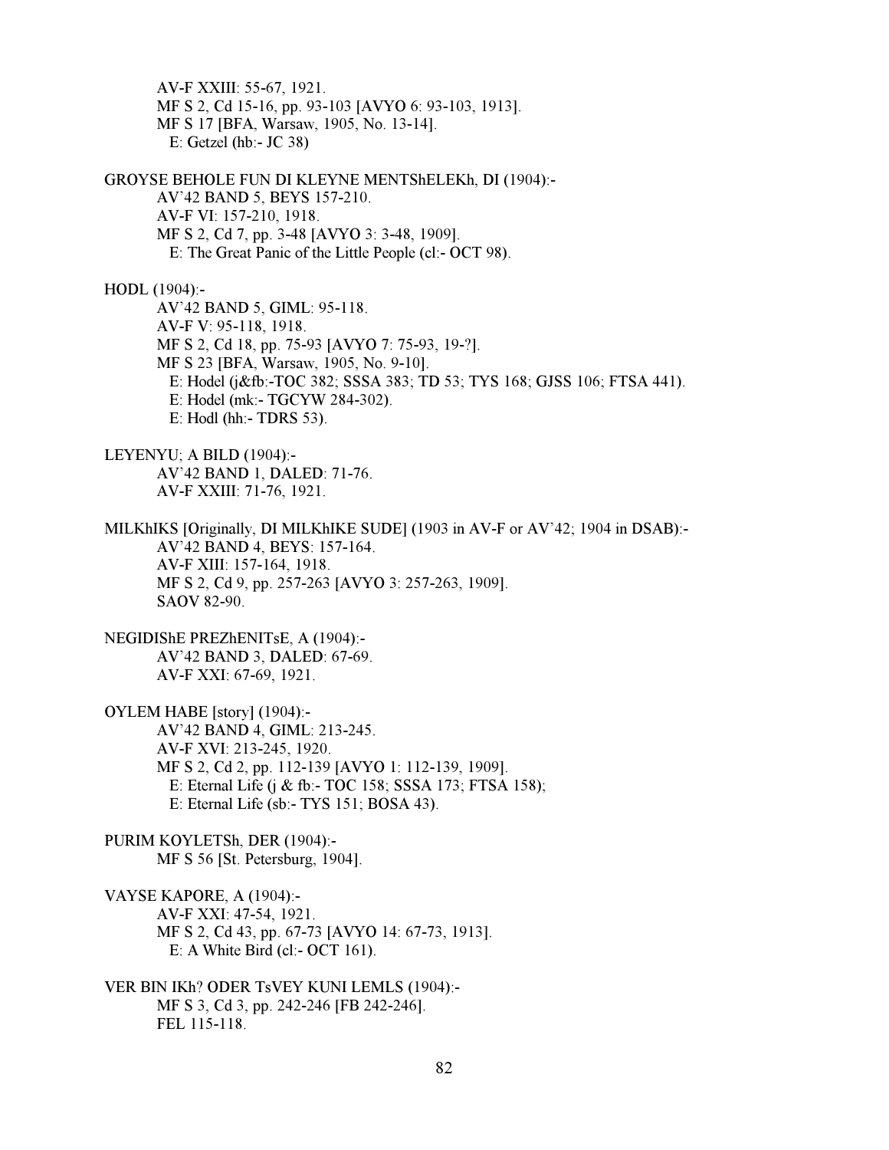AV-F XXIII: 55-67, 1921. MF S 2, Cd 15-16, pp. 93-103 [AVYO 6: 93-103, 1913]. MF S 17 [BFA, Warsaw, 1905, No. 13-14]. E: Getzel (hb:- JC 38)

GROYSE BEHOLE FUN DI KLEYNE MENTShELEKh, DI (1904):- AV'42 BAND 5, BEYS 157-210. AV-F VI: 157-210, 1918. MF S 2, Cd 7, pp. 3-48 [AVYO 3: 3-48, 1909]. E: The Great Panic of the Little People (cl:- OCT 98).

HODL (1904):-

 AV'42 BAND 5, GIML: 95-118. AV-F V: 95-118, 1918. MF S 2, Cd 18, pp. 75-93 [AVYO 7: 75-93, 19-?]. MF S 23 [BFA, Warsaw, 1905, No. 9-10]. E: Hodel (j&fb:-TOC 382; SSSA 383; TD 53; TYS 168; GJSS 106; FTSA 441). E: Hodel (mk:- TGCYW 284-302). E: Hodl (hh:- TDRS 53).

LEYENYU; A BILD (1904):- AV'42 BAND 1, DALED: 71-76. AV-F XXIII: 71-76, 1921.

MILKhIKS [Originally, DI MILKhIKE SUDE] (1903 in AV-F or AV'42; 1904 in DSAB):- AV'42 BAND 4, BEYS: 157-164. AV-F XIII: 157-164, 1918. MF S 2, Cd 9, pp. 257-263 [AVYO 3: 257-263, 1909]. SAOV 82-90.

NEGIDIShE PREZhENITsE, A (1904):- AV'42 BAND 3, DALED: 67-69. AV-F XXI: 67-69, 1921.

OYLEM HABE [story] (1904):- AV'42 BAND 4, GIML: 213-245. AV-F XVI: 213-245, 1920. MF S 2, Cd 2, pp. 112-139 [AVYO 1: 112-139, 1909]. E: Eternal Life (j & fb:- TOC 158; SSSA 173; FTSA 158); E: Eternal Life (sb:- TYS 151; BOSA 43).

PURIM KOYLETSh, DER (1904):- MF S 56 [St. Petersburg, 1904].

VAYSE KAPORE, A (1904):- AV-F XXI: 47-54, 1921. MF S 2, Cd 43, pp. 67-73 [AVYO 14: 67-73, 1913]. E: A White Bird (cl:- OCT 161).

VER BIN IKh? ODER TsVEY KUNI LEMLS (1904):- MF S 3, Cd 3, pp. 242-246 [FB 242-246]. FEL 115-118.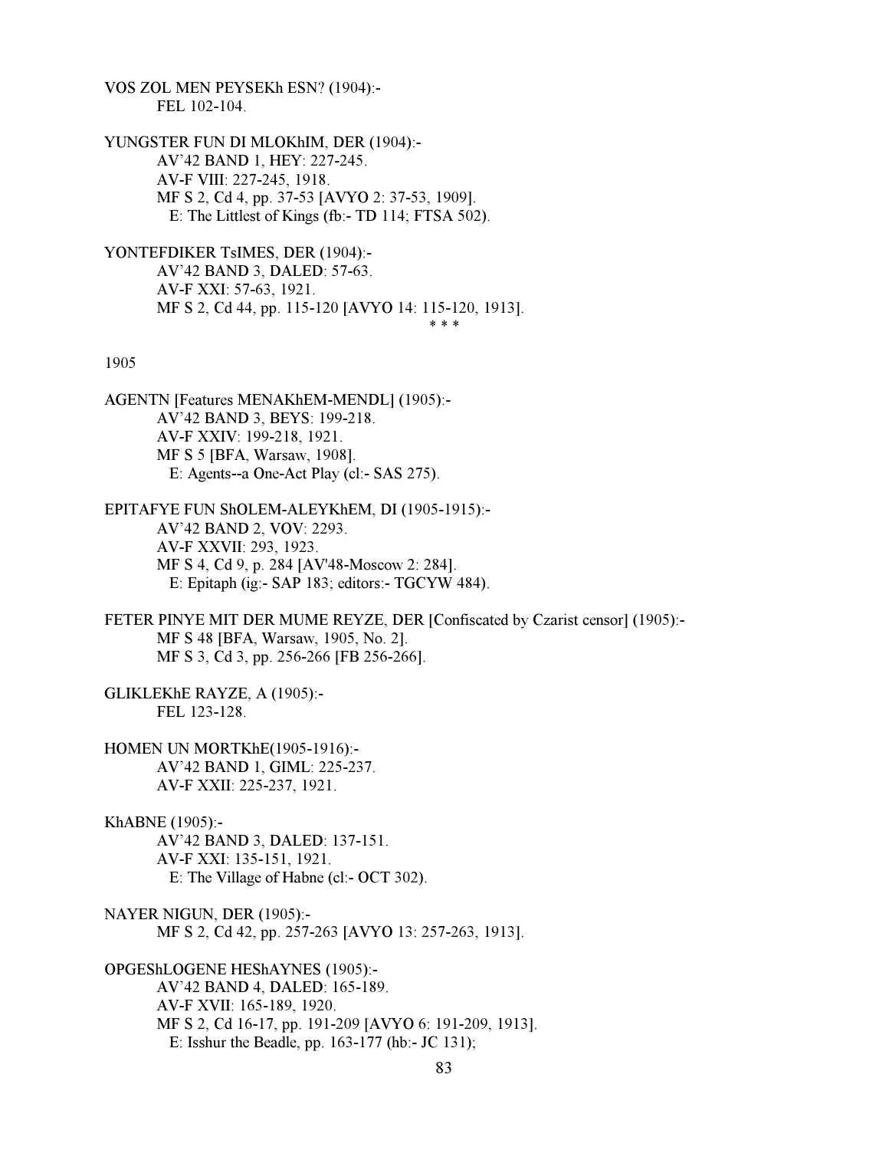VOS ZOL MEN PEYSEKh ESN? (1904):- FEL 102-104.

YUNGSTER FUN DI MLOKhIM, DER (1904):- AV'42 BAND 1, HEY: 227-245. AV-F VIII: 227-245, 1918. MF S 2, Cd 4, pp. 37-53 [AVYO 2: 37-53, 1909]. E: The Littlest of Kings (fb:- TD 114; FTSA 502).

YONTEFDIKER TsIMES, DER (1904):- AV'42 BAND 3, DALED: 57-63. AV-F XXI: 57-63, 1921. MF S 2, Cd 44, pp. 115-120 [AVYO 14: 115-120, 1913].  $* * *$ 

#### 1905

AGENTN [Features MENAKhEM-MENDL] (1905):- AV'42 BAND 3, BEYS: 199-218. AV-F XXIV: 199-218, 1921. MF S 5 [BFA, Warsaw, 1908]. E: Agents--a One-Act Play (cl:- SAS 275).

EPITAFYE FUN ShOLEM-ALEYKhEM, DI (1905-1915):- AV'42 BAND 2, VOV: 2293. AV-F XXVII: 293, 1923. MF S 4, Cd 9, p. 284 [AV'48-Moscow 2: 284]. E: Epitaph (ig:- SAP 183; editors:- TGCYW 484).

FETER PINYE MIT DER MUME REYZE, DER [Confiscated by Czarist censor] (1905):- MF S 48 [BFA, Warsaw, 1905, No. 2]. MF S 3, Cd 3, pp. 256-266 [FB 256-266].

GLIKLEKhE RAYZE, A (1905):- FEL 123-128.

HOMEN UN MORTKhE(1905-1916):- AV'42 BAND 1, GIML: 225-237. AV-F XXII: 225-237, 1921.

KhABNE (1905):- AV'42 BAND 3, DALED: 137-151. AV-F XXI: 135-151, 1921. E: The Village of Habne (cl:- OCT 302).

NAYER NIGUN, DER (1905):- MF S 2, Cd 42, pp. 257-263 [AVYO 13: 257-263, 1913].

OPGEShLOGENE HEShAYNES (1905):- AV'42 BAND 4, DALED: 165-189. AV-F XVII: 165-189, 1920. MF S 2, Cd 16-17, pp. 191-209 [AVYO 6: 191-209, 1913]. E: Isshur the Beadle, pp. 163-177 (hb:- JC 131);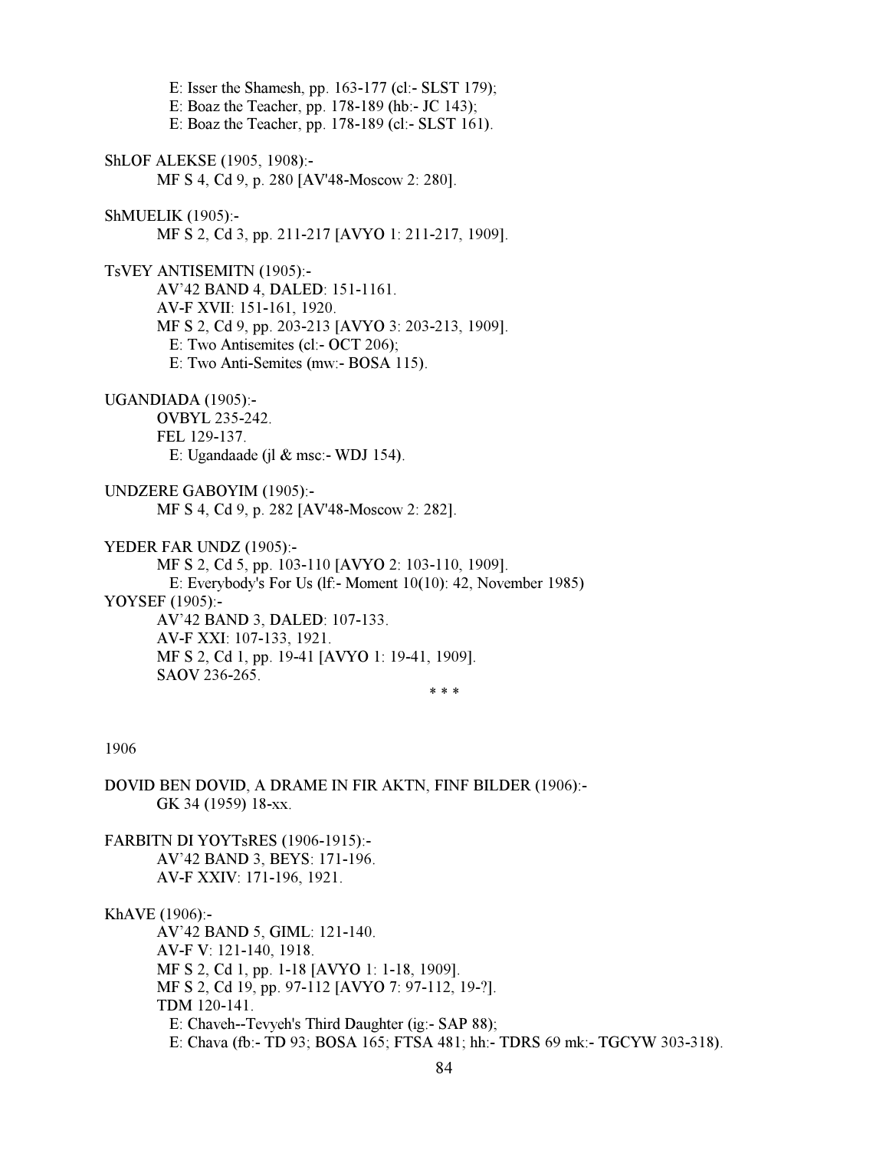E: Isser the Shamesh, pp. 163-177 (cl:- SLST 179); E: Boaz the Teacher, pp. 178-189 (hb:- JC 143); E: Boaz the Teacher, pp. 178-189 (cl:- SLST 161). ShLOF ALEKSE (1905, 1908):- MF S 4, Cd 9, p. 280 [AV'48-Moscow 2: 280]. ShMUELIK (1905):- MF S 2, Cd 3, pp. 211-217 [AVYO 1: 211-217, 1909]. TsVEY ANTISEMITN (1905):- AV'42 BAND 4, DALED: 151-1161. AV-F XVII: 151-161, 1920. MF S 2, Cd 9, pp. 203-213 [AVYO 3: 203-213, 1909]. E: Two Antisemites (cl:- OCT 206); E: Two Anti-Semites (mw:- BOSA 115). UGANDIADA (1905):- OVBYL 235-242. FEL 129-137. E: Ugandaade (jl & msc:- WDJ 154). UNDZERE GABOYIM (1905):- MF S 4, Cd 9, p. 282 [AV'48-Moscow 2: 282]. YEDER FAR UNDZ (1905):- MF S 2, Cd 5, pp. 103-110 [AVYO 2: 103-110, 1909]. E: Everybody's For Us (lf:- Moment 10(10): 42, November 1985) YOYSEF (1905):- AV'42 BAND 3, DALED: 107-133. AV-F XXI: 107-133, 1921. MF S 2, Cd 1, pp. 19-41 [AVYO 1: 19-41, 1909]. SAOV 236-265.  $* * *$ 1906 DOVID BEN DOVID, A DRAME IN FIR AKTN, FINF BILDER (1906):- GK 34 (1959) 18-xx. FARBITN DI YOYTsRES (1906-1915):- AV'42 BAND 3, BEYS: 171-196. AV-F XXIV: 171-196, 1921. KhAVE (1906):- AV'42 BAND 5, GIML: 121-140. AV-F V: 121-140, 1918.

 MF S 2, Cd 1, pp. 1-18 [AVYO 1: 1-18, 1909]. MF S 2, Cd 19, pp. 97-112 [AVYO 7: 97-112, 19-?]. TDM 120-141. E: Chaveh--Tevyeh's Third Daughter (ig:- SAP 88); E: Chava (fb:- TD 93; BOSA 165; FTSA 481; hh:- TDRS 69 mk:- TGCYW 303-318).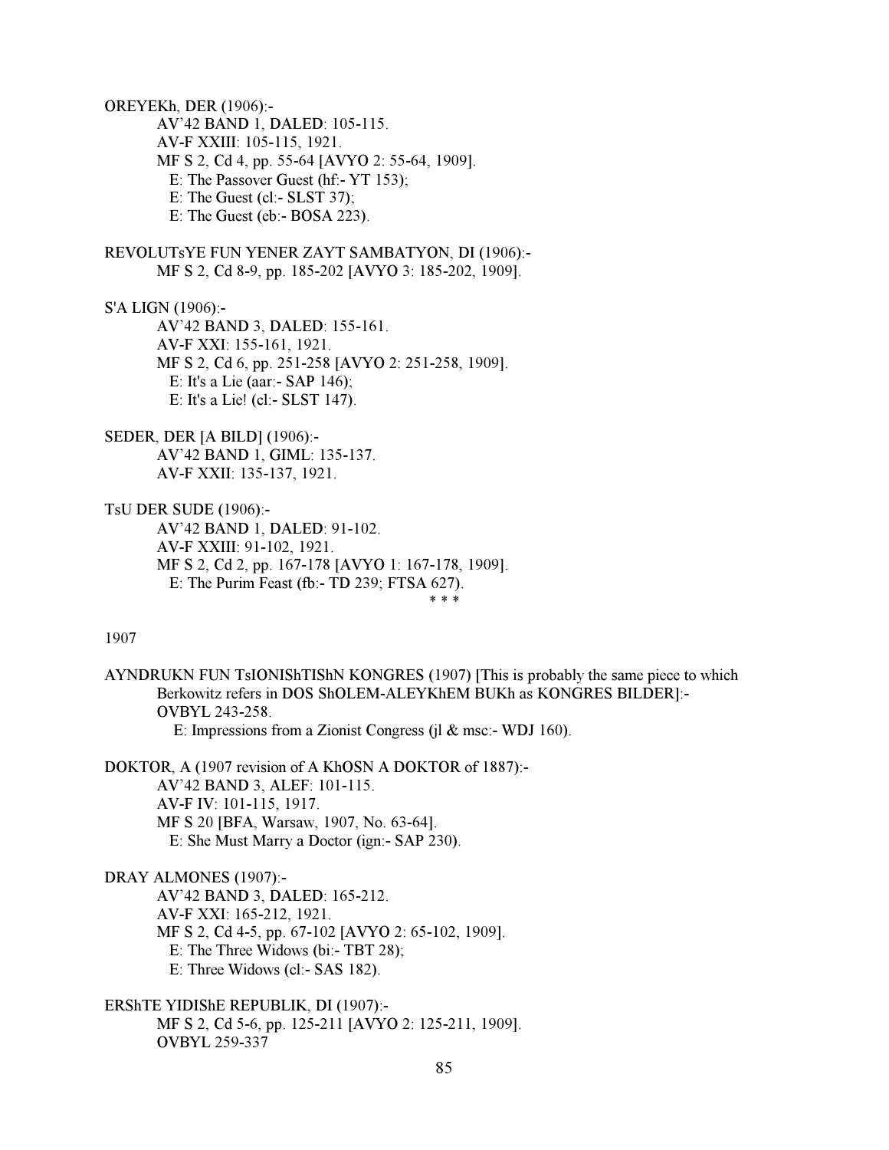OREYEKh, DER (1906):- AV'42 BAND 1, DALED: 105-115. AV-F XXIII: 105-115, 1921. MF S 2, Cd 4, pp. 55-64 [AVYO 2: 55-64, 1909]. E: The Passover Guest (hf:- YT 153); E: The Guest (cl:- SLST 37); E: The Guest (eb:- BOSA 223).

REVOLUTsYE FUN YENER ZAYT SAMBATYON, DI (1906):- MF S 2, Cd 8-9, pp. 185-202 [AVYO 3: 185-202, 1909].

S'A LIGN (1906):-

 AV'42 BAND 3, DALED: 155-161. AV-F XXI: 155-161, 1921. MF S 2, Cd 6, pp. 251-258 [AVYO 2: 251-258, 1909]. E: It's a Lie (aar:- SAP 146); E: It's a Lie! (cl:- SLST 147).

SEDER, DER [A BILD] (1906):- AV'42 BAND 1, GIML: 135-137. AV-F XXII: 135-137, 1921.

TsU DER SUDE (1906):-

 AV'42 BAND 1, DALED: 91-102. AV-F XXIII: 91-102, 1921. MF S 2, Cd 2, pp. 167-178 [AVYO 1: 167-178, 1909]. E: The Purim Feast (fb:- TD 239; FTSA 627).<br>\*\*\*  $* * *$ 

1907

AYNDRUKN FUN TsIONIShTIShN KONGRES (1907) [This is probably the same piece to which Berkowitz refers in DOS ShOLEM-ALEYKhEM BUKh as KONGRES BILDER]:- OVBYL 243-258. E: Impressions from a Zionist Congress (jl & msc:- WDJ 160).

DOKTOR, A (1907 revision of A KhOSN A DOKTOR of 1887):- AV'42 BAND 3, ALEF: 101-115. AV-F IV: 101-115, 1917. MF S 20 [BFA, Warsaw, 1907, No. 63-64]. E: She Must Marry a Doctor (ign:- SAP 230).

DRAY ALMONES (1907):-

 AV'42 BAND 3, DALED: 165-212. AV-F XXI: 165-212, 1921. MF S 2, Cd 4-5, pp. 67-102 [AVYO 2: 65-102, 1909]. E: The Three Widows (bi:- TBT 28); E: Three Widows (cl:- SAS 182).

ERShTE YIDIShE REPUBLIK, DI (1907):- MF S 2, Cd 5-6, pp. 125-211 [AVYO 2: 125-211, 1909]. OVBYL 259-337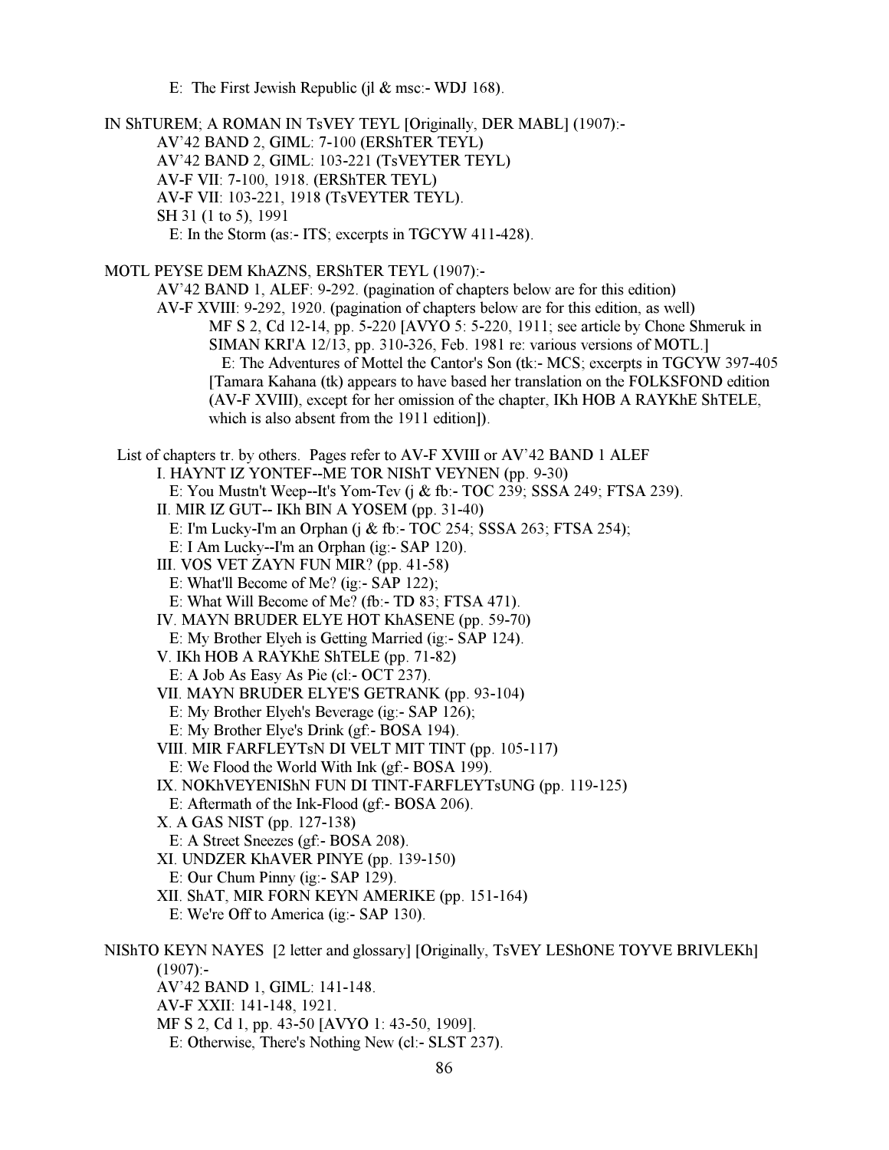E: The First Jewish Republic (jl  $&$  msc:- WDJ 168).

IN ShTUREM; A ROMAN IN TsVEY TEYL [Originally, DER MABL] (1907):- AV'42 BAND 2, GIML: 7-100 (ERShTER TEYL) AV'42 BAND 2, GIML: 103-221 (TsVEYTER TEYL) AV-F VII: 7-100, 1918. (ERShTER TEYL) AV-F VII: 103-221, 1918 (TsVEYTER TEYL). SH 31 (1 to 5), 1991 E: In the Storm (as:- ITS; excerpts in TGCYW 411-428). MOTL PEYSE DEM KhAZNS, ERShTER TEYL (1907):- AV'42 BAND 1, ALEF: 9-292. (pagination of chapters below are for this edition) AV-F XVIII: 9-292, 1920. (pagination of chapters below are for this edition, as well) MF S 2, Cd 12-14, pp. 5-220 [AVYO 5: 5-220, 1911; see article by Chone Shmeruk in SIMAN KRI'A 12/13, pp. 310-326, Feb. 1981 re: various versions of MOTL.] E: The Adventures of Mottel the Cantor's Son (tk:- MCS; excerpts in TGCYW 397-405 [Tamara Kahana (tk) appears to have based her translation on the FOLKSFOND edition (AV-F XVIII), except for her omission of the chapter, IKh HOB A RAYKhE ShTELE, which is also absent from the 1911 edition]). List of chapters tr. by others. Pages refer to AV-F XVIII or AV'42 BAND 1 ALEF I. HAYNT IZ YONTEF--ME TOR NIShT VEYNEN (pp. 9-30) E: You Mustn't Weep--It's Yom-Tev (j & fb:- TOC 239; SSSA 249; FTSA 239). II. MIR IZ GUT-- IKh BIN A YOSEM (pp. 31-40) E: I'm Lucky-I'm an Orphan (j & fb:- TOC 254; SSSA 263; FTSA 254); E: I Am Lucky--I'm an Orphan (ig:- SAP 120). III. VOS VET ZAYN FUN MIR? (pp. 41-58) E: What'll Become of Me? (ig:- SAP 122); E: What Will Become of Me? (fb:- TD 83; FTSA 471). IV. MAYN BRUDER ELYE HOT KhASENE (pp. 59-70) E: My Brother Elyeh is Getting Married (ig:- SAP 124). V. IKh HOB A RAYKhE ShTELE (pp. 71-82) E: A Job As Easy As Pie (cl:- OCT 237). VII. MAYN BRUDER ELYE'S GETRANK (pp. 93-104) E: My Brother Elyeh's Beverage (ig:- SAP 126); E: My Brother Elye's Drink (gf:- BOSA 194). VIII. MIR FARFLEYTsN DI VELT MIT TINT (pp. 105-117) E: We Flood the World With Ink (gf:- BOSA 199). IX. NOKhVEYENIShN FUN DI TINT-FARFLEYTsUNG (pp. 119-125) E: Aftermath of the Ink-Flood (gf:- BOSA 206). X. A GAS NIST (pp. 127-138) E: A Street Sneezes (gf:- BOSA 208). XI. UNDZER KhAVER PINYE (pp. 139-150) E: Our Chum Pinny (ig:- SAP 129). XII. ShAT, MIR FORN KEYN AMERIKE (pp. 151-164) E: We're Off to America (ig:- SAP 130). NIShTO KEYN NAYES [2 letter and glossary] [Originally, TsVEY LEShONE TOYVE BRIVLEKh]  $(1907)$ :- AV'42 BAND 1, GIML: 141-148. AV-F XXII: 141-148, 1921. MF S 2, Cd 1, pp. 43-50 [AVYO 1: 43-50, 1909]. E: Otherwise, There's Nothing New (cl:- SLST 237).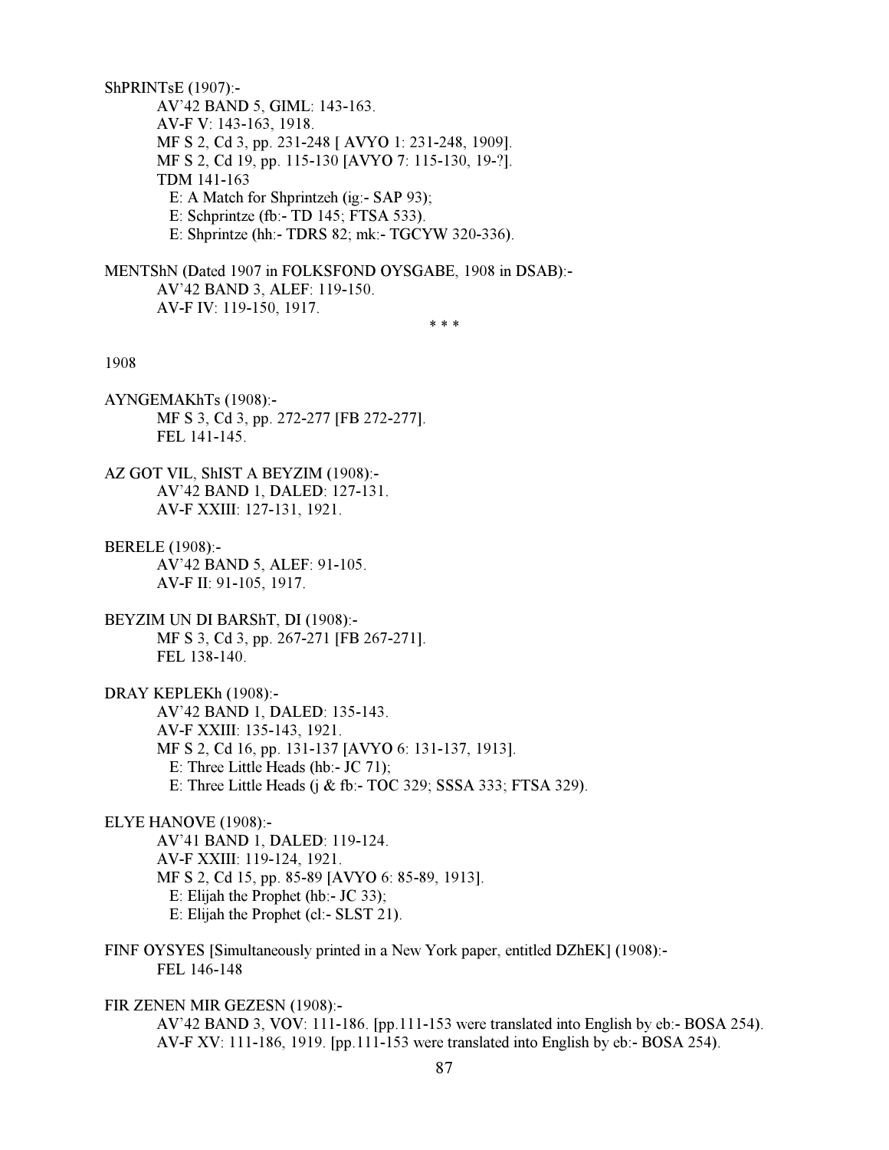ShPRINTsE (1907):- AV'42 BAND 5, GIML: 143-163. AV-F V: 143-163, 1918. MF S 2, Cd 3, pp. 231-248 [ AVYO 1: 231-248, 1909]. MF S 2, Cd 19, pp. 115-130 [AVYO 7: 115-130, 19-?]. TDM 141-163 E: A Match for Shprintzeh (ig:- SAP 93); E: Schprintze (fb:- TD 145; FTSA 533). E: Shprintze (hh:- TDRS 82; mk:- TGCYW 320-336).

MENTShN (Dated 1907 in FOLKSFOND OYSGABE, 1908 in DSAB):- AV'42 BAND 3, ALEF: 119-150. AV-F IV: 119-150, 1917.

 $* * *$ 

## 1908

AYNGEMAKhTs (1908):- MF S 3, Cd 3, pp. 272-277 [FB 272-277]. FEL 141-145.

AZ GOT VIL, ShIST A BEYZIM (1908):- AV'42 BAND 1, DALED: 127-131. AV-F XXIII: 127-131, 1921.

BERELE (1908):- AV'42 BAND 5, ALEF: 91-105. AV-F II: 91-105, 1917.

BEYZIM UN DI BARShT, DI (1908):- MF S 3, Cd 3, pp. 267-271 [FB 267-271]. FEL 138-140.

DRAY KEPLEKh (1908):- AV'42 BAND 1, DALED: 135-143. AV-F XXIII: 135-143, 1921. MF S 2, Cd 16, pp. 131-137 [AVYO 6: 131-137, 1913]. E: Three Little Heads (hb:- JC 71); E: Three Little Heads (j & fb:- TOC 329; SSSA 333; FTSA 329).

## ELYE HANOVE (1908):-

 AV'41 BAND 1, DALED: 119-124. AV-F XXIII: 119-124, 1921. MF S 2, Cd 15, pp. 85-89 [AVYO 6: 85-89, 1913]. E: Elijah the Prophet (hb:- JC 33); E: Elijah the Prophet (cl:- SLST 21).

FINF OYSYES [Simultaneously printed in a New York paper, entitled DZhEK] (1908):- FEL 146-148

FIR ZENEN MIR GEZESN (1908):-

 AV'42 BAND 3, VOV: 111-186. [pp.111-153 were translated into English by eb:- BOSA 254). AV-F XV: 111-186, 1919. [pp.111-153 were translated into English by eb:- BOSA 254).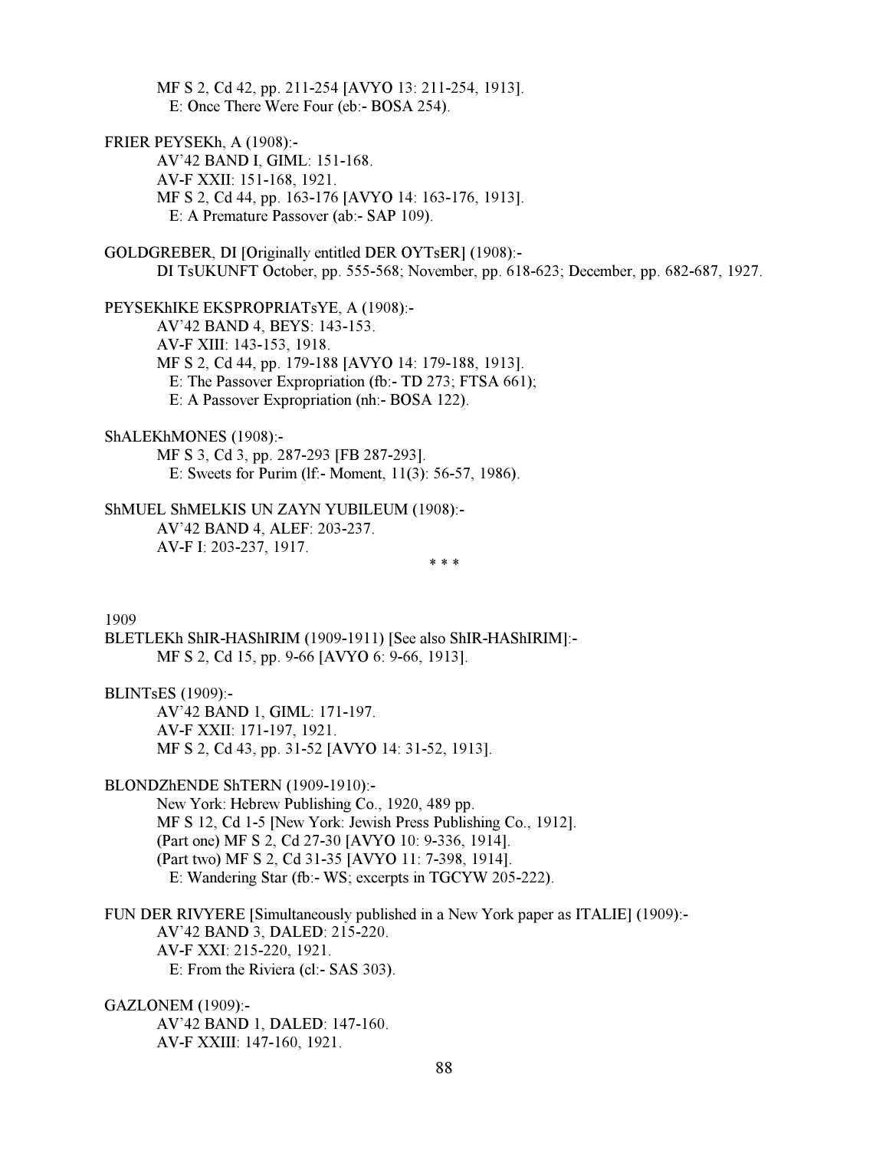MF S 2, Cd 42, pp. 211-254 [AVYO 13: 211-254, 1913]. E: Once There Were Four (eb:- BOSA 254).

FRIER PEYSEKh, A (1908):-

 AV'42 BAND I, GIML: 151-168. AV-F XXII: 151-168, 1921. MF S 2, Cd 44, pp. 163-176 [AVYO 14: 163-176, 1913]. E: A Premature Passover (ab:- SAP 109).

GOLDGREBER, DI [Originally entitled DER OYTsER] (1908):- DI TsUKUNFT October, pp. 555-568; November, pp. 618-623; December, pp. 682-687, 1927.

PEYSEKhIKE EKSPROPRIATsYE, A (1908):- AV'42 BAND 4, BEYS: 143-153. AV-F XIII: 143-153, 1918. MF S 2, Cd 44, pp. 179-188 [AVYO 14: 179-188, 1913]. E: The Passover Expropriation (fb:- TD 273; FTSA 661); E: A Passover Expropriation (nh:- BOSA 122).

ShALEKhMONES (1908):-

 MF S 3, Cd 3, pp. 287-293 [FB 287-293]. E: Sweets for Purim (lf:- Moment, 11(3): 56-57, 1986).

ShMUEL ShMELKIS UN ZAYN YUBILEUM (1908):- AV'42 BAND 4, ALEF: 203-237. AV-F I: 203-237, 1917.

 $* * *$ 

1909

BLETLEKh ShIR-HAShIRIM (1909-1911) [See also ShIR-HAShIRIM]:- MF S 2, Cd 15, pp. 9-66 [AVYO 6: 9-66, 1913].

BLINTsES (1909):-

 AV'42 BAND 1, GIML: 171-197. AV-F XXII: 171-197, 1921. MF S 2, Cd 43, pp. 31-52 [AVYO 14: 31-52, 1913].

#### BLONDZhENDE ShTERN (1909-1910):-

 New York: Hebrew Publishing Co., 1920, 489 pp. MF S 12, Cd 1-5 [New York: Jewish Press Publishing Co., 1912]. (Part one) MF S 2, Cd 27-30 [AVYO 10: 9-336, 1914]. (Part two) MF S 2, Cd 31-35 [AVYO 11: 7-398, 1914]. E: Wandering Star (fb:- WS; excerpts in TGCYW 205-222).

FUN DER RIVYERE [Simultaneously published in a New York paper as ITALIE] (1909):- AV'42 BAND 3, DALED: 215-220. AV-F XXI: 215-220, 1921. E: From the Riviera (cl:- SAS 303).

GAZLONEM (1909):-

 AV'42 BAND 1, DALED: 147-160. AV-F XXIII: 147-160, 1921.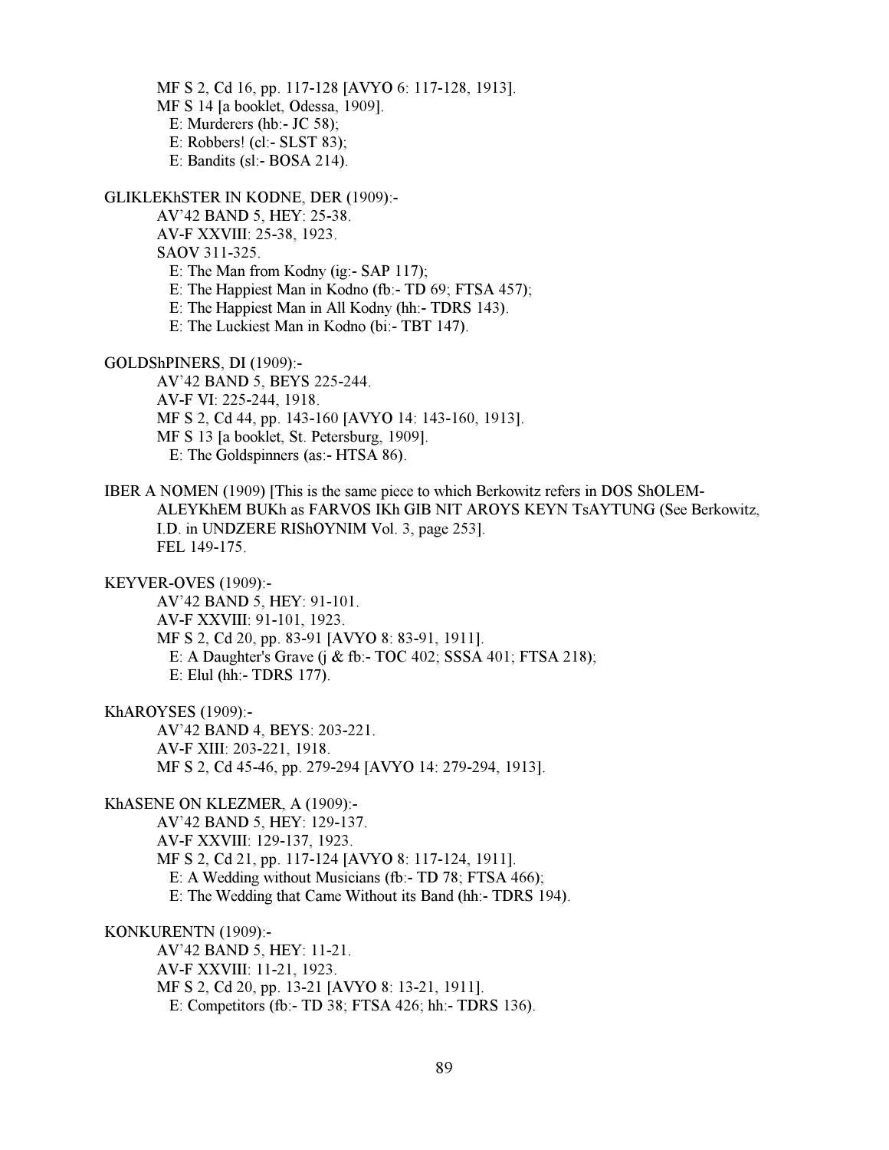MF S 2, Cd 16, pp. 117-128 [AVYO 6: 117-128, 1913]. MF S 14 [a booklet, Odessa, 1909]. E: Murderers (hb:- JC 58); E: Robbers! (cl:- SLST 83); E: Bandits (sl:- BOSA 214).

GLIKLEKhSTER IN KODNE, DER (1909):-

AV'42 BAND 5, HEY: 25-38.

AV-F XXVIII: 25-38, 1923.

SAOV 311-325.

E: The Man from Kodny (ig:- SAP 117);

E: The Happiest Man in Kodno (fb:- TD 69; FTSA 457);

E: The Happiest Man in All Kodny (hh:- TDRS 143).

E: The Luckiest Man in Kodno (bi:- TBT 147).

GOLDShPINERS, DI (1909):-

 AV'42 BAND 5, BEYS 225-244. AV-F VI: 225-244, 1918. MF S 2, Cd 44, pp. 143-160 [AVYO 14: 143-160, 1913]. MF S 13 [a booklet, St. Petersburg, 1909]. E: The Goldspinners (as:- HTSA 86).

IBER A NOMEN (1909) [This is the same piece to which Berkowitz refers in DOS ShOLEM-ALEYKhEM BUKh as FARVOS IKh GIB NIT AROYS KEYN TsAYTUNG (See Berkowitz, I.D. in UNDZERE RIShOYNIM Vol. 3, page 253]. FEL 149-175.

KEYVER-OVES (1909):-

 AV'42 BAND 5, HEY: 91-101. AV-F XXVIII: 91-101, 1923. MF S 2, Cd 20, pp. 83-91 [AVYO 8: 83-91, 1911]. E: A Daughter's Grave (j & fb:- TOC 402; SSSA 401; FTSA 218); E: Elul (hh:- TDRS 177).

KhAROYSES (1909):-

 AV'42 BAND 4, BEYS: 203-221. AV-F XIII: 203-221, 1918. MF S 2, Cd 45-46, pp. 279-294 [AVYO 14: 279-294, 1913].

KhASENE ON KLEZMER, A (1909):-

 AV'42 BAND 5, HEY: 129-137. AV-F XXVIII: 129-137, 1923. MF S 2, Cd 21, pp. 117-124 [AVYO 8: 117-124, 1911]. E: A Wedding without Musicians (fb:- TD 78; FTSA 466); E: The Wedding that Came Without its Band (hh:- TDRS 194).

KONKURENTN (1909):-

 AV'42 BAND 5, HEY: 11-21. AV-F XXVIII: 11-21, 1923. MF S 2, Cd 20, pp. 13-21 [AVYO 8: 13-21, 1911]. E: Competitors (fb:- TD 38; FTSA 426; hh:- TDRS 136).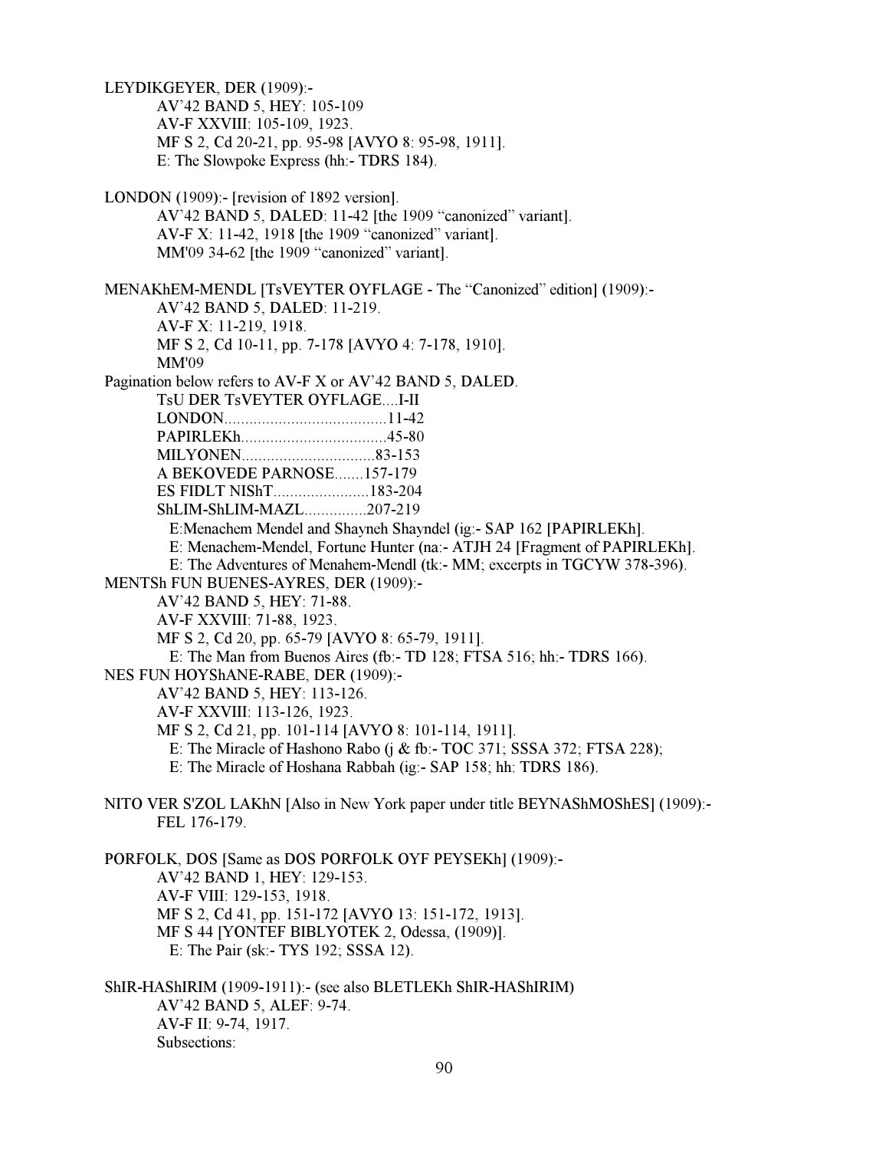LEYDIKGEYER, DER (1909):- AV'42 BAND 5, HEY: 105-109 AV-F XXVIII: 105-109, 1923. MF S 2, Cd 20-21, pp. 95-98 [AVYO 8: 95-98, 1911]. E: The Slowpoke Express (hh:- TDRS 184). LONDON (1909):- [revision of 1892 version]. AV'42 BAND 5, DALED: 11-42 [the 1909 "canonized" variant]. AV-F X: 11-42, 1918 [the 1909 "canonized" variant]. MM'09 34-62 [the 1909 "canonized" variant]. MENAKhEM-MENDL [TsVEYTER OYFLAGE - The "Canonized" edition] (1909):- AV'42 BAND 5, DALED: 11-219. AV-F X: 11-219, 1918. MF S 2, Cd 10-11, pp. 7-178 [AVYO 4: 7-178, 1910]. MM'09 Pagination below refers to AV-F X or AV'42 BAND 5, DALED. TsU DER TsVEYTER OYFLAGE....I-II LONDON.......................................11-42 PAPIRLEKh...................................45-80 MILYONEN................................83-153 A BEKOVEDE PARNOSE.......157-179 ES FIDLT NIShT.......................183-204 ShLIM-ShLIM-MAZL...............207-219 E:Menachem Mendel and Shayneh Shayndel (ig:- SAP 162 [PAPIRLEKh]. E: Menachem-Mendel, Fortune Hunter (na:- ATJH 24 [Fragment of PAPIRLEKh]. E: The Adventures of Menahem-Mendl (tk:- MM; excerpts in TGCYW 378-396). MENTSh FUN BUENES-AYRES, DER (1909):- AV'42 BAND 5, HEY: 71-88. AV-F XXVIII: 71-88, 1923. MF S 2, Cd 20, pp. 65-79 [AVYO 8: 65-79, 1911]. E: The Man from Buenos Aires (fb:- TD 128; FTSA 516; hh:- TDRS 166). NES FUN HOYShANE-RABE, DER (1909):- AV'42 BAND 5, HEY: 113-126. AV-F XXVIII: 113-126, 1923. MF S 2, Cd 21, pp. 101-114 [AVYO 8: 101-114, 1911]. E: The Miracle of Hashono Rabo (j & fb:- TOC 371; SSSA 372; FTSA 228); E: The Miracle of Hoshana Rabbah (ig:- SAP 158; hh: TDRS 186). NITO VER S'ZOL LAKhN [Also in New York paper under title BEYNAShMOShES] (1909):- FEL 176-179. PORFOLK, DOS [Same as DOS PORFOLK OYF PEYSEKh] (1909):- AV'42 BAND 1, HEY: 129-153. AV-F VIII: 129-153, 1918. MF S 2, Cd 41, pp. 151-172 [AVYO 13: 151-172, 1913]. MF S 44 [YONTEF BIBLYOTEK 2, Odessa, (1909)]. E: The Pair (sk:- TYS 192; SSSA 12). ShIR-HAShIRIM (1909-1911):- (see also BLETLEKh ShIR-HAShIRIM) AV'42 BAND 5, ALEF: 9-74. AV-F II: 9-74, 1917. Subsections: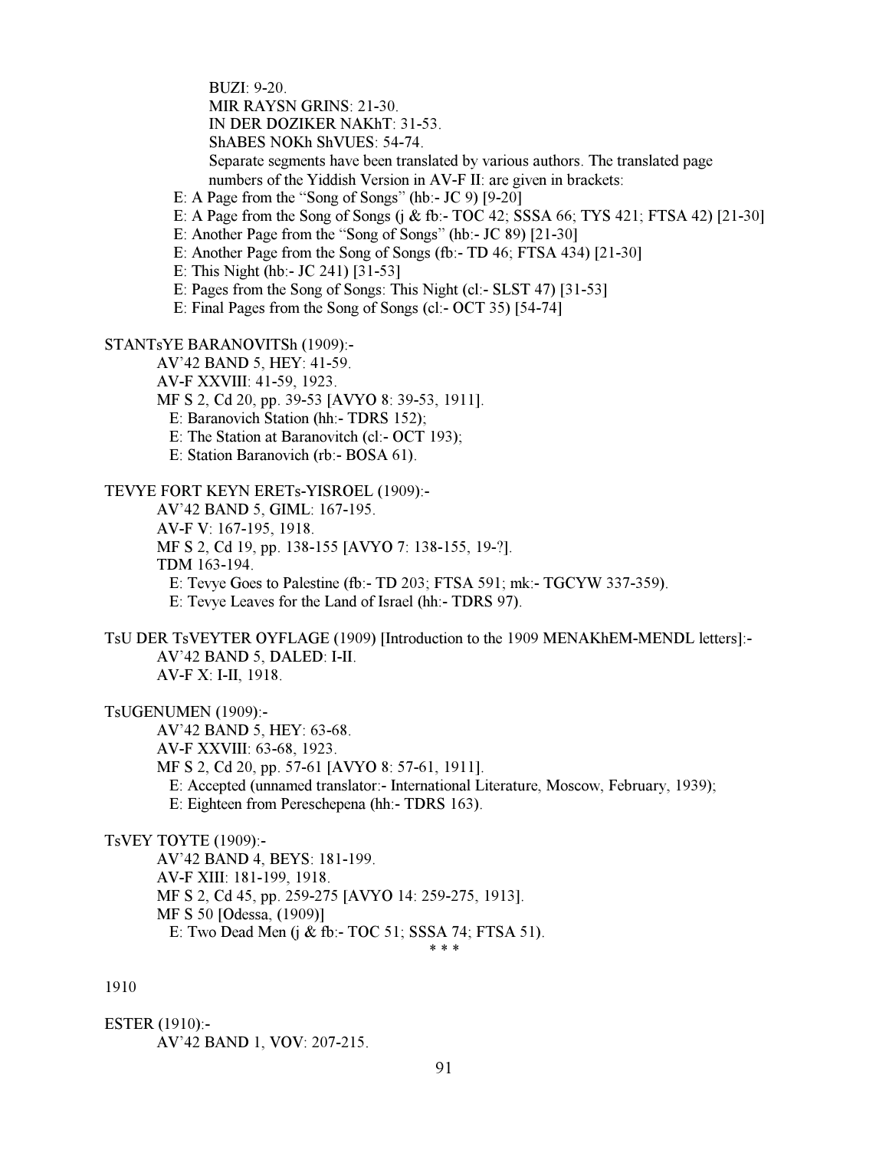BUZI: 9-20. MIR RAYSN GRINS: 21-30. IN DER DOZIKER NAKhT: 31-53. ShABES NOKh ShVUES: 54-74. Separate segments have been translated by various authors. The translated page numbers of the Yiddish Version in AV-F II: are given in brackets:

E: A Page from the "Song of Songs" (hb:- JC 9) [9-20]

E: A Page from the Song of Songs (j & fb:- TOC 42; SSSA 66; TYS 421; FTSA 42) [21-30]

E: Another Page from the "Song of Songs" (hb:- JC 89) [21-30]

E: Another Page from the Song of Songs (fb:- TD 46; FTSA 434) [21-30]

E: This Night (hb:- JC 241) [31-53]

E: Pages from the Song of Songs: This Night (cl:- SLST 47) [31-53]

E: Final Pages from the Song of Songs (cl:- OCT 35) [54-74]

STANTsYE BARANOVITSh (1909):-

AV'42 BAND 5, HEY: 41-59.

AV-F XXVIII: 41-59, 1923.

MF S 2, Cd 20, pp. 39-53 [AVYO 8: 39-53, 1911].

E: Baranovich Station (hh:- TDRS 152);

E: The Station at Baranovitch (cl:- OCT 193);

E: Station Baranovich (rb:- BOSA 61).

TEVYE FORT KEYN ERETs-YISROEL (1909):-

AV'42 BAND 5, GIML: 167-195.

AV-F V: 167-195, 1918.

MF S 2, Cd 19, pp. 138-155 [AVYO 7: 138-155, 19-?].

TDM 163-194.

E: Tevye Goes to Palestine (fb:- TD 203; FTSA 591; mk:- TGCYW 337-359).

E: Tevye Leaves for the Land of Israel (hh:- TDRS 97).

TsU DER TsVEYTER OYFLAGE (1909) [Introduction to the 1909 MENAKhEM-MENDL letters]:- AV'42 BAND 5, DALED: I-II. AV-F X: I-II, 1918.

TsUGENUMEN (1909):-

 AV'42 BAND 5, HEY: 63-68. AV-F XXVIII: 63-68, 1923. MF S 2, Cd 20, pp. 57-61 [AVYO 8: 57-61, 1911]. E: Accepted (unnamed translator:- International Literature, Moscow, February, 1939); E: Eighteen from Pereschepena (hh:- TDRS 163).

TsVEY TOYTE (1909):-

 AV'42 BAND 4, BEYS: 181-199. AV-F XIII: 181-199, 1918. MF S 2, Cd 45, pp. 259-275 [AVYO 14: 259-275, 1913]. MF S 50 [Odessa, (1909)] E: Two Dead Men (j & fb:- TOC 51; SSSA 74; FTSA 51).

 $* * *$ 

1910

ESTER (1910):- AV'42 BAND 1, VOV: 207-215.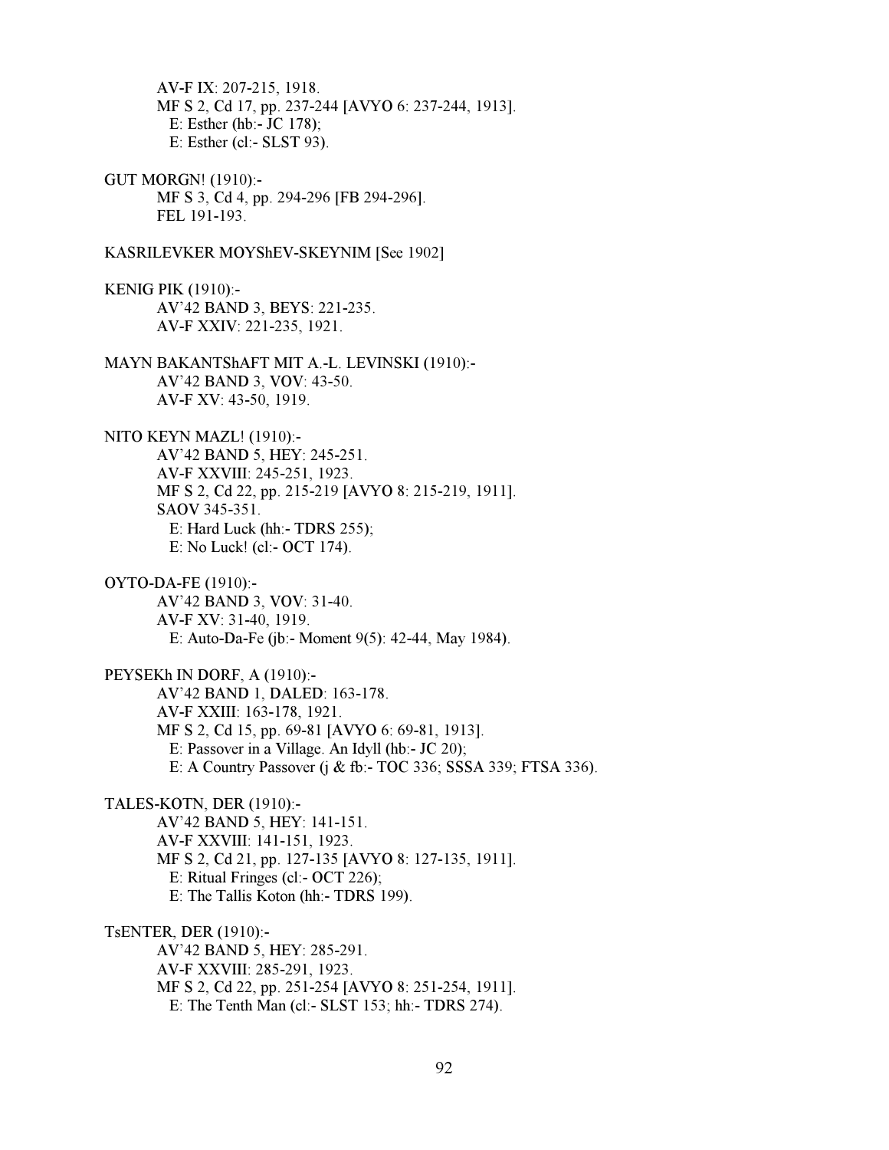AV-F IX: 207-215, 1918. MF S 2, Cd 17, pp. 237-244 [AVYO 6: 237-244, 1913]. E: Esther (hb:- JC 178); E: Esther (cl:- SLST 93).

GUT MORGN! (1910):- MF S 3, Cd 4, pp. 294-296 [FB 294-296]. FEL 191-193.

KASRILEVKER MOYShEV-SKEYNIM [See 1902]

KENIG PIK (1910):- AV'42 BAND 3, BEYS: 221-235. AV-F XXIV: 221-235, 1921.

MAYN BAKANTShAFT MIT A.-L. LEVINSKI (1910):- AV'42 BAND 3, VOV: 43-50. AV-F XV: 43-50, 1919.

NITO KEYN MAZL! (1910):- AV'42 BAND 5, HEY: 245-251. AV-F XXVIII: 245-251, 1923. MF S 2, Cd 22, pp. 215-219 [AVYO 8: 215-219, 1911]. SAOV 345-351. E: Hard Luck (hh:- TDRS 255); E: No Luck! (cl:- OCT 174).

OYTO-DA-FE (1910):- AV'42 BAND 3, VOV: 31-40. AV-F XV: 31-40, 1919. E: Auto-Da-Fe (jb:- Moment 9(5): 42-44, May 1984).

PEYSEKh IN DORF, A (1910):- AV'42 BAND 1, DALED: 163-178. AV-F XXIII: 163-178, 1921. MF S 2, Cd 15, pp. 69-81 [AVYO 6: 69-81, 1913]. E: Passover in a Village. An Idyll (hb:- JC 20); E: A Country Passover (j & fb:- TOC 336; SSSA 339; FTSA 336).

TALES-KOTN, DER (1910):- AV'42 BAND 5, HEY: 141-151. AV-F XXVIII: 141-151, 1923. MF S 2, Cd 21, pp. 127-135 [AVYO 8: 127-135, 1911]. E: Ritual Fringes (cl:- OCT 226); E: The Tallis Koton (hh:- TDRS 199).

TsENTER, DER (1910):- AV'42 BAND 5, HEY: 285-291. AV-F XXVIII: 285-291, 1923. MF S 2, Cd 22, pp. 251-254 [AVYO 8: 251-254, 1911]. E: The Tenth Man (cl:- SLST 153; hh:- TDRS 274).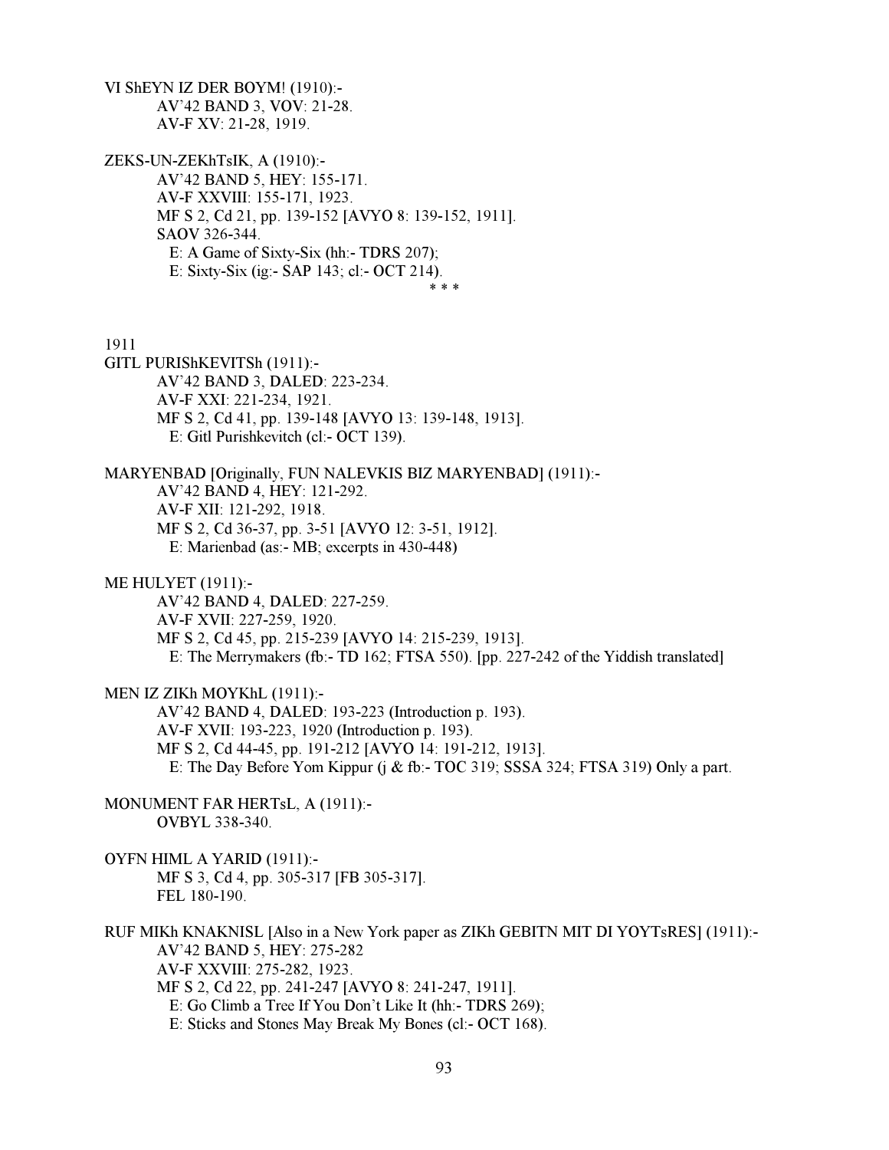VI ShEYN IZ DER BOYM! (1910):- AV'42 BAND 3, VOV: 21-28. AV-F XV: 21-28, 1919.

ZEKS-UN-ZEKhTsIK, A (1910):- AV'42 BAND 5, HEY: 155-171. AV-F XXVIII: 155-171, 1923. MF S 2, Cd 21, pp. 139-152 [AVYO 8: 139-152, 1911]. SAOV 326-344. E: A Game of Sixty-Six (hh:- TDRS 207); E: Sixty-Six (ig:- SAP 143; cl:- OCT 214).  $* * *$ 

1911

- GITL PURIShKEVITSh (1911):- AV'42 BAND 3, DALED: 223-234. AV-F XXI: 221-234, 1921. MF S 2, Cd 41, pp. 139-148 [AVYO 13: 139-148, 1913]. E: Gitl Purishkevitch (cl:- OCT 139).
- MARYENBAD [Originally, FUN NALEVKIS BIZ MARYENBAD] (1911):- AV'42 BAND 4, HEY: 121-292. AV-F XII: 121-292, 1918. MF S 2, Cd 36-37, pp. 3-51 [AVYO 12: 3-51, 1912]. E: Marienbad (as:- MB; excerpts in 430-448)
- ME HULYET (1911):-

 AV'42 BAND 4, DALED: 227-259. AV-F XVII: 227-259, 1920. MF S 2, Cd 45, pp. 215-239 [AVYO 14: 215-239, 1913]. E: The Merrymakers (fb:- TD 162; FTSA 550). [pp. 227-242 of the Yiddish translated]

MEN IZ ZIKh MOYKhL (1911):-

 AV'42 BAND 4, DALED: 193-223 (Introduction p. 193). AV-F XVII: 193-223, 1920 (Introduction p. 193). MF S 2, Cd 44-45, pp. 191-212 [AVYO 14: 191-212, 1913]. E: The Day Before Yom Kippur (j & fb:- TOC 319; SSSA 324; FTSA 319) Only a part.

MONUMENT FAR HERTsL, A (1911):- OVBYL 338-340.

OYFN HIML A YARID (1911):- MF S 3, Cd 4, pp. 305-317 [FB 305-317]. FEL 180-190.

RUF MIKh KNAKNISL [Also in a New York paper as ZIKh GEBITN MIT DI YOYTsRES] (1911):- AV'42 BAND 5, HEY: 275-282 AV-F XXVIII: 275-282, 1923. MF S 2, Cd 22, pp. 241-247 [AVYO 8: 241-247, 1911]. E: Go Climb a Tree If You Don't Like It (hh:- TDRS 269); E: Sticks and Stones May Break My Bones (cl:- OCT 168).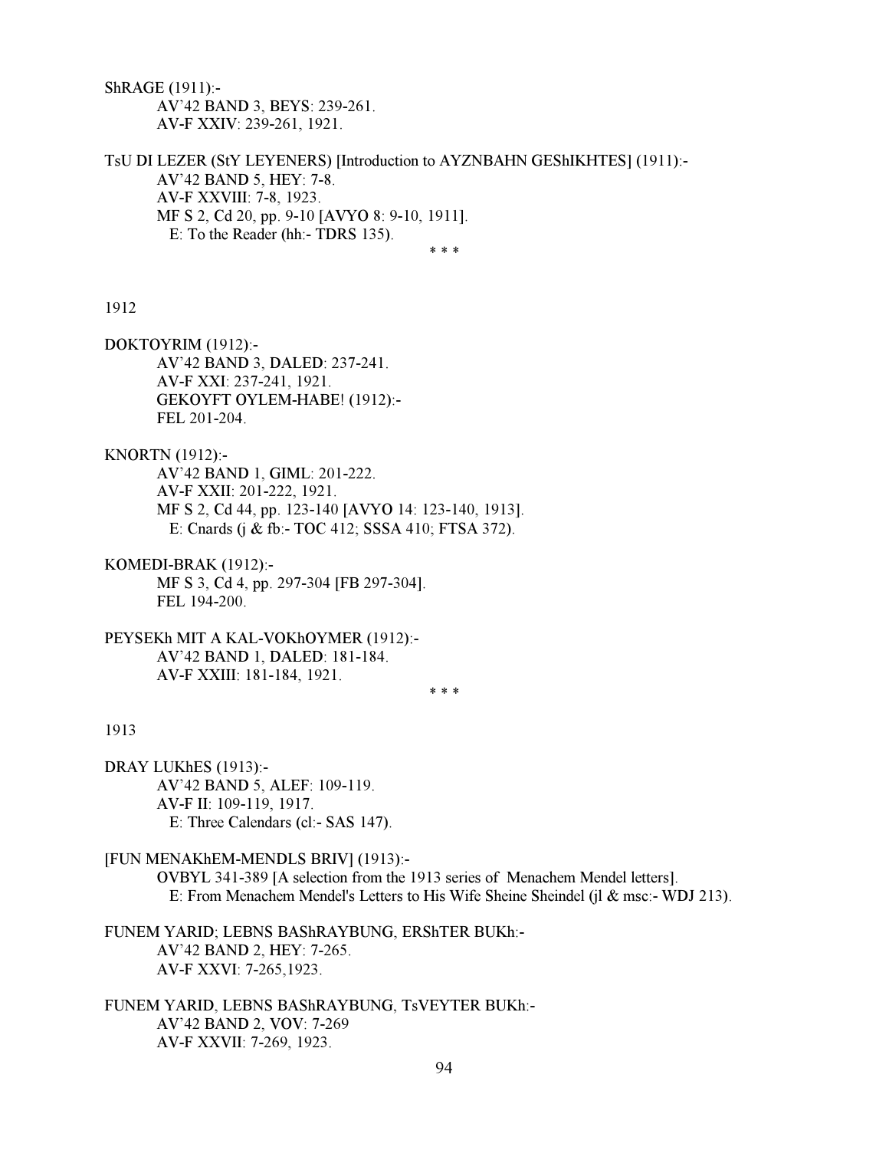ShRAGE (1911):- AV'42 BAND 3, BEYS: 239-261. AV-F XXIV: 239-261, 1921.

TsU DI LEZER (StY LEYENERS) [Introduction to AYZNBAHN GEShIKHTES] (1911):- AV'42 BAND 5, HEY: 7-8. AV-F XXVIII: 7-8, 1923. MF S 2, Cd 20, pp. 9-10 [AVYO 8: 9-10, 1911]. E: To the Reader (hh:- TDRS 135).

 $* * *$ 

#### 1912

DOKTOYRIM (1912):- AV'42 BAND 3, DALED: 237-241. AV-F XXI: 237-241, 1921. GEKOYFT OYLEM-HABE! (1912):- FEL 201-204.

KNORTN (1912):- AV'42 BAND 1, GIML: 201-222. AV-F XXII: 201-222, 1921. MF S 2, Cd 44, pp. 123-140 [AVYO 14: 123-140, 1913]. E: Cnards (j & fb:- TOC 412; SSSA 410; FTSA 372).

KOMEDI-BRAK (1912):- MF S 3, Cd 4, pp. 297-304 [FB 297-304]. FEL 194-200.

PEYSEKh MIT A KAL-VOKhOYMER (1912):- AV'42 BAND 1, DALED: 181-184. AV-F XXIII: 181-184, 1921.

 $* * *$ 

# 1913

DRAY LUKhES (1913):- AV'42 BAND 5, ALEF: 109-119. AV-F II: 109-119, 1917. E: Three Calendars (cl:- SAS 147).

[FUN MENAKhEM-MENDLS BRIV] (1913):-

 OVBYL 341-389 [A selection from the 1913 series of Menachem Mendel letters]. E: From Menachem Mendel's Letters to His Wife Sheine Sheindel (jl & msc:- WDJ 213).

FUNEM YARID; LEBNS BAShRAYBUNG, ERShTER BUKh:- AV'42 BAND 2, HEY: 7-265. AV-F XXVI: 7-265,1923.

FUNEM YARID, LEBNS BAShRAYBUNG, TsVEYTER BUKh:- AV'42 BAND 2, VOV: 7-269 AV-F XXVII: 7-269, 1923.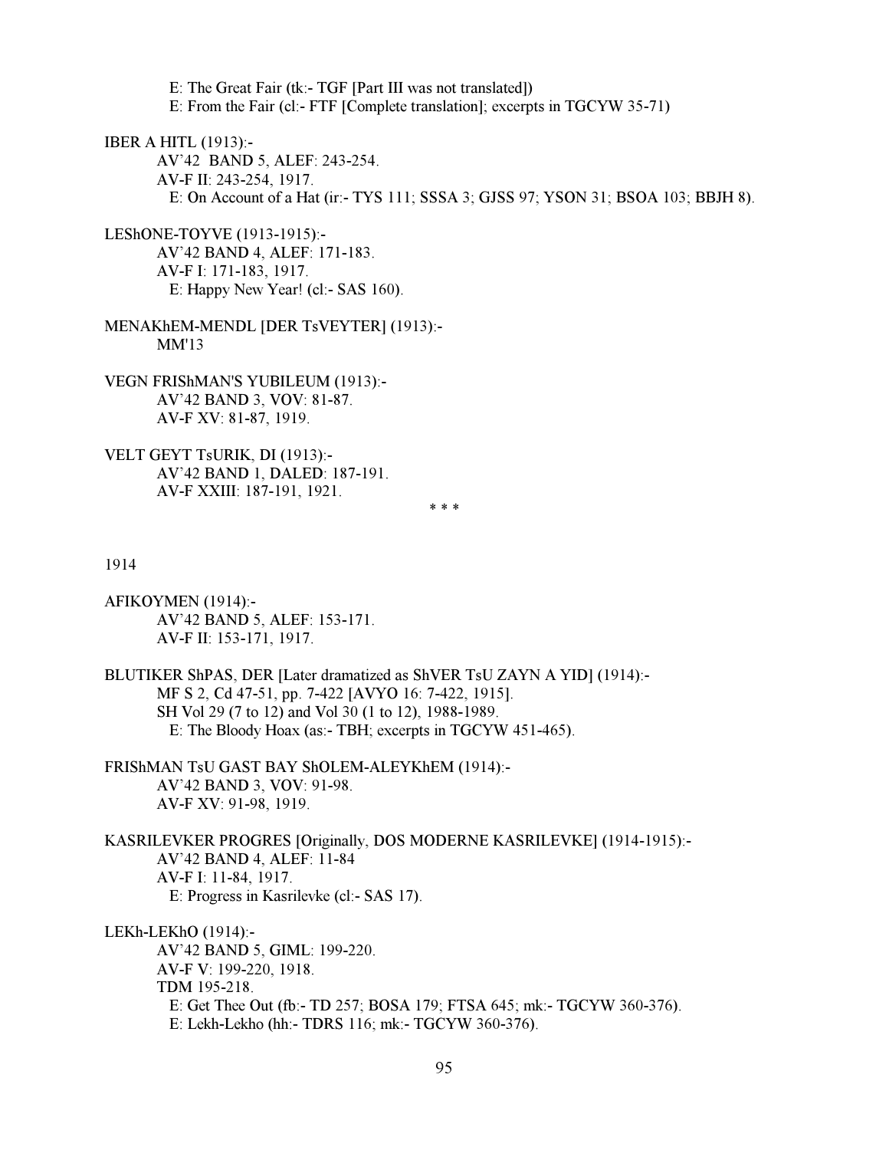E: The Great Fair (tk:- TGF [Part III was not translated]) E: From the Fair (cl:- FTF [Complete translation]; excerpts in TGCYW 35-71)

IBER A HITL (1913):-

 AV'42 BAND 5, ALEF: 243-254. AV-F II: 243-254, 1917. E: On Account of a Hat (ir:- TYS 111; SSSA 3; GJSS 97; YSON 31; BSOA 103; BBJH 8).

LEShONE-TOYVE (1913-1915):- AV'42 BAND 4, ALEF: 171-183. AV-F I: 171-183, 1917. E: Happy New Year! (cl:- SAS 160).

MENAKhEM-MENDL [DER TsVEYTER] (1913):- MM'13

VEGN FRIShMAN'S YUBILEUM (1913):- AV'42 BAND 3, VOV: 81-87. AV-F XV: 81-87, 1919.

VELT GEYT TsURIK, DI (1913):- AV'42 BAND 1, DALED: 187-191. AV-F XXIII: 187-191, 1921.

 $* * *$ 

1914

AFIKOYMEN (1914):- AV'42 BAND 5, ALEF: 153-171. AV-F II: 153-171, 1917.

BLUTIKER ShPAS, DER [Later dramatized as ShVER TsU ZAYN A YID] (1914):- MF S 2, Cd 47-51, pp. 7-422 [AVYO 16: 7-422, 1915]. SH Vol 29 (7 to 12) and Vol 30 (1 to 12), 1988-1989. E: The Bloody Hoax (as:- TBH; excerpts in TGCYW 451-465).

FRIShMAN TsU GAST BAY ShOLEM-ALEYKhEM (1914):- AV'42 BAND 3, VOV: 91-98. AV-F XV: 91-98, 1919.

KASRILEVKER PROGRES [Originally, DOS MODERNE KASRILEVKE] (1914-1915):- AV'42 BAND 4, ALEF: 11-84 AV-F I: 11-84, 1917. E: Progress in Kasrilevke (cl:- SAS 17).

LEKh-LEKhO (1914):- AV'42 BAND 5, GIML: 199-220. AV-F V: 199-220, 1918. TDM 195-218. E: Get Thee Out (fb:- TD 257; BOSA 179; FTSA 645; mk:- TGCYW 360-376). E: Lekh-Lekho (hh:- TDRS 116; mk:- TGCYW 360-376).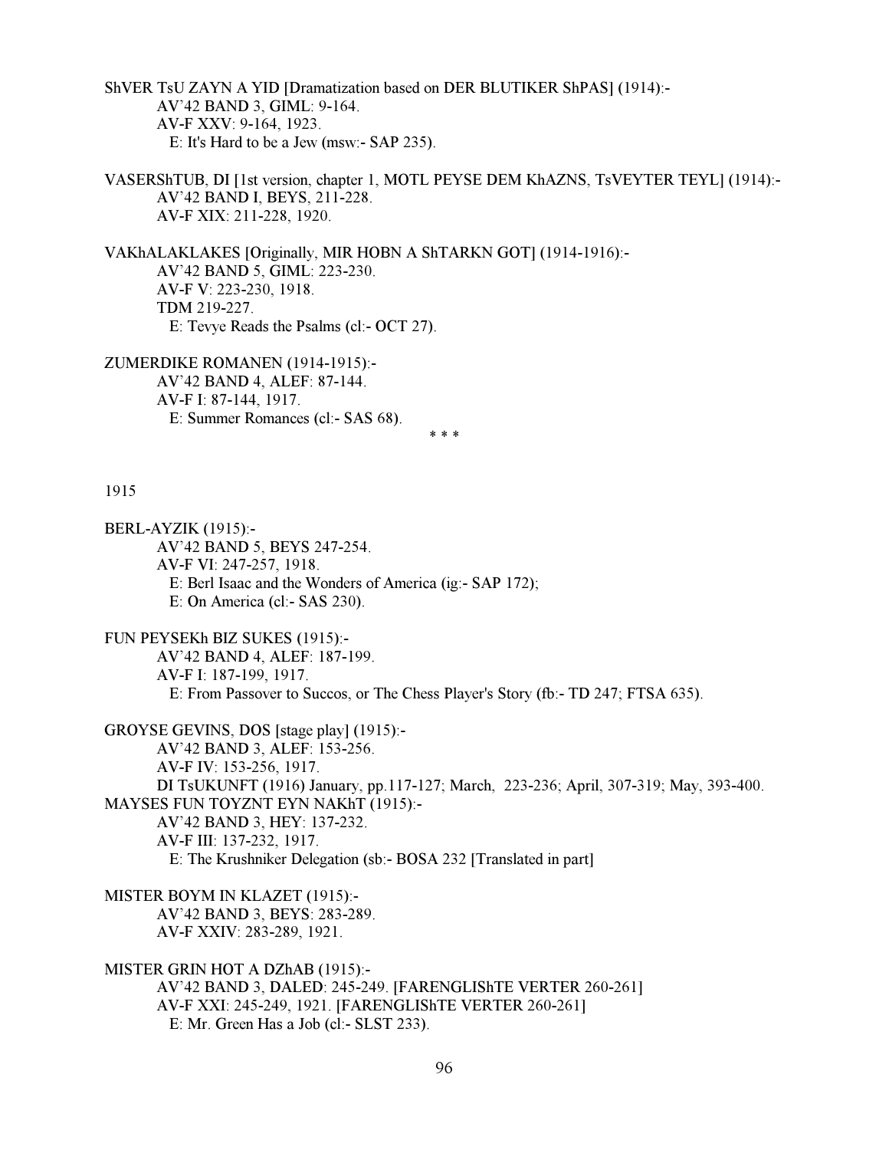ShVER TsU ZAYN A YID [Dramatization based on DER BLUTIKER ShPAS] (1914):- AV'42 BAND 3, GIML: 9-164. AV-F XXV: 9-164, 1923. E: It's Hard to be a Jew (msw:- SAP 235).

VASERShTUB, DI [1st version, chapter 1, MOTL PEYSE DEM KhAZNS, TsVEYTER TEYL] (1914):- AV'42 BAND I, BEYS, 211-228. AV-F XIX: 211-228, 1920.

VAKhALAKLAKES [Originally, MIR HOBN A ShTARKN GOT] (1914-1916):- AV'42 BAND 5, GIML: 223-230. AV-F V: 223-230, 1918. TDM 219-227. E: Tevye Reads the Psalms (cl:- OCT 27).

ZUMERDIKE ROMANEN (1914-1915):- AV'42 BAND 4, ALEF: 87-144. AV-F I: 87-144, 1917. E: Summer Romances (cl:- SAS 68).  $* * *$ 

## 1915

BERL-AYZIK (1915):- AV'42 BAND 5, BEYS 247-254. AV-F VI: 247-257, 1918. E: Berl Isaac and the Wonders of America (ig:- SAP 172); E: On America (cl:- SAS 230).

FUN PEYSEKh BIZ SUKES (1915):-

 AV'42 BAND 4, ALEF: 187-199. AV-F I: 187-199, 1917. E: From Passover to Succos, or The Chess Player's Story (fb:- TD 247; FTSA 635).

```
GROYSE GEVINS, DOS [stage play] (1915):-
```
AV'42 BAND 3, ALEF: 153-256.

AV-F IV: 153-256, 1917.

 DI TsUKUNFT (1916) January, pp.117-127; March, 223-236; April, 307-319; May, 393-400. MAYSES FUN TOYZNT EYN NAKhT (1915):-

AV'42 BAND 3, HEY: 137-232.

AV-F III: 137-232, 1917.

E: The Krushniker Delegation (sb:- BOSA 232 [Translated in part]

MISTER BOYM IN KLAZET (1915):-

 AV'42 BAND 3, BEYS: 283-289. AV-F XXIV: 283-289, 1921.

MISTER GRIN HOT A DZhAB (1915):-

 AV'42 BAND 3, DALED: 245-249. [FARENGLIShTE VERTER 260-261] AV-F XXI: 245-249, 1921. [FARENGLIShTE VERTER 260-261] E: Mr. Green Has a Job (cl:- SLST 233).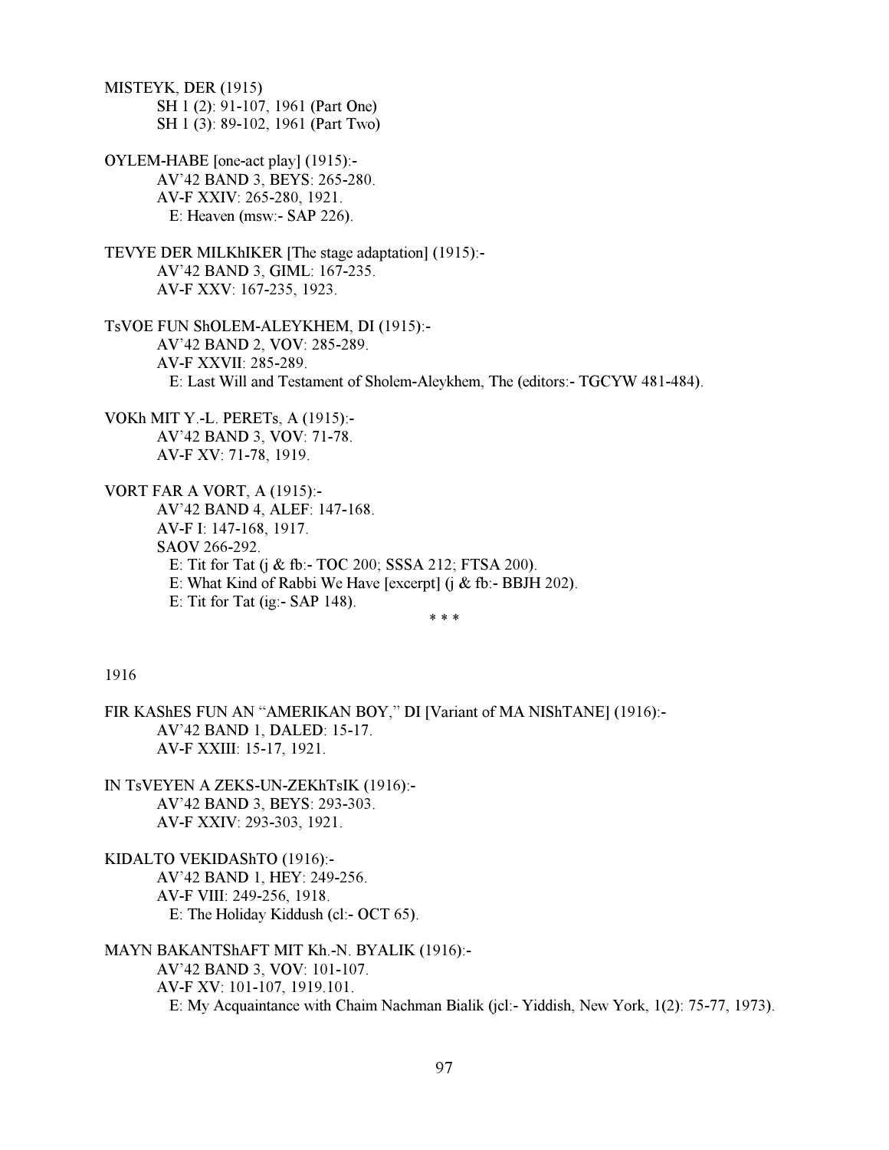MISTEYK, DER (1915) SH 1 (2): 91-107, 1961 (Part One) SH 1 (3): 89-102, 1961 (Part Two)

- OYLEM-HABE [one-act play] (1915):- AV'42 BAND 3, BEYS: 265-280. AV-F XXIV: 265-280, 1921. E: Heaven (msw:- SAP 226).
- TEVYE DER MILKhIKER [The stage adaptation] (1915):- AV'42 BAND 3, GIML: 167-235. AV-F XXV: 167-235, 1923.
- TsVOE FUN ShOLEM-ALEYKHEM, DI (1915):- AV'42 BAND 2, VOV: 285-289. AV-F XXVII: 285-289. E: Last Will and Testament of Sholem-Aleykhem, The (editors:- TGCYW 481-484).
- VOKh MIT Y.-L. PERETs, A (1915):- AV'42 BAND 3, VOV: 71-78. AV-F XV: 71-78, 1919.

VORT FAR A VORT, A (1915):- AV'42 BAND 4, ALEF: 147-168. AV-F I: 147-168, 1917. SAOV 266-292. E: Tit for Tat (j & fb:- TOC 200; SSSA 212; FTSA 200). E: What Kind of Rabbi We Have [excerpt] (j & fb:- BBJH 202). E: Tit for Tat (ig:- SAP 148).

 $* * *$ 

# 1916

- FIR KAShES FUN AN "AMERIKAN BOY," DI [Variant of MA NIShTANE] (1916):- AV'42 BAND 1, DALED: 15-17. AV-F XXIII: 15-17, 1921.
- IN TsVEYEN A ZEKS-UN-ZEKhTsIK (1916):- AV'42 BAND 3, BEYS: 293-303. AV-F XXIV: 293-303, 1921.
- KIDALTO VEKIDAShTO (1916):- AV'42 BAND 1, HEY: 249-256. AV-F VIII: 249-256, 1918. E: The Holiday Kiddush (cl:- OCT 65).
- MAYN BAKANTShAFT MIT Kh.-N. BYALIK (1916):- AV'42 BAND 3, VOV: 101-107. AV-F XV: 101-107, 1919.101. E: My Acquaintance with Chaim Nachman Bialik (jcl:- Yiddish, New York, 1(2): 75-77, 1973).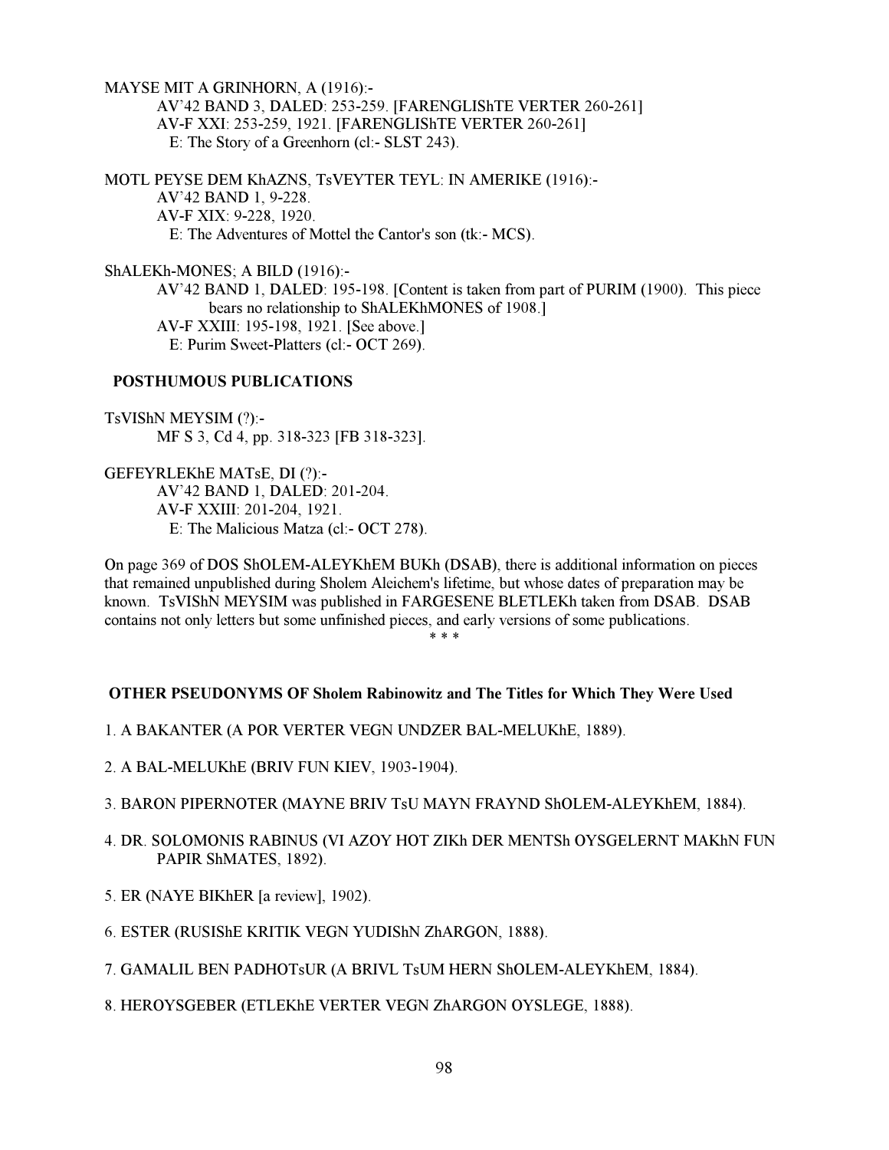MAYSE MIT A GRINHORN, A (1916):-

 AV'42 BAND 3, DALED: 253-259. [FARENGLIShTE VERTER 260-261] AV-F XXI: 253-259, 1921. [FARENGLIShTE VERTER 260-261] E: The Story of a Greenhorn (cl:- SLST 243).

MOTL PEYSE DEM KhAZNS, TsVEYTER TEYL: IN AMERIKE (1916):- AV'42 BAND 1, 9-228. AV-F XIX: 9-228, 1920. E: The Adventures of Mottel the Cantor's son (tk:- MCS).

ShALEKh-MONES; A BILD (1916):-

 AV'42 BAND 1, DALED: 195-198. [Content is taken from part of PURIM (1900). This piece bears no relationship to ShALEKhMONES of 1908.] AV-F XXIII: 195-198, 1921. [See above.] E: Purim Sweet-Platters (cl:- OCT 269).

# POSTHUMOUS PUBLICATIONS

TsVIShN MEYSIM (?):- MF S 3, Cd 4, pp. 318-323 [FB 318-323].

GEFEYRLEKhE MATsE, DI (?):- AV'42 BAND 1, DALED: 201-204. AV-F XXIII: 201-204, 1921. E: The Malicious Matza (cl:- OCT 278).

On page 369 of DOS ShOLEM-ALEYKhEM BUKh (DSAB), there is additional information on pieces that remained unpublished during Sholem Aleichem's lifetime, but whose dates of preparation may be known. TsVIShN MEYSIM was published in FARGESENE BLETLEKh taken from DSAB. DSAB contains not only letters but some unfinished pieces, and early versions of some publications.<br>\*\*\*

 $* * *$ 

# OTHER PSEUDONYMS OF Sholem Rabinowitz and The Titles for Which They Were Used

1. A BAKANTER (A POR VERTER VEGN UNDZER BAL-MELUKhE, 1889).

- 2. A BAL-MELUKhE (BRIV FUN KIEV, 1903-1904).
- 3. BARON PIPERNOTER (MAYNE BRIV TsU MAYN FRAYND ShOLEM-ALEYKhEM, 1884).
- 4. DR. SOLOMONIS RABINUS (VI AZOY HOT ZIKh DER MENTSh OYSGELERNT MAKhN FUN PAPIR ShMATES, 1892).
- 5. ER (NAYE BIKhER [a review], 1902).
- 6. ESTER (RUSIShE KRITIK VEGN YUDIShN ZhARGON, 1888).
- 7. GAMALIL BEN PADHOTsUR (A BRIVL TsUM HERN ShOLEM-ALEYKhEM, 1884).
- 8. HEROYSGEBER (ETLEKhE VERTER VEGN ZhARGON OYSLEGE, 1888).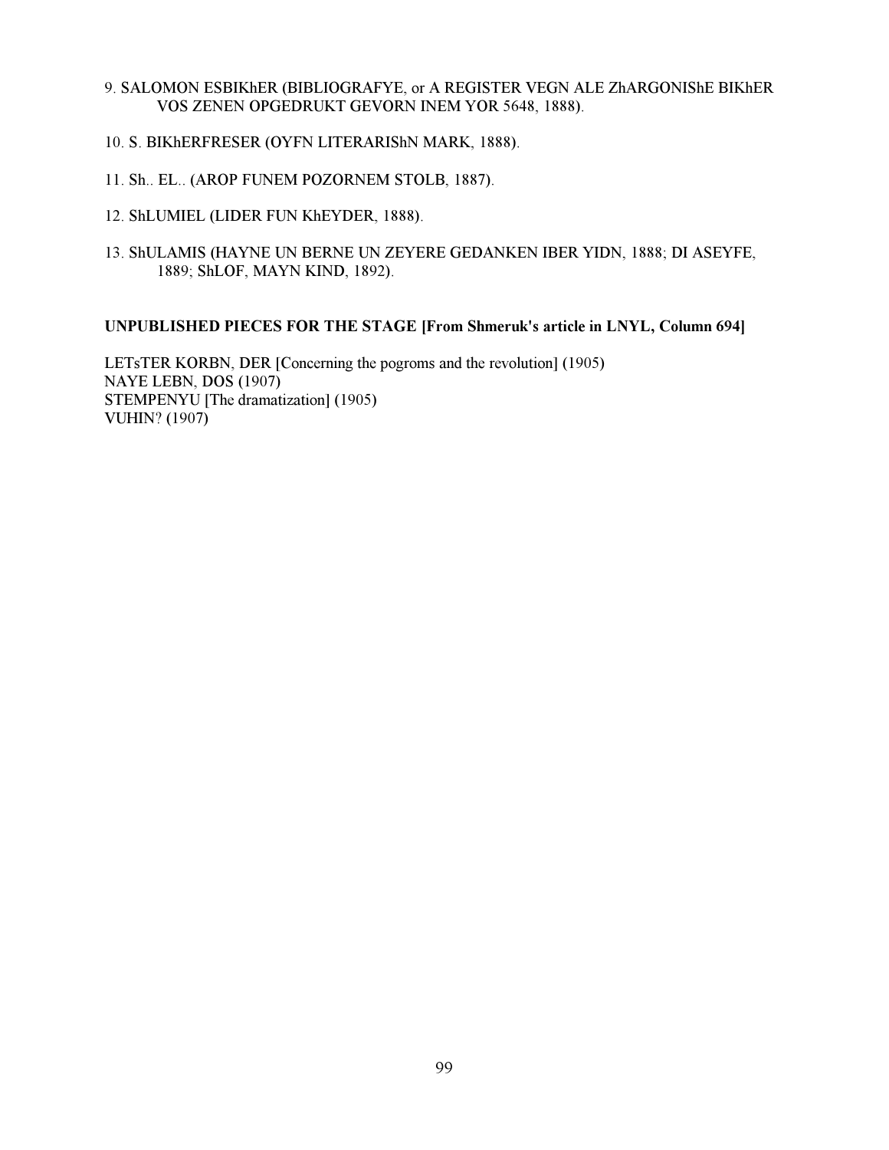- 9. SALOMON ESBIKhER (BIBLIOGRAFYE, or A REGISTER VEGN ALE ZhARGONIShE BIKhER VOS ZENEN OPGEDRUKT GEVORN INEM YOR 5648, 1888).
- 10. S. BIKhERFRESER (OYFN LITERARIShN MARK, 1888).
- 11. Sh.. EL.. (AROP FUNEM POZORNEM STOLB, 1887).
- 12. ShLUMIEL (LIDER FUN KhEYDER, 1888).
- 13. ShULAMIS (HAYNE UN BERNE UN ZEYERE GEDANKEN IBER YIDN, 1888; DI ASEYFE, 1889; ShLOF, MAYN KIND, 1892).

## UNPUBLISHED PIECES FOR THE STAGE [From Shmeruk's article in LNYL, Column 694]

LETsTER KORBN, DER [Concerning the pogroms and the revolution] (1905) NAYE LEBN, DOS (1907) STEMPENYU [The dramatization] (1905) VUHIN? (1907)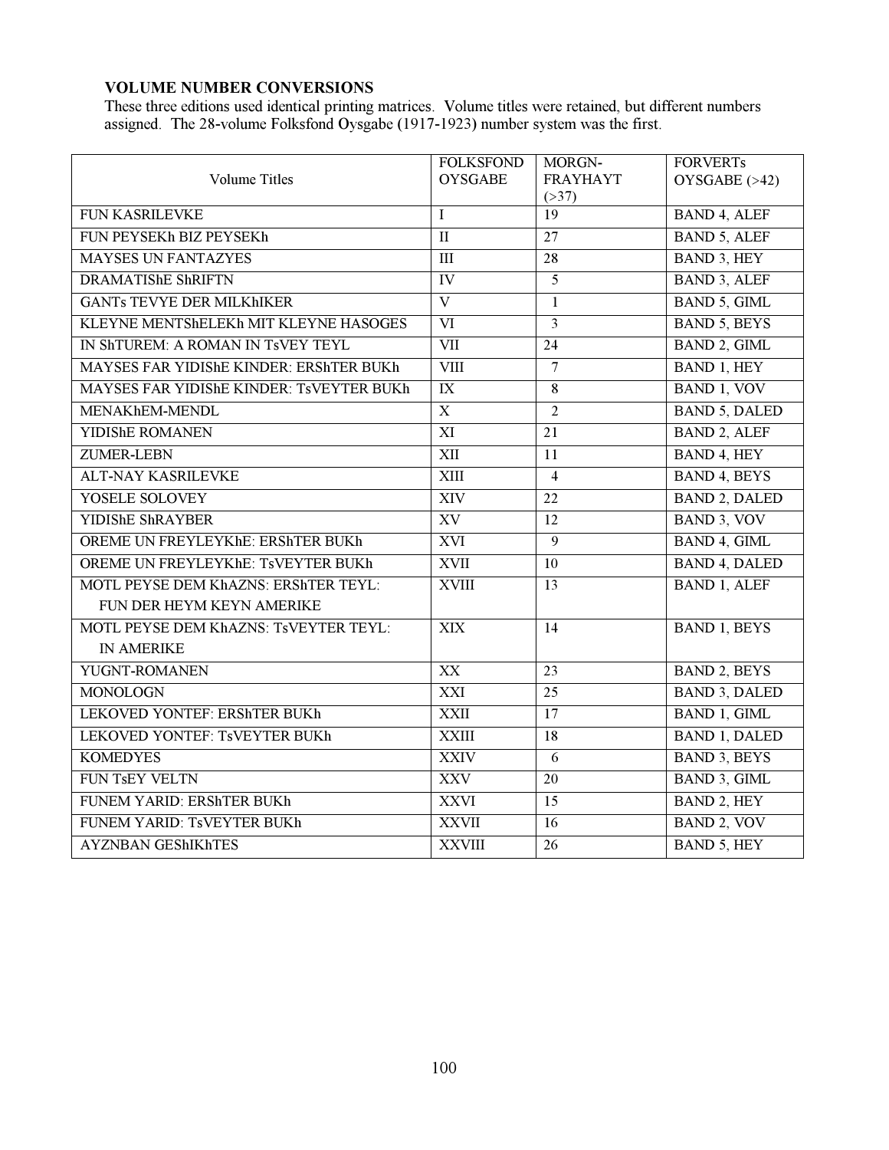# VOLUME NUMBER CONVERSIONS

These three editions used identical printing matrices. Volume titles were retained, but different numbers assigned. The 28-volume Folksfond Oysgabe (1917-1923) number system was the first.

|                                          | <b>FOLKSFOND</b> | MORGN-          | <b>FORVERTs</b>      |
|------------------------------------------|------------------|-----------------|----------------------|
| <b>Volume Titles</b>                     | <b>OYSGABE</b>   | <b>FRAYHAYT</b> | OYSGABE (>42)        |
|                                          |                  | (>37)<br>19     |                      |
| FUN KASRILEVKE                           | $\mathbf I$      |                 | <b>BAND 4, ALEF</b>  |
| FUN PEYSEKh BIZ PEYSEKh                  | $\mathbf{I}$     | $\overline{27}$ | <b>BAND 5, ALEF</b>  |
| <b>MAYSES UN FANTAZYES</b>               | III              | 28              | BAND 3, HEY          |
| <b>DRAMATIShE ShRIFTN</b>                | IV               | $\overline{5}$  | <b>BAND 3, ALEF</b>  |
| <b>GANTs TEVYE DER MILKHIKER</b>         | $\mathbf{V}$     | $\mathbf{1}$    | BAND 5, GIML         |
| KLEYNE MENTShELEKh MIT KLEYNE HASOGES    | VI               | 3               | <b>BAND 5, BEYS</b>  |
| IN ShTUREM: A ROMAN IN TSVEY TEYL        | <b>VII</b>       | $\overline{24}$ | <b>BAND 2, GIML</b>  |
| MAYSES FAR YIDIShE KINDER: ERShTER BUKh  | <b>VIII</b>      | $\overline{7}$  | <b>BAND 1, HEY</b>   |
| MAYSES FAR YIDIShE KINDER: TSVEYTER BUKh | $\mathbf{IX}$    | 8               | BAND 1, VOV          |
| MENAKhEM-MENDL                           | $\mathbf X$      | $\overline{2}$  | <b>BAND 5, DALED</b> |
| YIDIShE ROMANEN                          | XI               | $\overline{21}$ | <b>BAND 2, ALEF</b>  |
| ZUMER-LEBN                               | XII              | 11              | BAND 4, HEY          |
| <b>ALT-NAY KASRILEVKE</b>                | XIII             | $\overline{4}$  | <b>BAND 4, BEYS</b>  |
| YOSELE SOLOVEY                           | <b>XIV</b>       | $\overline{22}$ | <b>BAND 2, DALED</b> |
| YIDIShE ShRAYBER                         | XV               | 12              | BAND 3, VOV          |
| OREME UN FREYLEYKhE: ERShTER BUKh        | <b>XVI</b>       | 9               | BAND 4, GIML         |
| OREME UN FREYLEYKhE: TSVEYTER BUKh       | <b>XVII</b>      | 10              | <b>BAND 4, DALED</b> |
| MOTL PEYSE DEM KhAZNS: ERShTER TEYL:     | <b>XVIII</b>     | 13              | <b>BAND 1, ALEF</b>  |
| FUN DER HEYM KEYN AMERIKE                |                  |                 |                      |
| MOTL PEYSE DEM KhAZNS: TsVEYTER TEYL:    | XIX              | $\overline{14}$ | <b>BAND 1, BEYS</b>  |
| <b>IN AMERIKE</b>                        |                  |                 |                      |
| YUGNT-ROMANEN                            | $\overline{XX}$  | 23              | <b>BAND 2, BEYS</b>  |
| <b>MONOLOGN</b>                          | XXI              | 25              | <b>BAND 3, DALED</b> |
| LEKOVED YONTEF: ERShTER BUKh             | <b>XXII</b>      | $\overline{17}$ | <b>BAND 1, GIML</b>  |
| LEKOVED YONTEF: TSVEYTER BUKh            | <b>XXIII</b>     | 18              | <b>BAND 1, DALED</b> |
| <b>KOMEDYES</b>                          | <b>XXIV</b>      | 6               | <b>BAND 3, BEYS</b>  |
| FUN TsEY VELTN                           | <b>XXV</b>       | $\overline{20}$ | BAND 3, GIML         |
| FUNEM YARID: ERShTER BUKh                | <b>XXVI</b>      | 15              | <b>BAND 2, HEY</b>   |
| FUNEM YARID: TSVEYTER BUKh               | <b>XXVII</b>     | 16              | <b>BAND 2, VOV</b>   |
| <b>AYZNBAN GEShIKhTES</b>                | <b>XXVIII</b>    | 26              | <b>BAND 5, HEY</b>   |